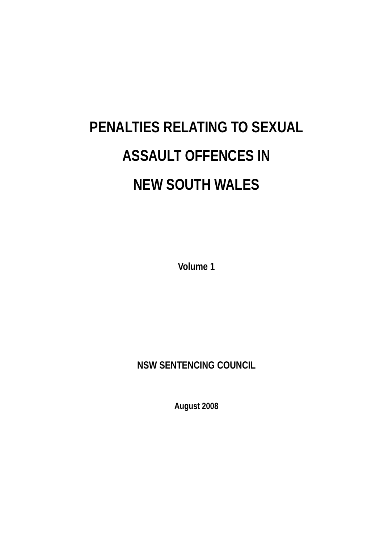# **PENALTIES RELATING TO SEXUAL ASSAULT OFFENCES IN NEW SOUTH WALES**

**Volume 1**

**NSW SENTENCING COUNCIL**

**August 2008**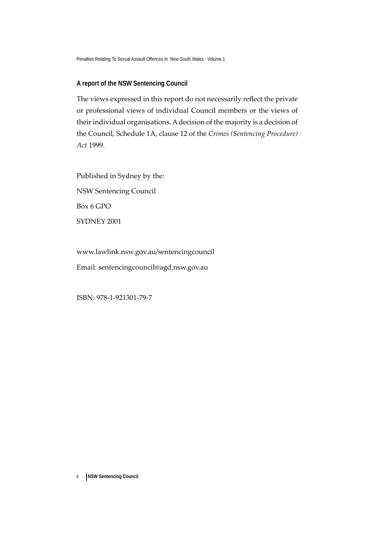### **A report of the NSW Sentencing Council**

The views expressed in this report do not necessarily reflect the private or professional views of individual Council members or the views of their individual organisations. A decision of the majority is a decision of the Council, Schedule 1A, clause 12 of the *Crimes (Sentencing Procedure) Act* 1999.

Published in Sydney by the: NSW Sentencing Council Box 6 GPO SYDNEY 2001

www.lawlink.nsw.gov.au/sentencingcouncil Email: sentencingcouncil@agd.nsw.gov.au

ISBN: 978-1-921301-79-7

ii **NSW Sentencing Council**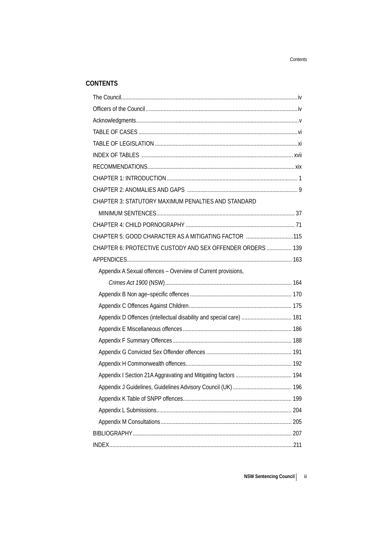### **CONTENTS**

| CHAPTER 3: STATUTORY MAXIMUM PENALTIES AND STANDARD                 |  |
|---------------------------------------------------------------------|--|
|                                                                     |  |
|                                                                     |  |
| CHAPTER 5: GOOD CHARACTER AS A MITIGATING FACTOR 115                |  |
| CHAPTER 6: PROTECTIVE CUSTODY AND SEX OFFENDER ORDERS  139          |  |
|                                                                     |  |
| Appendix A Sexual offences - Overview of Current provisions,        |  |
|                                                                     |  |
|                                                                     |  |
|                                                                     |  |
| Appendix D Offences (intellectual disability and special care)  181 |  |
|                                                                     |  |
|                                                                     |  |
|                                                                     |  |
|                                                                     |  |
|                                                                     |  |
|                                                                     |  |
|                                                                     |  |
|                                                                     |  |
|                                                                     |  |
|                                                                     |  |
|                                                                     |  |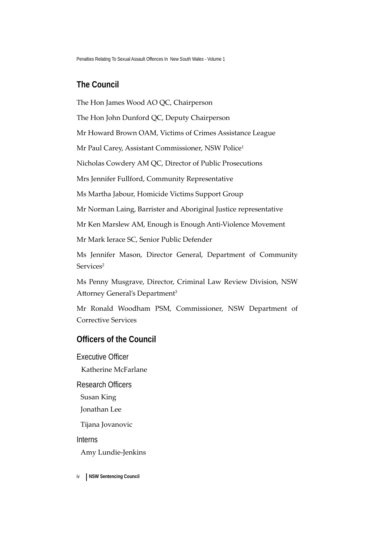### **The Council**

The Hon James Wood AO QC, Chairperson

The Hon John Dunford QC, Deputy Chairperson

Mr Howard Brown OAM, Victims of Crimes Assistance League

Mr Paul Carey, Assistant Commissioner, NSW Police<sup>1</sup>

Nicholas Cowdery AM QC, Director of Public Prosecutions

Mrs Jennifer Fullford, Community Representative

Ms Martha Jabour, Homicide Victims Support Group

Mr Norman Laing, Barrister and Aboriginal Justice representative

Mr Ken Marslew AM, Enough is Enough Anti-Violence Movement

Mr Mark Ierace SC, Senior Public Defender

Ms Jennifer Mason, Director General, Department of Community Services<sup>2</sup>

Ms Penny Musgrave, Director, Criminal Law Review Division, NSW Attorney General's Department<sup>3</sup>

Mr Ronald Woodham PSM, Commissioner, NSW Department of Corrective Services

### **Officers of the Council**

**Executive Officer**  Katherine McFarlane Research Officers Susan King Jonathan Lee Tijana Jovanovic Interns Amy Lundie-Jenkins

iv **NSW Sentencing Council**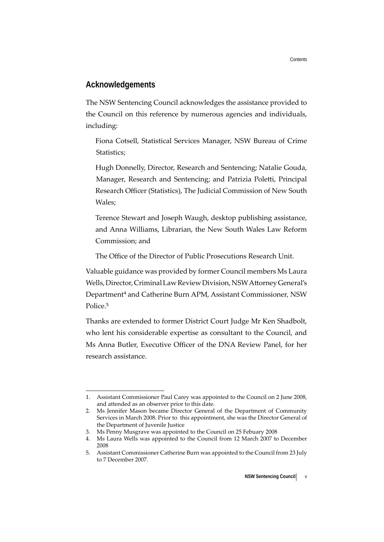### **Acknowledgements**

The NSW Sentencing Council acknowledges the assistance provided to the Council on this reference by numerous agencies and individuals, including:

 Fiona Cotsell, Statistical Services Manager, NSW Bureau of Crime Statistics;

 Hugh Donnelly, Director, Research and Sentencing; Natalie Gouda, Manager, Research and Sentencing; and Patrizia Poletti, Principal Research Officer (Statistics), The Judicial Commission of New South Wales;

 Terence Stewart and Joseph Waugh, desktop publishing assistance, and Anna Williams, Librarian, the New South Wales Law Reform Commission; and

The Office of the Director of Public Prosecutions Research Unit.

Valuable guidance was provided by former Council members Ms Laura Wells, Director, Criminal Law Review Division, NSW Attorney General's Department<sup>4</sup> and Catherine Burn APM, Assistant Commissioner, NSW Police<sup>5</sup>

Thanks are extended to former District Court Judge Mr Ken Shadbolt, who lent his considerable expertise as consultant to the Council, and Ms Anna Butler, Executive Officer of the DNA Review Panel, for her research assistance.

<sup>1.</sup> Assistant Commissioner Paul Carey was appointed to the Council on 2 June 2008, and attended as an observer prior to this date.

<sup>2.</sup> Ms Jennifer Mason became Director General of the Department of Community Services in March 2008. Prior to this appointment, she was the Director General of the Department of Juvenile Justice

<sup>3.</sup> Ms Penny Musgrave was appointed to the Council on 25 Febuary 2008

<sup>4.</sup> Ms Laura Wells was appointed to the Council from 12 March 2007 to December 2008

<sup>5.</sup> Assistant Commissioner Catherine Burn was appointed to the Council from 23 July to 7 December 2007.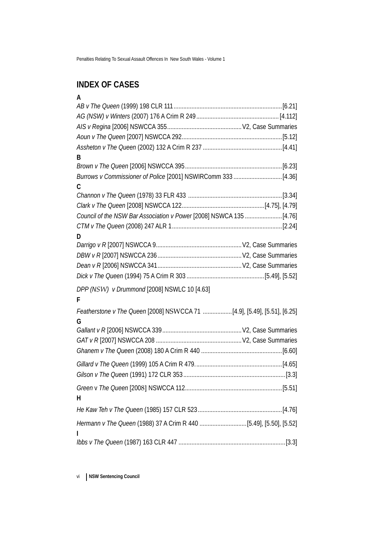### **INDEX OF CASES**

### **A**

| B                                                                       |  |
|-------------------------------------------------------------------------|--|
|                                                                         |  |
|                                                                         |  |
| C                                                                       |  |
|                                                                         |  |
|                                                                         |  |
|                                                                         |  |
|                                                                         |  |
| D                                                                       |  |
|                                                                         |  |
|                                                                         |  |
|                                                                         |  |
|                                                                         |  |
| DPP (NSW) v Drummond [2008] NSWLC 10 [4.63]                             |  |
| F                                                                       |  |
| Featherstone v The Queen [2008] NSWCCA 71 [4.9], [5.49], [5.51], [6.25] |  |
| G                                                                       |  |
|                                                                         |  |
|                                                                         |  |
|                                                                         |  |
|                                                                         |  |
|                                                                         |  |
|                                                                         |  |
|                                                                         |  |
| н                                                                       |  |
|                                                                         |  |
|                                                                         |  |
|                                                                         |  |
|                                                                         |  |

vi **NSW Sentencing Council**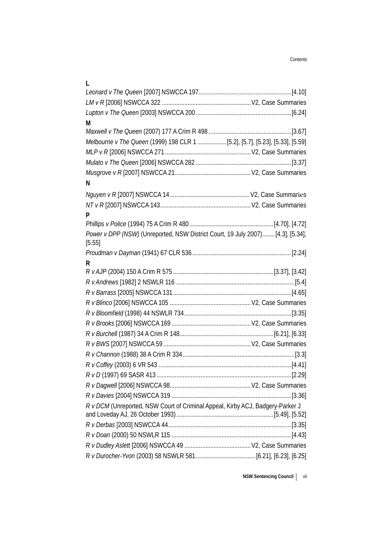| L                                                                               |  |
|---------------------------------------------------------------------------------|--|
|                                                                                 |  |
|                                                                                 |  |
|                                                                                 |  |
| М                                                                               |  |
|                                                                                 |  |
| Melbourne v The Queen (1999) 198 CLR 1 [5.2], [5.7], [5.23], [5.33], [5.59]     |  |
|                                                                                 |  |
|                                                                                 |  |
|                                                                                 |  |
| N                                                                               |  |
|                                                                                 |  |
|                                                                                 |  |
| P                                                                               |  |
|                                                                                 |  |
| Power v DPP (NSW) (Unreported, NSW District Court, 19 July 2007) [4.3], [5.34], |  |
| [5.55]                                                                          |  |
| R                                                                               |  |
|                                                                                 |  |
|                                                                                 |  |
|                                                                                 |  |
|                                                                                 |  |
|                                                                                 |  |
|                                                                                 |  |
|                                                                                 |  |
|                                                                                 |  |
|                                                                                 |  |
|                                                                                 |  |
|                                                                                 |  |
|                                                                                 |  |
|                                                                                 |  |
| R v DCM (Unreported, NSW Court of Criminal Appeal, Kirby ACJ, Badgery-Parker J  |  |
|                                                                                 |  |
|                                                                                 |  |
|                                                                                 |  |
|                                                                                 |  |
|                                                                                 |  |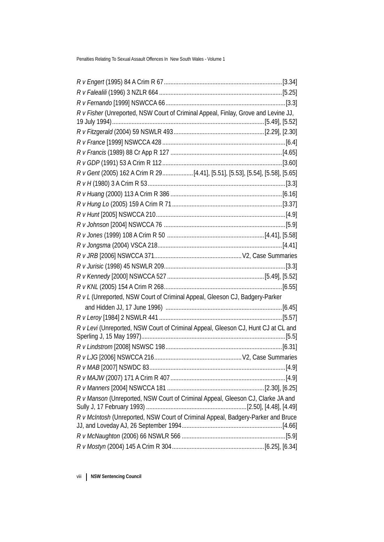| R v Fisher (Unreported, NSW Court of Criminal Appeal, Finlay, Grove and Levine JJ, |  |
|------------------------------------------------------------------------------------|--|
|                                                                                    |  |
|                                                                                    |  |
|                                                                                    |  |
|                                                                                    |  |
|                                                                                    |  |
| R v Gent (2005) 162 A Crim R 29[4.41], [5.51], [5.53], [5.54], [5.58], [5.65]      |  |
|                                                                                    |  |
|                                                                                    |  |
|                                                                                    |  |
|                                                                                    |  |
|                                                                                    |  |
|                                                                                    |  |
|                                                                                    |  |
|                                                                                    |  |
|                                                                                    |  |
|                                                                                    |  |
|                                                                                    |  |
| R v L (Unreported, NSW Court of Criminal Appeal, Gleeson CJ, Badgery-Parker        |  |
|                                                                                    |  |
|                                                                                    |  |
| R v Levi (Unreported, NSW Court of Criminal Appeal, Gleeson CJ, Hunt CJ at CL and  |  |
|                                                                                    |  |
|                                                                                    |  |
|                                                                                    |  |
|                                                                                    |  |
|                                                                                    |  |
|                                                                                    |  |
| R v Manson (Unreported, NSW Court of Criminal Appeal, Gleeson CJ, Clarke JA and    |  |
| R v McIntosh (Unreported, NSW Court of Criminal Appeal, Badgery-Parker and Bruce   |  |
|                                                                                    |  |
|                                                                                    |  |
|                                                                                    |  |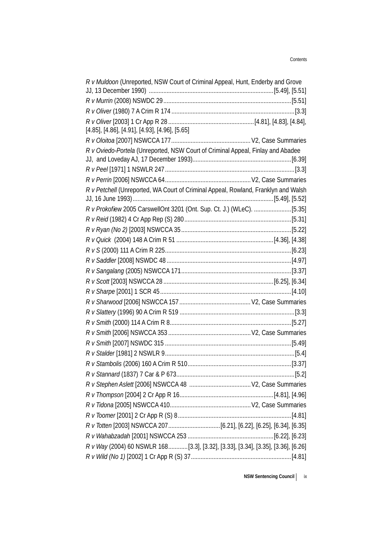| R v Muldoon (Unreported, NSW Court of Criminal Appeal, Hunt, Enderby and Grove     |  |
|------------------------------------------------------------------------------------|--|
|                                                                                    |  |
|                                                                                    |  |
|                                                                                    |  |
|                                                                                    |  |
| $[4.85]$ , $[4.86]$ , $[4.91]$ , $[4.93]$ , $[4.96]$ , $[5.65]$                    |  |
|                                                                                    |  |
| R v Oviedo-Portela (Unreported, NSW Court of Criminal Appeal, Finlay and Abadee    |  |
|                                                                                    |  |
|                                                                                    |  |
| R v Petchell (Unreported, WA Court of Criminal Appeal, Rowland, Franklyn and Walsh |  |
|                                                                                    |  |
|                                                                                    |  |
|                                                                                    |  |
|                                                                                    |  |
|                                                                                    |  |
|                                                                                    |  |
|                                                                                    |  |
|                                                                                    |  |
|                                                                                    |  |
|                                                                                    |  |
|                                                                                    |  |
|                                                                                    |  |
|                                                                                    |  |
|                                                                                    |  |
|                                                                                    |  |
|                                                                                    |  |
|                                                                                    |  |
|                                                                                    |  |
|                                                                                    |  |
|                                                                                    |  |
|                                                                                    |  |
|                                                                                    |  |
|                                                                                    |  |
| R v Way (2004) 60 NSWLR 168 [3.3], [3.32], [3.33], [3.34], [3.35], [3.36], [6.26]  |  |
|                                                                                    |  |

**NSW Sentencing Council** ix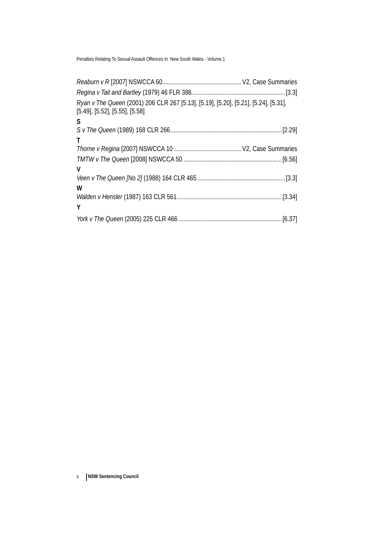| Ryan v The Queen (2001) 206 CLR 267 [5.13], [5.19], [5.20], [5.21], [5.24], [5.31],<br>$[5.49]$ , $[5.52]$ , $[5.55]$ , $[5.58]$ |  |
|----------------------------------------------------------------------------------------------------------------------------------|--|
| S                                                                                                                                |  |
|                                                                                                                                  |  |
| Т                                                                                                                                |  |
|                                                                                                                                  |  |
|                                                                                                                                  |  |
| V                                                                                                                                |  |
|                                                                                                                                  |  |
| W                                                                                                                                |  |
|                                                                                                                                  |  |
| Υ                                                                                                                                |  |
|                                                                                                                                  |  |

x **NSW Sentencing Council**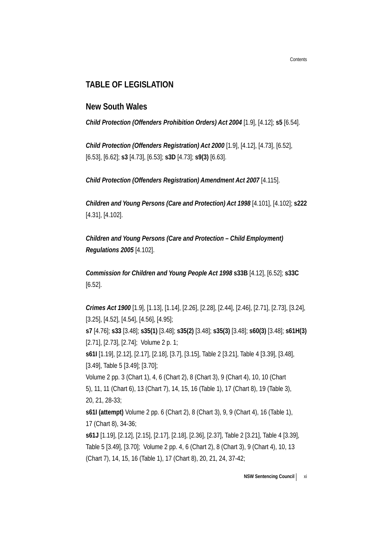### **TABLE OF LEGISLATION**

### **New South Wales**

*Child Protection (Offenders Prohibition Orders) Act 2004* [1.9], [4.12]; **s5** [6.54].

*Child Protection (Offenders Registration) Act 2000* [1.9], [4.12], [4.73], [6.52], [6.53], [6.62]; **s3** [4.73], [6.53]; **s3D** [4.73]; **s9(3)** [6.63].

*Child Protection (Offenders Registration) Amendment Act 2007* [4.115].

*Children and Young Persons (Care and Protection) Act 1998* [4.101], [4.102]; **s222**  [4.31], [4.102].

*Children and Young Persons (Care and Protection – Child Employment) Regulations 2005* [4.102].

*Commission for Children and Young People Act 1998* **s33B** [4.12], [6.52]; **s33C** [6.52].

*Crimes Act 1900* [1.9], [1.13], [1.14], [2.26], [2.28], [2.44], [2.46], [2.71], [2.73], [3.24], [3.25], [4.52], [4.54], [4.56], [4.95];

**s7** [4.76]; **s33** [3.48]; **s35(1)** [3.48]; **s35(2)** [3.48]; **s35(3)** [3.48]; **s60(3)** [3.48]; **s61H(3)**  [2.71], [2.73], [2.74]; Volume 2 p. 1;

**s61I** [1.19], [2.12], [2.17], [2.18], [3.7], [3.15], Table 2 [3.21], Table 4 [3.39], [3.48], [3.49], Table 5 [3.49]; [3.70];

Volume 2 pp. 3 (Chart 1), 4, 6 (Chart 2), 8 (Chart 3), 9 (Chart 4), 10, 10 (Chart 5), 11, 11 (Chart 6), 13 (Chart 7), 14, 15, 16 (Table 1), 17 (Chart 8), 19 (Table 3), 20, 21, 28-33;

**s61I (attempt)** Volume 2 pp. 6 (Chart 2), 8 (Chart 3), 9, 9 (Chart 4), 16 (Table 1), 17 (Chart 8), 34-36;

**s61J** [1.19], [2.12], [2.15], [2.17], [2.18], [2.36], [2.37], Table 2 [3.21], Table 4 [3.39], Table 5 [3.49], [3.70]; Volume 2 pp. 4, 6 (Chart 2), 8 (Chart 3), 9 (Chart 4), 10, 13 (Chart 7), 14, 15, 16 (Table 1), 17 (Chart 8), 20, 21, 24, 37-42;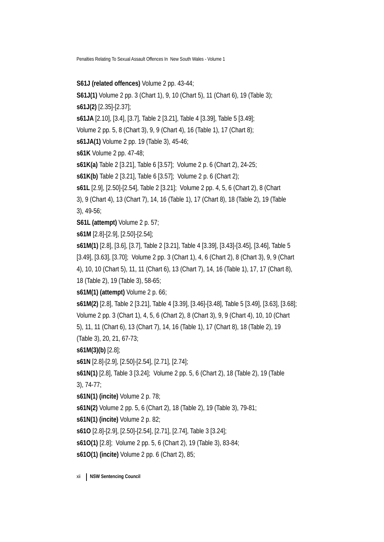**S61J (related offences)** Volume 2 pp. 43-44;

**S61J(1)** Volume 2 pp. 3 (Chart 1), 9, 10 (Chart 5), 11 (Chart 6), 19 (Table 3);

**s61J(2)** [2.35]-[2.37];

**s61JA** [2.10], [3.4], [3.7], Table 2 [3.21], Table 4 [3.39], Table 5 [3.49];

Volume 2 pp. 5, 8 (Chart 3), 9, 9 (Chart 4), 16 (Table 1), 17 (Chart 8);

**s61JA(1)** Volume 2 pp. 19 (Table 3), 45-46;

**s61K** Volume 2 pp. 47-48;

**s61K(a)** Table 2 [3.21], Table 6 [3.57]; Volume 2 p. 6 (Chart 2), 24-25;

**s61K(b)** Table 2 [3.21], Table 6 [3.57]; Volume 2 p. 6 (Chart 2);

**s61L** [2.9], [2.50]-[2.54], Table 2 [3.21]; Volume 2 pp. 4, 5, 6 (Chart 2), 8 (Chart

3), 9 (Chart 4), 13 (Chart 7), 14, 16 (Table 1), 17 (Chart 8), 18 (Table 2), 19 (Table 3), 49-56;

**S61L (attempt)** Volume 2 p. 57;

**s61M** [2.8]-[2.9], [2.50]-[2.54];

**s61M(1)** [2.8], [3.6], [3.7], Table 2 [3.21], Table 4 [3.39], [3.43]-[3.45], [3.46], Table 5 [3.49], [3.63], [3.70]; Volume 2 pp. 3 (Chart 1), 4, 6 (Chart 2), 8 (Chart 3), 9, 9 (Chart 4), 10, 10 (Chart 5), 11, 11 (Chart 6), 13 (Chart 7), 14, 16 (Table 1), 17, 17 (Chart 8), 18 (Table 2), 19 (Table 3), 58-65;

```
s61M(1) (attempt) Volume 2 p. 66;
```
**s61M(2)** [2.8], Table 2 [3.21], Table 4 [3.39], [3.46]-[3.48], Table 5 [3.49], [3.63], [3.68]; Volume 2 pp. 3 (Chart 1), 4, 5, 6 (Chart 2), 8 (Chart 3), 9, 9 (Chart 4), 10, 10 (Chart 5), 11, 11 (Chart 6), 13 (Chart 7), 14, 16 (Table 1), 17 (Chart 8), 18 (Table 2), 19 (Table 3), 20, 21, 67-73;

**s61M(3)(b)** [2.8];

**s61N** [2.8]-[2.9], [2.50]-[2.54], [2.71], [2.74];

**s61N(1)** [2.8], Table 3 [3.24]; Volume 2 pp. 5, 6 (Chart 2), 18 (Table 2), 19 (Table 3), 74-77;

**s61N(1) (incite)** Volume 2 p. 78;

**s61N(2)** Volume 2 pp. 5, 6 (Chart 2), 18 (Table 2), 19 (Table 3), 79-81;

**s61N(1) (incite)** Volume 2 p. 82;

**s61O** [2.8]-[2.9], [2.50]-[2.54], [2.71], [2.74], Table 3 [3.24];

**s61O(1)** [2.8]; Volume 2 pp. 5, 6 (Chart 2), 19 (Table 3), 83-84;

**s61O(1) (incite)** Volume 2 pp. 6 (Chart 2), 85;

xii **NSW Sentencing Council**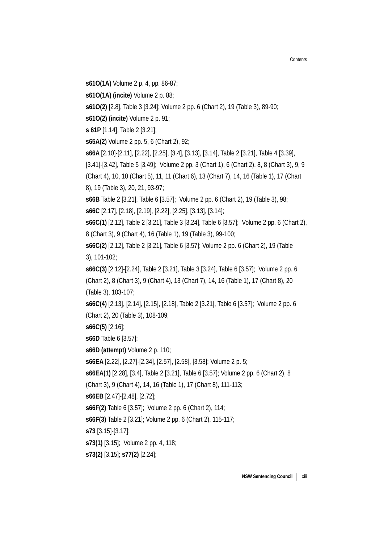Contents

**s61O(1A)** Volume 2 p. 4, pp. 86-87;

**s61O(1A) (incite)** Volume 2 p. 88;

**s61O(2)** [2.8], Table 3 [3.24]; Volume 2 pp. 6 (Chart 2), 19 (Table 3), 89-90;

**s61O(2) (incite)** Volume 2 p. 91;

**s 61P** [1.14], Table 2 [3.21];

**s65A(2)** Volume 2 pp. 5, 6 (Chart 2), 92;

**s66A** [2.10]-[2.11], [2.22], [2.25], [3.4], [3.13], [3.14], Table 2 [3.21], Table 4 [3.39],

[3.41]-[3.42], Table 5 [3.49];Volume 2 pp. 3 (Chart 1), 6 (Chart 2), 8, 8 (Chart 3), 9, 9

(Chart 4), 10, 10 (Chart 5), 11, 11 (Chart 6), 13 (Chart 7), 14, 16 (Table 1), 17 (Chart 8), 19 (Table 3), 20, 21, 93-97;

**s66B** Table 2 [3.21], Table 6 [3.57]; Volume 2 pp. 6 (Chart 2), 19 (Table 3), 98; **s66C** [2.17], [2.18], [2.19], [2.22], [2.25], [3.13], [3.14];

**s66C(1)** [2.12], Table 2 [3.21], Table 3 [3.24], Table 6 [3.57]; Volume 2 pp. 6 (Chart 2),

8 (Chart 3), 9 (Chart 4), 16 (Table 1), 19 (Table 3), 99-100;

**s66C(2)** [2.12], Table 2 [3.21], Table 6 [3.57]; Volume 2 pp. 6 (Chart 2), 19 (Table 3), 101-102;

**s66C(3)** [2.12]-[2.24], Table 2 [3.21], Table 3 [3.24], Table 6 [3.57];Volume 2 pp. 6 (Chart 2), 8 (Chart 3), 9 (Chart 4), 13 (Chart 7), 14, 16 (Table 1), 17 (Chart 8), 20 (Table 3), 103-107;

**s66C(4)** [2.13], [2.14], [2.15], [2.18], Table 2 [3.21], Table 6 [3.57]; Volume 2 pp. 6 (Chart 2), 20 (Table 3), 108-109;

**s66C(5)** [2.16];

**s66D** Table 6 [3.57];

**s66D (attempt)** Volume 2 p. 110;

**s66EA** [2.22], [2.27]-[2.34], [2.57], [2.58], [3.58]; Volume 2 p. 5;

**s66EA(1)** [2.28], [3.4], Table 2 [3.21], Table 6 [3.57]; Volume 2 pp. 6 (Chart 2), 8

(Chart 3), 9 (Chart 4), 14, 16 (Table 1), 17 (Chart 8), 111-113;

**s66EB** [2.47]-[2.48], [2.72];

**s66F(2)** Table 6 [3.57]; Volume 2 pp. 6 (Chart 2), 114;

**s66F(3)** Table 2 [3.21]; Volume 2 pp. 6 (Chart 2), 115-117;

**s73** [3.15]-[3.17];

**s73(1)** [3.15]; Volume 2 pp. 4, 118;

**s73(2)** [3.15]; **s77(2)** [2.24];

**NSW Sentencing Council | xiii**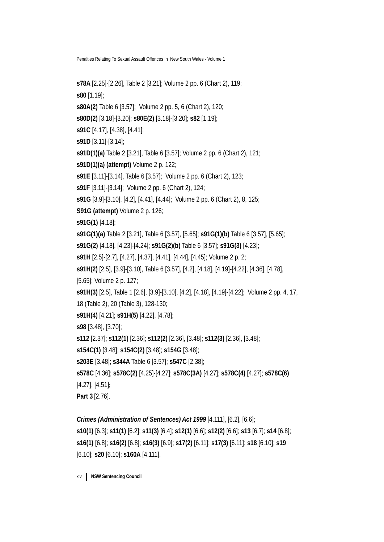**s78A** [2.25]-[2.26], Table 2 [3.21]; Volume 2 pp. 6 (Chart 2), 119; **s80** [1.19]; **s80A(2)** Table 6 [3.57]; Volume 2 pp. 5, 6 (Chart 2), 120; **s80D(2)** [3.18]-[3.20]; **s80E(2)** [3.18]-[3.20]; **s82** [1.19]; **s91C** [4.17], [4.38], [4.41]; **s91D** [3.11]-[3.14]; **s91D(1)(a)** Table 2 [3.21], Table 6 [3.57]; Volume 2 pp. 6 (Chart 2), 121; **s91D(1)(a) (attempt)** Volume 2 p. 122; **s91E** [3.11]-[3.14], Table 6 [3.57]; Volume 2 pp. 6 (Chart 2), 123; **s91F** [3.11]-[3.14]; Volume 2 pp. 6 (Chart 2), 124; **s91G** [3.9]-[3.10], [4.2], [4.41], [4.44]; Volume 2 pp. 6 (Chart 2), 8, 125; **S91G (attempt)** Volume 2 p. 126; **s91G(1)** [4.18]; **s91G(1)(a)** Table 2 [3.21], Table 6 [3.57], [5.65]; **s91G(1)(b)** Table 6 [3.57], [5.65]; **s91G(2)** [4.18], [4.23]-[4.24]; **s91G(2)(b)** Table 6 [3.57]; **s91G(3)** [4.23]; **s91H** [2.5]-[2.7], [4.27], [4.37], [4.41], [4.44], [4.45]; Volume 2 p. 2; **s91H(2)** [2.5], [3.9]-[3.10], Table 6 [3.57], [4.2], [4.18], [4.19]-[4.22], [4.36], [4.78], [5.65]; Volume 2 p. 127; **s91H(3)** [2.5], Table 1 [2.6], [3.9]-[3.10], [4.2], [4.18], [4.19]-[4.22]; Volume 2 pp. 4, 17, 18 (Table 2), 20 (Table 3), 128-130; **s91H(4)** [4.21]; **s91H(5)** [4.22], [4.78]; **s98** [3.48], [3.70]; **s112** [2.37]; **s112(1)** [2.36]; **s112(2)** [2.36], [3.48]; **s112(3)** [2.36], [3.48]; **s154C(1)** [3.48]; **s154C(2)** [3.48]; **s154G** [3.48]; **s203E** [3.48]; **s344A** Table 6 [3.57]; **s547C** [2.38]; **s578C** [4.36]; **s578C(2)** [4.25]-[4.27]; **s578C(3A)** [4.27]; **s578C(4)** [4.27]; **s578C(6)** [4.27], [4.51]**; Part 3** [2.76].

*Crimes (Administration of Sentences) Act 1999* [4.111], [6.2], [6.6]; **s10(1)** [6.3]; **s11(1)** [6.2]; **s11(3)** [6.4]; **s12(1)** [6.6]; **s12(2)** [6.6]; **s13** [6.7]; **s14** [6.8]; **s16(1)** [6.8]; **s16(2)** [6.8]; **s16(3)** [6.9]; **s17(2)** [6.11]; **s17(3)** [6.11]; **s18** [6.10]; **s19**  [6.10]; **s20** [6.10]; **s160A** [4.111].

xiv **NSW Sentencing Council**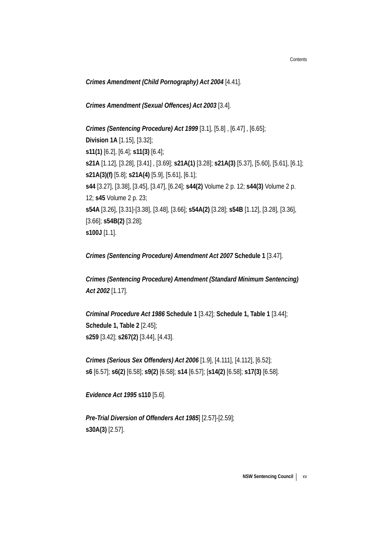### Contents

*Crimes Amendment (Child Pornography) Act 2004* [4.41].

*Crimes Amendment (Sexual Offences) Act 2003* [3.4].

*Crimes (Sentencing Procedure) Act 1999* [3.1], [5.8] , [6.47] , [6.65]; **Division 1A** [1.15], [3.32]; **s11(1)** [6.2], [6.4]; **s11(3)** [6.4]; **s21A** [1.12], [3.28], [3.41] , [3.69]; **s21A(1)** [3.28]; **s21A(3)** [5.37], [5.60], [5.61], [6.1]; **s21A(3)(f)** [5.8]; **s21A(4)** [5.9], [5.61], [6.1]; **s44** [3.27], [3.38], [3.45], [3.47], [6.24]; **s44(2)** Volume 2 p. 12; **s44(3)** Volume 2 p. 12; **s45** Volume 2 p. 23; **s54A** [3.26], [3.31]-[3.38], [3.48], [3.66]; **s54A(2)** [3.28]; **s54B** [1.12], [3.28], [3.36], [3.66]; **s54B(2)** [3.28]; **s100J** [1.1].

*Crimes (Sentencing Procedure) Amendment Act 2007* **Schedule 1** [3.47].

*Crimes (Sentencing Procedure) Amendment (Standard Minimum Sentencing) Act 2002* [1.17].

*Criminal Procedure Act 1986* **Schedule 1** [3.42]; **Schedule 1, Table 1** [3.44]; **Schedule 1, Table 2** [2.45]; **s259** [3.42]; **s267(2)** [3.44], [4.43].

*Crimes (Serious Sex Offenders) Act 2006* [1.9], [4.111], [4.112], [6.52]; **s6** [6.57]; **s6(2)** [6.58]; **s9(2)** [6.58]; **s14** [6.57]; [**s14(2)** [6.58]; **s17(3)** [6.58].

*Evidence Act 1995* **s110** [5.6].

*Pre-Trial Diversion of Offenders Act 1985*] [2.57]-[2.59]; **s30A(3)** [2.57].

**NSW Sentencing Council | xv**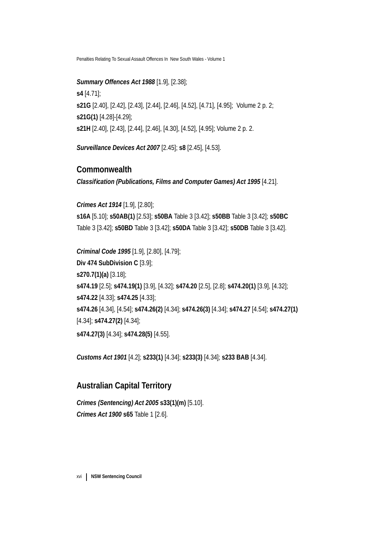*Summary Offences Act 1988* [1.9], [2.38]; **s4** [4.71]; **s21G** [2.40], [2.42], [2.43], [2.44], [2.46], [4.52], [4.71], [4.95]; Volume 2 p. 2; **s21G(1)** [4.28]-[4.29]; **s21H** [2.40], [2.43], [2.44], [2.46], [4.30], [4.52], [4.95]; Volume 2 p. 2.

*Surveillance Devices Act 2007* [2.45]; **s8** [2.45], [4.53].

### **Commonwealth**

*Classifi cation (Publications, Films and Computer Games) Act 1995* [4.21].

*Crimes Act 1914* [1.9], [2.80]; **s16A** [5.10]; **s50AB(1)** [2.53]; **s50BA** Table 3 [3.42]; **s50BB** Table 3 [3.42]; **s50BC** Table 3 [3.42]; **s50BD** Table 3 [3.42]; **s50DA** Table 3 [3.42]; **s50DB** Table 3 [3.42].

*Criminal Code 1995* [1.9], [2.80], [4.79]; **Div 474 SubDivision C** [3.9]; **s270.7(1)(a)** [3.18]; **s474.19** [2.5]; **s474.19(1)** [3.9], [4.32]; **s474.20** [2.5], [2.8]; **s474.20(1)** [3.9], [4.32]; **s474.22** [4.33]; **s474.25** [4.33]; **s474.26** [4.34], [4.54]; **s474.26(2)** [4.34]; **s474.26(3)** [4.34]; **s474.27** [4.54]; **s474.27(1)** [4.34]; **s474.27(2)** [4.34]; **s474.27(3)** [4.34]; **s474.28(5)** [4.55].

*Customs Act 1901* [4.2]; **s233(1)** [4.34]; **s233(3)** [4.34]; **s233 BAB** [4.34].

### **Australian Capital Territory**

*Crimes (Sentencing) Act 2005* **s33(1)(m)** [5.10]. *Crimes Act 1900* **s65** Table 1 [2.6].

xvi **NSW Sentencing Council**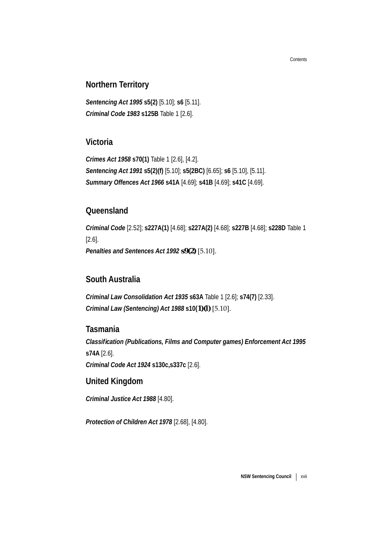Contents

### **Northern Territory**

*Sentencing Act 1995* **s5(2)** [5.10]; **s6** [5.11]. *Criminal Code 1983* **s125B** Table 1 [2.6].

### **Victoria**

*Crimes Act 1958* **s70(1)** Table 1 [2.6], [4.2]. *Sentencing Act 1991* **s5(2)(f)** [5.10]; **s5(2BC)** [6.65]; **s6** [5.10], [5.11]. *Summary Offences Act 1966* **s41A** [4.69]; **s41B** [4.69]; **s41C** [4.69].

### **Queensland**

*Criminal Code* [2.52]; **s227A(1)** [4.68]; **s227A(2)** [4.68]; **s227B** [4.68]; **s228D** Table 1 [2.6]. *Penalties and Sentences Act 1992* **s9(2)** [5.10].

### **South Australia**

*Criminal Law Consolidation Act 1935* **s63A** Table 1 [2.6]; **s74(7)** [2.33]. *Criminal Law (Sentencing) Act 1988* **s10(1)(l)** [5.10].

### **Tasmania**

*Classifi cation (Publications, Films and Computer games) Enforcement Act 1995*  **s74A** [2.6]. *Criminal Code Act 1924* **s130c,s337c** [2.6].

### **United Kingdom**

*Criminal Justice Act 1988* [4.80].

*Protection of Children Act 1978* [2.68], [4.80].

**NSW Sentencing Council | xvii**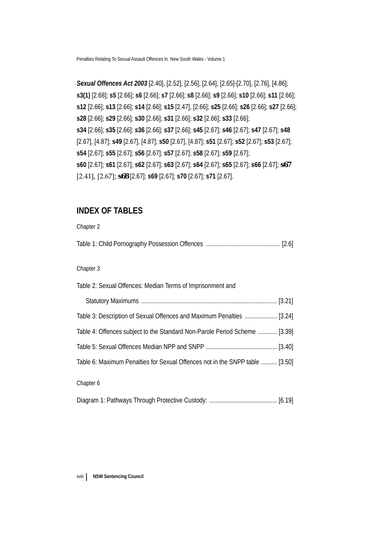*Sexual Offences Act 2003* [2.40], [2.52], [2.56], [2.64], [2.65]-[2.70], [2.76], [4.86]; **s3(1)** [2.68]; **s5** [2.66]; **s6** [2.66]; **s7** [2.66]; **s8** [2.66]; **s9** [2.66]; **s10** [2.66]; **s11** [2.66]; **s12** [2.66]; **s13** [2.66]; **s14** [2.66]; **s15** [2.47], [2.66]; **s25** [2.66]; **s26** [2.66]; **s27** [2.66]; **s28** [2.66]; **s29** [2.66]; **s30** [2.66]; **s31** [2.66]; **s32** [2.66]; **s33** [2.66]; **s34** [2.66]; **s35** [2.66]; **s36** [2.66]; **s37** [2.66]; **s45** [2.67]; **s46** [2.67]; **s47** [2.67]; **s48**  [2.67], [4.87]; **s49** [2.67], [4.87]; **s50** [2.67], [4.87]; **s51** [2.67]; **s52** [2.67]; **s53** [2.67]; **s54** [2.67]; **s55** [2.67]; **s56** [2.67]; **s57** [2.67]; **s58** [2.67]; **s59** [2.67]; **s60** [2.67]; **s61** [2.67]; **s62** [2.67]; **s63** [2.67]; **s64** [2.67]; **s65** [2.67]; **s66** [2.67]; **s67**  [2.41], [2.67]; **s68** [2.67]; **s69** [2.67]; **s70** [2.67]; **s71** [2.67].

### **INDEX OF TABLES**

## Chapter 2 Table 1: Child Pornography Possession Offences .............................................. [2.6] Chapter 3 Table 2: Sexual Offences: Median Terms of Imprisonment and Statutory Maximums .................................................................................... [3.21] Table 3: Description of Sexual Offences and Maximum Penalties .................... [3.24] Table 4: Offences subject to the Standard Non-Parole Period Scheme ............ [3.39]

Table 5: Sexual Offences Median NPP and SNPP ............................................ [3.40] Table 6: Maximum Penalties for Sexual Offences not in the SNPP table .......... [3.50]

### Chapter 6

|--|--|--|--|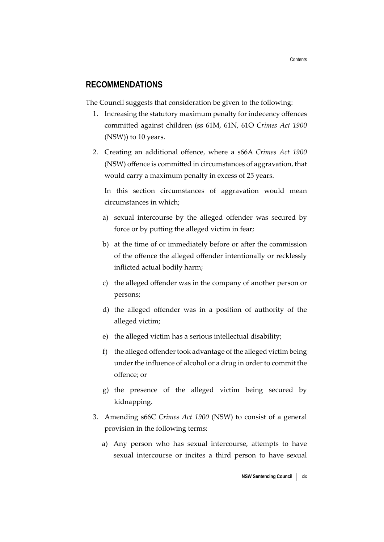### **RECOMMENDATIONS**

The Council suggests that consideration be given to the following:

- 1. Increasing the statutory maximum penalty for indecency offences committed against children (ss 61M, 61N, 61O Crimes Act 1900 (NSW)) to 10 years.
- 2. Creating an additional offence, where a s66A *Crimes Act* 1900 (NSW) offence is committed in circumstances of aggravation, that would carry a maximum penalty in excess of 25 years.

 In this section circumstances of aggravation would mean circumstances in which;

- a) sexual intercourse by the alleged offender was secured by force or by putting the alleged victim in fear;
- b) at the time of or immediately before or after the commission of the offence the alleged offender intentionally or recklessly inflicted actual bodily harm;
- c) the alleged offender was in the company of another person or persons;
- d) the alleged offender was in a position of authority of the alleged victim;
- e) the alleged victim has a serious intellectual disability;
- $f$ ) the alleged off ender took advantage of the alleged victim being under the influence of alcohol or a drug in order to commit the offence: or
- g) the presence of the alleged victim being secured by kidnapping.
- 3. Amending s66C *Crimes Act 1900* (NSW) to consist of a general provision in the following terms:
	- a) Any person who has sexual intercourse, attempts to have sexual intercourse or incites a third person to have sexual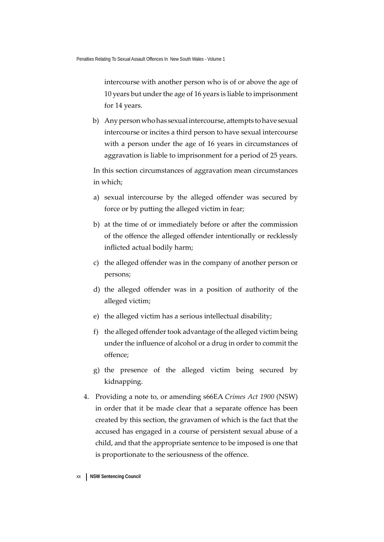intercourse with another person who is of or above the age of 10 years but under the age of 16 years is liable to imprisonment for 14 years.

b) Any person who has sexual intercourse, attempts to have sexual intercourse or incites a third person to have sexual intercourse with a person under the age of 16 years in circumstances of aggravation is liable to imprisonment for a period of 25 years.

 In this section circumstances of aggravation mean circumstances in which;

- a) sexual intercourse by the alleged offender was secured by force or by putting the alleged victim in fear;
- b) at the time of or immediately before or after the commission of the offence the alleged offender intentionally or recklessly inflicted actual bodily harm;
- c) the alleged offender was in the company of another person or persons;
- d) the alleged offender was in a position of authority of the alleged victim;
- e) the alleged victim has a serious intellectual disability;
- f) the alleged offender took advantage of the alleged victim being under the influence of alcohol or a drug in order to commit the offence;
- g) the presence of the alleged victim being secured by kidnapping.
- 4. Providing a note to, or amending s66EA *Crimes Act 1900* (NSW) in order that it be made clear that a separate offence has been created by this section, the gravamen of which is the fact that the accused has engaged in a course of persistent sexual abuse of a child, and that the appropriate sentence to be imposed is one that is proportionate to the seriousness of the offence.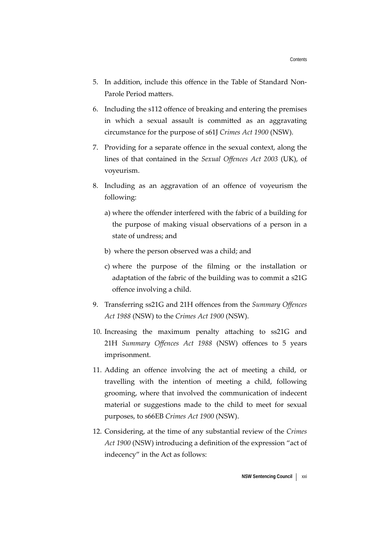- 5. In addition, include this offence in the Table of Standard Non-Parole Period matters.
- 6. Including the s112 offence of breaking and entering the premises in which a sexual assault is committed as an aggravating circumstance for the purpose of s61J *Crimes Act 1900* (NSW).
- 7. Providing for a separate offence in the sexual context, along the lines of that contained in the *Sexual Offences Act* 2003 (UK), of voyeurism.
- 8. Including as an aggravation of an offence of voyeurism the following:
	- a) where the offender interfered with the fabric of a building for the purpose of making visual observations of a person in a state of undress; and
	- b) where the person observed was a child; and
	- c) where the purpose of the filming or the installation or adaptation of the fabric of the building was to commit a s21G offence involving a child.
- 9. Transferring ss21G and 21H offences from the *Summary Offences Act 1988* (NSW) to the *Crimes Act 1900* (NSW).
- 10. Increasing the maximum penalty attaching to ss21G and 21H Summary Offences Act 1988 (NSW) offences to 5 years imprisonment.
- 11. Adding an offence involving the act of meeting a child, or travelling with the intention of meeting a child, following grooming, where that involved the communication of indecent material or suggestions made to the child to meet for sexual purposes, to s66EB *Crimes Act 1900* (NSW).
- 12. Considering, at the time of any substantial review of the *Crimes Act* 1900 (NSW) introducing a definition of the expression "act of indecency" in the Act as follows: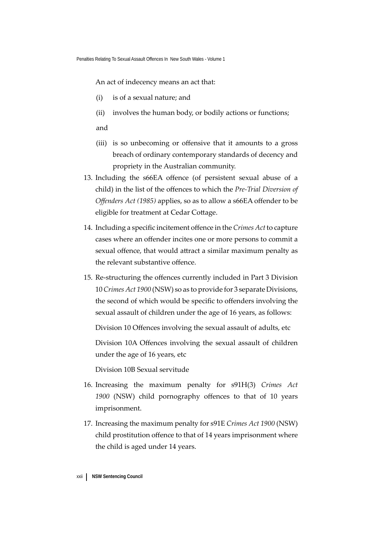An act of indecency means an act that:

- (i) is of a sexual nature; and
- (ii) involves the human body, or bodily actions or functions;

and

- (iii) is so unbecoming or offensive that it amounts to a gross breach of ordinary contemporary standards of decency and propriety in the Australian community.
- 13. Including the s66EA offence (of persistent sexual abuse of a child) in the list of the offences to which the *Pre-Trial Diversion of Offenders Act (1985)* applies, so as to allow a s66EA offender to be eligible for treatment at Cedar Cottage.
- 14. Including a specific incitement offence in the *Crimes Act* to capture cases where an offender incites one or more persons to commit a sexual offence, that would attract a similar maximum penalty as the relevant substantive offence.
- 15. Re-structuring the offences currently included in Part 3 Division 10 *Crimes Act 1900* (NSW) so as to provide for 3 separate Divisions, the second of which would be specific to offenders involving the sexual assault of children under the age of 16 years, as follows:

Division 10 Offences involving the sexual assault of adults, etc

Division 10A Offences involving the sexual assault of children under the age of 16 years, etc

Division 10B Sexual servitude

- 16. Increasing the maximum penalty for s91H(3) *Crimes Act* 1900 (NSW) child pornography offences to that of 10 years imprisonment.
- 17. Increasing the maximum penalty for s91E *Crimes Act 1900* (NSW) child prostitution offence to that of 14 years imprisonment where the child is aged under 14 years.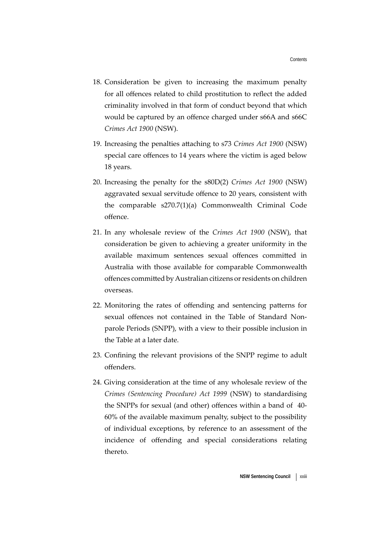- 18. Consideration be given to increasing the maximum penalty for all offences related to child prostitution to reflect the added criminality involved in that form of conduct beyond that which would be captured by an offence charged under s66A and s66C *Crimes Act 1900* (NSW).
- 19. Increasing the penalties attaching to s73 *Crimes Act* 1900 (NSW) special care offences to 14 years where the victim is aged below 18 years.
- 20. Increasing the penalty for the s80D(2) *Crimes Act 1900* (NSW) aggravated sexual servitude offence to 20 years, consistent with the comparable s270.7(1)(a) Commonwealth Criminal Code offence.
- 21. In any wholesale review of the *Crimes Act 1900* (NSW), that consideration be given to achieving a greater uniformity in the available maximum sentences sexual offences committed in Australia with those available for comparable Commonwealth offences committed by Australian citizens or residents on children overseas.
- 22. Monitoring the rates of offending and sentencing patterns for sexual offences not contained in the Table of Standard Nonparole Periods (SNPP), with a view to their possible inclusion in the Table at a later date.
- 23. Confining the relevant provisions of the SNPP regime to adult offenders.
- 24. Giving consideration at the time of any wholesale review of the *Crimes (Sentencing Procedure) Act 1999* (NSW) to standardising the SNPPs for sexual (and other) offences within a band of 40-60% of the available maximum penalty, subject to the possibility of individual exceptions, by reference to an assessment of the incidence of offending and special considerations relating thereto.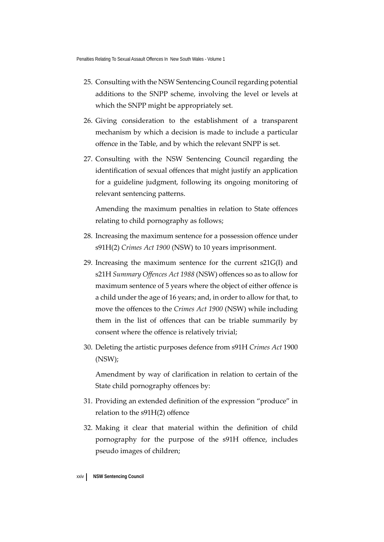- 25. Consulting with the NSW Sentencing Council regarding potential additions to the SNPP scheme, involving the level or levels at which the SNPP might be appropriately set.
- 26. Giving consideration to the establishment of a transparent mechanism by which a decision is made to include a particular offence in the Table, and by which the relevant SNPP is set.
- 27. Consulting with the NSW Sentencing Council regarding the identification of sexual offences that might justify an application for a guideline judgment, following its ongoing monitoring of relevant sentencing patterns.

Amending the maximum penalties in relation to State offences relating to child pornography as follows;

- 28. Increasing the maximum sentence for a possession offence under s91H(2) *Crimes Act 1900* (NSW) to 10 years imprisonment.
- 29. Increasing the maximum sentence for the current s21G(I) and s21H *Summary Offences Act* 1988 (NSW) offences so as to allow for maximum sentence of 5 years where the object of either offence is a child under the age of 16 years; and, in order to allow for that, to move the offences to the *Crimes Act* 1900 (NSW) while including them in the list of offences that can be triable summarily by consent where the offence is relatively trivial;
- 30. Deleting the artistic purposes defence from s91H *Crimes Act* 1900 (NSW);

Amendment by way of clarification in relation to certain of the State child pornography offences by:

- 31. Providing an extended definition of the expression "produce" in relation to the  $s91H(2)$  offence
- 32. Making it clear that material within the definition of child pornography for the purpose of the s91H offence, includes pseudo images of children;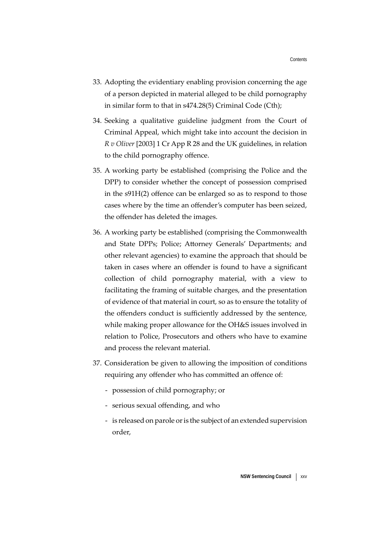- 33. Adopting the evidentiary enabling provision concerning the age of a person depicted in material alleged to be child pornography in similar form to that in s474.28(5) Criminal Code (Cth);
- 34. Seeking a qualitative guideline judgment from the Court of Criminal Appeal, which might take into account the decision in *R v Oliver* [2003] 1 Cr App R 28 and the UK guidelines, in relation to the child pornography offence.
- 35. A working party be established (comprising the Police and the DPP) to consider whether the concept of possession comprised in the  $s91H(2)$  offence can be enlarged so as to respond to those cases where by the time an offender's computer has been seized, the offender has deleted the images.
- 36. A working party be established (comprising the Commonwealth and State DPPs; Police; Attorney Generals' Departments; and other relevant agencies) to examine the approach that should be taken in cases where an offender is found to have a significant collection of child pornography material, with a view to facilitating the framing of suitable charges, and the presentation of evidence of that material in court, so as to ensure the totality of the offenders conduct is sufficiently addressed by the sentence, while making proper allowance for the OH&S issues involved in relation to Police, Prosecutors and others who have to examine and process the relevant material.
- 37. Consideration be given to allowing the imposition of conditions requiring any offender who has committed an offence of:
	- possession of child pornography; or
	- serious sexual offending, and who
	- is released on parole or is the subject of an extended supervision order,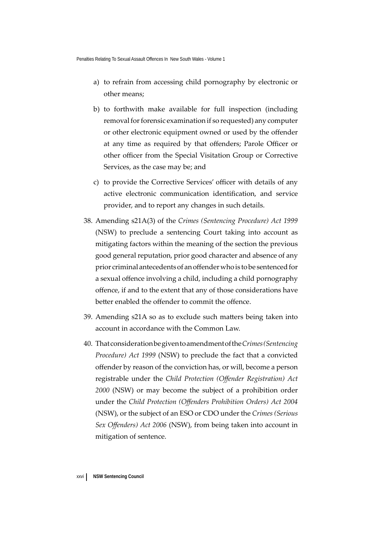- a) to refrain from accessing child pornography by electronic or other means;
- b) to forthwith make available for full inspection (including removal for forensic examination if so requested) any computer or other electronic equipment owned or used by the offender at any time as required by that offenders; Parole Officer or other officer from the Special Visitation Group or Corrective Services, as the case may be; and
- c) to provide the Corrective Services' officer with details of any active electronic communication identification, and service provider, and to report any changes in such details.
- 38. Amending s21A(3) of the *Crimes (Sentencing Procedure) Act 1999*  (NSW) to preclude a sentencing Court taking into account as mitigating factors within the meaning of the section the previous good general reputation, prior good character and absence of any prior criminal antecedents of an offender who is to be sentenced for a sexual offence involving a child, including a child pornography offence, if and to the extent that any of those considerations have better enabled the offender to commit the offence.
- 39. Amending s21A so as to exclude such matters being taken into account in accordance with the Common Law.
- 40. That consideration be given to amendment of the *Crimes (Sentencing Procedure) Act 1999* (NSW) to preclude the fact that a convicted offender by reason of the conviction has, or will, become a person registrable under the *Child Protection (Offender Registration) Act 2000* (NSW) or may become the subject of a prohibition order under the *Child Protection (Offenders Prohibition Orders) Act* 2004 (NSW), or the subject of an ESO or CDO under the *Crimes (Serious Sex Offenders) Act 2006* (NSW), from being taken into account in mitigation of sentence.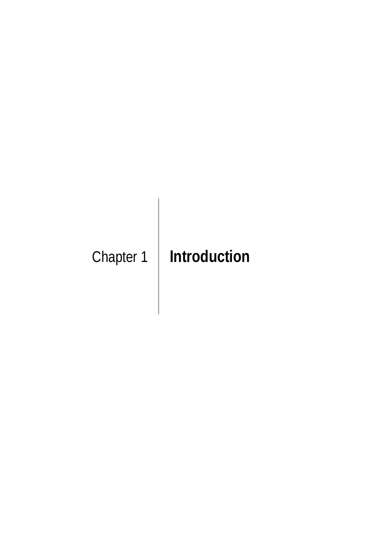# Chapter 1 **Introduction**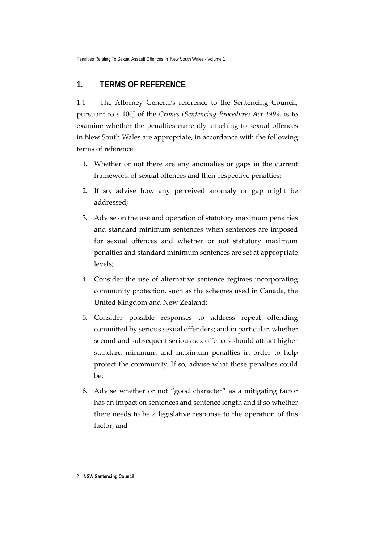### **1. TERMS OF REFERENCE**

1.1 The Attorney General's reference to the Sentencing Council, pursuant to s 100J of the *Crimes (Sentencing Procedure) Act 1999*, is to examine whether the penalties currently attaching to sexual offences in New South Wales are appropriate, in accordance with the following terms of reference:

- 1. Whether or not there are any anomalies or gaps in the current framework of sexual offences and their respective penalties;
- 2. If so, advise how any perceived anomaly or gap might be addressed;
- 3. Advise on the use and operation of statutory maximum penalties and standard minimum sentences when sentences are imposed for sexual offences and whether or not statutory maximum penalties and standard minimum sentences are set at appropriate levels;
- 4. Consider the use of alternative sentence regimes incorporating community protection, such as the schemes used in Canada, the United Kingdom and New Zealand;
- 5. Consider possible responses to address repeat offending committed by serious sexual offenders; and in particular, whether second and subsequent serious sex offences should attract higher standard minimum and maximum penalties in order to help protect the community. If so, advise what these penalties could be;
- 6. Advise whether or not "good character" as a mitigating factor has an impact on sentences and sentence length and if so whether there needs to be a legislative response to the operation of this factor; and

2 **NSW Sentencing Council**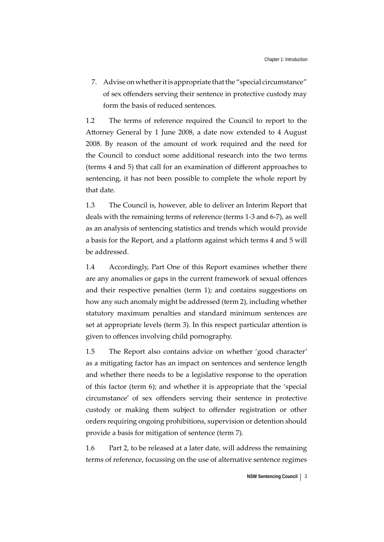7. Advise on whether it is appropriate that the "special circumstance" of sex offenders serving their sentence in protective custody may form the basis of reduced sentences.

1.2 The terms of reference required the Council to report to the Attorney General by 1 June 2008, a date now extended to 4 August 2008. By reason of the amount of work required and the need for the Council to conduct some additional research into the two terms (terms  $4$  and  $5$ ) that call for an examination of different approaches to sentencing, it has not been possible to complete the whole report by that date.

1.3 The Council is, however, able to deliver an Interim Report that deals with the remaining terms of reference (terms 1-3 and 6-7), as well as an analysis of sentencing statistics and trends which would provide a basis for the Report, and a platform against which terms 4 and 5 will be addressed.

1.4 Accordingly, Part One of this Report examines whether there are any anomalies or gaps in the current framework of sexual offences and their respective penalties (term 1); and contains suggestions on how any such anomaly might be addressed (term 2), including whether statutory maximum penalties and standard minimum sentences are set at appropriate levels (term 3). In this respect particular attention is given to offences involving child pornography.

1.5 The Report also contains advice on whether 'good character' as a mitigating factor has an impact on sentences and sentence length and whether there needs to be a legislative response to the operation of this factor (term 6); and whether it is appropriate that the 'special circumstance' of sex offenders serving their sentence in protective custody or making them subject to offender registration or other orders requiring ongoing prohibitions, supervision or detention should provide a basis for mitigation of sentence (term 7).

1.6 Part 2, to be released at a later date, will address the remaining terms of reference, focussing on the use of alternative sentence regimes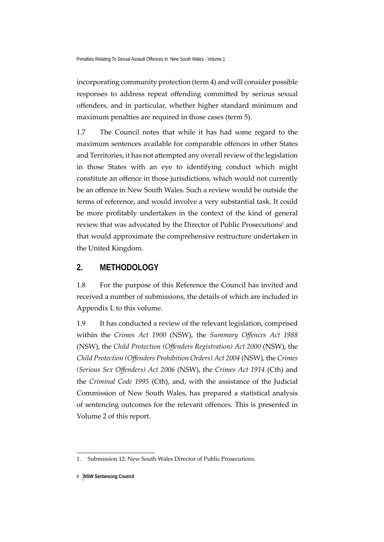incorporating community protection (term 4) and will consider possible responses to address repeat offending committed by serious sexual offenders, and in particular, whether higher standard minimum and maximum penalties are required in those cases (term 5).

1.7 The Council notes that while it has had some regard to the maximum sentences available for comparable offences in other States and Territories, it has not attempted any overall review of the legislation in those States with an eye to identifying conduct which might constitute an offence in those jurisdictions, which would not currently be an offence in New South Wales. Such a review would be outside the terms of reference, and would involve a very substantial task. It could be more profitably undertaken in the context of the kind of general review that was advocated by the Director of Public Prosecutions<sup>1</sup> and that would approximate the comprehensive restructure undertaken in the United Kingdom.

### **2. METHODOLOGY**

1.8 For the purpose of this Reference the Council has invited and received a number of submissions, the details of which are included in Appendix L to this volume.

1.9 It has conducted a review of the relevant legislation, comprised within the *Crimes Act 1900* (NSW), the *Summary Offences Act 1988* (NSW), the *Child Protection* (Offenders Registration) Act 2000 (NSW), the *Child Protection (Off enders Prohibition Orders) Act 2004* (NSW), the *Crimes (Serious Sex Offenders) Act 2006 (NSW), the Crimes Act 1914 (Cth) and* the *Criminal Code 1995* (Cth), and, with the assistance of the Judicial Commission of New South Wales, has prepared a statistical analysis of sentencing outcomes for the relevant offences. This is presented in Volume 2 of this report.

<sup>1.</sup> Submission 12: New South Wales Director of Public Prosecutions.

<sup>4</sup> **NSW Sentencing Council**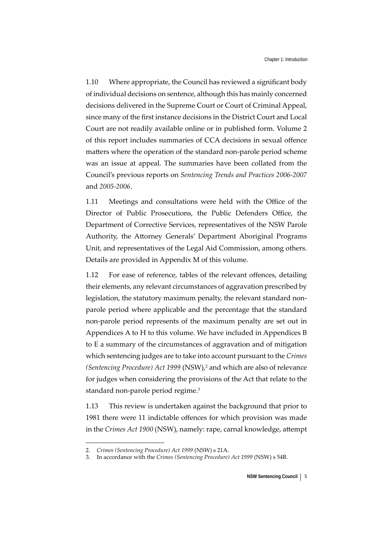1.10 Where appropriate, the Council has reviewed a significant body of individual decisions on sentence, although this has mainly concerned decisions delivered in the Supreme Court or Court of Criminal Appeal, since many of the first instance decisions in the District Court and Local Court are not readily available online or in published form. Volume 2 of this report includes summaries of CCA decisions in sexual offence matters where the operation of the standard non-parole period scheme was an issue at appeal. The summaries have been collated from the Council's previous reports on *Sentencing Trends and Practices 2006-2007*  and *2005-2006*.

1.11 Meetings and consultations were held with the Office of the Director of Public Prosecutions, the Public Defenders Office, the Department of Corrective Services, representatives of the NSW Parole Authority, the Attorney Generals' Department Aboriginal Programs Unit, and representatives of the Legal Aid Commission, among others. Details are provided in Appendix M of this volume.

1.12 For ease of reference, tables of the relevant offences, detailing their elements, any relevant circumstances of aggravation prescribed by legislation, the statutory maximum penalty, the relevant standard nonparole period where applicable and the percentage that the standard non-parole period represents of the maximum penalty are set out in Appendices A to H to this volume. We have included in Appendices B to E a summary of the circumstances of aggravation and of mitigation which sentencing judges are to take into account pursuant to the *Crimes*  (Sentencing Procedure) Act 1999 (NSW),<sup>2</sup> and which are also of relevance for judges when considering the provisions of the Act that relate to the standard non-parole period regime.<sup>3</sup>

1.13 This review is undertaken against the background that prior to 1981 there were 11 indictable offences for which provision was made in the *Crimes Act 1900* (NSW), namely: rape, carnal knowledge, attempt

<sup>2.</sup> *Crimes (Sentencing Procedure) Act 1999* (NSW) s 21A.

<sup>3.</sup> In accordance with the *Crimes (Sentencing Procedure) Act 1999* (NSW) s 54B.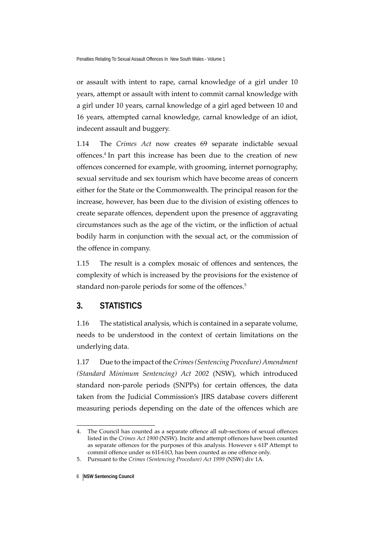or assault with intent to rape, carnal knowledge of a girl under 10 years, attempt or assault with intent to commit carnal knowledge with a girl under 10 years, carnal knowledge of a girl aged between 10 and 16 years, attempted carnal knowledge, carnal knowledge of an idiot, indecent assault and buggery.

1.14 The *Crimes Act* now creates 69 separate indictable sexual offences.<sup>4</sup> In part this increase has been due to the creation of new offences concerned for example, with grooming, internet pornography, sexual servitude and sex tourism which have become areas of concern either for the State or the Commonwealth. The principal reason for the increase, however, has been due to the division of existing offences to create separate offences, dependent upon the presence of aggravating circumstances such as the age of the victim, or the infliction of actual bodily harm in conjunction with the sexual act, or the commission of the offence in company.

1.15 The result is a complex mosaic of offences and sentences, the complexity of which is increased by the provisions for the existence of standard non-parole periods for some of the offences.<sup>5</sup>

### **3. STATISTICS**

1.16 The statistical analysis, which is contained in a separate volume, needs to be understood in the context of certain limitations on the underlying data.

1.17 Due to the impact of the *Crimes (Sentencing Procedure) Amendment (Standard Minimum Sentencing) Act 2002* (NSW), which introduced standard non-parole periods (SNPPs) for certain offences, the data taken from the Judicial Commission's JIRS database covers different measuring periods depending on the date of the offences which are

The Council has counted as a separate offence all sub-sections of sexual offences listed in the *Crimes Act 1900* (NSW). Incite and attempt offences have been counted as separate offences for the purposes of this analysis. However s 61P Attempt to commit offence under ss 61I-61O, has been counted as one offence only.

<sup>5.</sup> Pursuant to the *Crimes (Sentencing Procedure) Act 1999* (NSW) div 1A.

<sup>6</sup> **NSW Sentencing Council**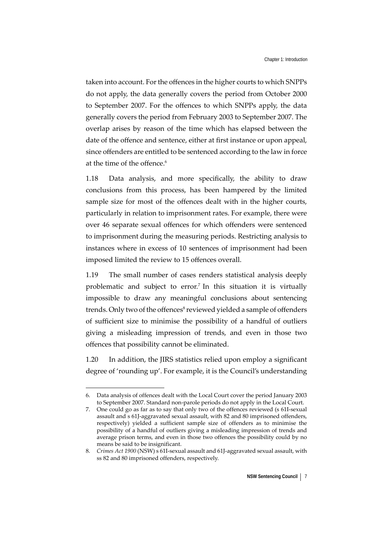taken into account. For the offences in the higher courts to which SNPPs do not apply, the data generally covers the period from October 2000 to September 2007. For the offences to which SNPPs apply, the data generally covers the period from February 2003 to September 2007. The overlap arises by reason of the time which has elapsed between the date of the offence and sentence, either at first instance or upon appeal, since offenders are entitled to be sentenced according to the law in force at the time of the offence. $6$ 

1.18 Data analysis, and more specifically, the ability to draw conclusions from this process, has been hampered by the limited sample size for most of the offences dealt with in the higher courts, particularly in relation to imprisonment rates. For example, there were over 46 separate sexual offences for which offenders were sentenced to imprisonment during the measuring periods. Restricting analysis to instances where in excess of 10 sentences of imprisonment had been imposed limited the review to 15 offences overall.

1.19 The small number of cases renders statistical analysis deeply problematic and subject to error.7 In this situation it is virtually impossible to draw any meaningful conclusions about sentencing trends. Only two of the offences<sup>8</sup> reviewed yielded a sample of offenders of sufficient size to minimise the possibility of a handful of outliers giving a misleading impression of trends, and even in those two offences that possibility cannot be eliminated.

1.20 In addition, the JIRS statistics relied upon employ a significant degree of 'rounding up'. For example, it is the Council's understanding

<sup>6.</sup> Data analysis of offences dealt with the Local Court cover the period January 2003 to September 2007. Standard non-parole periods do not apply in the Local Court.

<sup>7.</sup> One could go as far as to say that only two of the offences reviewed (s 61I-sexual assault and s 61J-aggravated sexual assault, with 82 and 80 imprisoned offenders, respectively) yielded a sufficient sample size of offenders as to minimise the possibility of a handful of outliers giving a misleading impression of trends and average prison terms, and even in those two offences the possibility could by no means be said to be insignificant.

<sup>8.</sup> *Crimes Act 1900* (NSW) s 61I-sexual assault and 61J-aggravated sexual assault, with ss 82 and 80 imprisoned offenders, respectively.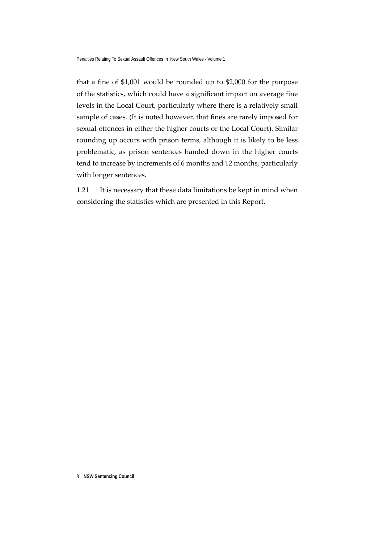that a fine of  $$1,001$  would be rounded up to  $$2,000$  for the purpose of the statistics, which could have a significant impact on average fine levels in the Local Court, particularly where there is a relatively small sample of cases. (It is noted however, that fines are rarely imposed for sexual offences in either the higher courts or the Local Court). Similar rounding up occurs with prison terms, although it is likely to be less problematic, as prison sentences handed down in the higher courts tend to increase by increments of 6 months and 12 months, particularly with longer sentences.

1.21 It is necessary that these data limitations be kept in mind when considering the statistics which are presented in this Report.

8 **NSW Sentencing Council**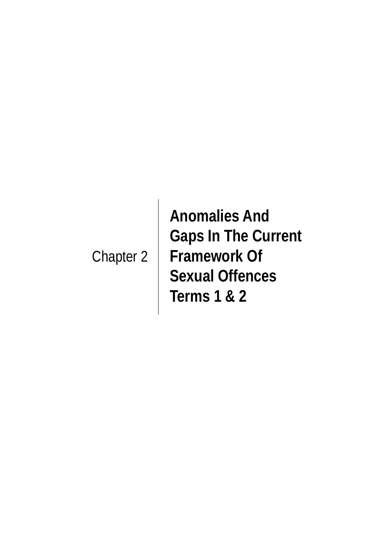**Anomalies And Gaps In The Current**  Chapter 2 | Framework Of **Sexual Offences Terms 1 & 2**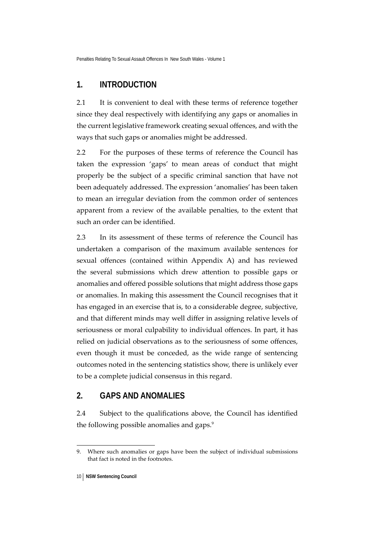### **1. INTRODUCTION**

2.1 It is convenient to deal with these terms of reference together since they deal respectively with identifying any gaps or anomalies in the current legislative framework creating sexual offences, and with the ways that such gaps or anomalies might be addressed.

2.2 For the purposes of these terms of reference the Council has taken the expression 'gaps' to mean areas of conduct that might properly be the subject of a specific criminal sanction that have not been adequately addressed. The expression 'anomalies' has been taken to mean an irregular deviation from the common order of sentences apparent from a review of the available penalties, to the extent that such an order can be identified.

2.3 In its assessment of these terms of reference the Council has undertaken a comparison of the maximum available sentences for sexual offences (contained within Appendix A) and has reviewed the several submissions which drew attention to possible gaps or anomalies and offered possible solutions that might address those gaps or anomalies. In making this assessment the Council recognises that it has engaged in an exercise that is, to a considerable degree, subjective, and that different minds may well differ in assigning relative levels of seriousness or moral culpability to individual offences. In part, it has relied on judicial observations as to the seriousness of some offences, even though it must be conceded, as the wide range of sentencing outcomes noted in the sentencing statistics show, there is unlikely ever to be a complete judicial consensus in this regard.

### **2. GAPS AND ANOMALIES**

2.4 Subject to the qualifications above, the Council has identified the following possible anomalies and gaps.<sup>9</sup>

<sup>9.</sup> Where such anomalies or gaps have been the subject of individual submissions that fact is noted in the footnotes.

<sup>10</sup> **NSW Sentencing Council**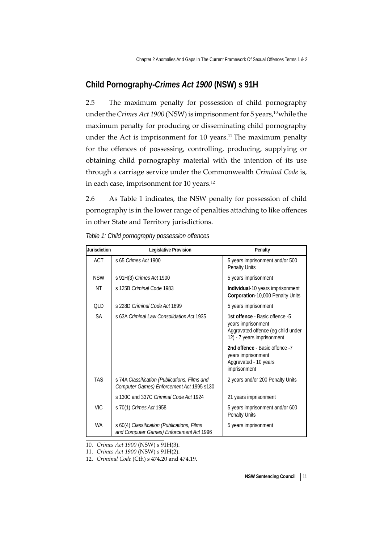# **Child Pornography-***Crimes Act 1900* **(NSW) s 91H**

2.5 The maximum penalty for possession of child pornography under the *Crimes Act 1900* (NSW) is imprisonment for 5 years,<sup>10</sup> while the maximum penalty for producing or disseminating child pornography under the Act is imprisonment for 10 years.<sup>11</sup> The maximum penalty for the offences of possessing, controlling, producing, supplying or obtaining child pornography material with the intention of its use through a carriage service under the Commonwealth *Criminal Code* is, in each case, imprisonment for 10 years.<sup>12</sup>

2.6 As Table 1 indicates, the NSW penalty for possession of child pornography is in the lower range of penalties attaching to like offences in other State and Territory jurisdictions.

| Jurisdiction | <b>Legislative Provision</b>                                                               | Penalty                                                                                                                  |  |  |
|--------------|--------------------------------------------------------------------------------------------|--------------------------------------------------------------------------------------------------------------------------|--|--|
| <b>ACT</b>   | s 65 <i>Crimes Act</i> 1900                                                                | 5 years imprisonment and/or 500<br><b>Penalty Units</b>                                                                  |  |  |
| <b>NSW</b>   | s 91H(3) Crimes Act 1900                                                                   | 5 years imprisonment                                                                                                     |  |  |
| NT           | s 125B Criminal Code 1983                                                                  | Individual-10 years imprisonment<br>Corporation-10,000 Penalty Units                                                     |  |  |
| OLD          | s 228D Criminal Code Act 1899                                                              | 5 years imprisonment                                                                                                     |  |  |
| SA           | s 63A Criminal Law Consolidation Act 1935                                                  | 1st offence - Basic offence -5<br>years imprisonment<br>Aggravated offence (eg child under<br>12) - 7 years imprisonment |  |  |
|              |                                                                                            | 2nd offence - Basic offence -7<br>years imprisonment<br>Aggravated - 10 years<br>imprisonment                            |  |  |
| <b>TAS</b>   | s 74A Classification (Publications, Films and<br>Computer Games) Enforcement Act 1995 s130 | 2 years and/or 200 Penalty Units                                                                                         |  |  |
|              | s 130C and 337C Criminal Code Act 1924                                                     | 21 years imprisonment                                                                                                    |  |  |
| <b>VIC</b>   | s 70(1) Crimes Act 1958                                                                    | 5 years imprisonment and/or 600<br><b>Penalty Units</b>                                                                  |  |  |
| <b>WA</b>    | s 60(4) Classification (Publications, Films<br>and Computer Games) Enforcement Act 1996    | 5 years imprisonment                                                                                                     |  |  |

*Table 1: Child pornography possession offences*

10. *Crimes Act 1900* (NSW) s 91H(3).

11. *Crimes Act 1900* (NSW) s 91H(2).

12. *Criminal Code* (Cth) s 474.20 and 474.19.

**NSW Sentencing Council** 11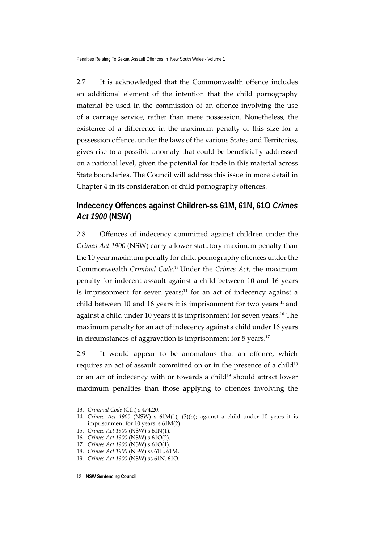2.7 It is acknowledged that the Commonwealth offence includes an additional element of the intention that the child pornography material be used in the commission of an offence involving the use of a carriage service, rather than mere possession. Nonetheless, the existence of a difference in the maximum penalty of this size for a possession offence, under the laws of the various States and Territories, gives rise to a possible anomaly that could be beneficially addressed on a national level, given the potential for trade in this material across State boundaries. The Council will address this issue in more detail in Chapter 4 in its consideration of child pornography offences.

## **Indecency Offences against Children-ss 61M, 61N, 61O** *Crimes Act 1900* **(NSW)**

2.8 Offences of indecency committed against children under the *Crimes Act 1900* (NSW) carry a lower statutory maximum penalty than the 10 year maximum penalty for child pornography offences under the Commonwealth *Criminal Code*. 13 Under the *Crimes Act*, the maximum penalty for indecent assault against a child between 10 and 16 years is imprisonment for seven years; $14$  for an act of indecency against a child between 10 and 16 years it is imprisonment for two years 15 and against a child under 10 years it is imprisonment for seven years.<sup>16</sup> The maximum penalty for an act of indecency against a child under 16 years in circumstances of aggravation is imprisonment for  $5$  years.<sup>17</sup>

2.9 It would appear to be anomalous that an offence, which requires an act of assault committed on or in the presence of a child<sup>18</sup> or an act of indecency with or towards a child<sup>19</sup> should attract lower maximum penalties than those applying to offences involving the

12 **NSW Sentencing Council**

<sup>13.</sup> *Criminal Code* (Cth) s 474.20.

<sup>14.</sup> *Crimes Act 1900* (NSW) s 61M(1), (3)(b); against a child under 10 years it is imprisonment for 10 years: s 61M(2).

<sup>15.</sup> *Crimes Act 1900* (NSW) s 61N(1).

<sup>16.</sup> *Crimes Act 1900* (NSW) s 61O(2).

<sup>17.</sup> *Crimes Act 1900* (NSW) s 61O(1).

<sup>18.</sup> *Crimes Act 1900* (NSW) ss 61L, 61M.

<sup>19.</sup> *Crimes Act 1900* (NSW) ss 61N, 61O.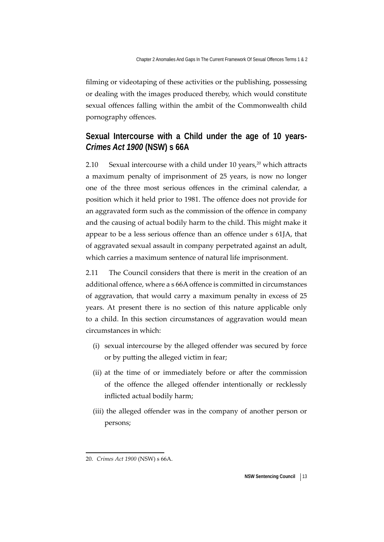filming or videotaping of these activities or the publishing, possessing or dealing with the images produced thereby, which would constitute sexual offences falling within the ambit of the Commonwealth child pornography offences.

# **Sexual Intercourse with a Child under the age of 10 years-***Crimes Act 1900* **(NSW) s 66A**

2.10 Sexual intercourse with a child under 10 years, $20$  which attracts a maximum penalty of imprisonment of 25 years, is now no longer one of the three most serious offences in the criminal calendar, a position which it held prior to 1981. The offence does not provide for an aggravated form such as the commission of the offence in company and the causing of actual bodily harm to the child. This might make it appear to be a less serious offence than an offence under s 61JA, that of aggravated sexual assault in company perpetrated against an adult, which carries a maximum sentence of natural life imprisonment.

2.11 The Council considers that there is merit in the creation of an additional offence, where a s 66A offence is committed in circumstances of aggravation, that would carry a maximum penalty in excess of 25 years. At present there is no section of this nature applicable only to a child. In this section circumstances of aggravation would mean circumstances in which:

- (i) sexual intercourse by the alleged offender was secured by force or by putting the alleged victim in fear;
- (ii) at the time of or immediately before or after the commission of the offence the alleged offender intentionally or recklessly inflicted actual bodily harm;
- (iii) the alleged offender was in the company of another person or persons;

<sup>20.</sup> *Crimes Act 1900* (NSW) s 66A.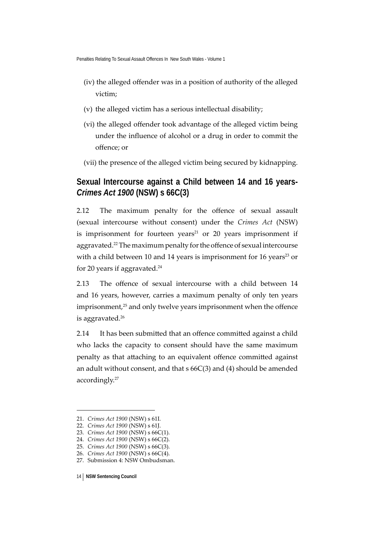- (iv) the alleged offender was in a position of authority of the alleged victim;
- (v) the alleged victim has a serious intellectual disability;
- (vi) the alleged offender took advantage of the alleged victim being under the influence of alcohol or a drug in order to commit the offence; or
- (vii) the presence of the alleged victim being secured by kidnapping.

# **Sexual Intercourse against a Child between 14 and 16 years-***Crimes Act 1900* **(NSW) s 66C(3)**

2.12 The maximum penalty for the offence of sexual assault (sexual intercourse without consent) under the *Crimes Act* (NSW) is imprisonment for fourteen years<sup>21</sup> or 20 years imprisonment if aggravated.<sup>22</sup> The maximum penalty for the offence of sexual intercourse with a child between 10 and 14 years is imprisonment for 16 years<sup>23</sup> or for 20 years if aggravated.<sup>24</sup>

2.13 The offence of sexual intercourse with a child between 14 and 16 years, however, carries a maximum penalty of only ten years imprisonment, $25$  and only twelve years imprisonment when the offence is aggravated.<sup>26</sup>

2.14 It has been submitted that an offence committed against a child who lacks the capacity to consent should have the same maximum penalty as that attaching to an equivalent offence committed against an adult without consent, and that s 66C(3) and (4) should be amended accordingly.27

14 **NSW Sentencing Council**

<sup>21.</sup> *Crimes Act 1900* (NSW) s 61I.

<sup>22.</sup> *Crimes Act 1900* (NSW) s 61J.

<sup>23.</sup> *Crimes Act 1900* (NSW) s 66C(1).

<sup>24.</sup> *Crimes Act 1900* (NSW) s 66C(2).

<sup>25.</sup> *Crimes Act 1900* (NSW) s 66C(3).

<sup>26.</sup> *Crimes Act 1900* (NSW) s 66C(4).

<sup>27.</sup> Submission 4: NSW Ombudsman.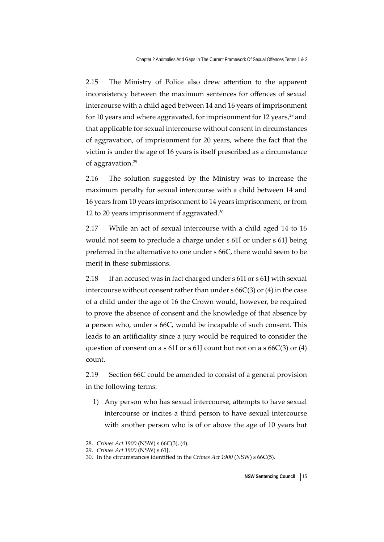2.15 The Ministry of Police also drew attention to the apparent inconsistency between the maximum sentences for offences of sexual intercourse with a child aged between 14 and 16 years of imprisonment for 10 years and where aggravated, for imprisonment for 12 years, $28$  and that applicable for sexual intercourse without consent in circumstances of aggravation, of imprisonment for 20 years, where the fact that the victim is under the age of 16 years is itself prescribed as a circumstance of aggravation.29

2.16 The solution suggested by the Ministry was to increase the maximum penalty for sexual intercourse with a child between 14 and 16 years from 10 years imprisonment to 14 years imprisonment, or from 12 to 20 years imprisonment if aggravated. $30$ 

2.17 While an act of sexual intercourse with a child aged 14 to 16 would not seem to preclude a charge under s 61I or under s 61J being preferred in the alternative to one under s 66C, there would seem to be merit in these submissions.

2.18 If an accused was in fact charged under s 61I or s 61J with sexual intercourse without consent rather than under s 66C(3) or (4) in the case of a child under the age of 16 the Crown would, however, be required to prove the absence of consent and the knowledge of that absence by a person who, under s 66C, would be incapable of such consent. This leads to an artificiality since a jury would be required to consider the question of consent on a s 61I or s 61J count but not on a s 66C(3) or (4) count.

2.19 Section 66C could be amended to consist of a general provision in the following terms:

1) Any person who has sexual intercourse, attempts to have sexual intercourse or incites a third person to have sexual intercourse with another person who is of or above the age of 10 years but

<sup>28.</sup> *Crimes Act 1900* (NSW) s 66C(3), (4).

<sup>29.</sup> *Crimes Act 1900* (NSW) s 61J.

<sup>30.</sup> In the circumstances identified in the *Crimes Act 1900* (NSW) s 66C(5).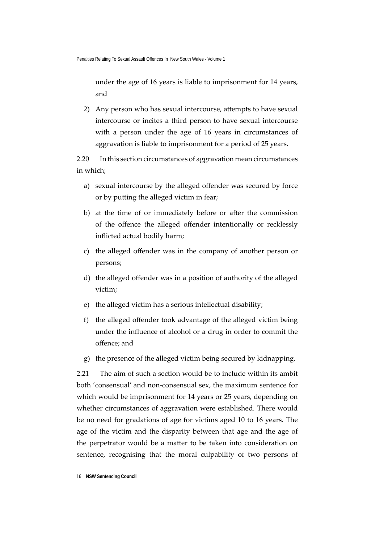under the age of 16 years is liable to imprisonment for 14 years, and

2) Any person who has sexual intercourse, attempts to have sexual intercourse or incites a third person to have sexual intercourse with a person under the age of 16 years in circumstances of aggravation is liable to imprisonment for a period of 25 years.

2.20 In this section circumstances of aggravation mean circumstances in which;

- a) sexual intercourse by the alleged offender was secured by force or by putting the alleged victim in fear;
- b) at the time of or immediately before or after the commission of the offence the alleged offender intentionally or recklessly inflicted actual bodily harm;
- c) the alleged offender was in the company of another person or persons;
- d) the alleged offender was in a position of authority of the alleged victim;
- e) the alleged victim has a serious intellectual disability;
- f) the alleged offender took advantage of the alleged victim being under the influence of alcohol or a drug in order to commit the offence: and
- g) the presence of the alleged victim being secured by kidnapping.

2.21 The aim of such a section would be to include within its ambit both 'consensual' and non-consensual sex, the maximum sentence for which would be imprisonment for 14 years or 25 years, depending on whether circumstances of aggravation were established. There would be no need for gradations of age for victims aged 10 to 16 years. The age of the victim and the disparity between that age and the age of the perpetrator would be a matter to be taken into consideration on sentence, recognising that the moral culpability of two persons of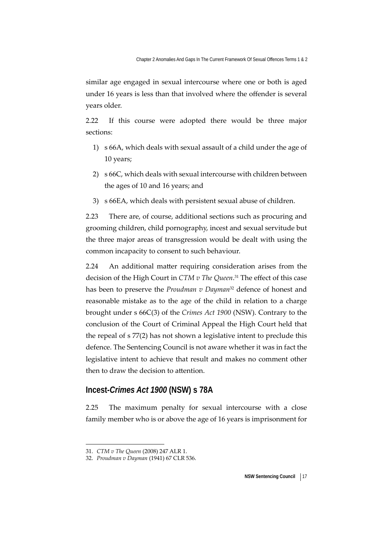similar age engaged in sexual intercourse where one or both is aged under 16 years is less than that involved where the offender is several years older.

2.22 If this course were adopted there would be three major sections:

- 1) s 66A, which deals with sexual assault of a child under the age of 10 years;
- 2) s 66C, which deals with sexual intercourse with children between the ages of 10 and 16 years; and
- 3) s 66EA, which deals with persistent sexual abuse of children.

2.23 There are, of course, additional sections such as procuring and grooming children, child pornography, incest and sexual servitude but the three major areas of transgression would be dealt with using the common incapacity to consent to such behaviour.

2.24 An additional matter requiring consideration arises from the decision of the High Court in *CTM v The Queen*.<sup>31</sup> The effect of this case has been to preserve the *Proudman v Dayman*<sup>32</sup> defence of honest and reasonable mistake as to the age of the child in relation to a charge brought under s 66C(3) of the *Crimes Act 1900* (NSW). Contrary to the conclusion of the Court of Criminal Appeal the High Court held that the repeal of s 77(2) has not shown a legislative intent to preclude this defence. The Sentencing Council is not aware whether it was in fact the legislative intent to achieve that result and makes no comment other then to draw the decision to attention.

#### **Incest-***Crimes Act 1900* **(NSW) s 78A**

2.25 The maximum penalty for sexual intercourse with a close family member who is or above the age of 16 years is imprisonment for

<sup>31.</sup> *CTM v The Queen* (2008) 247 ALR 1.

<sup>32.</sup> *Proudman v Dayman* (1941) 67 CLR 536.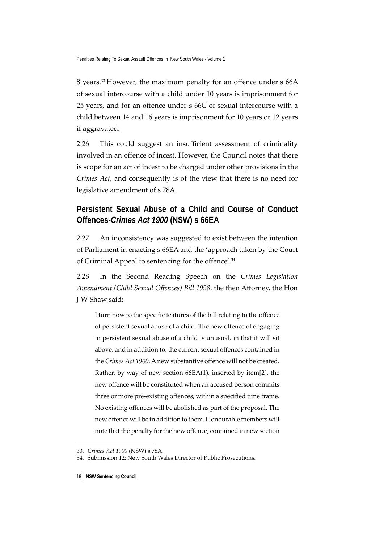8 years.<sup>33</sup> However, the maximum penalty for an offence under s 66A of sexual intercourse with a child under 10 years is imprisonment for 25 years, and for an offence under  $s$  66C of sexual intercourse with a child between 14 and 16 years is imprisonment for 10 years or 12 years if aggravated.

2.26 This could suggest an insufficient assessment of criminality involved in an offence of incest. However, the Council notes that there is scope for an act of incest to be charged under other provisions in the *Crimes Act*, and consequently is of the view that there is no need for legislative amendment of s 78A.

# **Persistent Sexual Abuse of a Child and Course of Conduct Offences-***Crimes Act 1900* **(NSW) s 66EA**

2.27 An inconsistency was suggested to exist between the intention of Parliament in enacting s 66EA and the 'approach taken by the Court of Criminal Appeal to sentencing for the offence'.<sup>34</sup>

2.28 In the Second Reading Speech on the *Crimes Legislation*  Amendment (Child Sexual Offences) Bill 1998, the then Attorney, the Hon J W Shaw said:

I turn now to the specific features of the bill relating to the offence of persistent sexual abuse of a child. The new offence of engaging in persistent sexual abuse of a child is unusual, in that it will sit above, and in addition to, the current sexual offences contained in the *Crimes Act 1900*. A new substantive offence will not be created. Rather, by way of new section 66EA(1), inserted by item[2], the new offence will be constituted when an accused person commits three or more pre-existing offences, within a specified time frame. No existing offences will be abolished as part of the proposal. The new offence will be in addition to them. Honourable members will note that the penalty for the new offence, contained in new section

<sup>33.</sup> *Crimes Act 1900* (NSW) s 78A.

<sup>34.</sup> Submission 12: New South Wales Director of Public Prosecutions.

<sup>18</sup> **NSW Sentencing Council**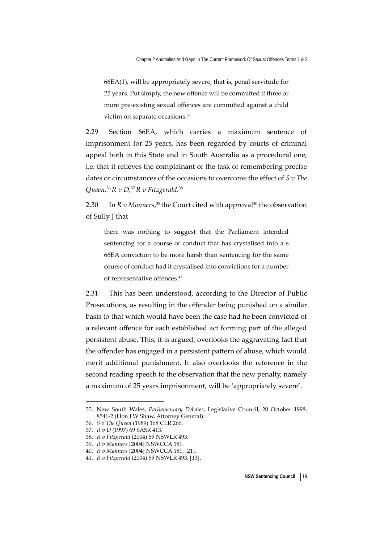66EA(1), will be appropriately severe, that is, penal servitude for 25 years. Put simply, the new offence will be committed if three or more pre-existing sexual offences are committed against a child victim on separate occasions.35

2.29 Section 66EA, which carries a maximum sentence of imprisonment for 25 years, has been regarded by courts of criminal appeal both in this State and in South Australia as a procedural one, i.e. that it relieves the complainant of the task of remembering precise dates or circumstances of the occasions to overcome the effect of *S v The Queen*, <sup>36</sup>*R v D,*<sup>37</sup>*R v Fitzgerald*. 38

2.30 In *R v Manners*,<sup>39</sup> the Court cited with approval<sup>40</sup> the observation of Sully J that

there was nothing to suggest that the Parliament intended sentencing for a course of conduct that has crystalised into a s 66EA conviction to be more harsh than sentencing for the same course of conduct had it crystalised into convictions for a number of representative offences.<sup>41</sup>

2.31 This has been understood, according to the Director of Public Prosecutions, as resulting in the offender being punished on a similar basis to that which would have been the case had he been convicted of a relevant offence for each established act forming part of the alleged persistent abuse. This, it is argued, overlooks the aggravating fact that the offender has engaged in a persistent pattern of abuse, which would merit additional punishment. It also overlooks the reference in the second reading speech to the observation that the new penalty, namely a maximum of 25 years imprisonment, will be 'appropriately severe'.

<sup>35.</sup> New South Wales, *Parliamentary Debates*, Legislative Council, 20 October 1998, 8541-2 (Hon J W Shaw, Attorney General).

<sup>36.</sup> *S v The Queen* (1989) 168 CLR 266.

<sup>37.</sup> *R v D* (1997) 69 SASR 413.

<sup>38.</sup> *R v Fitzgerald* (2004) 59 NSWLR 493.

<sup>39.</sup> *R v Manners* [2004] NSWCCA 181.

<sup>40.</sup> *R v Manners* [2004] NSWCCA 181, [21].

<sup>41.</sup> *R v Fitzgerald* (2004) 59 NSWLR 493, [13].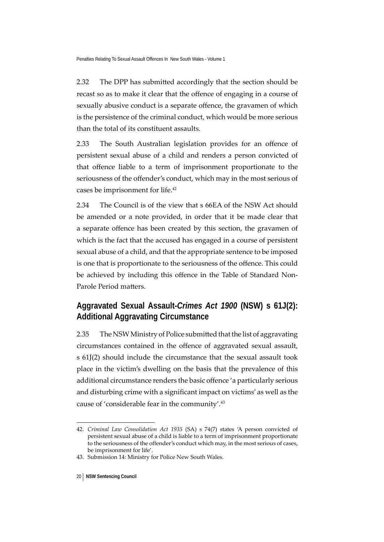2.32 The DPP has submitted accordingly that the section should be recast so as to make it clear that the offence of engaging in a course of sexually abusive conduct is a separate offence, the gravamen of which is the persistence of the criminal conduct, which would be more serious than the total of its constituent assaults.

2.33 The South Australian legislation provides for an offence of persistent sexual abuse of a child and renders a person convicted of that offence liable to a term of imprisonment proportionate to the seriousness of the offender's conduct, which may in the most serious of cases be imprisonment for life.42

2.34 The Council is of the view that s 66EA of the NSW Act should be amended or a note provided, in order that it be made clear that a separate offence has been created by this section, the gravamen of which is the fact that the accused has engaged in a course of persistent sexual abuse of a child, and that the appropriate sentence to be imposed is one that is proportionate to the seriousness of the offence. This could be achieved by including this offence in the Table of Standard Non-Parole Period matters.

# **Aggravated Sexual Assault-***Crimes Act 1900* **(NSW) s 61J(2): Additional Aggravating Circumstance**

2.35 The NSW Ministry of Police submitted that the list of aggravating circumstances contained in the offence of aggravated sexual assault, s 61J(2) should include the circumstance that the sexual assault took place in the victim's dwelling on the basis that the prevalence of this additional circumstance renders the basic offence 'a particularly serious and disturbing crime with a significant impact on victims' as well as the cause of 'considerable fear in the community'.43

<sup>42.</sup> *Criminal Law Consolidation Act 1935* (SA) s 74(7) states 'A person convicted of persistent sexual abuse of a child is liable to a term of imprisonment proportionate to the seriousness of the offender's conduct which may, in the most serious of cases, be imprisonment for life'.

<sup>43.</sup> Submission 14: Ministry for Police New South Wales.

<sup>20</sup> **NSW Sentencing Council**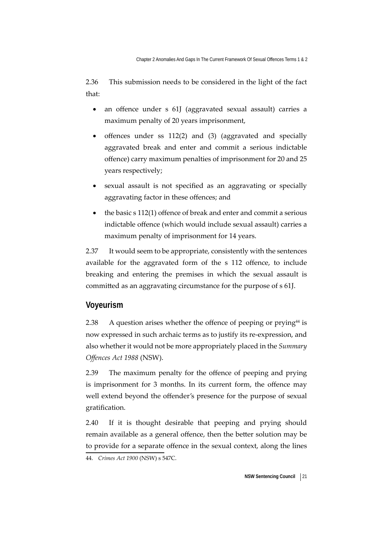2.36 This submission needs to be considered in the light of the fact that:

- an offence under s 61J (aggravated sexual assault) carries a maximum penalty of 20 years imprisonment,
- offences under ss  $112(2)$  and  $(3)$  (aggravated and specially aggravated break and enter and commit a serious indictable offence) carry maximum penalties of imprisonment for 20 and 25 years respectively;
- sexual assault is not specified as an aggravating or specially aggravating factor in these offences; and
- $\bullet$  the basic s 112(1) offence of break and enter and commit a serious indictable offence (which would include sexual assault) carries a maximum penalty of imprisonment for 14 years.

2.37 It would seem to be appropriate, consistently with the sentences available for the aggravated form of the s 112 offence, to include breaking and entering the premises in which the sexual assault is committed as an aggravating circumstance for the purpose of s 61J.

### **Voyeurism**

2.38 A question arises whether the offence of peeping or prying  $44$  is now expressed in such archaic terms as to justify its re-expression, and also whether it would not be more appropriately placed in the *Summary Off ences Act 1988* (NSW).

2.39 The maximum penalty for the offence of peeping and prying is imprisonment for 3 months. In its current form, the offence may well extend beyond the offender's presence for the purpose of sexual gratification.

2.40 If it is thought desirable that peeping and prying should remain available as a general offence, then the better solution may be to provide for a separate offence in the sexual context, along the lines

<sup>44.</sup> *Crimes Act 1900* (NSW) s 547C.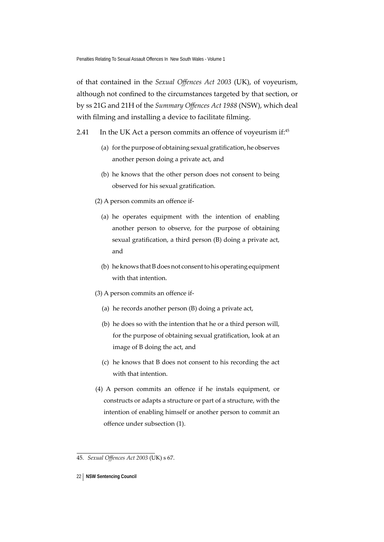of that contained in the *Sexual Offences Act 2003* (UK), of voyeurism, although not confined to the circumstances targeted by that section, or by ss 21G and 21H of the *Summary Offences Act 1988* (NSW), which deal with filming and installing a device to facilitate filming.

- 2.41 In the UK Act a person commits an offence of voyeurism if: $45$ 
	- (a) for the purpose of obtaining sexual gratification, he observes another person doing a private act, and
	- (b) he knows that the other person does not consent to being observed for his sexual gratification.
	- $(2)$  A person commits an offence if-
		- (a) he operates equipment with the intention of enabling another person to observe, for the purpose of obtaining sexual gratification, a third person (B) doing a private act, and
		- (b) he knows that B does not consent to his operating equipment with that intention.
	- $(3)$  A person commits an offence if-
		- (a) he records another person (B) doing a private act,
		- (b) he does so with the intention that he or a third person will, for the purpose of obtaining sexual gratification, look at an image of B doing the act, and
		- (c) he knows that B does not consent to his recording the act with that intention.
	- (4) A person commits an offence if he instals equipment, or constructs or adapts a structure or part of a structure, with the intention of enabling himself or another person to commit an offence under subsection (1).

<sup>45.</sup> *Sexual Offences Act 2003* (UK) s 67.

<sup>22</sup> **NSW Sentencing Council**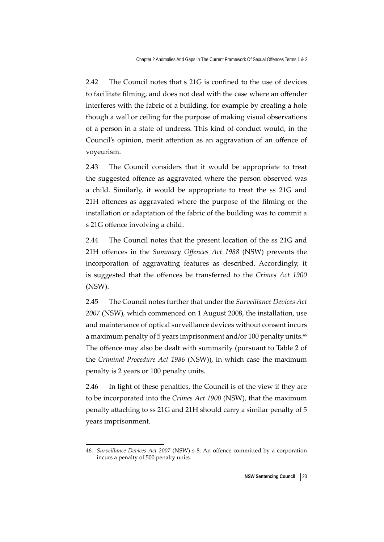2.42 The Council notes that s 21G is confined to the use of devices to facilitate filming, and does not deal with the case where an offender interferes with the fabric of a building, for example by creating a hole though a wall or ceiling for the purpose of making visual observations of a person in a state of undress. This kind of conduct would, in the Council's opinion, merit attention as an aggravation of an offence of voyeurism.

2.43 The Council considers that it would be appropriate to treat the suggested offence as aggravated where the person observed was a child. Similarly, it would be appropriate to treat the ss 21G and 21H offences as aggravated where the purpose of the filming or the installation or adaptation of the fabric of the building was to commit a s 21G offence involving a child.

2.44 The Council notes that the present location of the ss 21G and 21H offences in the *Summary Offences Act* 1988 (NSW) prevents the incorporation of aggravating features as described. Accordingly, it is suggested that the offences be transferred to the *Crimes Act 1900* (NSW).

2.45 The Council notes further that under the *Surveillance Devices Act 2007* (NSW), which commenced on 1 August 2008, the installation, use and maintenance of optical surveillance devices without consent incurs a maximum penalty of 5 years imprisonment and/or 100 penalty units.<sup>46</sup> The offence may also be dealt with summarily (pursuant to Table 2 of the *Criminal Procedure Act 1986* (NSW)), in which case the maximum penalty is 2 years or 100 penalty units.

2.46 In light of these penalties, the Council is of the view if they are to be incorporated into the *Crimes Act 1900* (NSW), that the maximum penalty attaching to ss 21G and 21H should carry a similar penalty of 5 years imprisonment.

<sup>46.</sup> *Surveillance Devices Act 2007* (NSW) s 8. An offence committed by a corporation incurs a penalty of 500 penalty units.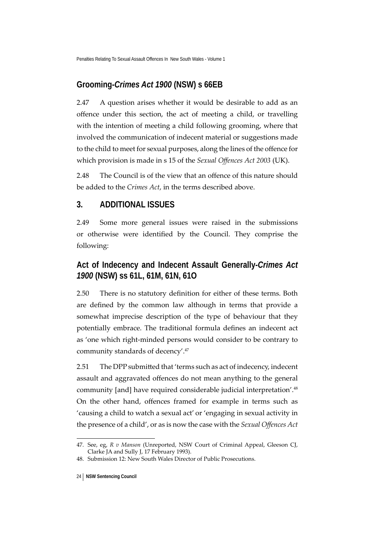Penalties Relating To Sexual Assault Offences In New South Wales - Volume 1

## **Grooming-***Crimes Act 1900* **(NSW) s 66EB**

2.47 A question arises whether it would be desirable to add as an offence under this section, the act of meeting a child, or travelling with the intention of meeting a child following grooming, where that involved the communication of indecent material or suggestions made to the child to meet for sexual purposes, along the lines of the offence for which provision is made in s 15 of the *Sexual Offences Act 2003* (UK).

2.48 The Council is of the view that an offence of this nature should be added to the *Crimes Act*, in the terms described above.

### **3. ADDITIONAL ISSUES**

2.49 Some more general issues were raised in the submissions or otherwise were identified by the Council. They comprise the following:

## **Act of Indecency and Indecent Assault Generally-***Crimes Act 1900* **(NSW) ss 61L, 61M, 61N, 61O**

2.50 There is no statutory definition for either of these terms. Both are defined by the common law although in terms that provide a somewhat imprecise description of the type of behaviour that they potentially embrace. The traditional formula defines an indecent act as 'one which right-minded persons would consider to be contrary to community standards of decency'.47

2.51 The DPP submitted that 'terms such as act of indecency, indecent assault and aggravated offences do not mean anything to the general community [and] have required considerable judicial interpretation'.<sup>48</sup> On the other hand, offences framed for example in terms such as 'causing a child to watch a sexual act' or 'engaging in sexual activity in the presence of a child', or as is now the case with the *Sexual Offences Act* 

<sup>47.</sup> See, eg, *R v Manson* (Unreported, NSW Court of Criminal Appeal, Gleeson CJ, Clarke JA and Sully J, 17 February 1993).

<sup>48.</sup> Submission 12: New South Wales Director of Public Prosecutions.

<sup>24</sup> **NSW Sentencing Council**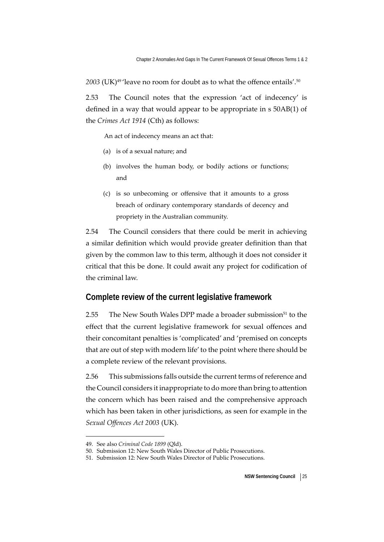2003 (UK)<sup>49</sup> 'leave no room for doubt as to what the offence entails'.<sup>50</sup>

2.53 The Council notes that the expression 'act of indecency' is defined in a way that would appear to be appropriate in  $s$  50AB(1) of the *Crimes Act 1914* (Cth) as follows:

An act of indecency means an act that:

- (a) is of a sexual nature; and
- (b) involves the human body, or bodily actions or functions; and
- $(c)$  is so unbecoming or offensive that it amounts to a gross breach of ordinary contemporary standards of decency and propriety in the Australian community.

2.54 The Council considers that there could be merit in achieving a similar definition which would provide greater definition than that given by the common law to this term, although it does not consider it critical that this be done. It could await any project for codification of the criminal law.

#### **Complete review of the current legislative framework**

2.55 The New South Wales DPP made a broader submission<sup>51</sup> to the effect that the current legislative framework for sexual offences and their concomitant penalties is 'complicated' and 'premised on concepts that are out of step with modern life' to the point where there should be a complete review of the relevant provisions.

2.56 This submissions falls outside the current terms of reference and the Council considers it inappropriate to do more than bring to attention the concern which has been raised and the comprehensive approach which has been taken in other jurisdictions, as seen for example in the Sexual Offences Act 2003 (UK).

<sup>49.</sup> See also *Criminal Code 1899* (Qld).

<sup>50.</sup> Submission 12: New South Wales Director of Public Prosecutions.

<sup>51.</sup> Submission 12: New South Wales Director of Public Prosecutions.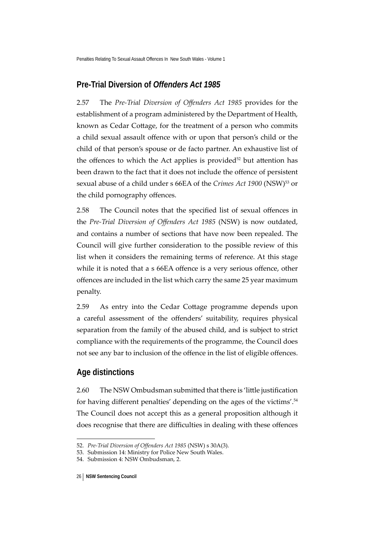## **Pre-Trial Diversion of** *Offenders Act 1985*

2.57 The *Pre-Trial Diversion of Offenders Act 1985* provides for the establishment of a program administered by the Department of Health, known as Cedar Cottage, for the treatment of a person who commits a child sexual assault offence with or upon that person's child or the child of that person's spouse or de facto partner. An exhaustive list of the offences to which the Act applies is provided $52$  but attention has been drawn to the fact that it does not include the offence of persistent sexual abuse of a child under s 66EA of the *Crimes Act 1900* (NSW)53 or the child pornography offences.

2.58 The Council notes that the specified list of sexual offences in the *Pre-Trial Diversion of Offenders Act 1985* (NSW) is now outdated, and contains a number of sections that have now been repealed. The Council will give further consideration to the possible review of this list when it considers the remaining terms of reference. At this stage while it is noted that a s 66EA offence is a very serious offence, other offences are included in the list which carry the same 25 year maximum penalty.

2.59 As entry into the Cedar Cottage programme depends upon a careful assessment of the offenders' suitability, requires physical separation from the family of the abused child, and is subject to strict compliance with the requirements of the programme, the Council does not see any bar to inclusion of the offence in the list of eligible offences.

## **Age distinctions**

2.60 The NSW Ombudsman submitted that there is 'little justification for having different penalties' depending on the ages of the victims'.<sup>54</sup> The Council does not accept this as a general proposition although it does recognise that there are difficulties in dealing with these offences

<sup>52.</sup> *Pre-Trial Diversion of Offenders Act 1985* (NSW) s 30A(3).

<sup>53.</sup> Submission 14: Ministry for Police New South Wales.

<sup>54.</sup> Submission 4: NSW Ombudsman, 2.

<sup>26</sup> **NSW Sentencing Council**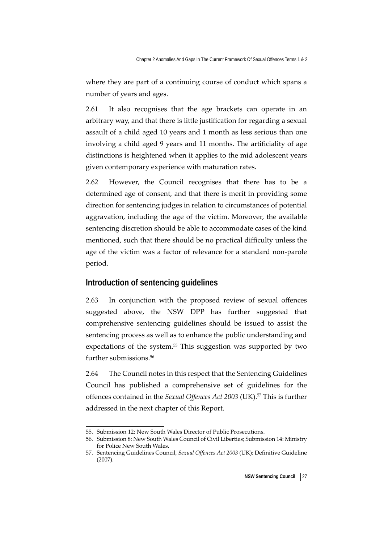where they are part of a continuing course of conduct which spans a number of years and ages.

2.61 It also recognises that the age brackets can operate in an arbitrary way, and that there is little justification for regarding a sexual assault of a child aged 10 years and 1 month as less serious than one involving a child aged 9 years and 11 months. The artificiality of age distinctions is heightened when it applies to the mid adolescent years given contemporary experience with maturation rates.

2.62 However, the Council recognises that there has to be a determined age of consent, and that there is merit in providing some direction for sentencing judges in relation to circumstances of potential aggravation, including the age of the victim. Moreover, the available sentencing discretion should be able to accommodate cases of the kind mentioned, such that there should be no practical difficulty unless the age of the victim was a factor of relevance for a standard non-parole period.

### **Introduction of sentencing guidelines**

2.63 In conjunction with the proposed review of sexual offences suggested above, the NSW DPP has further suggested that comprehensive sentencing guidelines should be issued to assist the sentencing process as well as to enhance the public understanding and expectations of the system.<sup>55</sup> This suggestion was supported by two further submissions<sup>56</sup>

2.64 The Council notes in this respect that the Sentencing Guidelines Council has published a comprehensive set of guidelines for the offences contained in the *Sexual Offences Act* 2003 (UK).<sup>57</sup> This is further addressed in the next chapter of this Report.

<sup>55.</sup> Submission 12: New South Wales Director of Public Prosecutions.

<sup>56.</sup> Submission 8: New South Wales Council of Civil Liberties; Submission 14: Ministry for Police New South Wales.

<sup>57.</sup> Sentencing Guidelines Council, *Sexual Offences Act 2003* (UK): Definitive Guideline (2007).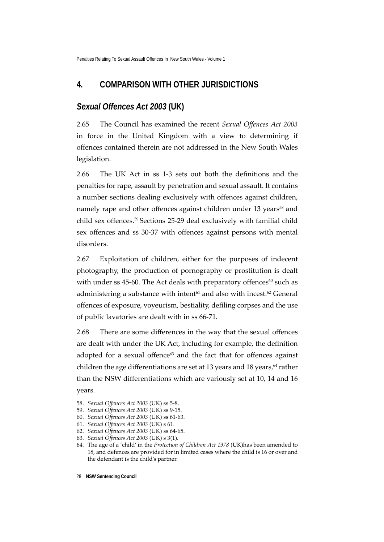## **4. COMPARISON WITH OTHER JURISDICTIONS**

### *Sexual Offences Act 2003* **(UK)**

2.65 The Council has examined the recent *Sexual Offences Act 2003* in force in the United Kingdom with a view to determining if offences contained therein are not addressed in the New South Wales legislation.

2.66 The UK Act in ss 1-3 sets out both the definitions and the penalties for rape, assault by penetration and sexual assault. It contains a number sections dealing exclusively with offences against children, namely rape and other offences against children under 13 years<sup>58</sup> and child sex offences.<sup>59</sup> Sections 25-29 deal exclusively with familial child sex offences and ss 30-37 with offences against persons with mental disorders.

2.67 Exploitation of children, either for the purposes of indecent photography, the production of pornography or prostitution is dealt with under ss 45-60. The Act deals with preparatory offences $60$  such as administering a substance with intent $61$  and also with incest. $62$  General offences of exposure, voyeurism, bestiality, defiling corpses and the use of public lavatories are dealt with in ss 66-71.

2.68 There are some differences in the way that the sexual offences are dealt with under the UK Act, including for example, the definition adopted for a sexual offence<sup>63</sup> and the fact that for offences against children the age differentiations are set at 13 years and 18 years,<sup>64</sup> rather than the NSW differentiations which are variously set at 10, 14 and 16 years.

28 **NSW Sentencing Council**

<sup>58.</sup> *Sexual Offences Act 2003* (UK) ss 5-8.

<sup>59.</sup> *Sexual Offences Act 2003* (UK) ss 9-15.

<sup>60.</sup> *Sexual Offences Act 2003* (UK) ss 61-63.

<sup>61.</sup> *Sexual Offences Act 2003* (UK) s 61.

<sup>62.</sup> *Sexual Offences Act 2003* (UK) ss 64-65.

<sup>63.</sup> *Sexual Offences Act 2003* (UK) s 3(1).

<sup>64.</sup> The age of a 'child' in the *Protection of Children Act 1978* (UK)has been amended to 18, and defences are provided for in limited cases where the child is 16 or over and the defendant is the child's partner.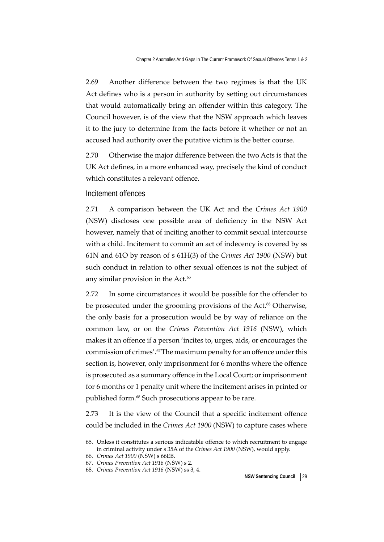2.69 Another difference between the two regimes is that the UK Act defines who is a person in authority by setting out circumstances that would automatically bring an offender within this category. The Council however, is of the view that the NSW approach which leaves it to the jury to determine from the facts before it whether or not an accused had authority over the putative victim is the better course.

2.70 Otherwise the major difference between the two Acts is that the UK Act defines, in a more enhanced way, precisely the kind of conduct which constitutes a relevant offence.

#### Incitement offences

2.71 A comparison between the UK Act and the *Crimes Act 1900* (NSW) discloses one possible area of deficiency in the NSW Act however, namely that of inciting another to commit sexual intercourse with a child. Incitement to commit an act of indecency is covered by ss 61N and 61O by reason of s 61H(3) of the *Crimes Act 1900* (NSW) but such conduct in relation to other sexual offences is not the subject of any similar provision in the Act.<sup>65</sup>

2.72 In some circumstances it would be possible for the offender to be prosecuted under the grooming provisions of the Act.<sup>66</sup> Otherwise, the only basis for a prosecution would be by way of reliance on the common law, or on the *Crimes Prevention Act 1916* (NSW), which makes it an offence if a person 'incites to, urges, aids, or encourages the commission of crimes'.<sup>67</sup> The maximum penalty for an offence under this section is, however, only imprisonment for 6 months where the offence is prosecuted as a summary offence in the Local Court; or imprisonment for 6 months or 1 penalty unit where the incitement arises in printed or published form.68 Such prosecutions appear to be rare.

2.73 It is the view of the Council that a specific incitement offence could be included in the *Crimes Act 1900* (NSW) to capture cases where

<sup>65.</sup> Unless it constitutes a serious indicatable offence to which recruitment to engage in criminal activity under s 35A of the *Crimes Act 1900* (NSW), would apply.

<sup>66.</sup> *Crimes Act 1900* (NSW) s 66EB.

<sup>67.</sup> *Crimes Prevention Act 1916* (NSW) s 2.

<sup>68.</sup> *Crimes Prevention Act 1916* (NSW) ss 3, 4.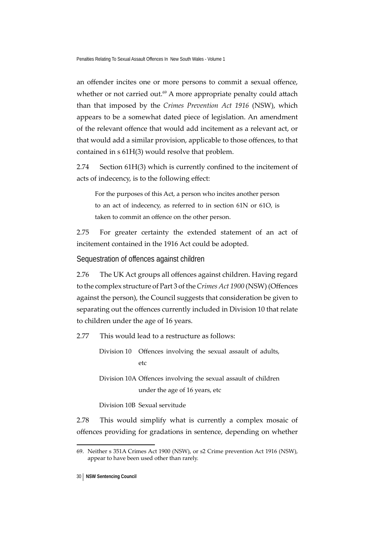Penalties Relating To Sexual Assault Offences In New South Wales - Volume 1

an offender incites one or more persons to commit a sexual offence, whether or not carried out.<sup>69</sup> A more appropriate penalty could attach than that imposed by the *Crimes Prevention Act 1916* (NSW), which appears to be a somewhat dated piece of legislation. An amendment of the relevant offence that would add incitement as a relevant act, or that would add a similar provision, applicable to those offences, to that contained in s 61H(3) would resolve that problem.

2.74 Section  $61H(3)$  which is currently confined to the incitement of acts of indecency, is to the following effect:

For the purposes of this Act, a person who incites another person to an act of indecency, as referred to in section 61N or 61O, is taken to commit an offence on the other person.

2.75 For greater certainty the extended statement of an act of incitement contained in the 1916 Act could be adopted.

Sequestration of offences against children

2.76 The UK Act groups all offences against children. Having regard to the complex structure of Part 3 of the *Crimes Act 1900* (NSW) (Offences against the person), the Council suggests that consideration be given to separating out the offences currently included in Division 10 that relate to children under the age of 16 years.

2.77 This would lead to a restructure as follows:

Division 10 Offences involving the sexual assault of adults, etc

Division 10A Offences involving the sexual assault of children under the age of 16 years, etc

Division 10B Sexual servitude

2.78 This would simplify what is currently a complex mosaic of offences providing for gradations in sentence, depending on whether

<sup>69.</sup> Neither s 351A Crimes Act 1900 (NSW), or s2 Crime prevention Act 1916 (NSW), appear to have been used other than rarely.

<sup>30</sup> **NSW Sentencing Council**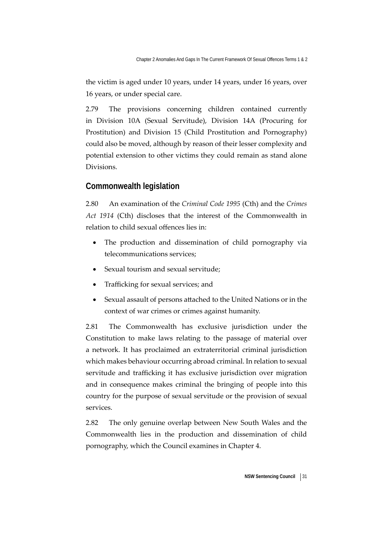the victim is aged under 10 years, under 14 years, under 16 years, over 16 years, or under special care.

2.79 The provisions concerning children contained currently in Division 10A (Sexual Servitude), Division 14A (Procuring for Prostitution) and Division 15 (Child Prostitution and Pornography) could also be moved, although by reason of their lesser complexity and potential extension to other victims they could remain as stand alone Divisions.

### **Commonwealth legislation**

2.80 An examination of the *Criminal Code 1995* (Cth) and the *Crimes Act 1914* (Cth) discloses that the interest of the Commonwealth in relation to child sexual offences lies in:

- The production and dissemination of child pornography via telecommunications services;
- Sexual tourism and sexual servitude;
- Trafficking for sexual services; and
- Sexual assault of persons attached to the United Nations or in the context of war crimes or crimes against humanity.

2.81 The Commonwealth has exclusive jurisdiction under the Constitution to make laws relating to the passage of material over a network. It has proclaimed an extraterritorial criminal jurisdiction which makes behaviour occurring abroad criminal. In relation to sexual servitude and trafficking it has exclusive jurisdiction over migration and in consequence makes criminal the bringing of people into this country for the purpose of sexual servitude or the provision of sexual services.

2.82 The only genuine overlap between New South Wales and the Commonwealth lies in the production and dissemination of child pornography, which the Council examines in Chapter 4.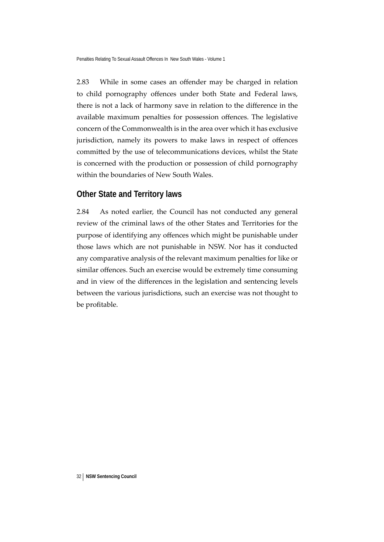2.83 While in some cases an offender may be charged in relation to child pornography offences under both State and Federal laws, there is not a lack of harmony save in relation to the difference in the available maximum penalties for possession offences. The legislative concern of the Commonwealth is in the area over which it has exclusive jurisdiction, namely its powers to make laws in respect of offences committed by the use of telecommunications devices, whilst the State is concerned with the production or possession of child pornography within the boundaries of New South Wales.

### **Other State and Territory laws**

2.84 As noted earlier, the Council has not conducted any general review of the criminal laws of the other States and Territories for the purpose of identifying any offences which might be punishable under those laws which are not punishable in NSW. Nor has it conducted any comparative analysis of the relevant maximum penalties for like or similar offences. Such an exercise would be extremely time consuming and in view of the differences in the legislation and sentencing levels between the various jurisdictions, such an exercise was not thought to be profitable.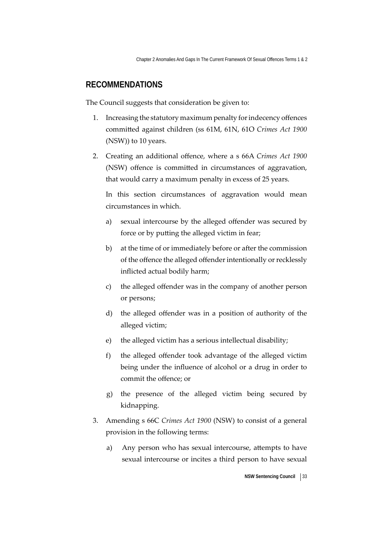## **RECOMMENDATIONS**

The Council suggests that consideration be given to:

- 1. Increasing the statutory maximum penalty for indecency offences committed against children (ss 61M, 61N, 61O Crimes Act 1900 (NSW)) to 10 years.
- 2. Creating an additional offence, where a s 66A *Crimes Act* 1900 (NSW) offence is committed in circumstances of aggravation, that would carry a maximum penalty in excess of 25 years.

 In this section circumstances of aggravation would mean circumstances in which.

- a) sexual intercourse by the alleged offender was secured by force or by putting the alleged victim in fear;
- b) at the time of or immediately before or after the commission of the offence the alleged offender intentionally or recklessly inflicted actual bodily harm;
- c) the alleged offender was in the company of another person or persons;
- d) the alleged offender was in a position of authority of the alleged victim;
- e) the alleged victim has a serious intellectual disability;
- f) the alleged offender took advantage of the alleged victim being under the influence of alcohol or a drug in order to commit the offence: or
- g) the presence of the alleged victim being secured by kidnapping.
- 3. Amending s 66C *Crimes Act 1900* (NSW) to consist of a general provision in the following terms:
	- a) Any person who has sexual intercourse, attempts to have sexual intercourse or incites a third person to have sexual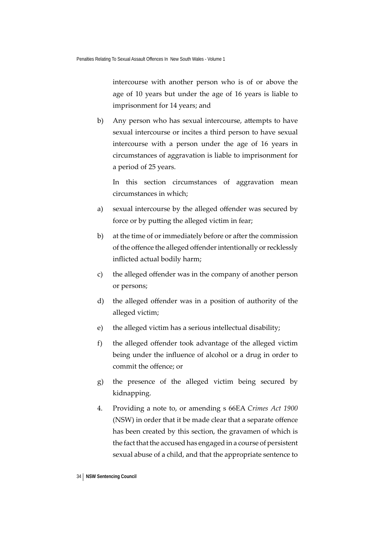intercourse with another person who is of or above the age of 10 years but under the age of 16 years is liable to imprisonment for 14 years; and

b) Any person who has sexual intercourse, attempts to have sexual intercourse or incites a third person to have sexual intercourse with a person under the age of 16 years in circumstances of aggravation is liable to imprisonment for a period of 25 years.

 In this section circumstances of aggravation mean circumstances in which;

- a) sexual intercourse by the alleged offender was secured by force or by putting the alleged victim in fear;
- b) at the time of or immediately before or after the commission of the offence the alleged offender intentionally or recklessly inflicted actual bodily harm;
- c) the alleged offender was in the company of another person or persons;
- d) the alleged offender was in a position of authority of the alleged victim;
- e) the alleged victim has a serious intellectual disability;
- f) the alleged offender took advantage of the alleged victim being under the influence of alcohol or a drug in order to commit the offence; or
- g) the presence of the alleged victim being secured by kidnapping.
- 4. Providing a note to, or amending s 66EA *Crimes Act 1900* (NSW) in order that it be made clear that a separate offence has been created by this section, the gravamen of which is the fact that the accused has engaged in a course of persistent sexual abuse of a child, and that the appropriate sentence to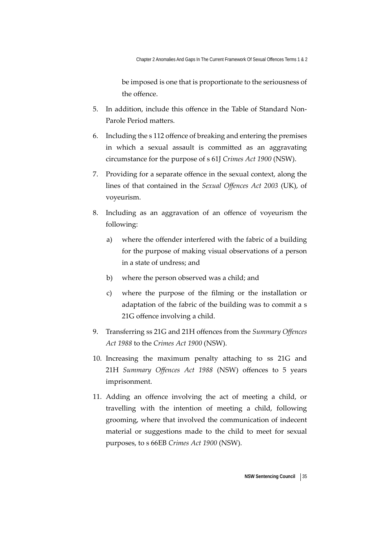be imposed is one that is proportionate to the seriousness of the offence.

- 5. In addition, include this offence in the Table of Standard Non-Parole Period matters.
- 6. Including the s 112 offence of breaking and entering the premises in which a sexual assault is committed as an aggravating circumstance for the purpose of s 61J *Crimes Act 1900* (NSW).
- 7. Providing for a separate offence in the sexual context, along the lines of that contained in the *Sexual Offences Act 2003* (UK), of voyeurism.
- 8. Including as an aggravation of an offence of voyeurism the following:
	- a) where the offender interfered with the fabric of a building for the purpose of making visual observations of a person in a state of undress; and
	- b) where the person observed was a child; and
	- c) where the purpose of the filming or the installation or adaptation of the fabric of the building was to commit a s 21G offence involving a child.
- 9. Transferring ss 21G and 21H offences from the *Summary Offences Act 1988* to the *Crimes Act 1900* (NSW).
- 10. Increasing the maximum penalty attaching to ss 21G and 21H *Summary Offences Act 1988* (NSW) offences to 5 years imprisonment.
- 11. Adding an offence involving the act of meeting a child, or travelling with the intention of meeting a child, following grooming, where that involved the communication of indecent material or suggestions made to the child to meet for sexual purposes, to s 66EB *Crimes Act 1900* (NSW).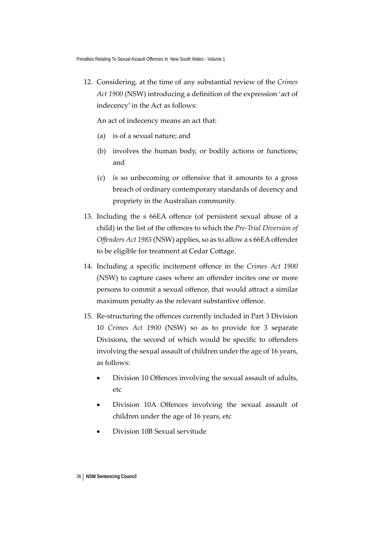12. Considering, at the time of any substantial review of the *Crimes Act 1900* (NSW) introducing a definition of the expression 'act of indecency' in the Act as follows:

An act of indecency means an act that:

- (a) is of a sexual nature; and
- (b) involves the human body, or bodily actions or functions; and
- $(c)$  is so unbecoming or offensive that it amounts to a gross breach of ordinary contemporary standards of decency and propriety in the Australian community.
- 13. Including the s 66EA offence (of persistent sexual abuse of a child) in the list of the offences to which the *Pre-Trial Diversion of Offenders Act 1985* (NSW) applies, so as to allow a s 66EA offender to be eligible for treatment at Cedar Cottage.
- 14. Including a specific incitement offence in the *Crimes Act* 1900 (NSW) to capture cases where an offender incites one or more persons to commit a sexual offence, that would attract a similar maximum penalty as the relevant substantive offence.
- 15. Re-structuring the offences currently included in Part 3 Division 10 *Crimes Act 1900* (NSW) so as to provide for 3 separate Divisions, the second of which would be specific to offenders involving the sexual assault of children under the age of 16 years, as follows:
	- Division 10 Offences involving the sexual assault of adults, etc
	- Division 10A Offences involving the sexual assault of children under the age of 16 years, etc
	- Division 10B Sexual servitude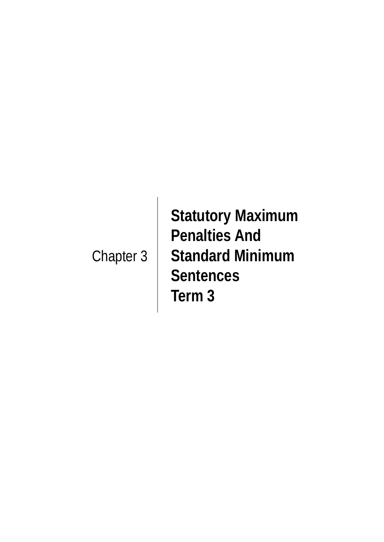**Statutory Maximum Penalties And Standard Minimum**  Chapter 3**Sentences Term 3**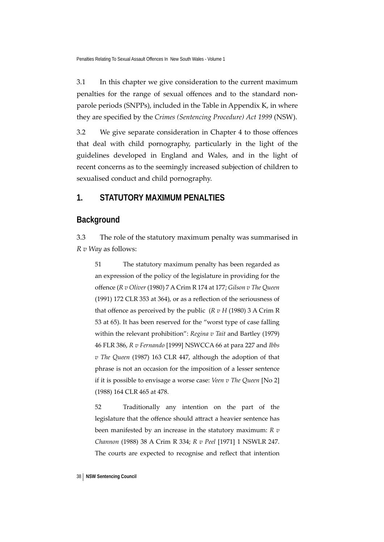3.1 In this chapter we give consideration to the current maximum penalties for the range of sexual offences and to the standard nonparole periods (SNPPs), included in the Table in Appendix K, in where they are specified by the *Crimes (Sentencing Procedure) Act 1999 (NSW)*.

3.2 We give separate consideration in Chapter 4 to those offences that deal with child pornography, particularly in the light of the guidelines developed in England and Wales, and in the light of recent concerns as to the seemingly increased subjection of children to sexualised conduct and child pornography.

## **1. STATUTORY MAXIMUM PENALTIES**

### **Background**

3.3 The role of the statutory maximum penalty was summarised in *R v Way* as follows:

51 The statutory maximum penalty has been regarded as an expression of the policy of the legislature in providing for the off ence (*R v Oliver* (1980) 7 A Crim R 174 at 177; *Gilson v The Queen* (1991) 172 CLR 353 at 364), or as a reflection of the seriousness of that offence as perceived by the public  $(R v H (1980) 3 A C$ rim R 53 at 65). It has been reserved for the "worst type of case falling within the relevant prohibition": *Regina v Tait* and Bartley (1979) 46 FLR 386, *R v Fernando* [1999] NSWCCA 66 at para 227 and *Ibbs v The Queen* (1987) 163 CLR 447, although the adoption of that phrase is not an occasion for the imposition of a lesser sentence if it is possible to envisage a worse case: *Veen v The Queen* [No 2] (1988) 164 CLR 465 at 478.

52 Traditionally any intention on the part of the legislature that the offence should attract a heavier sentence has been manifested by an increase in the statutory maximum: *R v Channon* (1988) 38 A Crim R 334; *R v Peel* [1971] 1 NSWLR 247. The courts are expected to recognise and reflect that intention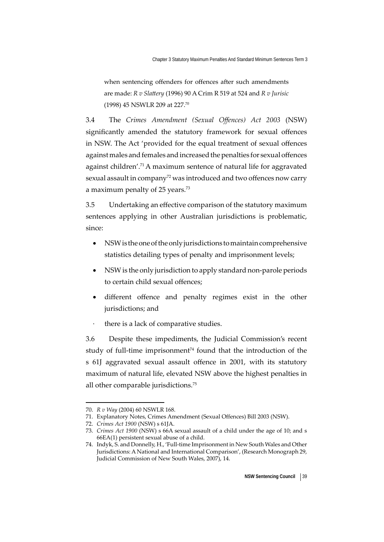when sentencing offenders for offences after such amendments are made: *R v Slattery* (1996) 90 A Crim R 519 at 524 and *R v Jurisic* (1998) 45 NSWLR 209 at 227.70

3.4 The Crimes Amendment (Sexual Offences) Act 2003 (NSW) significantly amended the statutory framework for sexual offences in NSW. The Act 'provided for the equal treatment of sexual offences against males and females and increased the penalties for sexual offences against children'.71 A maximum sentence of natural life for aggravated sexual assault in company<sup>72</sup> was introduced and two offences now carry a maximum penalty of 25 years.73

3.5 Undertaking an effective comparison of the statutory maximum sentences applying in other Australian jurisdictions is problematic, since:

- NSW is the one of the only jurisdictions to maintain comprehensive statistics detailing types of penalty and imprisonment levels;
- NSW is the only jurisdiction to apply standard non-parole periods to certain child sexual offences;
- different offence and penalty regimes exist in the other jurisdictions; and
- there is a lack of comparative studies.

3.6 Despite these impediments, the Judicial Commission's recent study of full-time imprisonment $74$  found that the introduction of the s 61J aggravated sexual assault offence in 2001, with its statutory maximum of natural life, elevated NSW above the highest penalties in all other comparable jurisdictions.75

<sup>70.</sup> *R v Way* (2004) 60 NSWLR 168.

<sup>71.</sup> Explanatory Notes, Crimes Amendment (Sexual Offences) Bill 2003 (NSW).

<sup>72.</sup> *Crimes Act 1900* (NSW) s 61JA.

<sup>73.</sup> *Crimes Act 1900* (NSW) s 66A sexual assault of a child under the age of 10; and s 66EA(1) persistent sexual abuse of a child.

<sup>74.</sup> Indyk, S. and Donnelly, H., 'Full-time Imprisonment in New South Wales and Other Jurisdictions: A National and International Comparison', (Research Monograph 29, Judicial Commission of New South Wales, 2007), 14.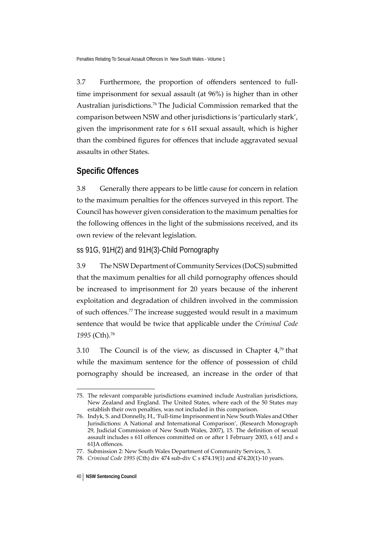3.7 Furthermore, the proportion of offenders sentenced to fulltime imprisonment for sexual assault (at 96%) is higher than in other Australian jurisdictions.76 The Judicial Commission remarked that the comparison between NSW and other jurisdictions is 'particularly stark', given the imprisonment rate for s 61I sexual assault, which is higher than the combined figures for offences that include aggravated sexual assaults in other States.

### **Specific Offences**

3.8 Generally there appears to be little cause for concern in relation to the maximum penalties for the offences surveyed in this report. The Council has however given consideration to the maximum penalties for the following offences in the light of the submissions received, and its own review of the relevant legislation.

#### ss 91G, 91H(2) and 91H(3)-Child Pornography

3.9 The NSW Department of Community Services (DoCS) submitted that the maximum penalties for all child pornography offences should be increased to imprisonment for 20 years because of the inherent exploitation and degradation of children involved in the commission of such offences.<sup> $77$ </sup> The increase suggested would result in a maximum sentence that would be twice that applicable under the *Criminal Code 1995* (Cth).78

3.10 The Council is of the view, as discussed in Chapter 4,79 that while the maximum sentence for the offence of possession of child pornography should be increased, an increase in the order of that

<sup>75.</sup> The relevant comparable jurisdictions examined include Australian jurisdictions, New Zealand and England. The United States, where each of the 50 States may establish their own penalties, was not included in this comparison.

<sup>76.</sup> Indyk, S. and Donnelly, H., 'Full-time Imprisonment in New South Wales and Other Jurisdictions: A National and International Comparison', (Research Monograph 29, Judicial Commission of New South Wales, 2007), 15. The definition of sexual assault includes s 61I offences committed on or after 1 February 2003, s 61J and s 61JA offences.

<sup>77.</sup> Submission 2: New South Wales Department of Community Services, 3.

<sup>78.</sup> *Criminal Code 1995* (Cth) div 474 sub-div C s 474.19(1) and 474.20(1)-10 years.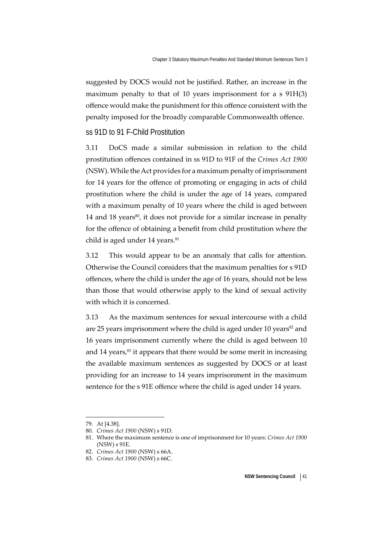suggested by DOCS would not be justified. Rather, an increase in the maximum penalty to that of 10 years imprisonment for a s 91H(3) offence would make the punishment for this offence consistent with the penalty imposed for the broadly comparable Commonwealth offence.

#### ss 91D to 91 F-Child Prostitution

3.11 DoCS made a similar submission in relation to the child prostitution offences contained in ss 91D to 91F of the *Crimes Act 1900* (NSW). While the Act provides for a maximum penalty of imprisonment for 14 years for the offence of promoting or engaging in acts of child prostitution where the child is under the age of 14 years, compared with a maximum penalty of 10 years where the child is aged between 14 and 18 years $^{80}$ , it does not provide for a similar increase in penalty for the offence of obtaining a benefit from child prostitution where the child is aged under 14 years. $81$ 

3.12 This would appear to be an anomaly that calls for attention. Otherwise the Council considers that the maximum penalties for s 91D offences, where the child is under the age of 16 years, should not be less than those that would otherwise apply to the kind of sexual activity with which it is concerned.

3.13 As the maximum sentences for sexual intercourse with a child are 25 years imprisonment where the child is aged under 10 years<sup>82</sup> and 16 years imprisonment currently where the child is aged between 10 and 14 years, $83$  it appears that there would be some merit in increasing the available maximum sentences as suggested by DOCS or at least providing for an increase to 14 years imprisonment in the maximum sentence for the s 91E offence where the child is aged under 14 years.

<sup>79.</sup> At [4.38].

<sup>80.</sup> *Crimes Act 1900* (NSW) s 91D.

<sup>81.</sup> Where the maximum sentence is one of imprisonment for 10 years: *Crimes Act 1900* (NSW) s 91E.

<sup>82.</sup> *Crimes Act 1900* (NSW) s 66A.

<sup>83.</sup> *Crimes Act 1900* (NSW) s 66C.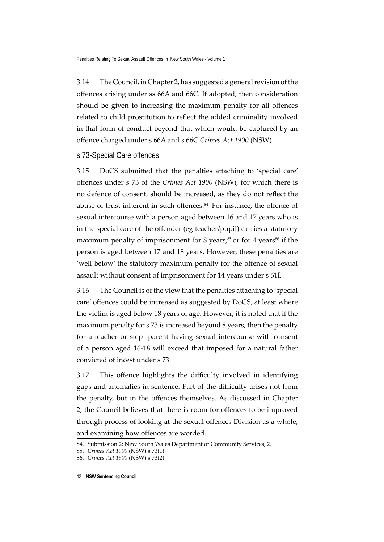3.14 The Council, in Chapter 2, has suggested a general revision of the offences arising under ss 66A and 66C. If adopted, then consideration should be given to increasing the maximum penalty for all offences related to child prostitution to reflect the added criminality involved in that form of conduct beyond that which would be captured by an offence charged under s 66A and s 66C *Crimes Act 1900* (NSW).

s 73-Special Care offences

3.15 DoCS submitted that the penalties attaching to 'special care' offences under s 73 of the *Crimes Act 1900* (NSW), for which there is no defence of consent, should be increased, as they do not reflect the abuse of trust inherent in such offences. $84$  For instance, the offence of sexual intercourse with a person aged between 16 and 17 years who is in the special care of the offender (eg teacher/pupil) carries a statutory maximum penalty of imprisonment for 8 years, $85$  or for 4 years $86$  if the person is aged between 17 and 18 years. However, these penalties are 'well below' the statutory maximum penalty for the offence of sexual assault without consent of imprisonment for 14 years under s 61I.

3.16 The Council is of the view that the penalties attaching to 'special care' offences could be increased as suggested by DoCS, at least where the victim is aged below 18 years of age. However, it is noted that if the maximum penalty for s 73 is increased beyond 8 years, then the penalty for a teacher or step -parent having sexual intercourse with consent of a person aged 16-18 will exceed that imposed for a natural father convicted of incest under s 73.

3.17 This offence highlights the difficulty involved in identifying gaps and anomalies in sentence. Part of the difficulty arises not from the penalty, but in the offences themselves. As discussed in Chapter 2, the Council believes that there is room for offences to be improved through process of looking at the sexual offences Division as a whole, and examining how offences are worded.

42 **NSW Sentencing Council**

<sup>84.</sup> Submission 2: New South Wales Department of Community Services, 2.

<sup>85.</sup> *Crimes Act 1900* (NSW) s 73(1).

<sup>86.</sup> *Crimes Act 1900* (NSW) s 73(2).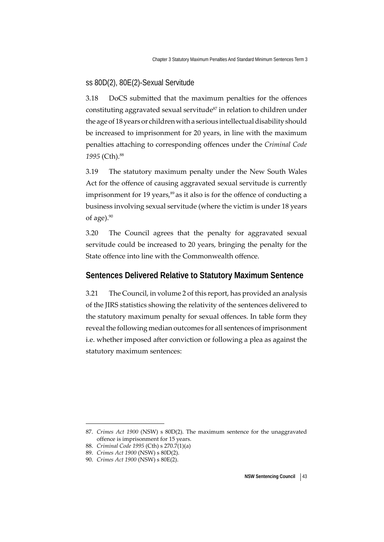### ss 80D(2), 80E(2)-Sexual Servitude

3.18 DoCS submitted that the maximum penalties for the offences constituting aggravated sexual servitude<sup>87</sup> in relation to children under the age of 18 years or children with a serious intellectual disability should be increased to imprisonment for 20 years, in line with the maximum penalties attaching to corresponding offences under the *Criminal Code 1995* (Cth).88

3.19 The statutory maximum penalty under the New South Wales Act for the offence of causing aggravated sexual servitude is currently imprisonment for 19 years, $89$  as it also is for the offence of conducting a business involving sexual servitude (where the victim is under 18 years of age). $90$ 

3.20 The Council agrees that the penalty for aggravated sexual servitude could be increased to 20 years, bringing the penalty for the State offence into line with the Commonwealth offence.

### **Sentences Delivered Relative to Statutory Maximum Sentence**

3.21 The Council, in volume 2 of this report, has provided an analysis of the JIRS statistics showing the relativity of the sentences delivered to the statutory maximum penalty for sexual offences. In table form they reveal the following median outcomes for all sentences of imprisonment i.e. whether imposed after conviction or following a plea as against the statutory maximum sentences:

<sup>87.</sup> *Crimes Act 1900* (NSW) s 80D(2). The maximum sentence for the unaggravated offence is imprisonment for 15 years.

<sup>88.</sup> *Criminal Code 1995* (Cth) s 270.7(1)(a)

<sup>89.</sup> *Crimes Act 1900* (NSW) s 80D(2).

<sup>90.</sup> *Crimes Act 1900* (NSW) s 80E(2).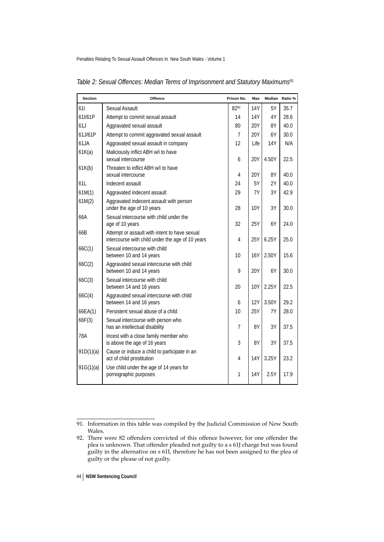| <b>Section</b> | Offence                                                                                           | Prison No. | Max  |       | Median Ratio % |
|----------------|---------------------------------------------------------------------------------------------------|------------|------|-------|----------------|
| 611            | Sexual Assault                                                                                    | 8292       | 14Y  | 5Υ    | 35.7           |
| 61I/61P        | Attempt to commit sexual assault                                                                  | 14         | 14Y  | 4Y    | 28.6           |
| 61J            | Aggravated sexual assault                                                                         | 80         | 20Y  | 8Y    | 40.0           |
| 61.J/61P       | Attempt to commit aggravated sexual assault                                                       | 7          | 20Y  | 6Y    | 30.0           |
| 61JA           | Aggravated sexual assault in company                                                              |            | Life | 14Y   | N/A            |
| 61K(a)         | Maliciously inflict ABH w/i to have<br>sexual intercourse                                         | 6          | 20Y  | 4.50Y | 22.5           |
| 61K(b)         | Threaten to inflict ABH w/i to have<br>sexual intercourse                                         | 4          | 20Y  | 8Y    | 40.0           |
| 61L            | Indecent assault                                                                                  | 24         | 5Y   | 2Y    | 40.0           |
| 61M(1)         | Aggravated indecent assault                                                                       | 29         | 7Y   | 3Y    | 42.9           |
| 61M(2)         | Aggravated indecent assault with person<br>under the age of 10 years                              | 28         | 10Y  | 3Y    | 30.0           |
| 66A            | Sexual intercourse with child under the<br>age of 10 years                                        |            | 25Y  | 6Y    | 24.0           |
| 66B            | Attempt or assault with intent to have sexual<br>intercourse with child under the age of 10 years |            | 25Y  | 6.25Y | 25.0           |
| 66C(1)         | Sexual intercourse with child<br>between 10 and 14 years                                          |            | 16Y  | 2.50Y | 15.6           |
| 66C(2)         | Aggravated sexual intercourse with child<br>between 10 and 14 years                               |            | 20Y  | 6Y    | 30.0           |
| 66C(3)         | Sexual intercourse with child<br>between 14 and 16 years                                          |            | 10Y  | 2.25Y | 22.5           |
| 66C(4)         | Aggravated sexual intercourse with child<br>between 14 and 16 years                               |            | 12Y  | 3.50Y | 29.2           |
| 66EA(1)        | Persistent sexual abuse of a child                                                                | 10         | 25Y  | 7Y    | 28.0           |
| 66F(3)         | Sexual intercourse with person who<br>has an intellectual disability                              | 7          | 8Y   | 3Y    | 37.5           |
| 78A            | Incest with a close family member who<br>is above the age of 16 years                             |            | 8Y   | 3Y    | 37.5           |
| 91D(1)(a)      | Cause or induce a child to participate in an<br>act of child prostitution                         | 4          | 14Y  | 3.25Y | 23.2           |
| 91G(1)(a)      | Use child under the age of 14 years for<br>pornographic purposes                                  |            | 14Y  | 2.5Y  | 17.9           |

*Table 2: Sexual Offences: Median Terms of Imprisonment and Statutory Maximums*<sup>91</sup>

44 **NSW Sentencing Council**

<sup>91.</sup> Information in this table was compiled by the Judicial Commission of New South Wales.

<sup>92.</sup> There were 82 offenders convicted of this offence however, for one offender the plea is unknown. That offender pleaded not guilty to a s 61J charge but was found guilty in the alternative on s 61I, therefore he has not been assigned to the plea of guilty or the please of not guilty.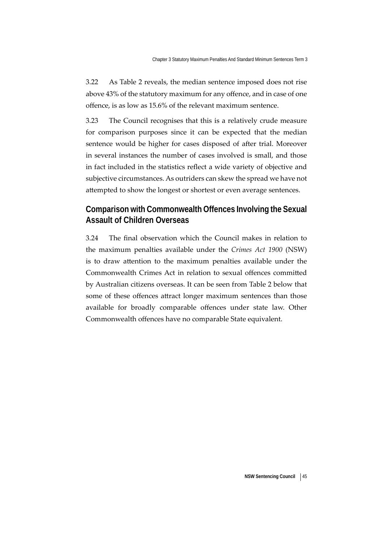3.22 As Table 2 reveals, the median sentence imposed does not rise above 43% of the statutory maximum for any offence, and in case of one offence, is as low as 15.6% of the relevant maximum sentence.

3.23 The Council recognises that this is a relatively crude measure for comparison purposes since it can be expected that the median sentence would be higher for cases disposed of after trial. Moreover in several instances the number of cases involved is small, and those in fact included in the statistics reflect a wide variety of objective and subjective circumstances. As outriders can skew the spread we have not attempted to show the longest or shortest or even average sentences.

# **Comparison with Commonwealth Offences Involving the Sexual Assault of Children Overseas**

3.24 The final observation which the Council makes in relation to the maximum penalties available under the *Crimes Act 1900* (NSW) is to draw attention to the maximum penalties available under the Commonwealth Crimes Act in relation to sexual offences committed by Australian citizens overseas. It can be seen from Table 2 below that some of these offences attract longer maximum sentences than those available for broadly comparable offences under state law. Other Commonwealth offences have no comparable State equivalent.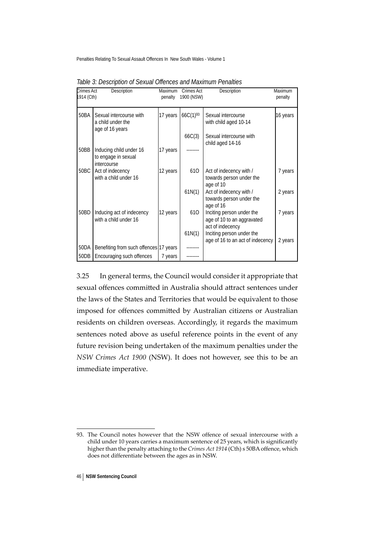Penalties Relating To Sexual Assault Offences In New South Wales - Volume 1

| Crimes Act<br>1914 (Cth) | Description                                                     | <b>Maximum</b><br>penalty | Crimes Act<br>1900 (NSW) | Description                                                                 | Maximum<br>penalty |
|--------------------------|-----------------------------------------------------------------|---------------------------|--------------------------|-----------------------------------------------------------------------------|--------------------|
| 50BA                     | Sexual intercourse with<br>a child under the<br>age of 16 years | 17 years                  | $66C(1)^{93}$            | Sexual intercourse<br>with child aged 10-14                                 | 16 years           |
|                          |                                                                 |                           | 66C(3)                   | Sexual intercourse with<br>child aged 14-16                                 |                    |
| 50BB                     | Inducing child under 16<br>to engage in sexual<br>intercourse   | 17 years                  |                          |                                                                             |                    |
| 50BC                     | Act of indecency<br>with a child under 16                       | 12 years                  | 610                      | Act of indecency with /<br>towards person under the<br>age of 10            | 7 years            |
|                          |                                                                 |                           | 61N(1)                   | Act of indecency with /<br>towards person under the<br>age of 16            | 2 years            |
| 50BD                     | Inducing act of indecency<br>with a child under 16              | 12 years                  | 610                      | Inciting person under the<br>age of 10 to an aggravated<br>act of indecency | 7 years            |
|                          |                                                                 |                           | 61N(1)                   | Inciting person under the<br>age of 16 to an act of indecency               | 2 years            |
| 50DA                     | Benefiting from such offences 17 years                          |                           |                          |                                                                             |                    |
| 50DB                     | Encouraging such offences                                       | 7 years                   |                          |                                                                             |                    |

*Table 3: Description of Sexual Offences and Maximum Penalties*

3.25 In general terms, the Council would consider it appropriate that sexual offences committed in Australia should attract sentences under the laws of the States and Territories that would be equivalent to those imposed for offences committed by Australian citizens or Australian residents on children overseas. Accordingly, it regards the maximum sentences noted above as useful reference points in the event of any future revision being undertaken of the maximum penalties under the *NSW Crimes Act 1900* (NSW). It does not however, see this to be an immediate imperative.

46 **NSW Sentencing Council**

<sup>93.</sup> The Council notes however that the NSW offence of sexual intercourse with a child under 10 years carries a maximum sentence of 25 years, which is significantly higher than the penalty attaching to the *Crimes Act 1914* (Cth) s 50BA offence, which does not differentiate between the ages as in NSW.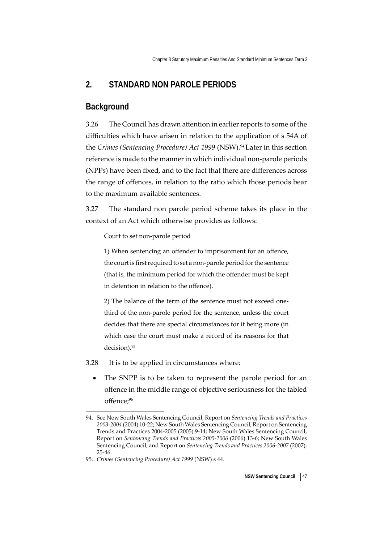# **2. STANDARD NON PAROLE PERIODS**

## **Background**

3.26 The Council has drawn attention in earlier reports to some of the difficulties which have arisen in relation to the application of s 54A of the *Crimes (Sentencing Procedure) Act 1999* (NSW).<sup>94</sup> Later in this section reference is made to the manner in which individual non-parole periods (NPPs) have been fixed, and to the fact that there are differences across the range of offences, in relation to the ratio which those periods bear to the maximum available sentences.

3.27 The standard non parole period scheme takes its place in the context of an Act which otherwise provides as follows:

Court to set non-parole period

1) When sentencing an offender to imprisonment for an offence, the court is first required to set a non-parole period for the sentence (that is, the minimum period for which the offender must be kept in detention in relation to the offence).

2) The balance of the term of the sentence must not exceed onethird of the non-parole period for the sentence, unless the court decides that there are special circumstances for it being more (in which case the court must make a record of its reasons for that decision).95

3.28 It is to be applied in circumstances where:

The SNPP is to be taken to represent the parole period for an offence in the middle range of objective seriousness for the tabled offence;<sup>96</sup>

<sup>94.</sup> See New South Wales Sentencing Council, Report on *Sentencing Trends and Practices 2003-2004* (2004) 10-22; New South Wales Sentencing Council, Report on Sentencing Trends and Practices 2004-2005 (2005) 9-14; New South Wales Sentencing Council, Report on *Sentencing Trends and Practices 2005-2006* (2006) 13-6; New South Wales Sentencing Council, and Report on *Sentencing Trends and Practices 2006-2007* (2007), 25-46.

<sup>95.</sup> *Crimes (Sentencing Procedure) Act 1999* (NSW) s 44.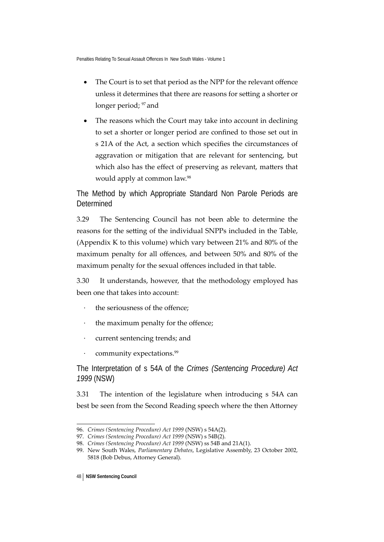- The Court is to set that period as the NPP for the relevant offence unless it determines that there are reasons for setting a shorter or longer period; <sup>97</sup> and
- The reasons which the Court may take into account in declining to set a shorter or longer period are confined to those set out in s 21A of the Act, a section which specifies the circumstances of aggravation or mitigation that are relevant for sentencing, but which also has the effect of preserving as relevant, matters that would apply at common law.98

The Method by which Appropriate Standard Non Parole Periods are Determined

3.29 The Sentencing Council has not been able to determine the reasons for the setting of the individual SNPPs included in the Table, (Appendix K to this volume) which vary between 21% and 80% of the maximum penalty for all offences, and between 50% and 80% of the maximum penalty for the sexual offences included in that table.

3.30 It understands, however, that the methodology employed has been one that takes into account:

- the seriousness of the offence:
- the maximum penalty for the offence;
- current sentencing trends; and
- community expectations.<sup>99</sup>

The Interpretation of s 54A of the *Crimes (Sentencing Procedure) Act 1999* (NSW)

3.31 The intention of the legislature when introducing s 54A can best be seen from the Second Reading speech where the then Attorney

48 **NSW Sentencing Council**

<sup>96.</sup> *Crimes (Sentencing Procedure) Act 1999* (NSW) s 54A(2).

<sup>97.</sup> *Crimes (Sentencing Procedure) Act 1999* (NSW) s 54B(2).

<sup>98.</sup> *Crimes (Sentencing Procedure) Act 1999* (NSW) ss 54B and 21A(1).

<sup>99.</sup> New South Wales, *Parliamentary Debates*, Legislative Assembly, 23 October 2002, 5818 (Bob Debus, Attorney General).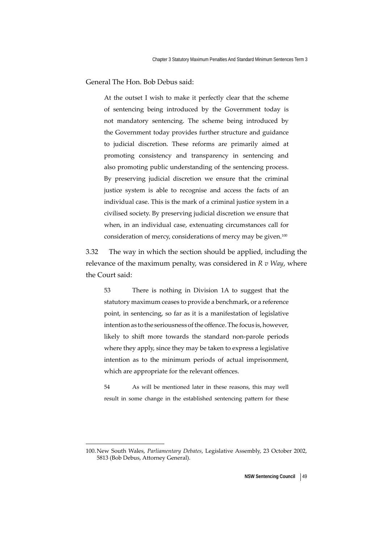General The Hon. Bob Debus said:

At the outset I wish to make it perfectly clear that the scheme of sentencing being introduced by the Government today is not mandatory sentencing. The scheme being introduced by the Government today provides further structure and guidance to judicial discretion. These reforms are primarily aimed at promoting consistency and transparency in sentencing and also promoting public understanding of the sentencing process. By preserving judicial discretion we ensure that the criminal justice system is able to recognise and access the facts of an individual case. This is the mark of a criminal justice system in a civilised society. By preserving judicial discretion we ensure that when, in an individual case, extenuating circumstances call for consideration of mercy, considerations of mercy may be given.100

3.32 The way in which the section should be applied, including the relevance of the maximum penalty, was considered in *R v Way*, where the Court said:

53 There is nothing in Division 1A to suggest that the statutory maximum ceases to provide a benchmark, or a reference point, in sentencing, so far as it is a manifestation of legislative intention as to the seriousness of the offence. The focus is, however, likely to shift more towards the standard non-parole periods where they apply, since they may be taken to express a legislative intention as to the minimum periods of actual imprisonment, which are appropriate for the relevant offences.

54 As will be mentioned later in these reasons, this may well result in some change in the established sentencing pattern for these

<sup>100.</sup> New South Wales, *Parliamentary Debates*, Legislative Assembly, 23 October 2002, 5813 (Bob Debus, Attorney General).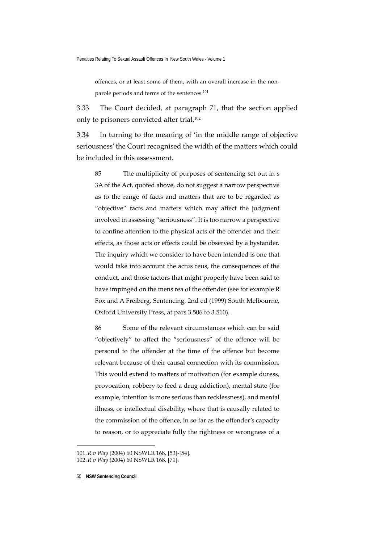offences, or at least some of them, with an overall increase in the nonparole periods and terms of the sentences.101

3.33 The Court decided, at paragraph 71, that the section applied only to prisoners convicted after trial.<sup>102</sup>

3.34 In turning to the meaning of 'in the middle range of objective seriousness' the Court recognised the width of the matters which could be included in this assessment.

85 The multiplicity of purposes of sentencing set out in s 3A of the Act, quoted above, do not suggest a narrow perspective as to the range of facts and matters that are to be regarded as "objective" facts and matters which may affect the judgment involved in assessing "seriousness". It is too narrow a perspective to confine attention to the physical acts of the offender and their effects, as those acts or effects could be observed by a bystander. The inquiry which we consider to have been intended is one that would take into account the actus reus, the consequences of the conduct, and those factors that might properly have been said to have impinged on the mens rea of the offender (see for example R Fox and A Freiberg, Sentencing, 2nd ed (1999) South Melbourne, Oxford University Press, at pars 3.506 to 3.510).

86 Some of the relevant circumstances which can be said "objectively" to affect the "seriousness" of the offence will be personal to the offender at the time of the offence but become relevant because of their causal connection with its commission. This would extend to matters of motivation (for example duress, provocation, robbery to feed a drug addiction), mental state (for example, intention is more serious than recklessness), and mental illness, or intellectual disability, where that is causally related to the commission of the offence, in so far as the offender's capacity to reason, or to appreciate fully the rightness or wrongness of a

<sup>101.</sup> *R v Way* (2004) 60 NSWLR 168, [53]-[54].

<sup>102.</sup> *R v Way* (2004) 60 NSWLR 168, [71].

<sup>50</sup> **NSW Sentencing Council**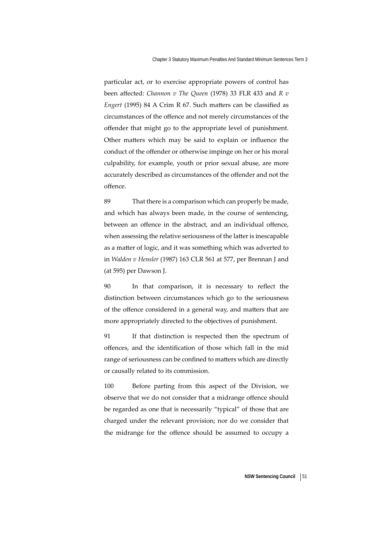particular act, or to exercise appropriate powers of control has been aff ected: *Channon v The Queen* (1978) 33 FLR 433 and *R v Engert* (1995) 84 A Crim R 67. Such matters can be classified as circumstances of the offence and not merely circumstances of the offender that might go to the appropriate level of punishment. Other matters which may be said to explain or influence the conduct of the offender or otherwise impinge on her or his moral culpability, for example, youth or prior sexual abuse, are more accurately described as circumstances of the offender and not the offence.

89 That there is a comparison which can properly be made, and which has always been made, in the course of sentencing, between an offence in the abstract, and an individual offence, when assessing the relative seriousness of the latter is inescapable as a matter of logic, and it was something which was adverted to in *Walden v Hensler* (1987) 163 CLR 561 at 577, per Brennan J and (at 595) per Dawson J.

90 In that comparison, it is necessary to reflect the distinction between circumstances which go to the seriousness of the offence considered in a general way, and matters that are more appropriately directed to the objectives of punishment.

91 If that distinction is respected then the spectrum of offences, and the identification of those which fall in the mid range of seriousness can be confined to matters which are directly or causally related to its commission.

100 Before parting from this aspect of the Division, we observe that we do not consider that a midrange offence should be regarded as one that is necessarily "typical" of those that are charged under the relevant provision; nor do we consider that the midrange for the offence should be assumed to occupy a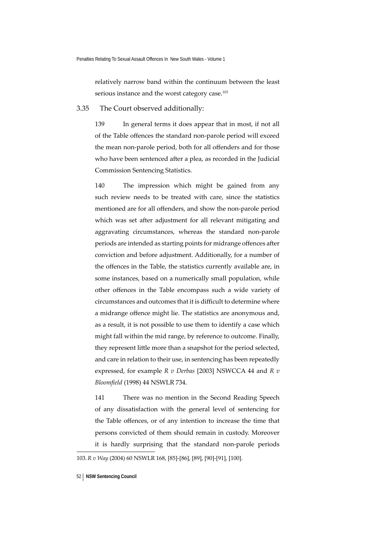relatively narrow band within the continuum between the least serious instance and the worst category case.<sup>103</sup>

3.35 The Court observed additionally:

139 In general terms it does appear that in most, if not all of the Table offences the standard non-parole period will exceed the mean non-parole period, both for all offenders and for those who have been sentenced after a plea, as recorded in the Judicial Commission Sentencing Statistics.

140 The impression which might be gained from any such review needs to be treated with care, since the statistics mentioned are for all offenders, and show the non-parole period which was set after adjustment for all relevant mitigating and aggravating circumstances, whereas the standard non-parole periods are intended as starting points for midrange offences after conviction and before adjustment. Additionally, for a number of the offences in the Table, the statistics currently available are, in some instances, based on a numerically small population, while other offences in the Table encompass such a wide variety of circumstances and outcomes that it is difficult to determine where a midrange offence might lie. The statistics are anonymous and, as a result, it is not possible to use them to identify a case which might fall within the mid range, by reference to outcome. Finally, they represent little more than a snapshot for the period selected, and care in relation to their use, in sentencing has been repeatedly expressed, for example *R v Derbas* [2003] NSWCCA 44 and *R v Bloomfi eld* (1998) 44 NSWLR 734.

141 There was no mention in the Second Reading Speech of any dissatisfaction with the general level of sentencing for the Table offences, or of any intention to increase the time that persons convicted of them should remain in custody. Moreover it is hardly surprising that the standard non-parole periods

<sup>103.</sup> *R v Way* (2004) 60 NSWLR 168, [85]-[86], [89], [90]-[91], [100].

<sup>52</sup> **NSW Sentencing Council**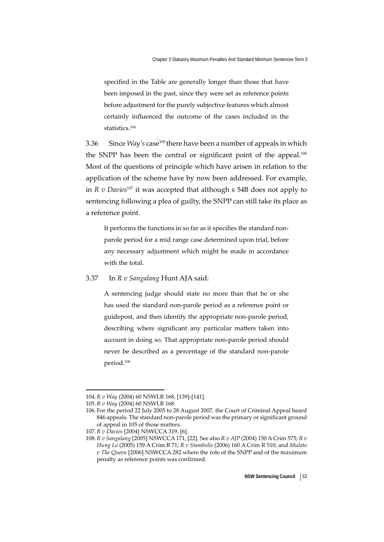specified in the Table are generally longer than those that have been imposed in the past, since they were set as reference points before adjustment for the purely subjective features which almost certainly influenced the outcome of the cases included in the statistics.104

3.36 Since *Way's* case105 there have been a number of appeals in which the SNPP has been the central or significant point of the appeal.<sup>106</sup> Most of the questions of principle which have arisen in relation to the application of the scheme have by now been addressed. For example, in *R v Davies*107 it was accepted that although s 54B does not apply to sentencing following a plea of guilty, the SNPP can still take its place as a reference point.

It performs the functions in so far as it specifies the standard nonparole period for a mid range case determined upon trial, before any necessary adjustment which might be made in accordance with the total.

#### 3.37 In *R v Sangalang* Hunt AJA said:

A sentencing judge should state no more than that he or she has used the standard non-parole period as a reference point or guidepost, and then identify the appropriate non-parole period, describing where significant any particular matters taken into account in doing so. That appropriate non-parole period should never be described as a percentage of the standard non-parole period.108

<sup>104.</sup> *R v Way* (2004) 60 NSWLR 168, [139]-[141].

<sup>105.</sup> *R v Way* (2004) 60 NSWLR 168.

<sup>106.</sup> For the period 22 July 2005 to 28 August 2007, the Court of Criminal Appeal heard 846 appeals. The standard non-parole period was the primary or significant ground of appeal in 105 of those matters.

<sup>107.</sup> *R v Davies* [2004] NSWCCA 319, [6].

<sup>108.</sup> *R v Sangalang* [2005] NSWCCA 171, [22]. See also *R v AJP* (2004) 150 A Crim 575; *R v Hung Lo* (2005) 159 A Crim R 71; *R v Stambolis* (2006) 160 A Crim R 510; and *Mulato v The Queen* [2006] NSWCCA 282 where the role of the SNPP and of the maximum penalty as reference points was confirmed.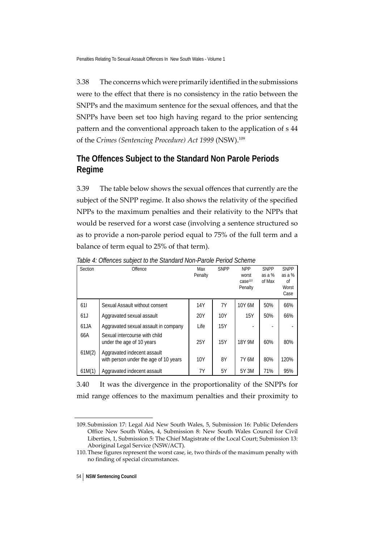3.38 The concerns which were primarily identified in the submissions were to the effect that there is no consistency in the ratio between the SNPPs and the maximum sentence for the sexual offences, and that the SNPPs have been set too high having regard to the prior sentencing pattern and the conventional approach taken to the application of s 44 of the *Crimes (Sentencing Procedure) Act 1999* (NSW).109

# **The Offences Subject to the Standard Non Parole Periods Regime**

3.39 The table below shows the sexual offences that currently are the subject of the SNPP regime. It also shows the relativity of the specified NPPs to the maximum penalties and their relativity to the NPPs that would be reserved for a worst case (involving a sentence structured so as to provide a non-parole period equal to 75% of the full term and a balance of term equal to 25% of that term).

| Section | Offence                                                              | Max<br>Penalty | <b>SNPP</b> | <b>NPP</b><br>worst<br>case <sup>110</sup><br>Penalty | <b>SNPP</b><br>as a %<br>of Max | <b>SNPP</b><br>as a %<br>0f<br>Worst<br>Case |
|---------|----------------------------------------------------------------------|----------------|-------------|-------------------------------------------------------|---------------------------------|----------------------------------------------|
| 611     | Sexual Assault without consent                                       | 14Y            | 7Y          | 10Y 6M                                                | 50%                             | 66%                                          |
| 61J     | Aggravated sexual assault                                            | 20Y            | 10Y         | 15Y                                                   | 50%                             | 66%                                          |
| 61JA    | Aggravated sexual assault in company                                 | Life           | 15Y         |                                                       |                                 |                                              |
| 66A     | Sexual intercourse with child<br>under the age of 10 years           | 25Y            | 15Y         | 18Y 9M                                                | 60%                             | 80%                                          |
| 61M(2)  | Aggravated indecent assault<br>with person under the age of 10 years | 10Y            | 8Y          | 7Y 6M                                                 | 80%                             | 120%                                         |
| 61M(1)  | Aggravated indecent assault                                          | 7Y             | 5Y          | 5Y 3M                                                 | 71%                             | 95%                                          |

*Table 4: Offences subject to the Standard Non-Parole Period Scheme*

3.40 It was the divergence in the proportionality of the SNPPs for mid range offences to the maximum penalties and their proximity to

<sup>109.</sup> Submission 17: Legal Aid New South Wales, 5, Submission 16: Public Defenders Office New South Wales, 4, Submission 8: New South Wales Council for Civil Liberties, 1, Submission 5: The Chief Magistrate of the Local Court; Submission 13: Aboriginal Legal Service (NSW/ACT).

<sup>110.</sup> These figures represent the worst case, ie, two thirds of the maximum penalty with no finding of special circumstances.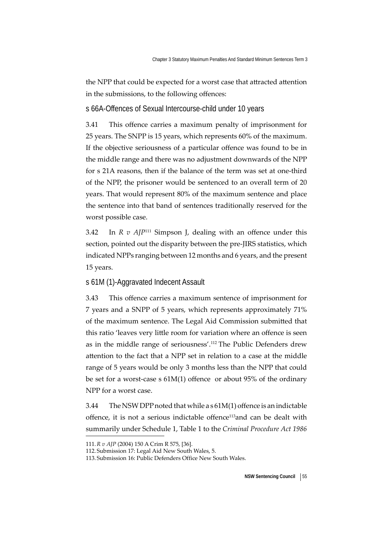the NPP that could be expected for a worst case that attracted attention in the submissions, to the following offences:

s 66A-Offences of Sexual Intercourse-child under 10 years

3.41 This offence carries a maximum penalty of imprisonment for 25 years. The SNPP is 15 years, which represents 60% of the maximum. If the objective seriousness of a particular offence was found to be in the middle range and there was no adjustment downwards of the NPP for s 21A reasons, then if the balance of the term was set at one-third of the NPP, the prisoner would be sentenced to an overall term of 20 years. That would represent 80% of the maximum sentence and place the sentence into that band of sentences traditionally reserved for the worst possible case.

3.42 In  $R \, v \, A/P^{111}$  Simpson J, dealing with an offence under this section, pointed out the disparity between the pre-JIRS statistics, which indicated NPPs ranging between 12 months and 6 years, and the present 15 years.

s 61M (1)-Aggravated Indecent Assault

3.43 This offence carries a maximum sentence of imprisonment for 7 years and a SNPP of 5 years, which represents approximately 71% of the maximum sentence. The Legal Aid Commission submitted that this ratio 'leaves very little room for variation where an offence is seen as in the middle range of seriousness'.112 The Public Defenders drew attention to the fact that a NPP set in relation to a case at the middle range of 5 years would be only 3 months less than the NPP that could be set for a worst-case  $s$  61M(1) offence or about 95% of the ordinary NPP for a worst case.

3.44 The NSW DPP noted that while a  $s$  61M(1) offence is an indictable offence, it is not a serious indictable offence<sup>113</sup>and can be dealt with summarily under Schedule 1, Table 1 to the *Criminal Procedure Act 1986* 

<sup>111.</sup> *R v AJP* (2004) 150 A Crim R 575, [36].

<sup>112.</sup> Submission 17: Legal Aid New South Wales, 5.

<sup>113.</sup> Submission 16: Public Defenders Office New South Wales.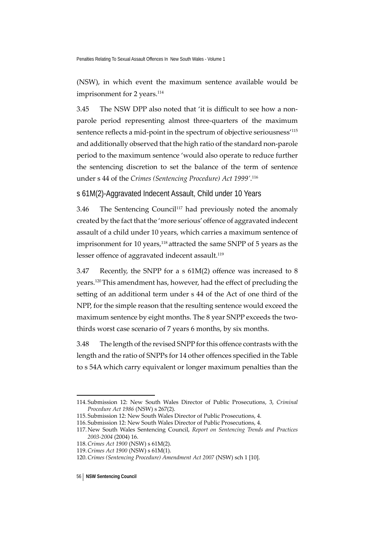(NSW), in which event the maximum sentence available would be imprisonment for 2 years.<sup>114</sup>

3.45 The NSW DPP also noted that 'it is difficult to see how a nonparole period representing almost three-quarters of the maximum sentence reflects a mid-point in the spectrum of objective seriousness<sup>'115</sup> and additionally observed that the high ratio of the standard non-parole period to the maximum sentence 'would also operate to reduce further the sentencing discretion to set the balance of the term of sentence under s 44 of the *Crimes (Sentencing Procedure) Act 1999'*. 116

s 61M(2)-Aggravated Indecent Assault, Child under 10 Years

 $3.46$  The Sentencing Council<sup>117</sup> had previously noted the anomaly created by the fact that the 'more serious' offence of aggravated indecent assault of a child under 10 years, which carries a maximum sentence of imprisonment for 10 years,<sup>118</sup> attracted the same SNPP of 5 years as the lesser offence of aggravated indecent assault.<sup>119</sup>

3.47 Recently, the SNPP for a s  $61M(2)$  offence was increased to 8 years.<sup>120</sup> This amendment has, however, had the effect of precluding the setting of an additional term under s 44 of the Act of one third of the NPP, for the simple reason that the resulting sentence would exceed the maximum sentence by eight months. The 8 year SNPP exceeds the twothirds worst case scenario of 7 years 6 months, by six months.

3.48 The length of the revised SNPP for this offence contrasts with the length and the ratio of SNPPs for 14 other offences specified in the Table to s 54A which carry equivalent or longer maximum penalties than the

<sup>114.</sup> Submission 12: New South Wales Director of Public Prosecutions, 3, *Criminal Procedure Act 1986* (NSW) s 267(2).

<sup>115.</sup> Submission 12: New South Wales Director of Public Prosecutions, 4.

<sup>116.</sup> Submission 12: New South Wales Director of Public Prosecutions, 4.

<sup>117.</sup> New South Wales Sentencing Council, *Report on Sentencing Trends and Practices 2003-2004* (2004) 16.

<sup>118.</sup> *Crimes Act 1900* (NSW) s 61M(2).

<sup>119.</sup> *Crimes Act 1900* (NSW) s 61M(1).

<sup>120.</sup> *Crimes (Sentencing Procedure) Amendment Act 2007* (NSW) sch 1 [10].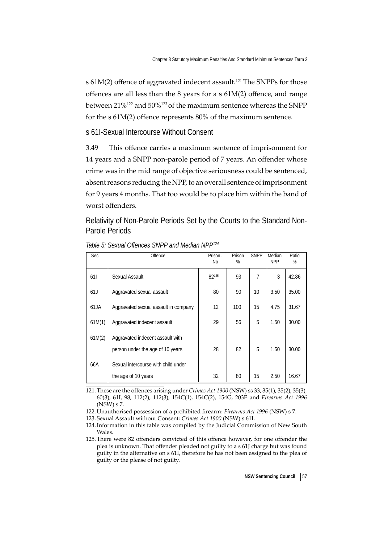s 61M(2) offence of aggravated indecent assault.<sup>121</sup> The SNPPs for those offences are all less than the 8 years for a  $s$  61M(2) offence, and range between 21%122 and 50%123 of the maximum sentence whereas the SNPP for the s  $61M(2)$  offence represents  $80\%$  of the maximum sentence.

s 61I-Sexual Intercourse Without Consent

3.49 This offence carries a maximum sentence of imprisonment for 14 years and a SNPP non-parole period of 7 years. An offender whose crime was in the mid range of objective seriousness could be sentenced, absent reasons reducing the NPP, to an overall sentence of imprisonment for 9 years 4 months. That too would be to place him within the band of worst offenders.

Relativity of Non-Parole Periods Set by the Courts to the Standard Non-Parole Periods

| Sec           | Offence                                                                                                     | Prison.<br>No | Prison<br>$\%$ | <b>SNPP</b>     | Median<br><b>NPP</b> | Ratio<br>% |
|---------------|-------------------------------------------------------------------------------------------------------------|---------------|----------------|-----------------|----------------------|------------|
| 611           | Sexual Assault                                                                                              | 82125         | 93             | 7               | 3                    | 42.86      |
| 61J           | Aggravated sexual assault                                                                                   | 80            | 90             | 10 <sup>1</sup> | 3.50                 | 35.00      |
| 61JA          | Aggravated sexual assault in company                                                                        | 12            | 100            | 15              | 4.75                 | 31.67      |
| 61M(1)        | Aggravated indecent assault                                                                                 | 29            | 56             | 5               | 1.50                 | 30.00      |
| 61M(2)<br>66A | Aggravated indecent assault with<br>person under the age of 10 years<br>Sexual intercourse with child under | 28            | 82             | 5               | 1.50                 | 30.00      |
|               | the age of 10 years                                                                                         | 32            | 80             | 15              | 2.50                 | 16.67      |

*Table 5: Sexual Offences SNPP and Median NPP124*

121. These are the offences arising under *Crimes Act 1900* (NSW) ss 33, 35(1), 35(2), 35(3), 60(3), 61I, 98, 112(2), 112(3), 154C(1), 154C(2), 154G, 203E and *Firearms Act 1996* (NSW) s 7.

122. Unauthorised possession of a prohibited firearm: *Firearms Act 1996* (NSW) s 7.

123. Sexual Assault without Consent: *Crimes Act 1900* (NSW) s 61I.

<sup>124.</sup> Information in this table was compiled by the Judicial Commission of New South Wales.

<sup>125.</sup> There were 82 offenders convicted of this offence however, for one offender the plea is unknown. That offender pleaded not guilty to a s 61J charge but was found guilty in the alternative on s 61I, therefore he has not been assigned to the plea of guilty or the please of not guilty.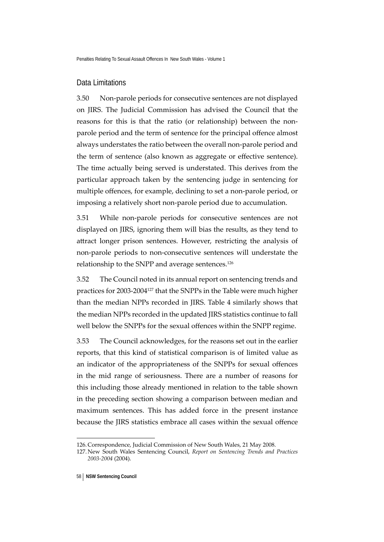## Data Limitations

3.50 Non-parole periods for consecutive sentences are not displayed on JIRS. The Judicial Commission has advised the Council that the reasons for this is that the ratio (or relationship) between the nonparole period and the term of sentence for the principal offence almost always understates the ratio between the overall non-parole period and the term of sentence (also known as aggregate or effective sentence). The time actually being served is understated. This derives from the particular approach taken by the sentencing judge in sentencing for multiple offences, for example, declining to set a non-parole period, or imposing a relatively short non-parole period due to accumulation.

3.51 While non-parole periods for consecutive sentences are not displayed on JIRS, ignoring them will bias the results, as they tend to attract longer prison sentences. However, restricting the analysis of non-parole periods to non-consecutive sentences will understate the relationship to the SNPP and average sentences.<sup>126</sup>

3.52 The Council noted in its annual report on sentencing trends and practices for 2003-2004127 that the SNPPs in the Table were much higher than the median NPPs recorded in JIRS. Table 4 similarly shows that the median NPPs recorded in the updated JIRS statistics continue to fall well below the SNPPs for the sexual offences within the SNPP regime.

3.53 The Council acknowledges, for the reasons set out in the earlier reports, that this kind of statistical comparison is of limited value as an indicator of the appropriateness of the SNPPs for sexual offences in the mid range of seriousness. There are a number of reasons for this including those already mentioned in relation to the table shown in the preceding section showing a comparison between median and maximum sentences. This has added force in the present instance because the JIRS statistics embrace all cases within the sexual offence

<sup>126.</sup> Correspondence, Judicial Commission of New South Wales, 21 May 2008.

<sup>127.</sup> New South Wales Sentencing Council, *Report on Sentencing Trends and Practices 2003-2004* (2004).

<sup>58</sup> **NSW Sentencing Council**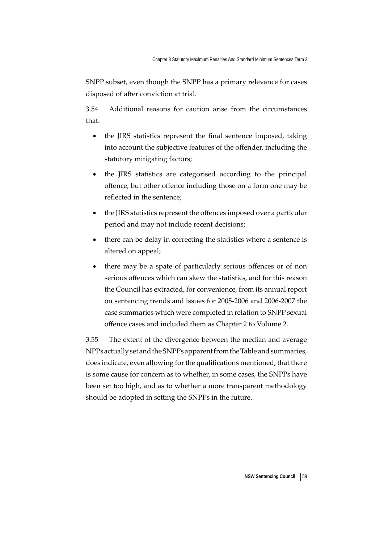SNPP subset, even though the SNPP has a primary relevance for cases disposed of after conviction at trial.

3.54 Additional reasons for caution arise from the circumstances that:

- the JIRS statistics represent the final sentence imposed, taking into account the subjective features of the offender, including the statutory mitigating factors;
- the JIRS statistics are categorised according to the principal offence, but other offence including those on a form one may be reflected in the sentence;
- the JIRS statistics represent the offences imposed over a particular period and may not include recent decisions;
- there can be delay in correcting the statistics where a sentence is altered on appeal;
- there may be a spate of particularly serious offences or of non serious offences which can skew the statistics, and for this reason the Council has extracted, for convenience, from its annual report on sentencing trends and issues for 2005-2006 and 2006-2007 the case summaries which were completed in relation to SNPP sexual offence cases and included them as Chapter 2 to Volume 2.

3.55 The extent of the divergence between the median and average NPPs actually set and the SNPPs apparent from the Table and summaries, does indicate, even allowing for the qualifications mentioned, that there is some cause for concern as to whether, in some cases, the SNPPs have been set too high, and as to whether a more transparent methodology should be adopted in setting the SNPPs in the future.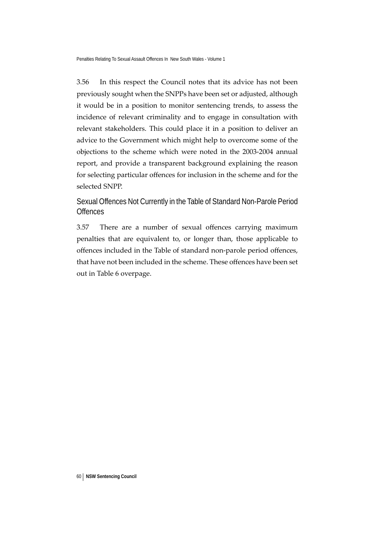3.56 In this respect the Council notes that its advice has not been previously sought when the SNPPs have been set or adjusted, although it would be in a position to monitor sentencing trends, to assess the incidence of relevant criminality and to engage in consultation with relevant stakeholders. This could place it in a position to deliver an advice to the Government which might help to overcome some of the objections to the scheme which were noted in the 2003-2004 annual report, and provide a transparent background explaining the reason for selecting particular offences for inclusion in the scheme and for the selected SNPP.

Sexual Offences Not Currently in the Table of Standard Non-Parole Period **Offences** 

3.57 There are a number of sexual offences carrying maximum penalties that are equivalent to, or longer than, those applicable to offences included in the Table of standard non-parole period offences, that have not been included in the scheme. These offences have been set out in Table 6 overpage.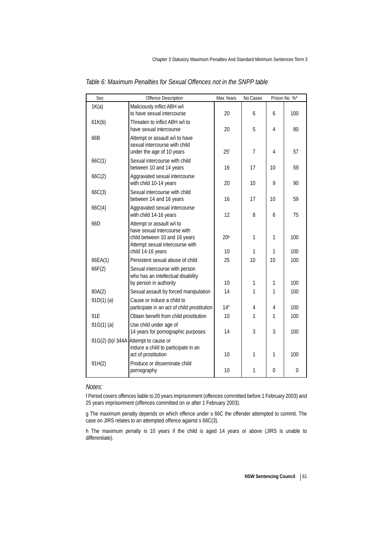| Sec          | Offence Description                                                                                                                                | Max Years             | No Cases       |                | Prison No %* |
|--------------|----------------------------------------------------------------------------------------------------------------------------------------------------|-----------------------|----------------|----------------|--------------|
| 1K(a)        | Maliciously inflict ABH w/i<br>to have sexual intercourse                                                                                          | 20                    | 6              | 6              | 100          |
| 61K(b)       | Threaten to inflict ABH w/i to<br>have sexual intercourse                                                                                          | 20                    | 5              | $\overline{4}$ | 80           |
| 66B          | Attempt or assault w/i to have<br>sexual intercourse with child<br>under the age of 10 years                                                       | 25 <sup>f</sup>       | $\overline{7}$ | $\overline{4}$ | 57           |
| 66C(1)       | Sexual intercourse with child<br>between 10 and 14 years                                                                                           | 16                    | 17             | 10             | 59           |
| 66C(2)       | Aggravated sexual intercourse<br>with child 10-14 years                                                                                            | 20                    | 10             | 9              | 90           |
| 66C(3)       | Sexual intercourse with child<br>between 14 and 16 years                                                                                           | 16                    | 17             | 10             | 59           |
| 66C(4)       | Aggravated sexual intercourse<br>with child 14-16 years                                                                                            | 12                    | 8              | 6              | 75           |
| 66D          | Attempt or assault w/i to<br>have sexual intercourse with<br>child between 10 and 16 years<br>Attempt sexual intercourse with<br>child 14-16 years | 20 <sup>9</sup><br>10 | 1<br>1         | 1<br>1         | 100<br>100   |
| 66EA(1)      | Persistent sexual abuse of child                                                                                                                   | 25                    | 10             | 10             | 100          |
| 66F(2)       | Sexual intercourse with person<br>who has an intellectual disability<br>by person in authority                                                     | 10                    | 1              | 1              | 100          |
| 80A(2)       | Sexual assault by forced manipulation                                                                                                              | 14                    | 1              | 1              | 100          |
| $91D(1)$ (a) | Cause or induce a child to<br>participate in an act of child prostitution                                                                          | 14 <sup>h</sup>       | 4              | $\overline{4}$ | 100          |
| 91E          | Obtain benefit from child prostitution                                                                                                             | 10                    | 1              | 1              | 100          |
| $91G(1)$ (a) | Use child under age of<br>14 years for pornographic purposes                                                                                       | 14                    | 3              | 3              | 100          |
|              | 91G(2) (b)/ 344A Attempt to cause or<br>induce a child to participate in an<br>act of prostitution                                                 | 10                    | 1              | 1              | 100          |
| 91H(2)       | Produce or disseminate child<br>pornography                                                                                                        | 10                    | 1              | $\mathbf 0$    | $\mathbf{0}$ |

*Table 6: Maximum Penalties for Sexual Offences not in the SNPP table*

#### *Notes:*

f Period covers offences liable to 20 years imprisonment (offences committed before 1 February 2003) and 25 years imprisonment (offences committed on or after 1 February 2003).

g The maximum penalty depends on which offence under s 66C the offender attempted to commit. The case on JIRS relates to an attempted offence against s 66C(3).

h The maximum penalty is 10 years if the child is aged 14 years or above (JIRS is unable to differentiate).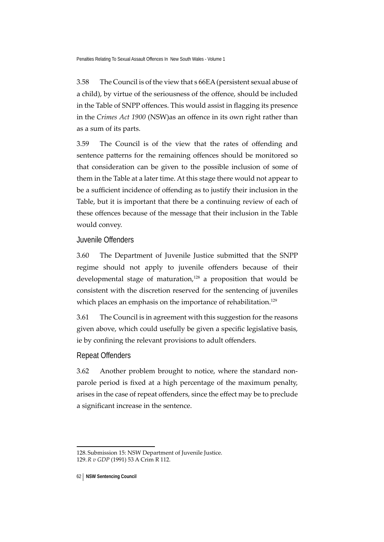3.58 The Council is of the view that s 66EA (persistent sexual abuse of a child), by virtue of the seriousness of the offence, should be included in the Table of SNPP offences. This would assist in flagging its presence in the *Crimes Act* 1900 (NSW)as an offence in its own right rather than as a sum of its parts.

3.59 The Council is of the view that the rates of offending and sentence patterns for the remaining offences should be monitored so that consideration can be given to the possible inclusion of some of them in the Table at a later time. At this stage there would not appear to be a sufficient incidence of offending as to justify their inclusion in the Table, but it is important that there be a continuing review of each of these offences because of the message that their inclusion in the Table would convey.

## Juvenile Offenders

3.60 The Department of Juvenile Justice submitted that the SNPP regime should not apply to juvenile offenders because of their developmental stage of maturation, $128$  a proposition that would be consistent with the discretion reserved for the sentencing of juveniles which places an emphasis on the importance of rehabilitation.<sup>129</sup>

3.61 The Council is in agreement with this suggestion for the reasons given above, which could usefully be given a specific legislative basis, ie by confining the relevant provisions to adult offenders.

#### Repeat Offenders

3.62 Another problem brought to notice, where the standard nonparole period is fixed at a high percentage of the maximum penalty, arises in the case of repeat offenders, since the effect may be to preclude a significant increase in the sentence.

<sup>128.</sup> Submission 15: NSW Department of Juvenile Justice.

<sup>129.</sup> *R v GDP* (1991) 53 A Crim R 112.

<sup>62</sup> **NSW Sentencing Council**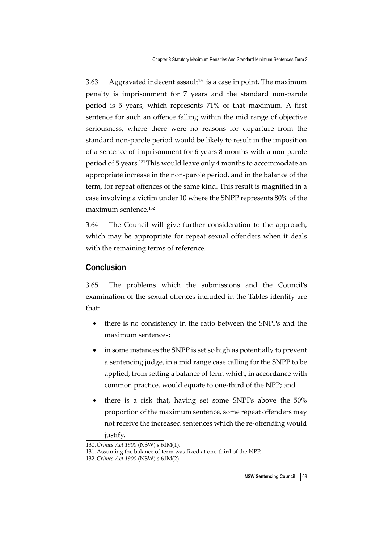3.63 Aggravated indecent assault<sup>130</sup> is a case in point. The maximum penalty is imprisonment for 7 years and the standard non-parole period is 5 years, which represents 71% of that maximum. A first sentence for such an offence falling within the mid range of objective seriousness, where there were no reasons for departure from the standard non-parole period would be likely to result in the imposition of a sentence of imprisonment for 6 years 8 months with a non-parole period of 5 years.131 This would leave only 4 months to accommodate an appropriate increase in the non-parole period, and in the balance of the term, for repeat offences of the same kind. This result is magnified in a case involving a victim under 10 where the SNPP represents 80% of the maximum sentence.<sup>132</sup>

3.64 The Council will give further consideration to the approach, which may be appropriate for repeat sexual offenders when it deals with the remaining terms of reference.

## **Conclusion**

3.65 The problems which the submissions and the Council's examination of the sexual offences included in the Tables identify are that:

- there is no consistency in the ratio between the SNPPs and the maximum sentences;
- in some instances the SNPP is set so high as potentially to prevent a sentencing judge, in a mid range case calling for the SNPP to be applied, from setting a balance of term which, in accordance with common practice, would equate to one-third of the NPP; and
- there is a risk that, having set some SNPPs above the 50% proportion of the maximum sentence, some repeat offenders may not receive the increased sentences which the re-offending would

justify.

<sup>130.</sup> *Crimes Act 1900* (NSW) s 61M(1).

<sup>131.</sup> Assuming the balance of term was fixed at one-third of the NPP.

<sup>132.</sup> *Crimes Act 1900* (NSW) s 61M(2).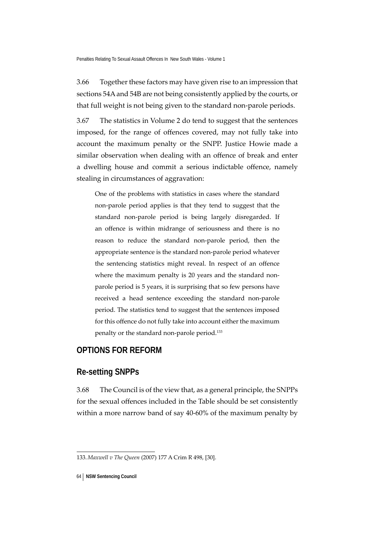3.66 Together these factors may have given rise to an impression that sections 54A and 54B are not being consistently applied by the courts, or that full weight is not being given to the standard non-parole periods.

3.67 The statistics in Volume 2 do tend to suggest that the sentences imposed, for the range of offences covered, may not fully take into account the maximum penalty or the SNPP. Justice Howie made a similar observation when dealing with an offence of break and enter a dwelling house and commit a serious indictable offence, namely stealing in circumstances of aggravation:

One of the problems with statistics in cases where the standard non-parole period applies is that they tend to suggest that the standard non-parole period is being largely disregarded. If an offence is within midrange of seriousness and there is no reason to reduce the standard non-parole period, then the appropriate sentence is the standard non-parole period whatever the sentencing statistics might reveal. In respect of an offence where the maximum penalty is 20 years and the standard nonparole period is 5 years, it is surprising that so few persons have received a head sentence exceeding the standard non-parole period. The statistics tend to suggest that the sentences imposed for this offence do not fully take into account either the maximum penalty or the standard non-parole period.133

# **OPTIONS FOR REFORM**

## **Re-setting SNPPs**

3.68 The Council is of the view that, as a general principle, the SNPPs for the sexual offences included in the Table should be set consistently within a more narrow band of say 40-60% of the maximum penalty by

<sup>133.</sup> *Maxwell v The Queen* (2007) 177 A Crim R 498, [30].

<sup>64</sup> **NSW Sentencing Council**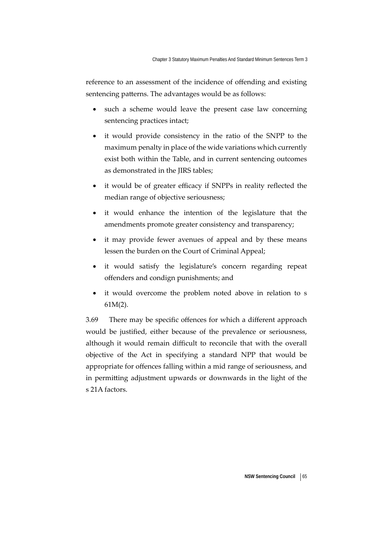reference to an assessment of the incidence of offending and existing sentencing patterns. The advantages would be as follows:

- such a scheme would leave the present case law concerning sentencing practices intact;
- it would provide consistency in the ratio of the SNPP to the maximum penalty in place of the wide variations which currently exist both within the Table, and in current sentencing outcomes as demonstrated in the JIRS tables;
- it would be of greater efficacy if SNPPs in reality reflected the median range of objective seriousness;
- it would enhance the intention of the legislature that the amendments promote greater consistency and transparency;
- it may provide fewer avenues of appeal and by these means lessen the burden on the Court of Criminal Appeal;
- it would satisfy the legislature's concern regarding repeat offenders and condign punishments; and
- it would overcome the problem noted above in relation to s 61M(2).

3.69 There may be specific offences for which a different approach would be justified, either because of the prevalence or seriousness, although it would remain difficult to reconcile that with the overall objective of the Act in specifying a standard NPP that would be appropriate for offences falling within a mid range of seriousness, and in permitting adjustment upwards or downwards in the light of the s 21A factors.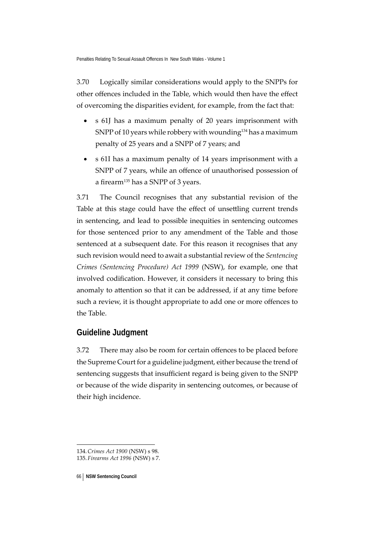3.70 Logically similar considerations would apply to the SNPPs for other offences included in the Table, which would then have the effect of overcoming the disparities evident, for example, from the fact that:

- s 61J has a maximum penalty of 20 years imprisonment with SNPP of 10 years while robbery with wounding<sup>134</sup> has a maximum penalty of 25 years and a SNPP of 7 years; and
- s 61I has a maximum penalty of 14 years imprisonment with a SNPP of 7 years, while an offence of unauthorised possession of a firearm<sup>135</sup> has a SNPP of 3 years.

3.71 The Council recognises that any substantial revision of the Table at this stage could have the effect of unsettling current trends in sentencing, and lead to possible inequities in sentencing outcomes for those sentenced prior to any amendment of the Table and those sentenced at a subsequent date. For this reason it recognises that any such revision would need to await a substantial review of the *Sentencing Crimes (Sentencing Procedure) Act 1999* (NSW), for example, one that involved codification. However, it considers it necessary to bring this anomaly to attention so that it can be addressed, if at any time before such a review, it is thought appropriate to add one or more offences to the Table.

## **Guideline Judgment**

3.72 There may also be room for certain offences to be placed before the Supreme Court for a guideline judgment, either because the trend of sentencing suggests that insufficient regard is being given to the SNPP or because of the wide disparity in sentencing outcomes, or because of their high incidence.

<sup>134.</sup> *Crimes Act 1900* (NSW) s 98.

<sup>135.</sup> *Firearms Act 1996* (NSW) s 7.

<sup>66</sup> **NSW Sentencing Council**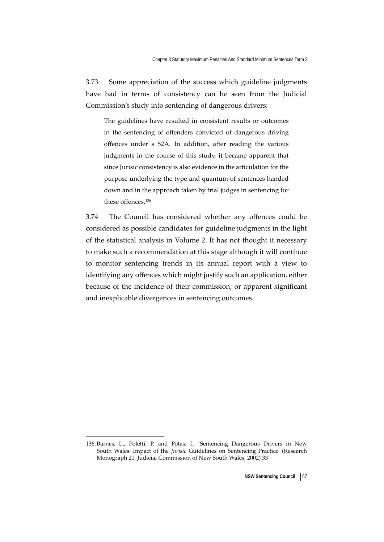3.73 Some appreciation of the success which guideline judgments have had in terms of consistency can be seen from the Judicial Commission's study into sentencing of dangerous drivers:

The guidelines have resulted in consistent results or outcomes in the sentencing of offenders convicted of dangerous driving offences under s 52A. In addition, after reading the various judgments in the course of this study, it became apparent that since Jurisic consistency is also evidence in the articulation for the purpose underlying the type and quantum of sentences handed down and in the approach taken by trial judges in sentencing for these offences. $136$ 

3.74 The Council has considered whether any offences could be considered as possible candidates for guideline judgments in the light of the statistical analysis in Volume 2. It has not thought it necessary to make such a recommendation at this stage although it will continue to monitor sentencing trends in its annual report with a view to identifying any offences which might justify such an application, either because of the incidence of their commission, or apparent significant and inexplicable divergences in sentencing outcomes.

<sup>136.</sup> Barnes, L., Poletti, P. and Potas, I., 'Sentencing Dangerous Drivers in New South Wales: Impact of the *Jurisic* Guidelines on Sentencing Practice' (Research Monograph 21, Judicial Commission of New South Wales, 2002) 33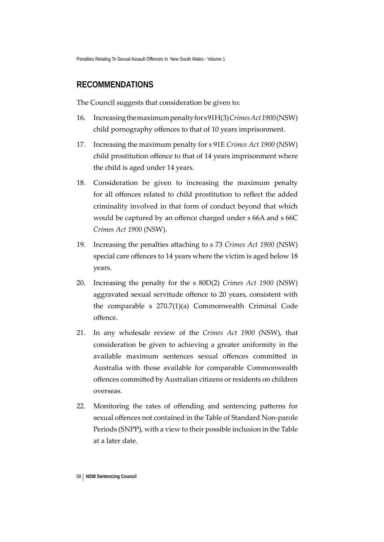# **RECOMMENDATIONS**

The Council suggests that consideration be given to:

- 16. Increasing the maximum penalty for s 91H(3) *Crimes Act 1900* (NSW) child pornography offences to that of 10 years imprisonment.
- 17. Increasing the maximum penalty for s 91E *Crimes Act 1900* (NSW) child prostitution offence to that of 14 years imprisonment where the child is aged under 14 years.
- 18. Consideration be given to increasing the maximum penalty for all offences related to child prostitution to reflect the added criminality involved in that form of conduct beyond that which would be captured by an offence charged under s 66A and s 66C *Crimes Act 1900* (NSW).
- 19. Increasing the penalties attaching to s 73 *Crimes Act 1900* (NSW) special care offences to 14 years where the victim is aged below 18 years.
- 20. Increasing the penalty for the s 80D(2) *Crimes Act 1900* (NSW) aggravated sexual servitude offence to 20 years, consistent with the comparable s 270.7(1)(a) Commonwealth Criminal Code offence.
- 21. In any wholesale review of the *Crimes Act 1900* (NSW), that consideration be given to achieving a greater uniformity in the available maximum sentences sexual offences committed in Australia with those available for comparable Commonwealth offences committed by Australian citizens or residents on children overseas.
- 22. Monitoring the rates of offending and sentencing patterns for sexual offences not contained in the Table of Standard Non-parole Periods (SNPP), with a view to their possible inclusion in the Table at a later date.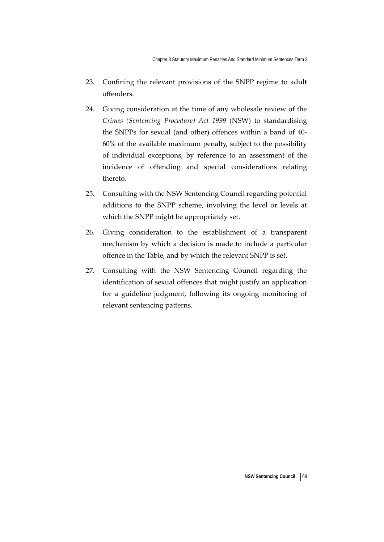- 23. Confining the relevant provisions of the SNPP regime to adult offenders.
- 24. Giving consideration at the time of any wholesale review of the *Crimes (Sentencing Procedure) Act 1999* (NSW) to standardising the SNPPs for sexual (and other) offences within a band of 40-60% of the available maximum penalty, subject to the possibility of individual exceptions, by reference to an assessment of the incidence of offending and special considerations relating thereto.
- 25. Consulting with the NSW Sentencing Council regarding potential additions to the SNPP scheme, involving the level or levels at which the SNPP might be appropriately set.
- 26. Giving consideration to the establishment of a transparent mechanism by which a decision is made to include a particular offence in the Table, and by which the relevant SNPP is set.
- 27. Consulting with the NSW Sentencing Council regarding the identification of sexual offences that might justify an application for a guideline judgment, following its ongoing monitoring of relevant sentencing patterns.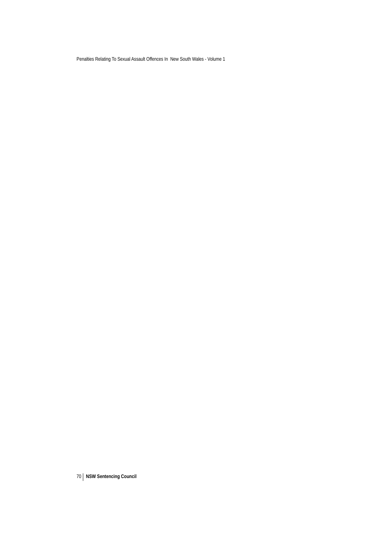70 **NSW Sentencing Council**

Penalties Relating To Sexual Assault Offences In New South Wales - Volume 1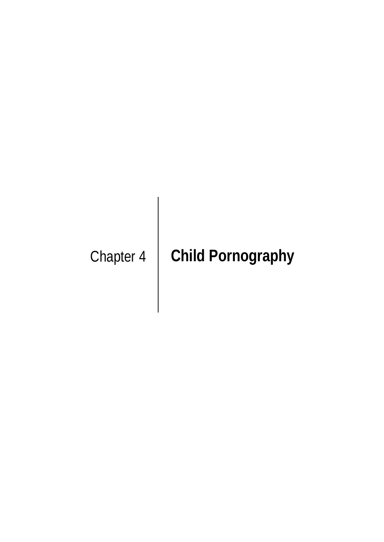# Chapter 4 **Child Pornography**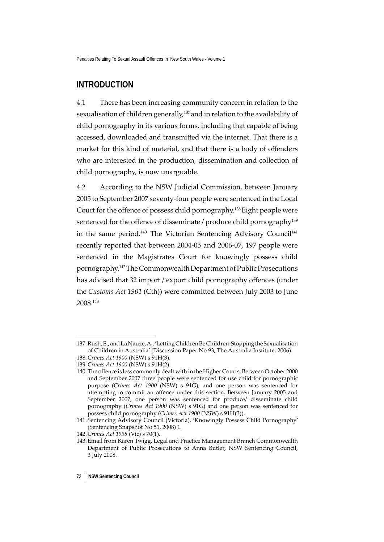Penalties Relating To Sexual Assault Offences In New South Wales - Volume 1

## **INTRODUCTION**

4.1 There has been increasing community concern in relation to the sexualisation of children generally,<sup>137</sup> and in relation to the availability of child pornography in its various forms, including that capable of being accessed, downloaded and transmitted via the internet. That there is a market for this kind of material, and that there is a body of offenders who are interested in the production, dissemination and collection of child pornography, is now unarguable.

4.2 According to the NSW Judicial Commission, between January 2005 to September 2007 seventy-four people were sentenced in the Local Court for the offence of possess child pornography.<sup>138</sup> Eight people were sentenced for the offence of disseminate / produce child pornography<sup>139</sup> in the same period.<sup>140</sup> The Victorian Sentencing Advisory Council<sup>141</sup> recently reported that between 2004-05 and 2006-07, 197 people were sentenced in the Magistrates Court for knowingly possess child pornography.142 The Commonwealth Department of Public Prosecutions has advised that 32 import / export child pornography offences (under the *Customs Act 1901* (Cth)) were committed between July 2003 to June 2008.143

<sup>137.</sup> Rush, E., and La Nauze, A., 'Letting Children Be Children-Stopping the Sexualisation of Children in Australia' (Discussion Paper No 93, The Australia Institute, 2006).

<sup>138.</sup> *Crimes Act 1900* (NSW) s 91H(3).

<sup>139.</sup> *Crimes Act 1900* (NSW) s 91H(2).

<sup>140.</sup> The offence is less commonly dealt with in the Higher Courts. Between October 2000 and September 2007 three people were sentenced for use child for pornographic purpose (*Crimes Act 1900* (NSW) s 91G); and one person was sentenced for attempting to commit an offence under this section. Between January 2005 and September 2007, one person was sentenced for produce/ disseminate child pornography (*Crimes Act 1900* (NSW) s 91G) and one person was sentenced for possess child pornography (*Crimes Act 1900* (NSW) s 91H(3)).

<sup>141.</sup> Sentencing Advisory Council (Victoria), 'Knowingly Possess Child Pornography' (Sentencing Snapshot No 51, 2008) 1.

<sup>142.</sup> *Crimes Act 1958* (Vic) s 70(1).

<sup>143.</sup> Email from Karen Twigg, Legal and Practice Management Branch Commonwealth Department of Public Prosecutions to Anna Butler, NSW Sentencing Council, 3 July 2008.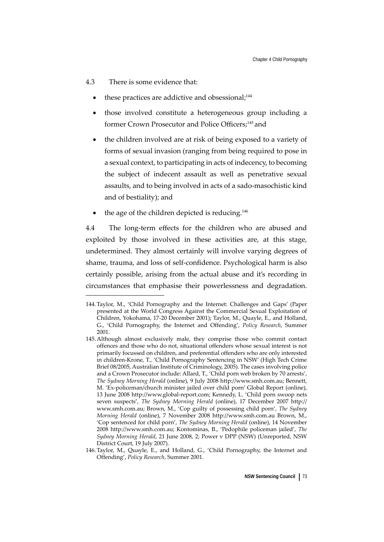- 4.3 There is some evidence that:
	- these practices are addictive and obsessional;<sup>144</sup>
	- those involved constitute a heterogeneous group including a former Crown Prosecutor and Police Officers;<sup>145</sup> and
	- the children involved are at risk of being exposed to a variety of forms of sexual invasion (ranging from being required to pose in a sexual context, to participating in acts of indecency, to becoming the subject of indecent assault as well as penetrative sexual assaults, and to being involved in acts of a sado-masochistic kind and of bestiality); and
	- the age of the children depicted is reducing.<sup>146</sup>

4.4 The long-term effects for the children who are abused and exploited by those involved in these activities are, at this stage, undetermined. They almost certainly will involve varying degrees of shame, trauma, and loss of self-confidence. Psychological harm is also certainly possible, arising from the actual abuse and it's recording in circumstances that emphasise their powerlessness and degradation.

<sup>144.</sup> Taylor, M., 'Child Pornography and the Internet: Challenges and Gaps' (Paper presented at the World Congress Against the Commercial Sexual Exploitation of Children, Yokohama, 17-20 December 2001); Taylor, M., Quayle, E., and Holland, G., 'Child Pornography, the Internet and Offending', *Policy Research*, Summer 2001.

<sup>145.</sup> Although almost exclusively male, they comprise those who commit contact offences and those who do not, situational offenders whose sexual interest is not primarily focussed on children, and preferential offenders who are only interested in children-Krone, T., 'Child Pornography Sentencing in NSW' (High Tech Crime Brief 08/2005, Australian Institute of Criminology, 2005). The cases involving police and a Crown Prosecutor include: Allard, T., 'Child porn web broken by 70 arrests', *The Sydney Morning Herald* (online), 9 July 2008 http://www.smh.com.au; Bennett, M. 'Ex-policeman/church minister jailed over child porn' Global Report (online), 13 June 2008 http://www.global-report.com; Kennedy, L. 'Child porn swoop nets seven suspects', *The Sydney Morning Herald* (online), 17 December 2007 http:// www.smh.com.au; Brown, M., 'Cop guilty of possessing child porn', *The Sydney Morning Herald* (online), 7 November 2008 http://www.smh.com.au Brown, M., 'Cop sentenced for child porn', *The Sydney Morning Herald* (online), 14 November 2008 http://www.smh.com.au; Kontominas, B., 'Pedophile policeman jailed', *The Sydney Morning Herald*, 21 June 2008, 2; Power v DPP (NSW) (Unreported, NSW District Court, 19 July 2007).

<sup>146.</sup> Taylor, M., Quayle, E., and Holland, G., 'Child Pornography, the Internet and Offending', *Policy Research*, Summer 2001.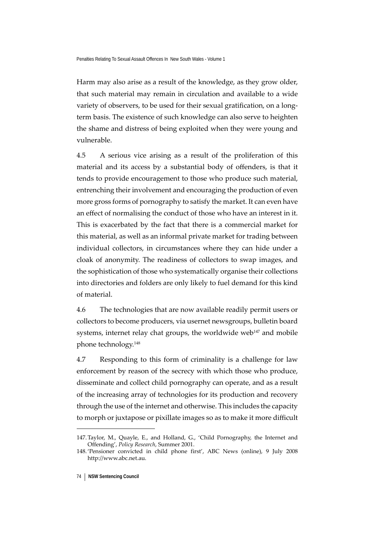Harm may also arise as a result of the knowledge, as they grow older, that such material may remain in circulation and available to a wide variety of observers, to be used for their sexual gratification, on a longterm basis. The existence of such knowledge can also serve to heighten the shame and distress of being exploited when they were young and vulnerable.

4.5 A serious vice arising as a result of the proliferation of this material and its access by a substantial body of offenders, is that it tends to provide encouragement to those who produce such material, entrenching their involvement and encouraging the production of even more gross forms of pornography to satisfy the market. It can even have an effect of normalising the conduct of those who have an interest in it. This is exacerbated by the fact that there is a commercial market for this material, as well as an informal private market for trading between individual collectors, in circumstances where they can hide under a cloak of anonymity. The readiness of collectors to swap images, and the sophistication of those who systematically organise their collections into directories and folders are only likely to fuel demand for this kind of material.

4.6 The technologies that are now available readily permit users or collectors to become producers, via usernet newsgroups, bulletin board systems, internet relay chat groups, the worldwide web $147$  and mobile phone technology.148

4.7 Responding to this form of criminality is a challenge for law enforcement by reason of the secrecy with which those who produce, disseminate and collect child pornography can operate, and as a result of the increasing array of technologies for its production and recovery through the use of the internet and otherwise. This includes the capacity to morph or juxtapose or pixillate images so as to make it more difficult

<sup>147.</sup> Taylor, M., Quayle, E., and Holland, G., 'Child Pornography, the Internet and Offending', *Policy Research*, Summer 2001.

<sup>148. &#</sup>x27;Pensioner convicted in child phone first', ABC News (online), 9 July 2008 http://www.abc.net.au.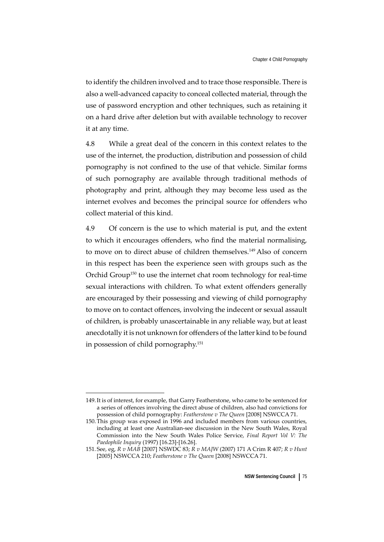to identify the children involved and to trace those responsible. There is also a well-advanced capacity to conceal collected material, through the use of password encryption and other techniques, such as retaining it on a hard drive after deletion but with available technology to recover it at any time.

4.8 While a great deal of the concern in this context relates to the use of the internet, the production, distribution and possession of child pornography is not confined to the use of that vehicle. Similar forms of such pornography are available through traditional methods of photography and print, although they may become less used as the internet evolves and becomes the principal source for offenders who collect material of this kind.

4.9 Of concern is the use to which material is put, and the extent to which it encourages offenders, who find the material normalising, to move on to direct abuse of children themselves.<sup>149</sup> Also of concern in this respect has been the experience seen with groups such as the Orchid Group<sup>150</sup> to use the internet chat room technology for real-time sexual interactions with children. To what extent offenders generally are encouraged by their possessing and viewing of child pornography to move on to contact offences, involving the indecent or sexual assault of children, is probably unascertainable in any reliable way, but at least anecdotally it is not unknown for offenders of the latter kind to be found in possession of child pornography.151

<sup>149.</sup> It is of interest, for example, that Garry Featherstone, who came to be sentenced for a series of offences involving the direct abuse of children, also had convictions for possession of child pornography: *Featherstone v The Queen* [2008] NSWCCA 71.

<sup>150.</sup> This group was exposed in 1996 and included members from various countries, including at least one Australian-see discussion in the New South Wales, Royal Commission into the New South Wales Police Service, *Final Report Vol V: The Paedophile Inquiry* (1997) [16.23]-[16.26].

<sup>151.</sup> See, eg, *R v MAB* [2007] NSWDC 83; *R v MAJW* (2007) 171 A Crim R 407; *R v Hunt* [2005] NSWCCA 210; *Featherstone v The Queen* [2008] NSWCCA 71.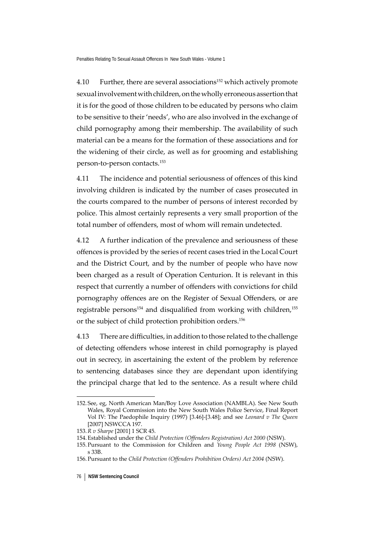4.10 Further, there are several associations<sup>152</sup> which actively promote sexual involvement with children, on the wholly erroneous assertion that it is for the good of those children to be educated by persons who claim to be sensitive to their 'needs', who are also involved in the exchange of child pornography among their membership. The availability of such material can be a means for the formation of these associations and for the widening of their circle, as well as for grooming and establishing person-to-person contacts.153

4.11 The incidence and potential seriousness of offences of this kind involving children is indicated by the number of cases prosecuted in the courts compared to the number of persons of interest recorded by police. This almost certainly represents a very small proportion of the total number of offenders, most of whom will remain undetected.

4.12 A further indication of the prevalence and seriousness of these offences is provided by the series of recent cases tried in the Local Court and the District Court, and by the number of people who have now been charged as a result of Operation Centurion. It is relevant in this respect that currently a number of offenders with convictions for child pornography offences are on the Register of Sexual Offenders, or are registrable persons<sup>154</sup> and disqualified from working with children,<sup>155</sup> or the subject of child protection prohibition orders.156

4.13 There are difficulties, in addition to those related to the challenge of detecting offenders whose interest in child pornography is played out in secrecy, in ascertaining the extent of the problem by reference to sentencing databases since they are dependant upon identifying the principal charge that led to the sentence. As a result where child

<sup>152.</sup> See, eg, North American Man/Boy Love Association (NAMBLA). See New South Wales, Royal Commission into the New South Wales Police Service, Final Report Vol IV: The Paedophile Inquiry (1997) [3.46]-[3.48]; and see *Leonard v The Queen* [2007] NSWCCA 197.

<sup>153.</sup> *R v Sharpe* [2001] 1 SCR 45.

<sup>154.</sup> Established under the *Child Protection (Offenders Registration) Act 2000* (NSW).

<sup>155.</sup> Pursuant to the Commission for Children and *Young People Act 1998* (NSW), s 33B.

<sup>156.</sup> Pursuant to the *Child Protection (Offenders Prohibition Orders) Act 2004* (NSW).

<sup>76</sup> **NSW Sentencing Council**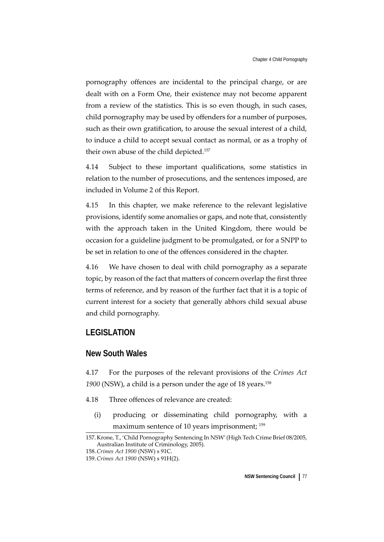pornography offences are incidental to the principal charge, or are dealt with on a Form One, their existence may not become apparent from a review of the statistics. This is so even though, in such cases, child pornography may be used by offenders for a number of purposes, such as their own gratification, to arouse the sexual interest of a child, to induce a child to accept sexual contact as normal, or as a trophy of their own abuse of the child depicted.157

4.14 Subject to these important qualifications, some statistics in relation to the number of prosecutions, and the sentences imposed, are included in Volume 2 of this Report.

4.15 In this chapter, we make reference to the relevant legislative provisions, identify some anomalies or gaps, and note that, consistently with the approach taken in the United Kingdom, there would be occasion for a guideline judgment to be promulgated, or for a SNPP to be set in relation to one of the offences considered in the chapter.

4.16 We have chosen to deal with child pornography as a separate topic, by reason of the fact that matters of concern overlap the first three terms of reference, and by reason of the further fact that it is a topic of current interest for a society that generally abhors child sexual abuse and child pornography.

## **LEGISLATION**

## **New South Wales**

4.17 For the purposes of the relevant provisions of the *Crimes Act*  1900 (NSW), a child is a person under the age of 18 years.<sup>158</sup>

4.18 Three offences of relevance are created:

(i) producing or disseminating child pornography, with a maximum sentence of 10 years imprisonment; 159

<sup>157.</sup> Krone, T., 'Child Pornography Sentencing In NSW' (High Tech Crime Brief 08/2005, Australian Institute of Criminology, 2005).

<sup>158.</sup> *Crimes Act 1900* (NSW) s 91C.

<sup>159.</sup> *Crimes Act 1900* (NSW) s 91H(2).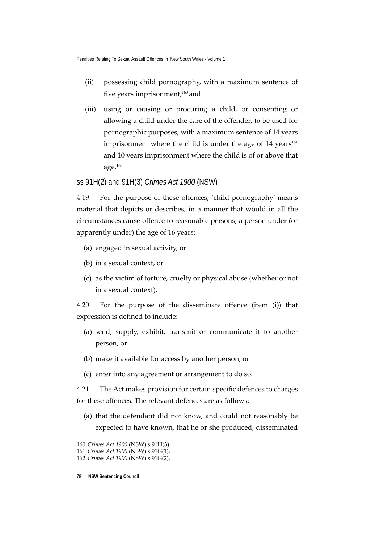- (ii) possessing child pornography, with a maximum sentence of five years imprisonment;<sup>160</sup> and
- (iii) using or causing or procuring a child, or consenting or allowing a child under the care of the offender, to be used for pornographic purposes, with a maximum sentence of 14 years imprisonment where the child is under the age of  $14$  years<sup>161</sup> and 10 years imprisonment where the child is of or above that age.162

## ss 91H(2) and 91H(3) *Crimes Act 1900* (NSW)

4.19 For the purpose of these offences, 'child pornography' means material that depicts or describes, in a manner that would in all the circumstances cause offence to reasonable persons, a person under (or apparently under) the age of 16 years:

- (a) engaged in sexual activity, or
- (b) in a sexual context, or
- (c) as the victim of torture, cruelty or physical abuse (whether or not in a sexual context).

4.20 For the purpose of the disseminate offence (item (i)) that expression is defined to include:

- (a) send, supply, exhibit, transmit or communicate it to another person, or
- (b) make it available for access by another person, or
- (c) enter into any agreement or arrangement to do so.

4.21 The Act makes provision for certain specific defences to charges for these offences. The relevant defences are as follows:

(a) that the defendant did not know, and could not reasonably be expected to have known, that he or she produced, disseminated

<sup>160.</sup> *Crimes Act 1900* (NSW) s 91H(3).

<sup>161.</sup> *Crimes Act 1900* (NSW) s 91G(1).

<sup>162.</sup> *Crimes Act 1900* (NSW) s 91G(2).

<sup>78</sup> **NSW Sentencing Council**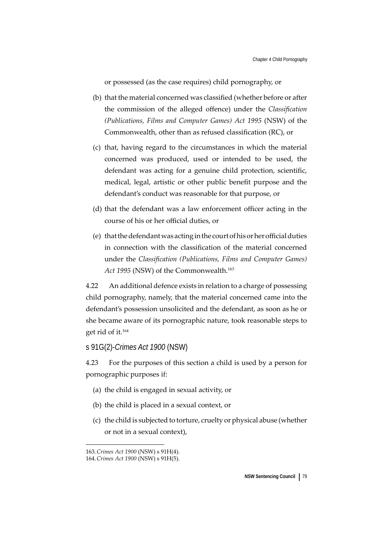or possessed (as the case requires) child pornography, or

- (b) that the material concerned was classified (whether before or after the commission of the alleged offence) under the *Classification (Publications, Films and Computer Games) Act 1995* (NSW) of the Commonwealth, other than as refused classification (RC), or
- (c) that, having regard to the circumstances in which the material concerned was produced, used or intended to be used, the defendant was acting for a genuine child protection, scientific, medical, legal, artistic or other public benefit purpose and the defendant's conduct was reasonable for that purpose, or
- (d) that the defendant was a law enforcement officer acting in the course of his or her official duties, or
- $(e)$  that the defendant was acting in the court of his or her official duties in connection with the classification of the material concerned under the *Classification (Publications, Films and Computer Games)* Act 1995 (NSW) of the Commonwealth.<sup>163</sup>

4.22 An additional defence exists in relation to a charge of possessing child pornography, namely, that the material concerned came into the defendant's possession unsolicited and the defendant, as soon as he or she became aware of its pornographic nature, took reasonable steps to get rid of it.164

#### s 91G(2)-*Crimes Act 1900* (NSW)

4.23 For the purposes of this section a child is used by a person for pornographic purposes if:

- (a) the child is engaged in sexual activity, or
- (b) the child is placed in a sexual context, or
- (c) the child is subjected to torture, cruelty or physical abuse (whether or not in a sexual context),

<sup>163.</sup> *Crimes Act 1900* (NSW) s 91H(4).

<sup>164.</sup> *Crimes Act 1900* (NSW) s 91H(5).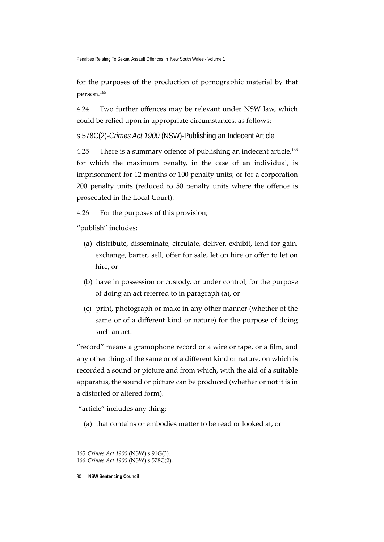Penalties Relating To Sexual Assault Offences In New South Wales - Volume 1

for the purposes of the production of pornographic material by that person.165

4.24 Two further offences may be relevant under NSW law, which could be relied upon in appropriate circumstances, as follows:

s 578C(2)-*Crimes Act 1900* (NSW)-Publishing an Indecent Article

4.25 There is a summary offence of publishing an indecent article,  $166$ for which the maximum penalty, in the case of an individual, is imprisonment for 12 months or 100 penalty units; or for a corporation 200 penalty units (reduced to 50 penalty units where the offence is prosecuted in the Local Court).

4.26 For the purposes of this provision;

"publish" includes:

- (a) distribute, disseminate, circulate, deliver, exhibit, lend for gain, exchange, barter, sell, offer for sale, let on hire or offer to let on hire, or
- (b) have in possession or custody, or under control, for the purpose of doing an act referred to in paragraph (a), or
- (c) print, photograph or make in any other manner (whether of the same or of a different kind or nature) for the purpose of doing such an act.

"record" means a gramophone record or a wire or tape, or a film, and any other thing of the same or of a different kind or nature, on which is recorded a sound or picture and from which, with the aid of a suitable apparatus, the sound or picture can be produced (whether or not it is in a distorted or altered form).

"article" includes any thing:

(a) that contains or embodies matter to be read or looked at, or

<sup>165.</sup> *Crimes Act 1900* (NSW) s 91G(3).

<sup>166.</sup> *Crimes Act 1900* (NSW) s 578C(2).

<sup>80</sup> **NSW Sentencing Council**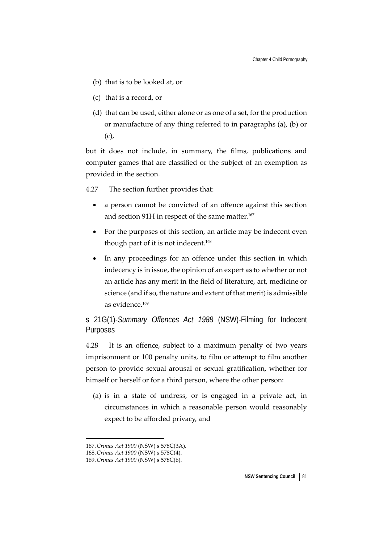- (b) that is to be looked at, or
- (c) that is a record, or
- (d) that can be used, either alone or as one of a set, for the production or manufacture of any thing referred to in paragraphs (a), (b) or (c),

but it does not include, in summary, the films, publications and computer games that are classified or the subject of an exemption as provided in the section.

4.27 The section further provides that:

- a person cannot be convicted of an offence against this section and section 91H in respect of the same matter.<sup>167</sup>
- For the purposes of this section, an article may be indecent even though part of it is not indecent.<sup>168</sup>
- In any proceedings for an offence under this section in which indecency is in issue, the opinion of an expert as to whether or not an article has any merit in the field of literature, art, medicine or science (and if so, the nature and extent of that merit) is admissible as evidence.169

s 21G(1)-*Summary Offences Act 1988* (NSW)-Filming for Indecent Purposes

4.28 It is an offence, subject to a maximum penalty of two years imprisonment or 100 penalty units, to film or attempt to film another person to provide sexual arousal or sexual gratification, whether for himself or herself or for a third person, where the other person:

(a) is in a state of undress, or is engaged in a private act, in circumstances in which a reasonable person would reasonably expect to be afforded privacy, and

<sup>167.</sup> *Crimes Act 1900* (NSW) s 578C(3A).

<sup>168.</sup> *Crimes Act 1900* (NSW) s 578C(4).

<sup>169.</sup> *Crimes Act 1900* (NSW) s 578C(6).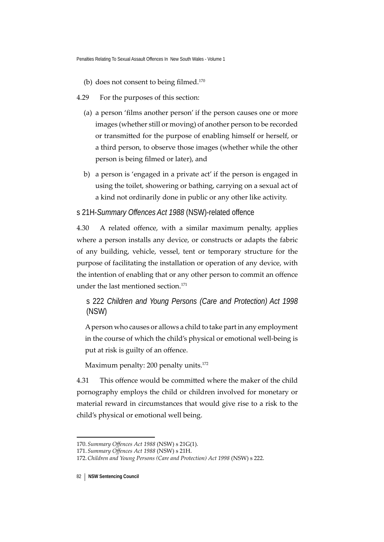- (b) does not consent to being filmed. $170$
- 4.29 For the purposes of this section:
	- (a) a person 'films another person' if the person causes one or more images (whether still or moving) of another person to be recorded or transmitted for the purpose of enabling himself or herself, or a third person, to observe those images (whether while the other person is being filmed or later), and
	- b) a person is 'engaged in a private act' if the person is engaged in using the toilet, showering or bathing, carrying on a sexual act of a kind not ordinarily done in public or any other like activity.

## s 21H-*Summary Offences Act 1988* (NSW)-related offence

4.30 A related offence, with a similar maximum penalty, applies where a person installs any device, or constructs or adapts the fabric of any building, vehicle, vessel, tent or temporary structure for the purpose of facilitating the installation or operation of any device, with the intention of enabling that or any other person to commit an offence under the last mentioned section.<sup>171</sup>

# s 222 *Children and Young Persons (Care and Protection) Act 1998* (NSW)

A person who causes or allows a child to take part in any employment in the course of which the child's physical or emotional well-being is put at risk is guilty of an offence.

Maximum penalty: 200 penalty units.<sup>172</sup>

4.31 This offence would be committed where the maker of the child pornography employs the child or children involved for monetary or material reward in circumstances that would give rise to a risk to the child's physical or emotional well being.

<sup>170.</sup> *Summary Offences Act 1988* (NSW) s 21G(1).

<sup>171.</sup> *Summary Offences Act 1988* (NSW) s 21H.

<sup>172.</sup> *Children and Young Persons (Care and Protection) Act 1998* (NSW) s 222.

<sup>82</sup> **NSW Sentencing Council**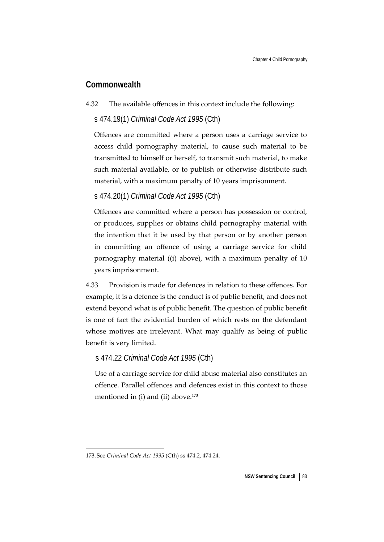### **Commonwealth**

#### 4.32 The available offences in this context include the following:

s 474.19(1) *Criminal Code Act 1995* (Cth)

Offences are committed where a person uses a carriage service to access child pornography material, to cause such material to be transmitted to himself or herself, to transmit such material, to make such material available, or to publish or otherwise distribute such material, with a maximum penalty of 10 years imprisonment.

# s 474.20(1) *Criminal Code Act 1995* (Cth)

Offences are committed where a person has possession or control, or produces, supplies or obtains child pornography material with the intention that it be used by that person or by another person in committing an offence of using a carriage service for child pornography material ((i) above), with a maximum penalty of 10 years imprisonment.

4.33 Provision is made for defences in relation to these offences. For example, it is a defence is the conduct is of public benefit, and does not extend beyond what is of public benefit. The question of public benefit is one of fact the evidential burden of which rests on the defendant whose motives are irrelevant. What may qualify as being of public benefit is very limited.

#### s 474.22 *Criminal Code Act 1995* (Cth)

Use of a carriage service for child abuse material also constitutes an offence. Parallel offences and defences exist in this context to those mentioned in (i) and (ii) above.<sup>173</sup>

**NSW Sentencing Council | 83** 

<sup>173.</sup> See *Criminal Code Act 1995* (Cth) ss 474.2, 474.24.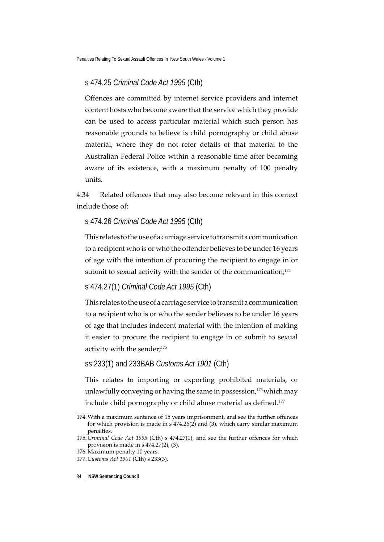#### s 474.25 *Criminal Code Act 1995* (Cth)

Offences are committed by internet service providers and internet content hosts who become aware that the service which they provide can be used to access particular material which such person has reasonable grounds to believe is child pornography or child abuse material, where they do not refer details of that material to the Australian Federal Police within a reasonable time after becoming aware of its existence, with a maximum penalty of 100 penalty units.

4.34 Related offences that may also become relevant in this context include those of:

#### s 474.26 *Criminal Code Act 1995* (Cth)

This relates to the use of a carriage service to transmit a communication to a recipient who is or who the offender believes to be under 16 years of age with the intention of procuring the recipient to engage in or submit to sexual activity with the sender of the communication; $174$ 

#### s 474.27(1) *Criminal Code Act 1995* (Cth)

This relates to the use of a carriage service to transmit a communication to a recipient who is or who the sender believes to be under 16 years of age that includes indecent material with the intention of making it easier to procure the recipient to engage in or submit to sexual activity with the sender;175

#### ss 233(1) and 233BAB *Customs Act 1901* (Cth)

This relates to importing or exporting prohibited materials, or unlawfully conveying or having the same in possession, $176$  which may include child pornography or child abuse material as defined.<sup>177</sup>

<sup>174.</sup> With a maximum sentence of 15 years imprisonment, and see the further offences for which provision is made in s 474.26(2) and (3), which carry similar maximum penalties.

<sup>175.</sup> *Criminal Code Act 1995* (Cth) s 474.27(1), and see the further offences for which provision is made in s 474.27(2), (3).

<sup>176.</sup> Maximum penalty 10 years.

<sup>177.</sup> *Customs Act 1901* (Cth) s 233(3).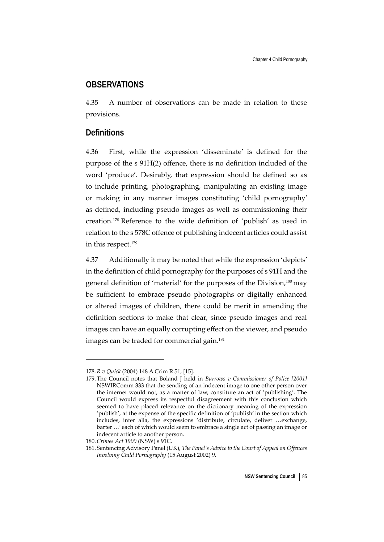### **OBSERVATIONS**

4.35 A number of observations can be made in relation to these provisions.

### **Defi nitions**

4.36 First, while the expression 'disseminate' is defined for the purpose of the  $s$  91H(2) offence, there is no definition included of the word 'produce'. Desirably, that expression should be defined so as to include printing, photographing, manipulating an existing image or making in any manner images constituting 'child pornography' as defined, including pseudo images as well as commissioning their creation.<sup>178</sup> Reference to the wide definition of 'publish' as used in relation to the s 578C offence of publishing indecent articles could assist in this respect.179

4.37 Additionally it may be noted that while the expression 'depicts' in the definition of child pornography for the purposes of s 91H and the general definition of 'material' for the purposes of the Division,<sup>180</sup> may be sufficient to embrace pseudo photographs or digitally enhanced or altered images of children, there could be merit in amending the definition sections to make that clear, since pseudo images and real images can have an equally corrupting effect on the viewer, and pseudo images can be traded for commercial gain.<sup>181</sup>

<sup>178.</sup> *R v Quick* (2004) 148 A Crim R 51, [15].

<sup>179.</sup> The Council notes that Boland J held in *Burrows v Commissioner of Police [2001]* NSWIRComm 333 that the sending of an indecent image to one other person over the internet would not, as a matter of law, constitute an act of 'publishing'. The Council would express its respectful disagreement with this conclusion which seemed to have placed relevance on the dictionary meaning of the expression 'publish', at the expense of the specific definition of 'publish' in the section which includes, inter alia, the expressions 'distribute, circulate, deliver …exchange, barter …' each of which would seem to embrace a single act of passing an image or indecent article to another person.

<sup>180.</sup> *Crimes Act 1900* (NSW) s 91C.

<sup>181.</sup> Sentencing Advisory Panel (UK), *The Panel's Advice to the Court of Appeal on Offences Involving Child Pornography* (15 August 2002) 9.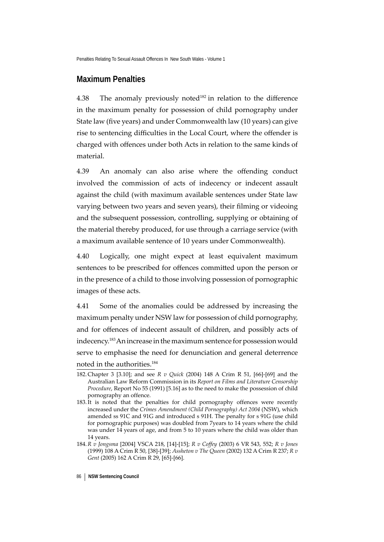Penalties Relating To Sexual Assault Offences In New South Wales - Volume 1

#### **Maximum Penalties**

4.38 The anomaly previously noted<sup>182</sup> in relation to the difference in the maximum penalty for possession of child pornography under State law (five years) and under Commonwealth law (10 years) can give rise to sentencing difficulties in the Local Court, where the offender is charged with offences under both Acts in relation to the same kinds of material.

4.39 An anomaly can also arise where the offending conduct involved the commission of acts of indecency or indecent assault against the child (with maximum available sentences under State law varying between two years and seven years), their filming or videoing and the subsequent possession, controlling, supplying or obtaining of the material thereby produced, for use through a carriage service (with a maximum available sentence of 10 years under Commonwealth).

4.40 Logically, one might expect at least equivalent maximum sentences to be prescribed for offences committed upon the person or in the presence of a child to those involving possession of pornographic images of these acts.

4.41 Some of the anomalies could be addressed by increasing the maximum penalty under NSW law for possession of child pornography, and for offences of indecent assault of children, and possibly acts of indecency.183 An increase in the maximum sentence for possession would serve to emphasise the need for denunciation and general deterrence noted in the authorities.184

<sup>182.</sup> Chapter 3 [3.10]; and see *R v Quick* (2004) 148 A Crim R 51, [66]-[69] and the Australian Law Reform Commission in its *Report on Films and Literature Censorship Procedure*, Report No 55 (1991) [5.16] as to the need to make the possession of child pornography an offence.

<sup>183.</sup> It is noted that the penalties for child pornography offences were recently increased under the *Crimes Amendment (Child Pornography) Act 2004* (NSW), which amended ss 91C and 91G and introduced s 91H. The penalty for s 91G (use child for pornographic purposes) was doubled from 7years to 14 years where the child was under 14 years of age, and from 5 to 10 years where the child was older than 14 years.

<sup>184.</sup> *R v Jongsma* [2004] VSCA 218, [14]-[15]; *R v Coffey* (2003) 6 VR 543, 552; *R v Jones* (1999) 108 A Crim R 50, [38]-[39]; *Assheton v The Queen* (2002) 132 A Crim R 237; *R v Gent* (2005) 162 A Crim R 29, [65]-[66].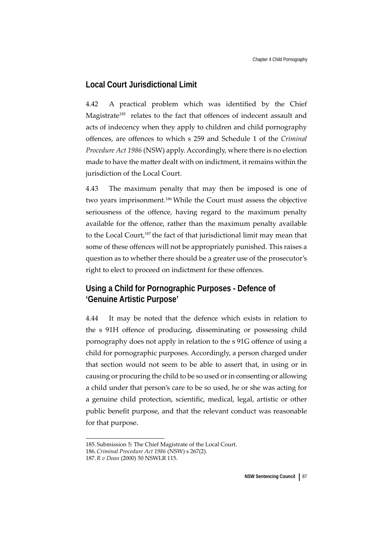# **Local Court Jurisdictional Limit**

4.42 A practical problem which was identified by the Chief Magistrate<sup>185</sup> relates to the fact that offences of indecent assault and acts of indecency when they apply to children and child pornography offences, are offences to which s 259 and Schedule 1 of the *Criminal Procedure Act 1986* (NSW) apply. Accordingly, where there is no election made to have the matter dealt with on indictment, it remains within the jurisdiction of the Local Court.

4.43 The maximum penalty that may then be imposed is one of two years imprisonment.186 While the Court must assess the objective seriousness of the offence, having regard to the maximum penalty available for the offence, rather than the maximum penalty available to the Local Court,<sup>187</sup> the fact of that jurisdictional limit may mean that some of these offences will not be appropriately punished. This raises a question as to whether there should be a greater use of the prosecutor's right to elect to proceed on indictment for these offences.

# **Using a Child for Pornographic Purposes - Defence of 'Genuine Artistic Purpose'**

4.44 It may be noted that the defence which exists in relation to the s 91H offence of producing, disseminating or possessing child pornography does not apply in relation to the s 91G offence of using a child for pornographic purposes. Accordingly, a person charged under that section would not seem to be able to assert that, in using or in causing or procuring the child to be so used or in consenting or allowing a child under that person's care to be so used, he or she was acting for a genuine child protection, scientific, medical, legal, artistic or other public benefit purpose, and that the relevant conduct was reasonable for that purpose.

<sup>185.</sup> Submission 5: The Chief Magistrate of the Local Court.

<sup>186.</sup> *Criminal Procedure Act 1986* (NSW) s 267(2).

<sup>187.</sup> *R v Doan* (2000) 50 NSWLR 115.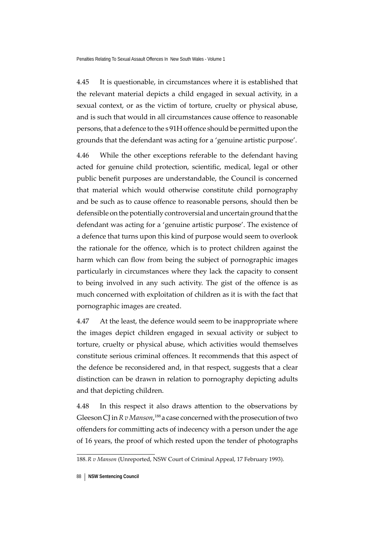4.45 It is questionable, in circumstances where it is established that the relevant material depicts a child engaged in sexual activity, in a sexual context, or as the victim of torture, cruelty or physical abuse, and is such that would in all circumstances cause offence to reasonable persons, that a defence to the s 91H offence should be permitted upon the grounds that the defendant was acting for a 'genuine artistic purpose'.

4.46 While the other exceptions referable to the defendant having acted for genuine child protection, scientific, medical, legal or other public benefit purposes are understandable, the Council is concerned that material which would otherwise constitute child pornography and be such as to cause offence to reasonable persons, should then be defensible on the potentially controversial and uncertain ground that the defendant was acting for a 'genuine artistic purpose'. The existence of a defence that turns upon this kind of purpose would seem to overlook the rationale for the offence, which is to protect children against the harm which can flow from being the subject of pornographic images particularly in circumstances where they lack the capacity to consent to being involved in any such activity. The gist of the offence is as much concerned with exploitation of children as it is with the fact that pornographic images are created.

4.47 At the least, the defence would seem to be inappropriate where the images depict children engaged in sexual activity or subject to torture, cruelty or physical abuse, which activities would themselves constitute serious criminal offences. It recommends that this aspect of the defence be reconsidered and, in that respect, suggests that a clear distinction can be drawn in relation to pornography depicting adults and that depicting children.

4.48 In this respect it also draws attention to the observations by Gleeson CJ in *R v Manson*, 188 a case concerned with the prosecution of two offenders for committing acts of indecency with a person under the age of 16 years, the proof of which rested upon the tender of photographs

<sup>188.</sup> *R v Manson* (Unreported, NSW Court of Criminal Appeal, 17 February 1993).

<sup>88</sup> **NSW Sentencing Council**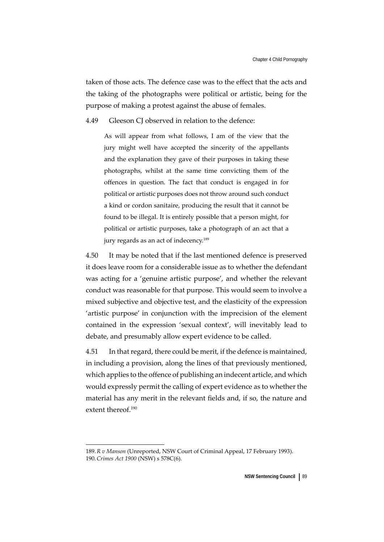taken of those acts. The defence case was to the effect that the acts and the taking of the photographs were political or artistic, being for the purpose of making a protest against the abuse of females.

4.49 Gleeson CJ observed in relation to the defence:

As will appear from what follows, I am of the view that the jury might well have accepted the sincerity of the appellants and the explanation they gave of their purposes in taking these photographs, whilst at the same time convicting them of the offences in question. The fact that conduct is engaged in for political or artistic purposes does not throw around such conduct a kind or cordon sanitaire, producing the result that it cannot be found to be illegal. It is entirely possible that a person might, for political or artistic purposes, take a photograph of an act that a jury regards as an act of indecency.<sup>189</sup>

4.50 It may be noted that if the last mentioned defence is preserved it does leave room for a considerable issue as to whether the defendant was acting for a 'genuine artistic purpose', and whether the relevant conduct was reasonable for that purpose. This would seem to involve a mixed subjective and objective test, and the elasticity of the expression 'artistic purpose' in conjunction with the imprecision of the element contained in the expression 'sexual context', will inevitably lead to debate, and presumably allow expert evidence to be called.

4.51 In that regard, there could be merit, if the defence is maintained, in including a provision, along the lines of that previously mentioned, which applies to the offence of publishing an indecent article, and which would expressly permit the calling of expert evidence as to whether the material has any merit in the relevant fields and, if so, the nature and extent thereof.<sup>190</sup>

<sup>189.</sup> *R v Manson* (Unreported, NSW Court of Criminal Appeal, 17 February 1993). 190. *Crimes Act 1900* (NSW) s 578C(6).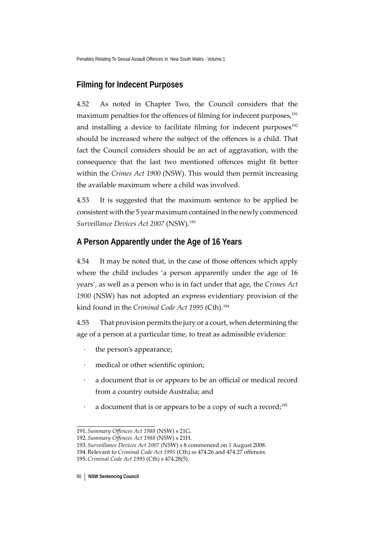Penalties Relating To Sexual Assault Offences In New South Wales - Volume 1

# **Filming for Indecent Purposes**

4.52 As noted in Chapter Two, the Council considers that the maximum penalties for the offences of filming for indecent purposes, $191$ and installing a device to facilitate filming for indecent purposes $192$ should be increased where the subject of the offences is a child. That fact the Council considers should be an act of aggravation, with the consequence that the last two mentioned offences might fit better within the *Crimes Act 1900* (NSW). This would then permit increasing the available maximum where a child was involved.

4.53 It is suggested that the maximum sentence to be applied be consistent with the 5 year maximum contained in the newly commenced *Surveillance Devices Act 2007* (NSW).193

# **A Person Apparently under the Age of 16 Years**

4.54 It may be noted that, in the case of those offences which apply where the child includes 'a person apparently under the age of 16 years', as well as a person who is in fact under that age, the *Crimes Act 1900* (NSW) has not adopted an express evidentiary provision of the kind found in the *Criminal Code Act* 1995 (Cth).<sup>194</sup>

4.55 That provision permits the jury or a court, when determining the age of a person at a particular time, to treat as admissible evidence:

- the person's appearance;
- medical or other scientific opinion;
- a document that is or appears to be an official or medical record from a country outside Australia; and
- a document that is or appears to be a copy of such a record;<sup>195</sup>

<sup>191.</sup> *Summary Offences Act 1988* (NSW) s 21G.

<sup>192.</sup> *Summary Offences Act 1988* (NSW) s 21H.

<sup>193.</sup> *Surveillance Devices Act 2007* (NSW) s 8 commenced on 1 August 2008.

<sup>194.</sup> Relevant to *Criminal Code Act 1995* (Cth) ss 474.26 and 474.27 offences.

<sup>195.</sup> *Criminal Code Act 1995* (Cth) s 474.28(5).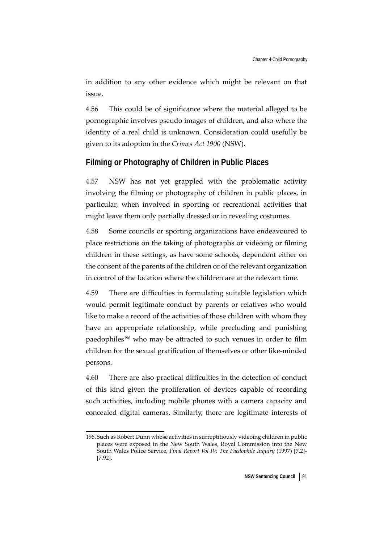in addition to any other evidence which might be relevant on that issue.

4.56 This could be of significance where the material alleged to be pornographic involves pseudo images of children, and also where the identity of a real child is unknown. Consideration could usefully be given to its adoption in the *Crimes Act 1900* (NSW).

# **Filming or Photography of Children in Public Places**

4.57 NSW has not yet grappled with the problematic activity involving the filming or photography of children in public places, in particular, when involved in sporting or recreational activities that might leave them only partially dressed or in revealing costumes.

4.58 Some councils or sporting organizations have endeavoured to place restrictions on the taking of photographs or videoing or filming children in these settings, as have some schools, dependent either on the consent of the parents of the children or of the relevant organization in control of the location where the children are at the relevant time.

4.59 There are difficulties in formulating suitable legislation which would permit legitimate conduct by parents or relatives who would like to make a record of the activities of those children with whom they have an appropriate relationship, while precluding and punishing paedophiles<sup>196</sup> who may be attracted to such venues in order to film children for the sexual gratification of themselves or other like-minded persons.

4.60 There are also practical difficulties in the detection of conduct of this kind given the proliferation of devices capable of recording such activities, including mobile phones with a camera capacity and concealed digital cameras. Similarly, there are legitimate interests of

<sup>196.</sup> Such as Robert Dunn whose activities in surreptitiously videoing children in public places were exposed in the New South Wales, Royal Commission into the New South Wales Police Service, *Final Report Vol IV: The Paedophile Inquiry* (1997) [7.2]- [7.92].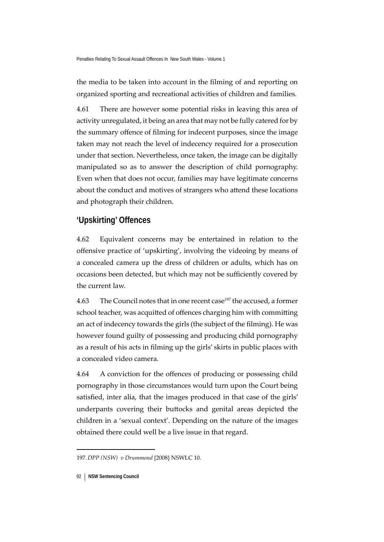the media to be taken into account in the filming of and reporting on organized sporting and recreational activities of children and families.

4.61 There are however some potential risks in leaving this area of activity unregulated, it being an area that may not be fully catered for by the summary offence of filming for indecent purposes, since the image taken may not reach the level of indecency required for a prosecution under that section. Nevertheless, once taken, the image can be digitally manipulated so as to answer the description of child pornography. Even when that does not occur, families may have legitimate concerns about the conduct and motives of strangers who attend these locations and photograph their children.

# **'Upskirting' Offences**

4.62 Equivalent concerns may be entertained in relation to the offensive practice of 'upskirting', involving the videoing by means of a concealed camera up the dress of children or adults, which has on occasions been detected, but which may not be sufficiently covered by the current law.

4.63 The Council notes that in one recent case<sup>197</sup> the accused, a former school teacher, was acquitted of offences charging him with committing an act of indecency towards the girls (the subject of the filming). He was however found guilty of possessing and producing child pornography as a result of his acts in filming up the girls' skirts in public places with a concealed video camera.

4.64 A conviction for the offences of producing or possessing child pornography in those circumstances would turn upon the Court being satisfied, inter alia, that the images produced in that case of the girls' underpants covering their buttocks and genital areas depicted the children in a 'sexual context'. Depending on the nature of the images obtained there could well be a live issue in that regard.

<sup>197.</sup> *DPP (NSW) v Drummond* [2008] NSWLC 10.

<sup>92</sup> **NSW Sentencing Council**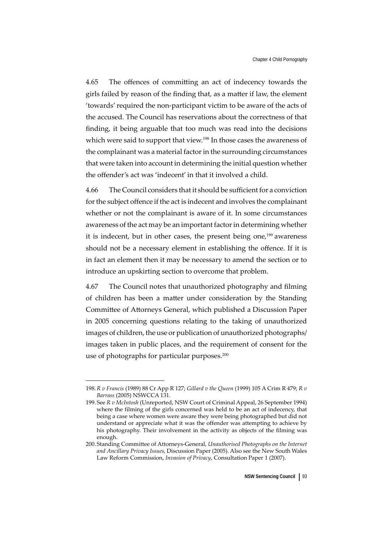4.65 The offences of committing an act of indecency towards the girls failed by reason of the finding that, as a matter if law, the element 'towards' required the non-participant victim to be aware of the acts of the accused. The Council has reservations about the correctness of that finding, it being arguable that too much was read into the decisions which were said to support that view.<sup>198</sup> In those cases the awareness of the complainant was a material factor in the surrounding circumstances that were taken into account in determining the initial question whether the offender's act was 'indecent' in that it involved a child.

4.66 The Council considers that it should be sufficient for a conviction for the subject offence if the act is indecent and involves the complainant whether or not the complainant is aware of it. In some circumstances awareness of the act may be an important factor in determining whether it is indecent, but in other cases, the present being one, $199$  awareness should not be a necessary element in establishing the offence. If it is in fact an element then it may be necessary to amend the section or to introduce an upskirting section to overcome that problem.

4.67 The Council notes that unauthorized photography and filming of children has been a matter under consideration by the Standing Committee of Attorneys General, which published a Discussion Paper in 2005 concerning questions relating to the taking of unauthorized images of children, the use or publication of unauthorized photographs/ images taken in public places, and the requirement of consent for the use of photographs for particular purposes.<sup>200</sup>

<sup>198.</sup> *R v Francis* (1989) 88 Cr App R 127; *Gillard v the Queen* (1999) 105 A Crim R 479; *R v Barrass* (2005) NSWCCA 131.

<sup>199.</sup> See *R v McIntosh* (Unreported, NSW Court of Criminal Appeal, 26 September 1994) where the filming of the girls concerned was held to be an act of indecency, that being a case where women were aware they were being photographed but did not understand or appreciate what it was the offender was attempting to achieve by his photography. Their involvement in the activity as objects of the filming was enough.

<sup>200.</sup> Standing Committee of Attorneys-General, *Unauthorised Photographs on the Internet and Ancillary Privacy Issues*, Discussion Paper (2005). Also see the New South Wales Law Reform Commission, *Invasion of Privacy*, Consultation Paper 1 (2007).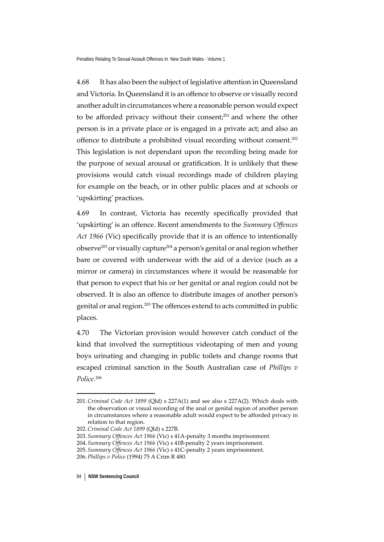4.68 It has also been the subject of legislative attention in Queensland and Victoria. In Queensland it is an offence to observe or visually record another adult in circumstances where a reasonable person would expect to be afforded privacy without their consent;<sup>201</sup> and where the other person is in a private place or is engaged in a private act; and also an offence to distribute a prohibited visual recording without consent.<sup>202</sup> This legislation is not dependant upon the recording being made for the purpose of sexual arousal or gratification. It is unlikely that these provisions would catch visual recordings made of children playing for example on the beach, or in other public places and at schools or 'upskirting' practices.

4.69 In contrast, Victoria has recently specifically provided that 'upskirting' is an offence. Recent amendments to the *Summary Offences* Act 1966 (Vic) specifically provide that it is an offence to intentionally observe<sup>203</sup> or visually capture<sup>204</sup> a person's genital or anal region whether bare or covered with underwear with the aid of a device (such as a mirror or camera) in circumstances where it would be reasonable for that person to expect that his or her genital or anal region could not be observed. It is also an offence to distribute images of another person's genital or anal region.<sup>205</sup> The offences extend to acts committed in public places.

4.70 The Victorian provision would however catch conduct of the kind that involved the surreptitious videotaping of men and young boys urinating and changing in public toilets and change rooms that escaped criminal sanction in the South Australian case of *Phillips v Police*. 206

<sup>201.</sup> *Criminal Code Act 1899* (Qld) s 227A(1) and see also s 227A(2). Which deals with the observation or visual recording of the anal or genital region of another person in circumstances where a reasonable adult would expect to be afforded privacy in relation to that region.

<sup>202.</sup> *Criminal Code Act 1899* (Qld) s 227B.

<sup>203.</sup> *Summary Offences Act 1966* (Vic) s 41A-penalty 3 months imprisonment.

<sup>204.</sup> *Summary Offences Act 1966* (Vic) s 41B-penalty 2 years imprisonment.

<sup>205.</sup> *Summary Offences Act 1966* (Vic) s 41C-penalty 2 years imprisonment.

<sup>206.</sup> *Phillips v Police* (1994) 75 A Crim R 480.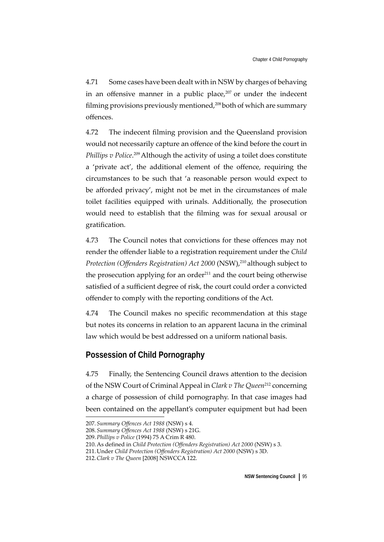4.71 Some cases have been dealt with in NSW by charges of behaving in an offensive manner in a public place, $207$  or under the indecent filming provisions previously mentioned,<sup>208</sup> both of which are summary offences.

4.72 The indecent filming provision and the Queensland provision would not necessarily capture an offence of the kind before the court in *Phillips v Police*.<sup>209</sup> Although the activity of using a toilet does constitute a 'private act', the additional element of the offence, requiring the circumstances to be such that 'a reasonable person would expect to be afforded privacy', might not be met in the circumstances of male toilet facilities equipped with urinals. Additionally, the prosecution would need to establish that the filming was for sexual arousal or gratification.

4.73 The Council notes that convictions for these offences may not render the offender liable to a registration requirement under the *Child Protection (Offenders Registration) Act 2000 (NSW)*<sup>210</sup> although subject to the prosecution applying for an order<sup>211</sup> and the court being otherwise satisfied of a sufficient degree of risk, the court could order a convicted offender to comply with the reporting conditions of the Act.

4.74 The Council makes no specific recommendation at this stage but notes its concerns in relation to an apparent lacuna in the criminal law which would be best addressed on a uniform national basis.

### **Possession of Child Pornography**

4.75 Finally, the Sentencing Council draws attention to the decision of the NSW Court of Criminal Appeal in *Clark v The Queen*<sup>212</sup> concerning a charge of possession of child pornography. In that case images had been contained on the appellant's computer equipment but had been

<sup>207.</sup> *Summary Offences Act 1988* (NSW) s 4.

<sup>208.</sup> *Summary Offences Act 1988* (NSW) s 21G.

<sup>209.</sup> *Phillips v Police* (1994) 75 A Crim R 480.

<sup>210.</sup> As defined in *Child Protection (Offenders Registration) Act 2000* (NSW) s 3.

<sup>211.</sup> Under *Child Protection (Offenders Registration) Act 2000* (NSW) s 3D.

<sup>212.</sup> *Clark v The Queen* [2008] NSWCCA 122.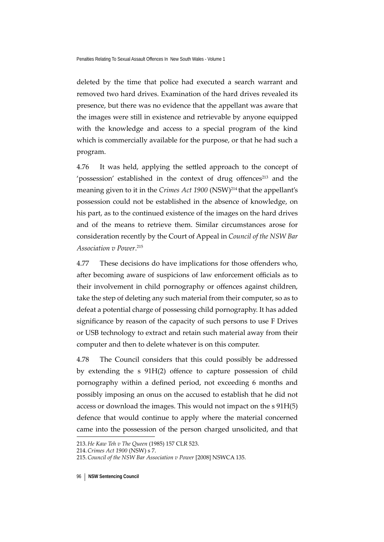Penalties Relating To Sexual Assault Offences In New South Wales - Volume 1

deleted by the time that police had executed a search warrant and removed two hard drives. Examination of the hard drives revealed its presence, but there was no evidence that the appellant was aware that the images were still in existence and retrievable by anyone equipped with the knowledge and access to a special program of the kind which is commercially available for the purpose, or that he had such a program.

4.76 It was held, applying the settled approach to the concept of 'possession' established in the context of drug offences $213$  and the meaning given to it in the *Crimes Act 1900* (NSW)<sup>214</sup> that the appellant's possession could not be established in the absence of knowledge, on his part, as to the continued existence of the images on the hard drives and of the means to retrieve them. Similar circumstances arose for consideration recently by the Court of Appeal in *Council of the NSW Bar Association v Power*. 215

4.77 These decisions do have implications for those offenders who, after becoming aware of suspicions of law enforcement officials as to their involvement in child pornography or offences against children, take the step of deleting any such material from their computer, so as to defeat a potential charge of possessing child pornography. It has added significance by reason of the capacity of such persons to use F Drives or USB technology to extract and retain such material away from their computer and then to delete whatever is on this computer.

4.78 The Council considers that this could possibly be addressed by extending the  $s$  91H(2) offence to capture possession of child pornography within a defined period, not exceeding 6 months and possibly imposing an onus on the accused to establish that he did not access or download the images. This would not impact on the s 91H(5) defence that would continue to apply where the material concerned came into the possession of the person charged unsolicited, and that

<sup>213.</sup> *He Kaw Teh v The Queen* (1985) 157 CLR 523.

<sup>214.</sup> *Crimes Act 1900* (NSW) s 7.

<sup>215.</sup> *Council of the NSW Bar Association v Power* [2008] NSWCA 135.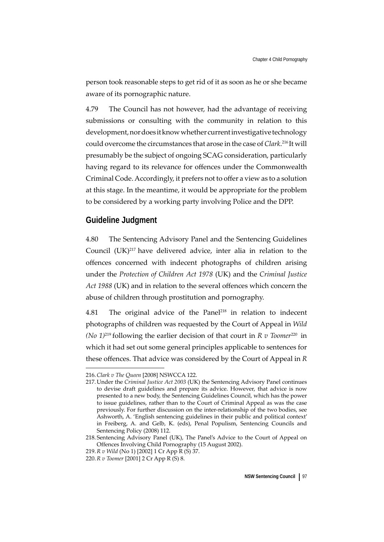person took reasonable steps to get rid of it as soon as he or she became aware of its pornographic nature.

4.79 The Council has not however, had the advantage of receiving submissions or consulting with the community in relation to this development, nor does it know whether current investigative technology could overcome the circumstances that arose in the case of *Clark*. 216 It will presumably be the subject of ongoing SCAG consideration, particularly having regard to its relevance for offences under the Commonwealth Criminal Code. Accordingly, it prefers not to offer a view as to a solution at this stage. In the meantime, it would be appropriate for the problem to be considered by a working party involving Police and the DPP.

#### **Guideline Judgment**

4.80 The Sentencing Advisory Panel and the Sentencing Guidelines Council (UK)217 have delivered advice, inter alia in relation to the offences concerned with indecent photographs of children arising under the *Protection of Children Act 1978* (UK) and the *Criminal Justice*  Act 1988 (UK) and in relation to the several offences which concern the abuse of children through prostitution and pornography.

4.81 The original advice of the Panel<sup>218</sup> in relation to indecent photographs of children was requested by the Court of Appeal in *Wild (No 1)*219 following the earlier decision of that court in *R v Toomer*220 in which it had set out some general principles applicable to sentences for these offences. That advice was considered by the Court of Appeal in *R* 

<sup>216.</sup> *Clark v The Queen* [2008] NSWCCA 122.

<sup>217.</sup> Under the *Criminal Justice Act 2003* (UK) the Sentencing Advisory Panel continues to devise draft guidelines and prepare its advice. However, that advice is now presented to a new body, the Sentencing Guidelines Council, which has the power to issue guidelines, rather than to the Court of Criminal Appeal as was the case previously. For further discussion on the inter-relationship of the two bodies, see Ashworth, A. 'English sentencing guidelines in their public and political context' in Freiberg, A. and Gelb, K. (eds), Penal Populism, Sentencing Councils and Sentencing Policy (2008) 112.

<sup>218.</sup> Sentencing Advisory Panel (UK), The Panel's Advice to the Court of Appeal on Offences Involving Child Pornography (15 August 2002).

<sup>219.</sup> *R v Wild* (No 1) [2002] 1 Cr App R (S) 37.

<sup>220.</sup> *R v Toomer* [2001] 2 Cr App R (S) 8.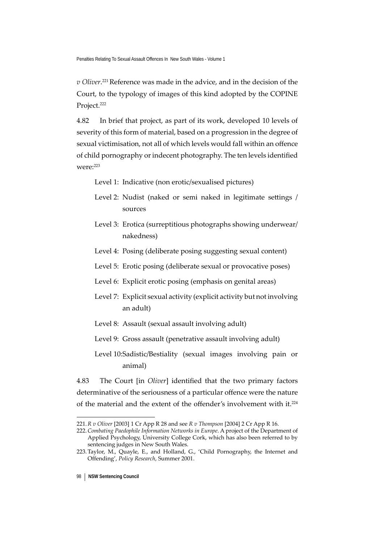Penalties Relating To Sexual Assault Offences In New South Wales - Volume 1

*v Oliver*. 221 Reference was made in the advice, and in the decision of the Court, to the typology of images of this kind adopted by the COPINE Project.<sup>222</sup>

4.82 In brief that project, as part of its work, developed 10 levels of severity of this form of material, based on a progression in the degree of sexual victimisation, not all of which levels would fall within an offence of child pornography or indecent photography. The ten levels identified were:223

Level 1: Indicative (non erotic/sexualised pictures)

- Level 2: Nudist (naked or semi naked in legitimate settings / sources
- Level 3: Erotica (surreptitious photographs showing underwear/ nakedness)
- Level 4: Posing (deliberate posing suggesting sexual content)
- Level 5: Erotic posing (deliberate sexual or provocative poses)
- Level 6: Explicit erotic posing (emphasis on genital areas)
- Level 7: Explicit sexual activity (explicit activity but not involving an adult)
- Level 8: Assault (sexual assault involving adult)
- Level 9: Gross assault (penetrative assault involving adult)
- Level 10: Sadistic/Bestiality (sexual images involving pain or animal)

4.83 The Court [in *Oliver*] identified that the two primary factors determinative of the seriousness of a particular offence were the nature of the material and the extent of the offender's involvement with it.<sup>224</sup>

<sup>221.</sup> *R v Oliver* [2003] 1 Cr App R 28 and see *R v Thompson* [2004] 2 Cr App R 16.

<sup>222.</sup> *Combating Paedophile Information Networks in Europe*. A project of the Department of Applied Psychology, University College Cork, which has also been referred to by sentencing judges in New South Wales.

<sup>223.</sup> Taylor, M., Quayle, E., and Holland, G., 'Child Pornography, the Internet and Offending', *Policy Research*, Summer 2001.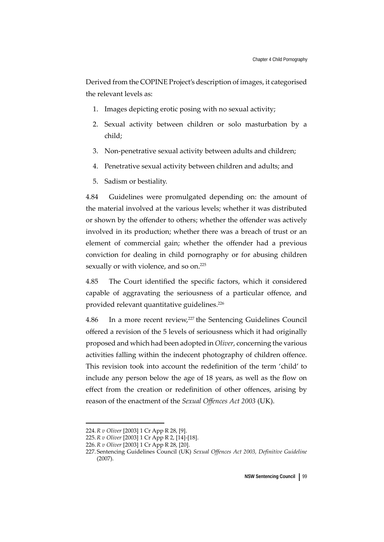Derived from the COPINE Project's description of images, it categorised the relevant levels as:

- 1. Images depicting erotic posing with no sexual activity;
- 2. Sexual activity between children or solo masturbation by a child;
- 3. Non-penetrative sexual activity between adults and children;
- 4. Penetrative sexual activity between children and adults; and
- 5. Sadism or bestiality.

4.84 Guidelines were promulgated depending on: the amount of the material involved at the various levels; whether it was distributed or shown by the offender to others; whether the offender was actively involved in its production; whether there was a breach of trust or an element of commercial gain; whether the offender had a previous conviction for dealing in child pornography or for abusing children sexually or with violence, and so on.<sup>225</sup>

4.85 The Court identified the specific factors, which it considered capable of aggravating the seriousness of a particular offence, and provided relevant quantitative guidelines.226

4.86 In a more recent review,<sup>227</sup> the Sentencing Guidelines Council offered a revision of the 5 levels of seriousness which it had originally proposed and which had been adopted in *Oliver*, concerning the various activities falling within the indecent photography of children offence. This revision took into account the redefinition of the term 'child' to include any person below the age of 18 years, as well as the flow on effect from the creation or redefinition of other offences, arising by reason of the enactment of the *Sexual Offences Act 2003* (UK).

<sup>224.</sup> *R v Oliver* [2003] 1 Cr App R 28, [9].

<sup>225.</sup> *R v Oliver* [2003] 1 Cr App R 2, [14]-[18].

<sup>226.</sup> *R v Oliver* [2003] 1 Cr App R 28, [20].

<sup>227.</sup> Sentencing Guidelines Council (UK) *Sexual Offences Act 2003, Definitive Guideline* (2007).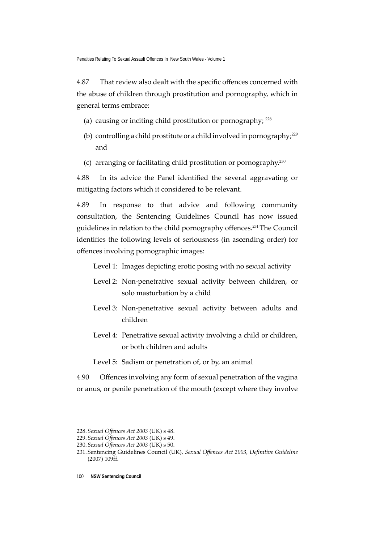4.87 That review also dealt with the specific offences concerned with the abuse of children through prostitution and pornography, which in general terms embrace:

- (a) causing or inciting child prostitution or pornography;  $^{228}$
- (b) controlling a child prostitute or a child involved in pornography;<sup>229</sup> and
- (c) arranging or facilitating child prostitution or pornography.230

4.88 In its advice the Panel identified the several aggravating or mitigating factors which it considered to be relevant.

4.89 In response to that advice and following community consultation, the Sentencing Guidelines Council has now issued guidelines in relation to the child pornography offences.<sup>231</sup> The Council identifies the following levels of seriousness (in ascending order) for offences involving pornographic images:

Level 1: Images depicting erotic posing with no sexual activity

- Level 2: Non-penetrative sexual activity between children, or solo masturbation by a child
- Level 3: Non-penetrative sexual activity between adults and children
- Level 4: Penetrative sexual activity involving a child or children, or both children and adults

Level 5: Sadism or penetration of, or by, an animal

4.90 Offences involving any form of sexual penetration of the vagina or anus, or penile penetration of the mouth (except where they involve

<sup>228.</sup> *Sexual Offences Act 2003* (UK) s 48.

<sup>229.</sup> *Sexual Offences Act 2003* (UK) s 49.

<sup>230.</sup> *Sexual Offences Act 2003* (UK) s 50.

<sup>231.</sup> Sentencing Guidelines Council (UK), *Sexual Offences Act 2003, Definitive Guideline* (2007) 109ff.

<sup>100</sup> **NSW Sentencing Council**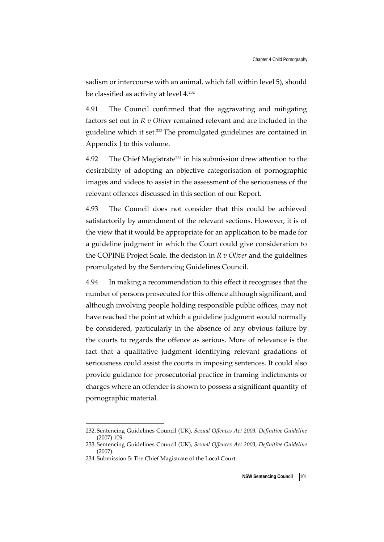sadism or intercourse with an animal, which fall within level 5), should be classified as activity at level 4.<sup>232</sup>

4.91 The Council confirmed that the aggravating and mitigating factors set out in *R v Oliver* remained relevant and are included in the guideline which it set.233 The promulgated guidelines are contained in Appendix J to this volume.

4.92 The Chief Magistrate<sup>234</sup> in his submission drew attention to the desirability of adopting an objective categorisation of pornographic images and videos to assist in the assessment of the seriousness of the relevant offences discussed in this section of our Report.

4.93 The Council does not consider that this could be achieved satisfactorily by amendment of the relevant sections. However, it is of the view that it would be appropriate for an application to be made for a guideline judgment in which the Court could give consideration to the COPINE Project Scale, the decision in *R v Oliver* and the guidelines promulgated by the Sentencing Guidelines Council.

4.94 In making a recommendation to this effect it recognises that the number of persons prosecuted for this offence although significant, and although involving people holding responsible public offices, may not have reached the point at which a guideline judgment would normally be considered, particularly in the absence of any obvious failure by the courts to regards the offence as serious. More of relevance is the fact that a qualitative judgment identifying relevant gradations of seriousness could assist the courts in imposing sentences. It could also provide guidance for prosecutorial practice in framing indictments or charges where an offender is shown to possess a significant quantity of pornographic material.

<sup>232.</sup> Sentencing Guidelines Council (UK), *Sexual Offences Act 2003, Definitive Guideline* (2007) 109.

<sup>233.</sup> Sentencing Guidelines Council (UK), *Sexual Offences Act 2003, Definitive Guideline* (2007).

<sup>234.</sup> Submission 5: The Chief Magistrate of the Local Court.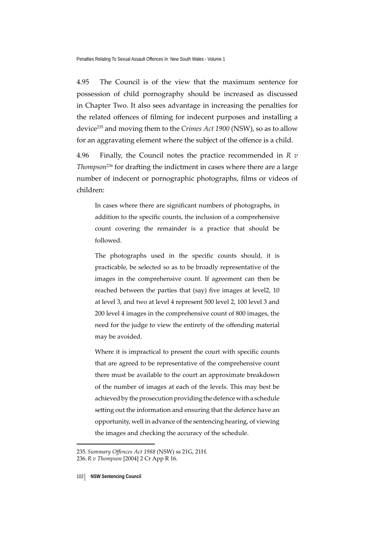4.95 The Council is of the view that the maximum sentence for possession of child pornography should be increased as discussed in Chapter Two. It also sees advantage in increasing the penalties for the related offences of filming for indecent purposes and installing a device235 and moving them to the *Crimes Act 1900* (NSW), so as to allow for an aggravating element where the subject of the offence is a child.

4.96 Finally, the Council notes the practice recommended in *R v Thompson*<sup>236</sup> for drafting the indictment in cases where there are a large number of indecent or pornographic photographs, films or videos of children:

In cases where there are significant numbers of photographs, in addition to the specific counts, the inclusion of a comprehensive count covering the remainder is a practice that should be followed.

The photographs used in the specific counts should, it is practicable, be selected so as to be broadly representative of the images in the comprehensive count. If agreement can then be reached between the parties that (say) five images at level2, 10 at level 3, and two at level 4 represent 500 level 2, 100 level 3 and 200 level 4 images in the comprehensive count of 800 images, the need for the judge to view the entirety of the offending material may be avoided.

Where it is impractical to present the court with specific counts that are agreed to be representative of the comprehensive count there must be available to the court an approximate breakdown of the number of images at each of the levels. This may best be achieved by the prosecution providing the defence with a schedule setting out the information and ensuring that the defence have an opportunity, well in advance of the sentencing hearing, of viewing the images and checking the accuracy of the schedule.

<sup>235.</sup> *Summary Offences Act 1988* (NSW) ss 21G, 21H. 236. *R v Thompson* [2004] 2 Cr App R 16.

<sup>102</sup> **NSW Sentencing Council**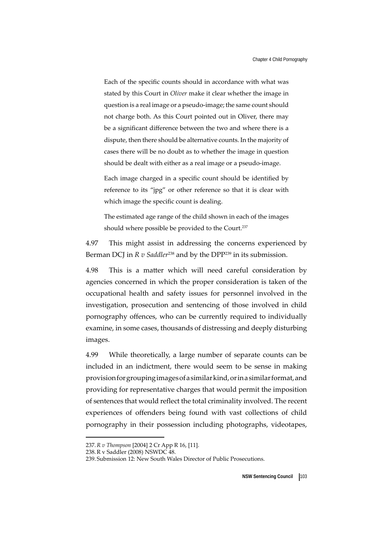Each of the specific counts should in accordance with what was stated by this Court in *Oliver* make it clear whether the image in question is a real image or a pseudo-image; the same count should not charge both. As this Court pointed out in Oliver, there may be a significant difference between the two and where there is a dispute, then there should be alternative counts. In the majority of cases there will be no doubt as to whether the image in question should be dealt with either as a real image or a pseudo-image.

Each image charged in a specific count should be identified by reference to its "jpg" or other reference so that it is clear with which image the specific count is dealing.

The estimated age range of the child shown in each of the images should where possible be provided to the Court.<sup>237</sup>

4.97 This might assist in addressing the concerns experienced by Berman DCJ in *R v Saddler*<sup>238</sup> and by the DPP<sup>239</sup> in its submission.

4.98 This is a matter which will need careful consideration by agencies concerned in which the proper consideration is taken of the occupational health and safety issues for personnel involved in the investigation, prosecution and sentencing of those involved in child pornography offences, who can be currently required to individually examine, in some cases, thousands of distressing and deeply disturbing images.

4.99 While theoretically, a large number of separate counts can be included in an indictment, there would seem to be sense in making provision for grouping images of a similar kind, or in a similar format, and providing for representative charges that would permit the imposition of sentences that would reflect the total criminality involved. The recent experiences of offenders being found with vast collections of child pornography in their possession including photographs, videotapes,

<sup>237.</sup> *R v Thompson* [2004] 2 Cr App R 16, [11].

<sup>238.</sup> R v Saddler (2008) NSWDC 48.

<sup>239.</sup> Submission 12: New South Wales Director of Public Prosecutions.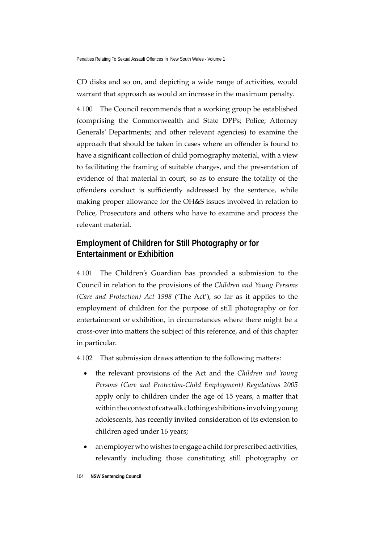CD disks and so on, and depicting a wide range of activities, would warrant that approach as would an increase in the maximum penalty.

4.100 The Council recommends that a working group be established (comprising the Commonwealth and State DPPs; Police; Attorney Generals' Departments; and other relevant agencies) to examine the approach that should be taken in cases where an offender is found to have a significant collection of child pornography material, with a view to facilitating the framing of suitable charges, and the presentation of evidence of that material in court, so as to ensure the totality of the offenders conduct is sufficiently addressed by the sentence, while making proper allowance for the OH&S issues involved in relation to Police, Prosecutors and others who have to examine and process the relevant material.

# **Employment of Children for Still Photography or for Entertainment or Exhibition**

4.101 The Children's Guardian has provided a submission to the Council in relation to the provisions of the *Children and Young Persons (Care and Protection) Act 1998* ('The Act'), so far as it applies to the employment of children for the purpose of still photography or for entertainment or exhibition, in circumstances where there might be a cross-over into matters the subject of this reference, and of this chapter in particular.

4.102 That submission draws attention to the following matters:

- the relevant provisions of the Act and the *Children and Young Persons (Care and Protection-Child Employment) Regulations 2005* apply only to children under the age of 15 years, a matter that within the context of catwalk clothing exhibitions involving young adolescents, has recently invited consideration of its extension to children aged under 16 years;
- an employer who wishes to engage a child for prescribed activities, relevantly including those constituting still photography or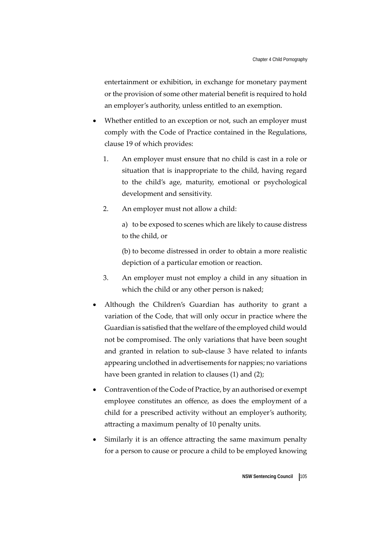entertainment or exhibition, in exchange for monetary payment or the provision of some other material benefit is required to hold an employer's authority, unless entitled to an exemption.

- Whether entitled to an exception or not, such an employer must comply with the Code of Practice contained in the Regulations, clause 19 of which provides:
	- 1. An employer must ensure that no child is cast in a role or situation that is inappropriate to the child, having regard to the child's age, maturity, emotional or psychological development and sensitivity.
	- 2. An employer must not allow a child:

 a) to be exposed to scenes which are likely to cause distress to the child, or

 (b) to become distressed in order to obtain a more realistic depiction of a particular emotion or reaction.

- 3. An employer must not employ a child in any situation in which the child or any other person is naked;
- Although the Children's Guardian has authority to grant a variation of the Code, that will only occur in practice where the Guardian is satisfied that the welfare of the employed child would not be compromised. The only variations that have been sought and granted in relation to sub-clause 3 have related to infants appearing unclothed in advertisements for nappies; no variations have been granted in relation to clauses (1) and (2);
- Contravention of the Code of Practice, by an authorised or exempt employee constitutes an offence, as does the employment of a child for a prescribed activity without an employer's authority, attracting a maximum penalty of 10 penalty units.
- Similarly it is an offence attracting the same maximum penalty for a person to cause or procure a child to be employed knowing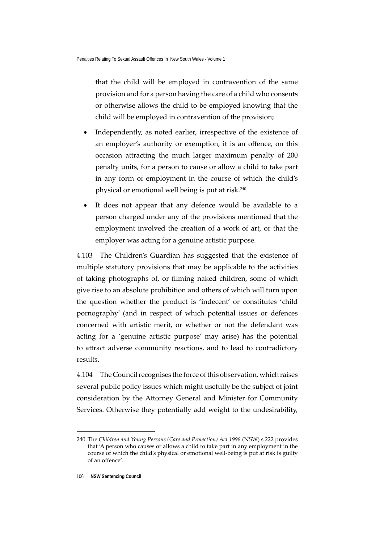that the child will be employed in contravention of the same provision and for a person having the care of a child who consents or otherwise allows the child to be employed knowing that the child will be employed in contravention of the provision;

- Independently, as noted earlier, irrespective of the existence of an employer's authority or exemption, it is an offence, on this occasion attracting the much larger maximum penalty of 200 penalty units, for a person to cause or allow a child to take part in any form of employment in the course of which the child's physical or emotional well being is put at risk.240
- It does not appear that any defence would be available to a person charged under any of the provisions mentioned that the employment involved the creation of a work of art, or that the employer was acting for a genuine artistic purpose.

4.103 The Children's Guardian has suggested that the existence of multiple statutory provisions that may be applicable to the activities of taking photographs of, or filming naked children, some of which give rise to an absolute prohibition and others of which will turn upon the question whether the product is 'indecent' or constitutes 'child pornography' (and in respect of which potential issues or defences concerned with artistic merit, or whether or not the defendant was acting for a 'genuine artistic purpose' may arise) has the potential to attract adverse community reactions, and to lead to contradictory results.

4.104 The Council recognises the force of this observation, which raises several public policy issues which might usefully be the subject of joint consideration by the Attorney General and Minister for Community Services. Otherwise they potentially add weight to the undesirability,

<sup>240.</sup> The *Children and Young Persons (Care and Protection) Act 1998* (NSW) s 222 provides that 'A person who causes or allows a child to take part in any employment in the course of which the child's physical or emotional well-being is put at risk is guilty of an offence'.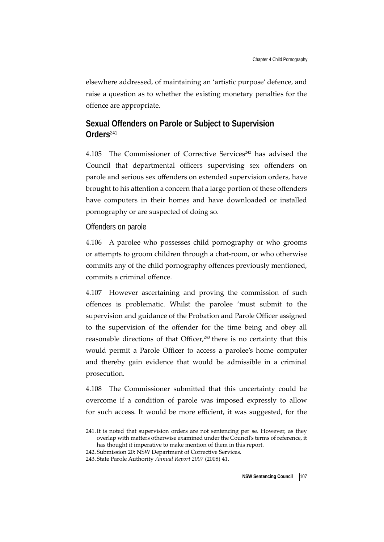elsewhere addressed, of maintaining an 'artistic purpose' defence, and raise a question as to whether the existing monetary penalties for the offence are appropriate.

# **Sexual Offenders on Parole or Subject to Supervision Orders**<sup>241</sup>

4.105 The Commissioner of Corrective Services<sup>242</sup> has advised the Council that departmental officers supervising sex offenders on parole and serious sex offenders on extended supervision orders, have brought to his attention a concern that a large portion of these offenders have computers in their homes and have downloaded or installed pornography or are suspected of doing so.

Offenders on parole

4.106 A parolee who possesses child pornography or who grooms or attempts to groom children through a chat-room, or who otherwise commits any of the child pornography offences previously mentioned, commits a criminal offence.

4.107 However ascertaining and proving the commission of such offences is problematic. Whilst the parolee 'must submit to the supervision and guidance of the Probation and Parole Officer assigned to the supervision of the offender for the time being and obey all reasonable directions of that Officer,<sup>243</sup> there is no certainty that this would permit a Parole Officer to access a parolee's home computer and thereby gain evidence that would be admissible in a criminal prosecution.

4.108 The Commissioner submitted that this uncertainty could be overcome if a condition of parole was imposed expressly to allow for such access. It would be more efficient, it was suggested, for the

<sup>241.</sup> It is noted that supervision orders are not sentencing per se. However, as they overlap with matters otherwise examined under the Council's terms of reference, it has thought it imperative to make mention of them in this report.

<sup>242.</sup> Submission 20: NSW Department of Corrective Services.

<sup>243.</sup> State Parole Authority *Annual Report 2007* (2008) 41.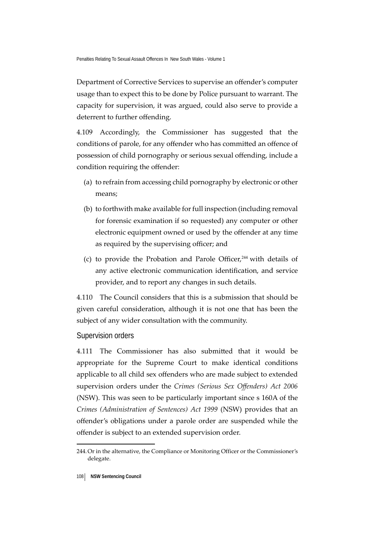Department of Corrective Services to supervise an offender's computer usage than to expect this to be done by Police pursuant to warrant. The capacity for supervision, it was argued, could also serve to provide a deterrent to further offending.

4.109 Accordingly, the Commissioner has suggested that the conditions of parole, for any offender who has committed an offence of possession of child pornography or serious sexual offending, include a condition requiring the offender:

- (a) to refrain from accessing child pornography by electronic or other means;
- (b) to forthwith make available for full inspection (including removal for forensic examination if so requested) any computer or other electronic equipment owned or used by the offender at any time as required by the supervising officer; and
- (c) to provide the Probation and Parole Officer, $244$  with details of any active electronic communication identification, and service provider, and to report any changes in such details.

4.110 The Council considers that this is a submission that should be given careful consideration, although it is not one that has been the subject of any wider consultation with the community.

#### Supervision orders

4.111 The Commissioner has also submitted that it would be appropriate for the Supreme Court to make identical conditions applicable to all child sex offenders who are made subject to extended supervision orders under the *Crimes* (Serious Sex Offenders) Act 2006 (NSW). This was seen to be particularly important since s 160A of the *Crimes (Administration of Sentences) Act 1999* (NSW) provides that an offender's obligations under a parole order are suspended while the offender is subject to an extended supervision order.

<sup>244.</sup> Or in the alternative, the Compliance or Monitoring Officer or the Commissioner's delegate.

<sup>108</sup> **NSW Sentencing Council**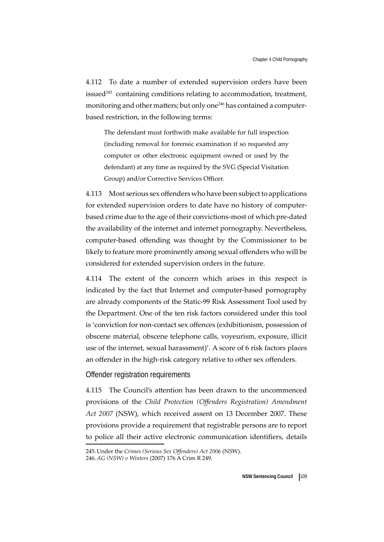4.112 To date a number of extended supervision orders have been issued<sup>245</sup> containing conditions relating to accommodation, treatment, monitoring and other matters; but only one<sup>246</sup> has contained a computerbased restriction, in the following terms:

The defendant must forthwith make available for full inspection (including removal for forensic examination if so requested any computer or other electronic equipment owned or used by the defendant) at any time as required by the SVG (Special Visitation Group) and/or Corrective Services Officer.

4.113 Most serious sex offenders who have been subject to applications for extended supervision orders to date have no history of computerbased crime due to the age of their convictions-most of which pre-dated the availability of the internet and internet pornography. Nevertheless, computer-based offending was thought by the Commissioner to be likely to feature more prominently among sexual offenders who will be considered for extended supervision orders in the future.

4.114 The extent of the concern which arises in this respect is indicated by the fact that Internet and computer-based pornography are already components of the Static-99 Risk Assessment Tool used by the Department. One of the ten risk factors considered under this tool is 'conviction for non-contact sex offences (exhibitionism, possession of obscene material, obscene telephone calls, voyeurism, exposure, illicit use of the internet, sexual harassment)'. A score of 6 risk factors places an offender in the high-risk category relative to other sex offenders.

Offender registration requirements

4.115 The Council's attention has been drawn to the uncommenced provisions of the *Child Protection (Offenders Registration)* Amendment *Act 2007* (NSW), which received assent on 13 December 2007. These provisions provide a requirement that registrable persons are to report to police all their active electronic communication identifiers, details

<sup>245.</sup> Under the *Crimes (Serious Sex Offenders) Act 2006* (NSW).

<sup>246.</sup> *AG (NSW) v Winters* (2007) 176 A Crim R 249.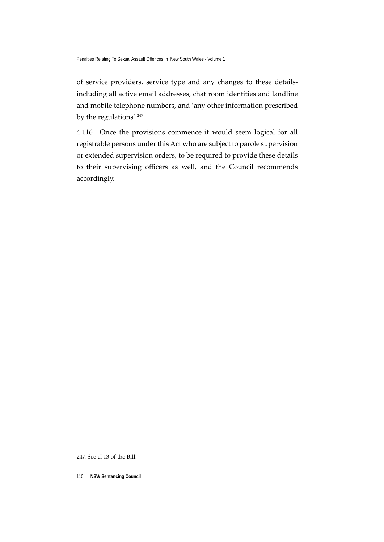of service providers, service type and any changes to these detailsincluding all active email addresses, chat room identities and landline and mobile telephone numbers, and 'any other information prescribed by the regulations'.<sup>247</sup>

4.116 Once the provisions commence it would seem logical for all registrable persons under this Act who are subject to parole supervision or extended supervision orders, to be required to provide these details to their supervising officers as well, and the Council recommends accordingly.

<sup>247.</sup> See cl 13 of the Bill.

<sup>110</sup> **NSW Sentencing Council**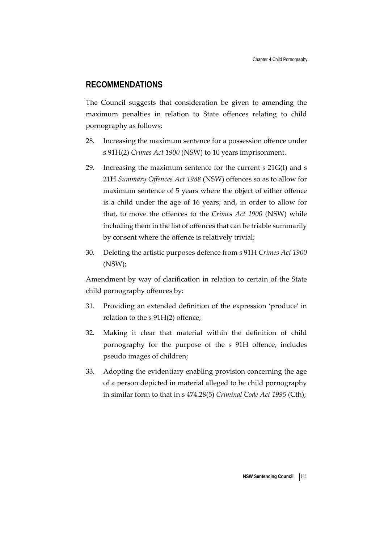### **RECOMMENDATIONS**

The Council suggests that consideration be given to amending the maximum penalties in relation to State offences relating to child pornography as follows:

- 28. Increasing the maximum sentence for a possession offence under s 91H(2) *Crimes Act 1900* (NSW) to 10 years imprisonment.
- 29. Increasing the maximum sentence for the current s 21G(I) and s 21H Summary Offences Act 1988 (NSW) offences so as to allow for maximum sentence of 5 years where the object of either offence is a child under the age of 16 years; and, in order to allow for that, to move the offences to the *Crimes Act 1900* (NSW) while including them in the list of offences that can be triable summarily by consent where the offence is relatively trivial;
- 30. Deleting the artistic purposes defence from s 91H *Crimes Act 1900* (NSW);

Amendment by way of clarification in relation to certain of the State child pornography offences by:

- 31. Providing an extended definition of the expression 'produce' in relation to the  $s$  91H(2) offence;
- 32. Making it clear that material within the definition of child pornography for the purpose of the s 91H offence, includes pseudo images of children;
- 33. Adopting the evidentiary enabling provision concerning the age of a person depicted in material alleged to be child pornography in similar form to that in s 474.28(5) *Criminal Code Act 1995* (Cth);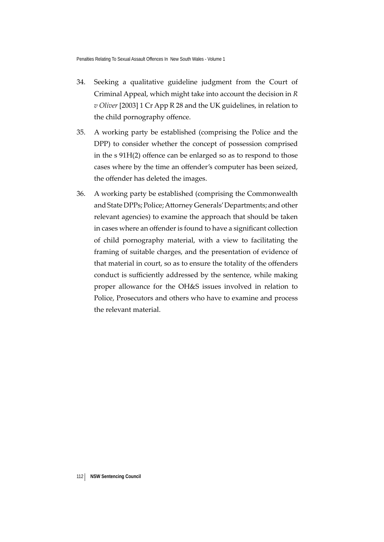- 34. Seeking a qualitative guideline judgment from the Court of Criminal Appeal, which might take into account the decision in *R v Oliver* [2003] 1 Cr App R 28 and the UK guidelines, in relation to the child pornography offence.
- 35. A working party be established (comprising the Police and the DPP) to consider whether the concept of possession comprised in the s  $91H(2)$  offence can be enlarged so as to respond to those cases where by the time an offender's computer has been seized, the offender has deleted the images.
- 36. A working party be established (comprising the Commonwealth and State DPPs; Police; Attorney Generals' Departments; and other relevant agencies) to examine the approach that should be taken in cases where an offender is found to have a significant collection of child pornography material, with a view to facilitating the framing of suitable charges, and the presentation of evidence of that material in court, so as to ensure the totality of the offenders conduct is sufficiently addressed by the sentence, while making proper allowance for the OH&S issues involved in relation to Police, Prosecutors and others who have to examine and process the relevant material.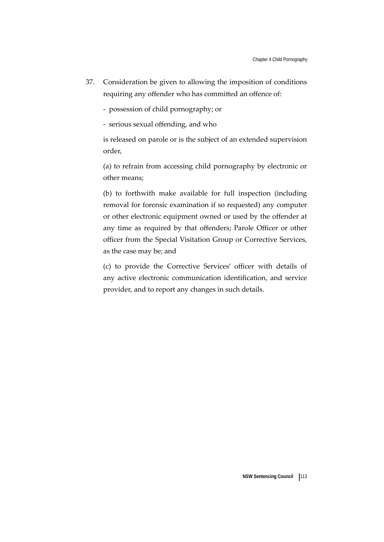- 37. Consideration be given to allowing the imposition of conditions requiring any offender who has committed an offence of:
	- possession of child pornography; or
	- serious sexual offending, and who

 is released on parole or is the subject of an extended supervision order,

 (a) to refrain from accessing child pornography by electronic or other means;

 (b) to forthwith make available for full inspection (including removal for forensic examination if so requested) any computer or other electronic equipment owned or used by the offender at any time as required by that offenders; Parole Officer or other officer from the Special Visitation Group or Corrective Services, as the case may be; and

(c) to provide the Corrective Services' officer with details of any active electronic communication identification, and service provider, and to report any changes in such details.

**NSW Sentencing Council |113**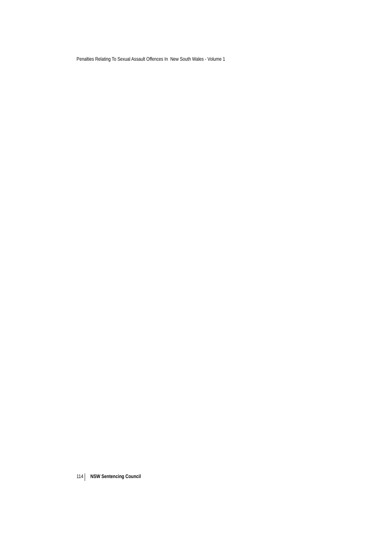Penalties Relating To Sexual Assault Offences In New South Wales - Volume 1

114 **NSW Sentencing Council**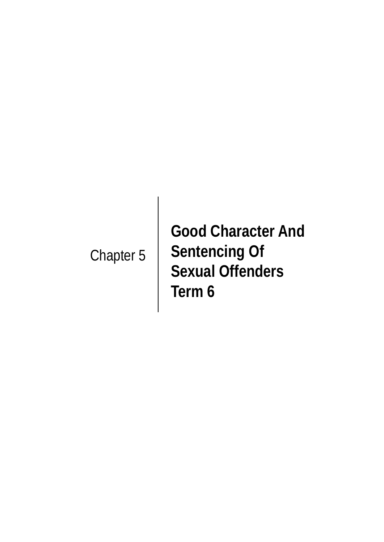Chapter 5

**Good Character And Sentencing Of Sexual Offenders Term 6**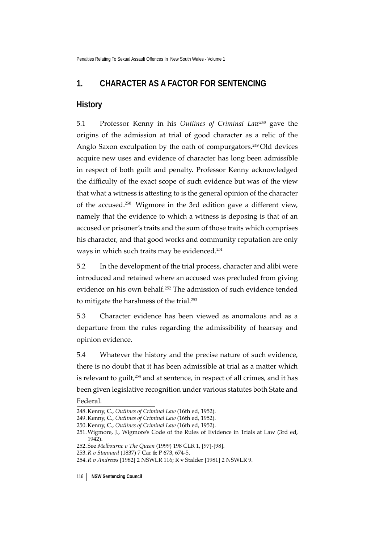# **1. CHARACTER AS A FACTOR FOR SENTENCING**

### **History**

5.1 Professor Kenny in his *Outlines of Criminal Law*248 gave the origins of the admission at trial of good character as a relic of the Anglo Saxon exculpation by the oath of compurgators.<sup>249</sup> Old devices acquire new uses and evidence of character has long been admissible in respect of both guilt and penalty. Professor Kenny acknowledged the difficulty of the exact scope of such evidence but was of the view that what a witness is attesting to is the general opinion of the character of the accused.<sup>250</sup> Wigmore in the 3rd edition gave a different view, namely that the evidence to which a witness is deposing is that of an accused or prisoner's traits and the sum of those traits which comprises his character, and that good works and community reputation are only ways in which such traits may be evidenced.<sup>251</sup>

5.2 In the development of the trial process, character and alibi were introduced and retained where an accused was precluded from giving evidence on his own behalf.<sup>252</sup> The admission of such evidence tended to mitigate the harshness of the trial.<sup>253</sup>

5.3 Character evidence has been viewed as anomalous and as a departure from the rules regarding the admissibility of hearsay and opinion evidence.

5.4 Whatever the history and the precise nature of such evidence, there is no doubt that it has been admissible at trial as a matter which is relevant to guilt,<sup>254</sup> and at sentence, in respect of all crimes, and it has been given legislative recognition under various statutes both State and Federal.

116 **NSW Sentencing Council**

<sup>248.</sup> Kenny, C., *Outlines of Criminal Law* (16th ed, 1952).

<sup>249.</sup> Kenny, C., *Outlines of Criminal Law* (16th ed, 1952).

<sup>250.</sup> Kenny, C., *Outlines of Criminal Law* (16th ed, 1952).

<sup>251.</sup> Wigmore, J., Wigmore's Code of the Rules of Evidence in Trials at Law (3rd ed, 1942).

<sup>252.</sup> See *Melbourne v The Queen* (1999) 198 CLR 1, [97]-[98].

<sup>253.</sup> *R v Stannard* (1837) 7 Car & P 673, 674-5.

<sup>254.</sup> *R v Andrews* [1982] 2 NSWLR 116; R v Stalder [1981] 2 NSWLR 9.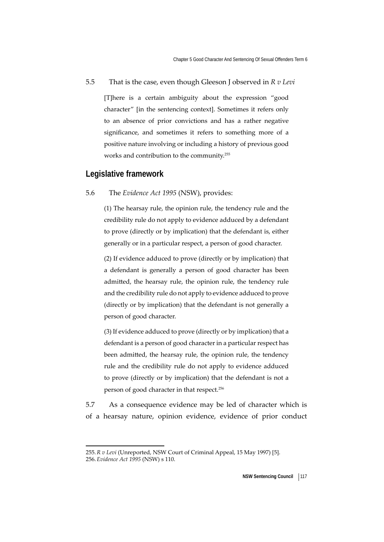5.5 That is the case, even though Gleeson J observed in *R v Levi*

[T]here is a certain ambiguity about the expression "good character" [in the sentencing context]. Sometimes it refers only to an absence of prior convictions and has a rather negative significance, and sometimes it refers to something more of a positive nature involving or including a history of previous good works and contribution to the community.255

#### **Legislative framework**

#### 5.6 The *Evidence Act 1995* (NSW), provides:

(1) The hearsay rule, the opinion rule, the tendency rule and the credibility rule do not apply to evidence adduced by a defendant to prove (directly or by implication) that the defendant is, either generally or in a particular respect, a person of good character.

(2) If evidence adduced to prove (directly or by implication) that a defendant is generally a person of good character has been admitted, the hearsay rule, the opinion rule, the tendency rule and the credibility rule do not apply to evidence adduced to prove (directly or by implication) that the defendant is not generally a person of good character.

(3) If evidence adduced to prove (directly or by implication) that a defendant is a person of good character in a particular respect has been admitted, the hearsay rule, the opinion rule, the tendency rule and the credibility rule do not apply to evidence adduced to prove (directly or by implication) that the defendant is not a person of good character in that respect.256

5.7 As a consequence evidence may be led of character which is of a hearsay nature, opinion evidence, evidence of prior conduct

<sup>255.</sup> *R v Levi* (Unreported, NSW Court of Criminal Appeal, 15 May 1997) [5]. 256. *Evidence Act 1995* (NSW) s 110.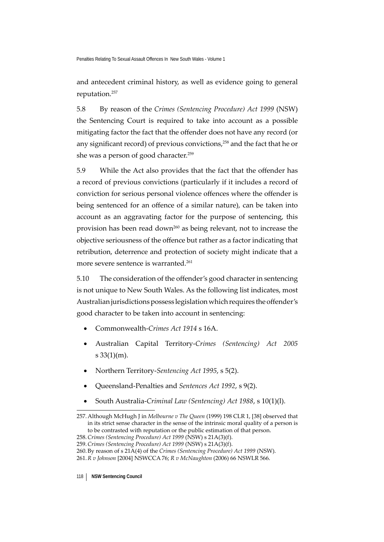Penalties Relating To Sexual Assault Offences In New South Wales - Volume 1

and antecedent criminal history, as well as evidence going to general reputation.257

5.8 By reason of the *Crimes (Sentencing Procedure) Act 1999* (NSW) the Sentencing Court is required to take into account as a possible mitigating factor the fact that the offender does not have any record (or any significant record) of previous convictions,<sup>258</sup> and the fact that he or she was a person of good character.<sup>259</sup>

5.9 While the Act also provides that the fact that the offender has a record of previous convictions (particularly if it includes a record of conviction for serious personal violence offences where the offender is being sentenced for an offence of a similar nature), can be taken into account as an aggravating factor for the purpose of sentencing, this provision has been read down<sup>260</sup> as being relevant, not to increase the objective seriousness of the offence but rather as a factor indicating that retribution, deterrence and protection of society might indicate that a more severe sentence is warranted.<sup>261</sup>

5.10 The consideration of the offender's good character in sentencing is not unique to New South Wales. As the following list indicates, most Australian jurisdictions possess legislation which requires the offender's good character to be taken into account in sentencing:

- Commonwealth-*Crimes Act 1914* s 16A.
- Australian Capital Territory-*Crimes (Sentencing) Act 2005* s 33(1)(m).
- Northern Territory-*Sentencing Act 1995*, s 5(2).
- Queensland-Penalties and *Sentences Act 1992*, s 9(2).
- South Australia-*Criminal Law (Sentencing) Act 1988*, s 10(1)(l).

118 **NSW Sentencing Council**

<sup>257.</sup> Although McHugh J in *Melbourne v The Queen* (1999) 198 CLR 1, [38] observed that in its strict sense character in the sense of the intrinsic moral quality of a person is to be contrasted with reputation or the public estimation of that person.

<sup>258.</sup> *Crimes (Sentencing Procedure) Act 1999* (NSW) s 21A(3)(f).

<sup>259.</sup> *Crimes (Sentencing Procedure) Act 1999* (NSW) s 21A(3)(f).

<sup>260.</sup> By reason of s 21A(4) of the *Crimes (Sentencing Procedure) Act 1999* (NSW).

<sup>261.</sup> *R v Johnson* [2004] NSWCCA 76; *R v McNaughton* (2006) 66 NSWLR 566.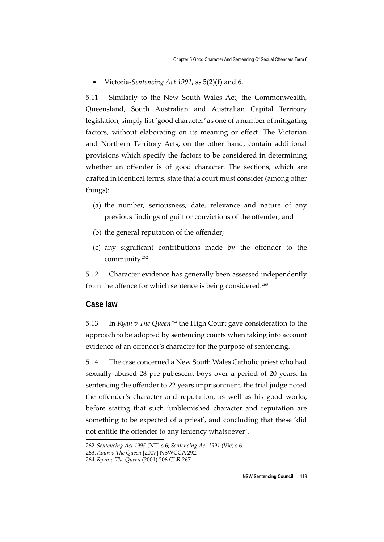• Victoria-*Sentencing Act 1991*, ss 5(2)(f) and 6.

5.11 Similarly to the New South Wales Act, the Commonwealth, Queensland, South Australian and Australian Capital Territory legislation, simply list 'good character' as one of a number of mitigating factors, without elaborating on its meaning or effect. The Victorian and Northern Territory Acts, on the other hand, contain additional provisions which specify the factors to be considered in determining whether an offender is of good character. The sections, which are drafted in identical terms, state that a court must consider (among other things):

- (a) the number, seriousness, date, relevance and nature of any previous findings of guilt or convictions of the offender; and
- (b) the general reputation of the offender;
- (c) any significant contributions made by the offender to the community.262

5.12 Character evidence has generally been assessed independently from the offence for which sentence is being considered.<sup>263</sup>

#### **Case law**

5.13 In *Ryan v The Queen*264 the High Court gave consideration to the approach to be adopted by sentencing courts when taking into account evidence of an offender's character for the purpose of sentencing.

5.14 The case concerned a New South Wales Catholic priest who had sexually abused 28 pre-pubescent boys over a period of 20 years. In sentencing the offender to 22 years imprisonment, the trial judge noted the offender's character and reputation, as well as his good works, before stating that such 'unblemished character and reputation are something to be expected of a priest', and concluding that these 'did not entitle the offender to any leniency whatsoever'.

<sup>262.</sup> *Sentencing Act 1995* (NT) s 6; *Sentencing Act 1991* (Vic) s 6.

<sup>263.</sup> *Aoun v The Queen* [2007] NSWCCA 292.

<sup>264.</sup> *Ryan v The Queen* (2001) 206 CLR 267.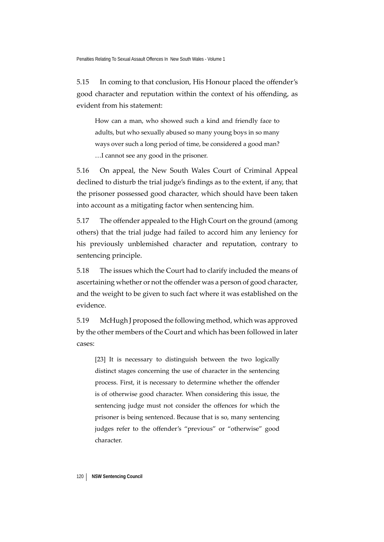5.15 In coming to that conclusion, His Honour placed the offender's good character and reputation within the context of his offending, as evident from his statement:

How can a man, who showed such a kind and friendly face to adults, but who sexually abused so many young boys in so many ways over such a long period of time, be considered a good man? …I cannot see any good in the prisoner.

5.16 On appeal, the New South Wales Court of Criminal Appeal declined to disturb the trial judge's findings as to the extent, if any, that the prisoner possessed good character, which should have been taken into account as a mitigating factor when sentencing him.

5.17 The offender appealed to the High Court on the ground (among others) that the trial judge had failed to accord him any leniency for his previously unblemished character and reputation, contrary to sentencing principle.

5.18 The issues which the Court had to clarify included the means of ascertaining whether or not the offender was a person of good character, and the weight to be given to such fact where it was established on the evidence.

5.19 McHugh J proposed the following method, which was approved by the other members of the Court and which has been followed in later cases:

[23] It is necessary to distinguish between the two logically distinct stages concerning the use of character in the sentencing process. First, it is necessary to determine whether the offender is of otherwise good character. When considering this issue, the sentencing judge must not consider the offences for which the prisoner is being sentenced. Because that is so, many sentencing judges refer to the offender's "previous" or "otherwise" good character.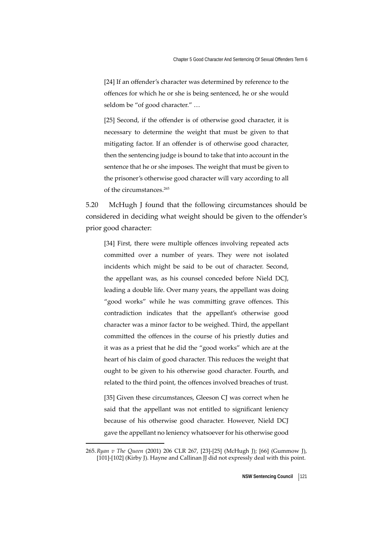[24] If an offender's character was determined by reference to the offences for which he or she is being sentenced, he or she would seldom be "of good character." …

[25] Second, if the offender is of otherwise good character, it is necessary to determine the weight that must be given to that mitigating factor. If an offender is of otherwise good character, then the sentencing judge is bound to take that into account in the sentence that he or she imposes. The weight that must be given to the prisoner's otherwise good character will vary according to all of the circumstances.265

5.20 McHugh J found that the following circumstances should be considered in deciding what weight should be given to the offender's prior good character:

[34] First, there were multiple offences involving repeated acts committed over a number of years. They were not isolated incidents which might be said to be out of character. Second, the appellant was, as his counsel conceded before Nield DCJ, leading a double life. Over many years, the appellant was doing "good works" while he was committing grave offences. This contradiction indicates that the appellant's otherwise good character was a minor factor to be weighed. Third, the appellant committed the offences in the course of his priestly duties and it was as a priest that he did the "good works" which are at the heart of his claim of good character. This reduces the weight that ought to be given to his otherwise good character. Fourth, and related to the third point, the offences involved breaches of trust.

[35] Given these circumstances, Gleeson CJ was correct when he said that the appellant was not entitled to significant leniency because of his otherwise good character. However, Nield DCJ gave the appellant no leniency whatsoever for his otherwise good

<sup>265.</sup> *Ryan v The Queen* (2001) 206 CLR 267, [23]-[25] (McHugh J); [66] (Gummow J), [101]-[102] (Kirby J). Hayne and Callinan JJ did not expressly deal with this point.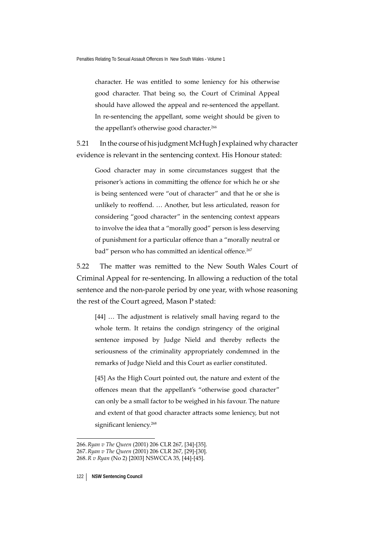character. He was entitled to some leniency for his otherwise good character. That being so, the Court of Criminal Appeal should have allowed the appeal and re-sentenced the appellant. In re-sentencing the appellant, some weight should be given to the appellant's otherwise good character.<sup>266</sup>

5.21 In the course of his judgment McHugh J explained why character evidence is relevant in the sentencing context. His Honour stated:

Good character may in some circumstances suggest that the prisoner's actions in committing the offence for which he or she is being sentenced were "out of character" and that he or she is unlikely to reoffend. ... Another, but less articulated, reason for considering "good character" in the sentencing context appears to involve the idea that a "morally good" person is less deserving of punishment for a particular offence than a "morally neutral or bad" person who has committed an identical offence.<sup>267</sup>

5.22 The matter was remitted to the New South Wales Court of Criminal Appeal for re-sentencing. In allowing a reduction of the total sentence and the non-parole period by one year, with whose reasoning the rest of the Court agreed, Mason P stated:

[44] ... The adjustment is relatively small having regard to the whole term. It retains the condign stringency of the original sentence imposed by Judge Nield and thereby reflects the seriousness of the criminality appropriately condemned in the remarks of Judge Nield and this Court as earlier constituted.

[45] As the High Court pointed out, the nature and extent of the offences mean that the appellant's "otherwise good character" can only be a small factor to be weighed in his favour. The nature and extent of that good character attracts some leniency, but not significant leniency.<sup>268</sup>

<sup>266.</sup> *Ryan v The Queen* (2001) 206 CLR 267, [34]-[35]. 267. *Ryan v The Queen* (2001) 206 CLR 267, [29]-[30]. 268. *R v Ryan* (No 2) [2003] NSWCCA 35, [44]-[45].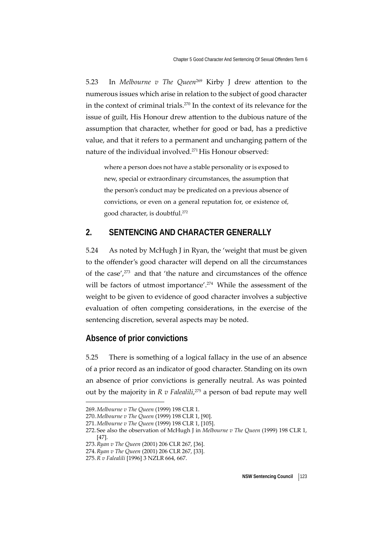5.23 In *Melbourne v The Queen*<sup>269</sup> Kirby J drew attention to the numerous issues which arise in relation to the subject of good character in the context of criminal trials.270 In the context of its relevance for the issue of guilt, His Honour drew attention to the dubious nature of the assumption that character, whether for good or bad, has a predictive value, and that it refers to a permanent and unchanging pattern of the nature of the individual involved.271 His Honour observed:

where a person does not have a stable personality or is exposed to new, special or extraordinary circumstances, the assumption that the person's conduct may be predicated on a previous absence of convictions, or even on a general reputation for, or existence of, good character, is doubtful.272

# **2. SENTENCING AND CHARACTER GENERALLY**

5.24 As noted by McHugh J in Ryan, the 'weight that must be given to the offender's good character will depend on all the circumstances of the case',<sup>273</sup> and that 'the nature and circumstances of the offence will be factors of utmost importance'.<sup>274</sup> While the assessment of the weight to be given to evidence of good character involves a subjective evaluation of often competing considerations, in the exercise of the sentencing discretion, several aspects may be noted.

### **Absence of prior convictions**

5.25 There is something of a logical fallacy in the use of an absence of a prior record as an indicator of good character. Standing on its own an absence of prior convictions is generally neutral. As was pointed out by the majority in *R v Falealili*, 275 a person of bad repute may well

<sup>269.</sup> *Melbourne v The Queen* (1999) 198 CLR 1.

<sup>270.</sup> *Melbourne v The Queen* (1999) 198 CLR 1, [90].

<sup>271.</sup> *Melbourne v The Queen* (1999) 198 CLR 1, [105].

<sup>272.</sup> See also the observation of McHugh J in *Melbourne v The Queen* (1999) 198 CLR 1, [47].

<sup>273.</sup> *Ryan v The Queen* (2001) 206 CLR 267, [36].

<sup>274.</sup> *Ryan v The Queen* (2001) 206 CLR 267, [33].

<sup>275.</sup> *R v Falealili* [1996] 3 NZLR 664, 667.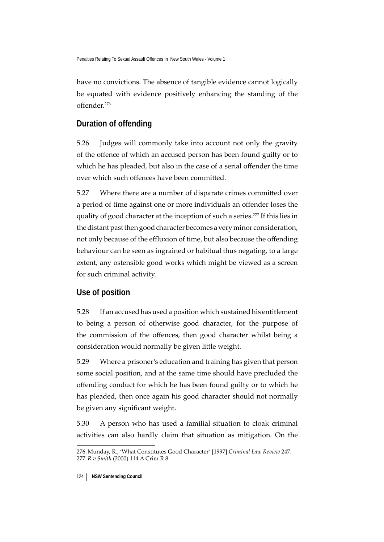Penalties Relating To Sexual Assault Offences In New South Wales - Volume 1

have no convictions. The absence of tangible evidence cannot logically be equated with evidence positively enhancing the standing of the offender<sup>276</sup>

# **Duration of offending**

5.26 Judges will commonly take into account not only the gravity of the offence of which an accused person has been found guilty or to which he has pleaded, but also in the case of a serial offender the time over which such offences have been committed.

5.27 Where there are a number of disparate crimes committed over a period of time against one or more individuals an offender loses the quality of good character at the inception of such a series.<sup>277</sup> If this lies in the distant past then good character becomes a very minor consideration, not only because of the effluxion of time, but also because the offending behaviour can be seen as ingrained or habitual thus negating, to a large extent, any ostensible good works which might be viewed as a screen for such criminal activity.

# **Use of position**

5.28 If an accused has used a position which sustained his entitlement to being a person of otherwise good character, for the purpose of the commission of the offences, then good character whilst being a consideration would normally be given little weight.

5.29 Where a prisoner's education and training has given that person some social position, and at the same time should have precluded the offending conduct for which he has been found guilty or to which he has pleaded, then once again his good character should not normally be given any significant weight.

5.30 A person who has used a familial situation to cloak criminal activities can also hardly claim that situation as mitigation. On the

<sup>276.</sup> Munday, R., 'What Constitutes Good Character' [1997] *Criminal Law Review* 247. 277. *R v Smith* (2000) 114 A Crim R 8.

<sup>124</sup> **NSW Sentencing Council**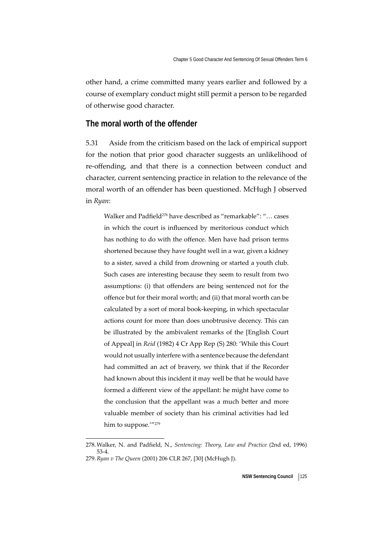other hand, a crime committed many years earlier and followed by a course of exemplary conduct might still permit a person to be regarded of otherwise good character.

## **The moral worth of the offender**

5.31 Aside from the criticism based on the lack of empirical support for the notion that prior good character suggests an unlikelihood of re-offending, and that there is a connection between conduct and character, current sentencing practice in relation to the relevance of the moral worth of an offender has been questioned. McHugh J observed in *Ryan*:

Walker and Padfield<sup>278</sup> have described as "remarkable": "... cases in which the court is influenced by meritorious conduct which has nothing to do with the offence. Men have had prison terms shortened because they have fought well in a war, given a kidney to a sister, saved a child from drowning or started a youth club. Such cases are interesting because they seem to result from two assumptions: (i) that offenders are being sentenced not for the offence but for their moral worth; and (ii) that moral worth can be calculated by a sort of moral book-keeping, in which spectacular actions count for more than does unobtrusive decency. This can be illustrated by the ambivalent remarks of the [English Court of Appeal] in *Reid* (1982) 4 Cr App Rep (S) 280: 'While this Court would not usually interfere with a sentence because the defendant had committed an act of bravery, we think that if the Recorder had known about this incident it may well be that he would have formed a different view of the appellant: he might have come to the conclusion that the appellant was a much better and more valuable member of society than his criminal activities had led him to suppose.""<sup>279</sup>

<sup>278.</sup> Walker, N. and Padfield, N., *Sentencing: Theory, Law and Practice* (2nd ed, 1996) 53-4.

<sup>279.</sup> *Ryan v The Queen* (2001) 206 CLR 267, [30] (McHugh J).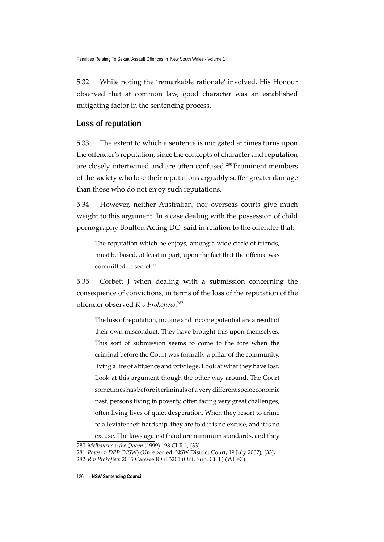5.32 While noting the 'remarkable rationale' involved, His Honour observed that at common law, good character was an established mitigating factor in the sentencing process.

## **Loss of reputation**

5.33 The extent to which a sentence is mitigated at times turns upon the offender's reputation, since the concepts of character and reputation are closely intertwined and are often confused.<sup>280</sup> Prominent members of the society who lose their reputations arguably suffer greater damage than those who do not enjoy such reputations.

5.34 However, neither Australian, nor overseas courts give much weight to this argument. In a case dealing with the possession of child pornography Boulton Acting DCJ said in relation to the offender that:

The reputation which he enjoys, among a wide circle of friends, must be based, at least in part, upon the fact that the offence was committed in secret.<sup>281</sup>

5.35 Corbett J when dealing with a submission concerning the consequence of convictions, in terms of the loss of the reputation of the offender observed *R v Prokofiew*:<sup>282</sup>

The loss of reputation, income and income potential are a result of their own misconduct. They have brought this upon themselves. This sort of submission seems to come to the fore when the criminal before the Court was formally a pillar of the community, living a life of affluence and privilege. Look at what they have lost. Look at this argument though the other way around. The Court sometimes has before it criminals of a very different socioeconomic past, persons living in poverty, often facing very great challenges, often living lives of quiet desperation. When they resort to crime to alleviate their hardship, they are told it is no excuse, and it is no excuse. The laws against fraud are minimum standards, and they

<sup>280.</sup> *Melbourne v the Queen* (1999) 198 CLR 1, [33].

<sup>281.</sup> *Power v DPP* (NSW) (Unreported, NSW District Court, 19 July 2007), [33]. 282. *R v Prokofiew* 2005 CarswellOnt 3201 (Ont. Sup. Ct. J.) (WLeC).

<sup>126</sup> **NSW Sentencing Council**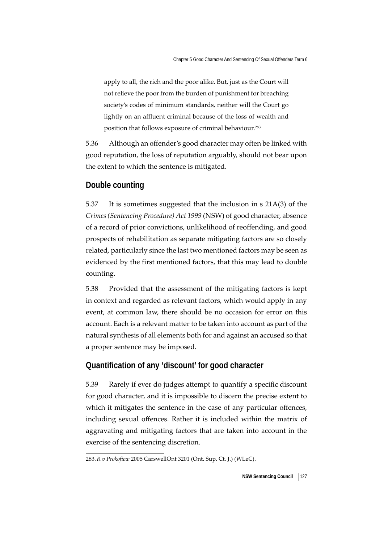apply to all, the rich and the poor alike. But, just as the Court will not relieve the poor from the burden of punishment for breaching society's codes of minimum standards, neither will the Court go lightly on an affluent criminal because of the loss of wealth and position that follows exposure of criminal behaviour.283

5.36 Although an offender's good character may often be linked with good reputation, the loss of reputation arguably, should not bear upon the extent to which the sentence is mitigated.

# **Double counting**

5.37 It is sometimes suggested that the inclusion in s 21A(3) of the *Crimes (Sentencing Procedure) Act 1999* (NSW) of good character, absence of a record of prior convictions, unlikelihood of reoffending, and good prospects of rehabilitation as separate mitigating factors are so closely related, particularly since the last two mentioned factors may be seen as evidenced by the first mentioned factors, that this may lead to double counting.

5.38 Provided that the assessment of the mitigating factors is kept in context and regarded as relevant factors, which would apply in any event, at common law, there should be no occasion for error on this account. Each is a relevant matter to be taken into account as part of the natural synthesis of all elements both for and against an accused so that a proper sentence may be imposed.

# **Quantifi cation of any 'discount' for good character**

5.39 Rarely if ever do judges attempt to quantify a specific discount for good character, and it is impossible to discern the precise extent to which it mitigates the sentence in the case of any particular offences, including sexual offences. Rather it is included within the matrix of aggravating and mitigating factors that are taken into account in the exercise of the sentencing discretion.

<sup>283.</sup> *R v Prokofiew* 2005 CarswellOnt 3201 (Ont. Sup. Ct. J.) (WLeC).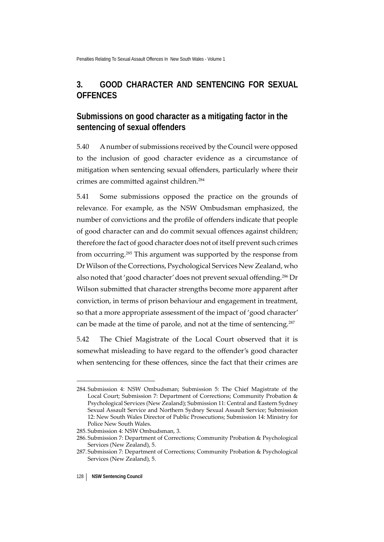# **3. GOOD CHARACTER AND SENTENCING FOR SEXUAL OFFENCES**

# **Submissions on good character as a mitigating factor in the sentencing of sexual offenders**

5.40 A number of submissions received by the Council were opposed to the inclusion of good character evidence as a circumstance of mitigation when sentencing sexual offenders, particularly where their crimes are committed against children.<sup>284</sup>

5.41 Some submissions opposed the practice on the grounds of relevance. For example, as the NSW Ombudsman emphasized, the number of convictions and the profile of offenders indicate that people of good character can and do commit sexual offences against children; therefore the fact of good character does not of itself prevent such crimes from occurring.<sup>285</sup> This argument was supported by the response from Dr Wilson of the Corrections, Psychological Services New Zealand, who also noted that 'good character' does not prevent sexual offending.<sup>286</sup> Dr Wilson submitted that character strengths become more apparent after conviction, in terms of prison behaviour and engagement in treatment, so that a more appropriate assessment of the impact of 'good character' can be made at the time of parole, and not at the time of sentencing.<sup>287</sup>

5.42 The Chief Magistrate of the Local Court observed that it is somewhat misleading to have regard to the offender's good character when sentencing for these offences, since the fact that their crimes are

<sup>284.</sup> Submission 4: NSW Ombudsman; Submission 5: The Chief Magistrate of the Local Court; Submission 7: Department of Corrections; Community Probation & Psychological Services (New Zealand); Submission 11: Central and Eastern Sydney Sexual Assault Service and Northern Sydney Sexual Assault Service; Submission 12: New South Wales Director of Public Prosecutions; Submission 14: Ministry for Police New South Wales.

<sup>285.</sup> Submission 4: NSW Ombudsman, 3.

<sup>286.</sup> Submission 7: Department of Corrections; Community Probation & Psychological Services (New Zealand), 5.

<sup>287.</sup> Submission 7: Department of Corrections; Community Probation & Psychological Services (New Zealand), 5.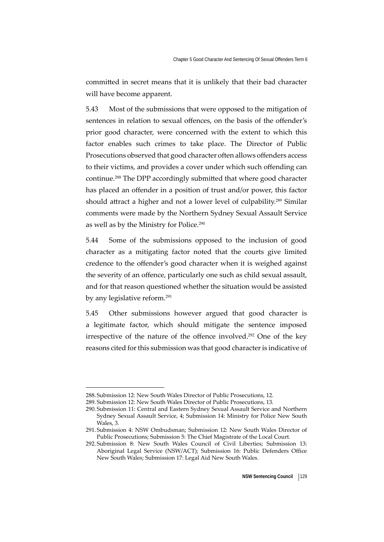committed in secret means that it is unlikely that their bad character will have become apparent.

5.43 Most of the submissions that were opposed to the mitigation of sentences in relation to sexual offences, on the basis of the offender's prior good character, were concerned with the extent to which this factor enables such crimes to take place. The Director of Public Prosecutions observed that good character often allows offenders access to their victims, and provides a cover under which such offending can continue.<sup>288</sup> The DPP accordingly submitted that where good character has placed an offender in a position of trust and/or power, this factor should attract a higher and not a lower level of culpability.<sup>289</sup> Similar comments were made by the Northern Sydney Sexual Assault Service as well as by the Ministry for Police.<sup>290</sup>

5.44 Some of the submissions opposed to the inclusion of good character as a mitigating factor noted that the courts give limited credence to the offender's good character when it is weighed against the severity of an offence, particularly one such as child sexual assault, and for that reason questioned whether the situation would be assisted by any legislative reform.<sup>291</sup>

5.45 Other submissions however argued that good character is a legitimate factor, which should mitigate the sentence imposed irrespective of the nature of the offence involved.<sup>292</sup> One of the key reasons cited for this submission was that good character is indicative of

<sup>288.</sup> Submission 12: New South Wales Director of Public Prosecutions, 12.

<sup>289.</sup> Submission 12: New South Wales Director of Public Prosecutions, 13.

<sup>290.</sup> Submission 11: Central and Eastern Sydney Sexual Assault Service and Northern Sydney Sexual Assault Service, 4; Submission 14: Ministry for Police New South Wales, 3.

<sup>291.</sup> Submission 4: NSW Ombudsman; Submission 12: New South Wales Director of Public Prosecutions; Submission 5: The Chief Magistrate of the Local Court.

<sup>292.</sup> Submission 8: New South Wales Council of Civil Liberties; Submission 13: Aboriginal Legal Service (NSW/ACT); Submission 16: Public Defenders Office New South Wales; Submission 17: Legal Aid New South Wales.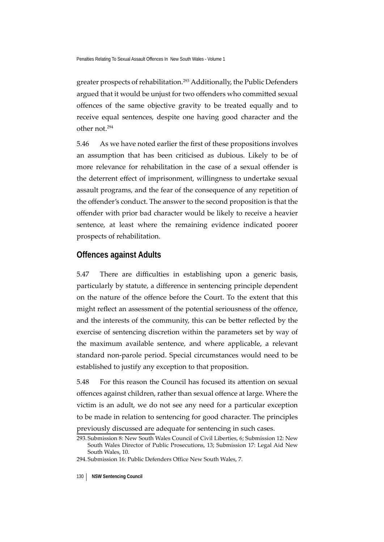Penalties Relating To Sexual Assault Offences In New South Wales - Volume 1

greater prospects of rehabilitation.293 Additionally, the Public Defenders argued that it would be unjust for two offenders who committed sexual offences of the same objective gravity to be treated equally and to receive equal sentences, despite one having good character and the other not.294

5.46 As we have noted earlier the first of these propositions involves an assumption that has been criticised as dubious. Likely to be of more relevance for rehabilitation in the case of a sexual offender is the deterrent effect of imprisonment, willingness to undertake sexual assault programs, and the fear of the consequence of any repetition of the offender's conduct. The answer to the second proposition is that the offender with prior bad character would be likely to receive a heavier sentence, at least where the remaining evidence indicated poorer prospects of rehabilitation.

#### **Offences against Adults**

5.47 There are difficulties in establishing upon a generic basis, particularly by statute, a difference in sentencing principle dependent on the nature of the offence before the Court. To the extent that this might reflect an assessment of the potential seriousness of the offence, and the interests of the community, this can be better reflected by the exercise of sentencing discretion within the parameters set by way of the maximum available sentence, and where applicable, a relevant standard non-parole period. Special circumstances would need to be established to justify any exception to that proposition.

5.48 For this reason the Council has focused its attention on sexual offences against children, rather than sexual offence at large. Where the victim is an adult, we do not see any need for a particular exception to be made in relation to sentencing for good character. The principles previously discussed are adequate for sentencing in such cases.

<sup>293.</sup> Submission 8: New South Wales Council of Civil Liberties, 6; Submission 12: New South Wales Director of Public Prosecutions, 13; Submission 17: Legal Aid New South Wales, 10.

<sup>294.</sup> Submission 16: Public Defenders Office New South Wales, 7.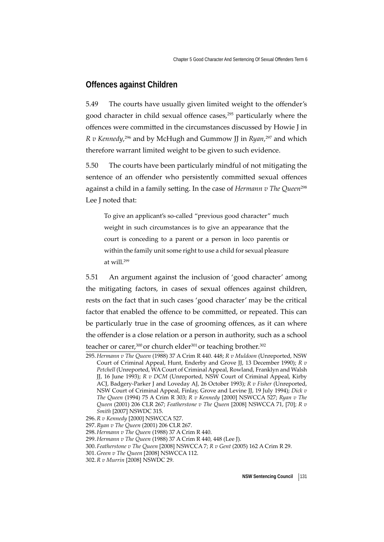#### **Offences against Children**

5.49 The courts have usually given limited weight to the offender's good character in child sexual offence cases,<sup>295</sup> particularly where the offences were committed in the circumstances discussed by Howie J in *R v Kennedy*, 296 and by McHugh and Gummow JJ in *Ryan*, 297 and which therefore warrant limited weight to be given to such evidence.

5.50 The courts have been particularly mindful of not mitigating the sentence of an offender who persistently committed sexual offences against a child in a family setting. In the case of *Hermann v The Queen*<sup>298</sup> Lee J noted that:

To give an applicant's so-called "previous good character" much weight in such circumstances is to give an appearance that the court is conceding to a parent or a person in loco parentis or within the family unit some right to use a child for sexual pleasure at will.299

5.51 An argument against the inclusion of 'good character' among the mitigating factors, in cases of sexual offences against children, rests on the fact that in such cases 'good character' may be the critical factor that enabled the offence to be committed, or repeated. This can be particularly true in the case of grooming offences, as it can where the offender is a close relation or a person in authority, such as a school teacher or carer,<sup>300</sup> or church elder<sup>301</sup> or teaching brother.<sup>302</sup>

<sup>295.</sup> *Hermann v The Queen* (1988) 37 A Crim R 440. 448; *R v Muldoon* (Unreported, NSW Court of Criminal Appeal, Hunt, Enderby and Grove JJ, 13 December 1990); *R v Petchell* (Unreported, WA Court of Criminal Appeal, Rowland, Franklyn and Walsh JJ, 16 June 1993); *R v DCM* (Unreported, NSW Court of Criminal Appeal, Kirby ACJ, Badgery-Parker J and Loveday AJ, 26 October 1993); *R v Fisher* (Unreported, NSW Court of Criminal Appeal, Finlay, Grove and Levine JJ, 19 July 1994); *Dick v The Queen* (1994) 75 A Crim R 303; *R v Kennedy* [2000] NSWCCA 527; *Ryan v The Queen* (2001) 206 CLR 267; *Featherstone v The Queen* [2008] NSWCCA 71, [70]; *R v Smith* [2007] NSWDC 315.

<sup>296.</sup> *R v Kennedy* [2000] NSWCCA 527.

<sup>297.</sup> *Ryan v The Queen* (2001) 206 CLR 267.

<sup>298.</sup> *Hermann v The Queen* (1988) 37 A Crim R 440.

<sup>299.</sup> *Hermann v The Queen* (1988) 37 A Crim R 440, 448 (Lee J).

<sup>300.</sup> *Featherstone v The Queen* [2008] NSWCCA 7; *R v Gent* (2005) 162 A Crim R 29.

<sup>301.</sup> *Green v The Queen* [2008] NSWCCA 112.

<sup>302.</sup> *R v Murrin* [2008] NSWDC 29.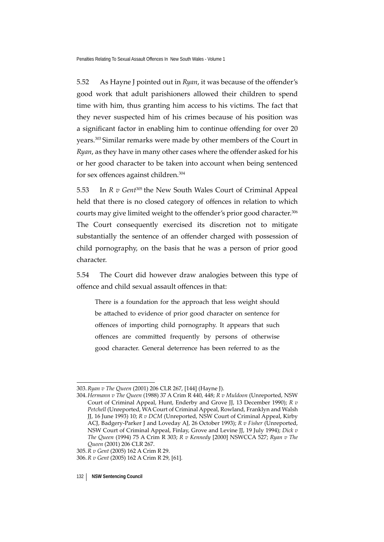5.52 As Hayne J pointed out in *Ryan*, it was because of the offender's good work that adult parishioners allowed their children to spend time with him, thus granting him access to his victims. The fact that they never suspected him of his crimes because of his position was a significant factor in enabling him to continue offending for over 20 years.303 Similar remarks were made by other members of the Court in *Ryan*, as they have in many other cases where the offender asked for his or her good character to be taken into account when being sentenced for sex offences against children.<sup>304</sup>

5.53 In *R v Gent*305 the New South Wales Court of Criminal Appeal held that there is no closed category of offences in relation to which courts may give limited weight to the offender's prior good character.<sup>306</sup> The Court consequently exercised its discretion not to mitigate substantially the sentence of an offender charged with possession of child pornography, on the basis that he was a person of prior good character.

5.54 The Court did however draw analogies between this type of offence and child sexual assault offences in that:

There is a foundation for the approach that less weight should be attached to evidence of prior good character on sentence for offences of importing child pornography. It appears that such offences are committed frequently by persons of otherwise good character. General deterrence has been referred to as the

<sup>303.</sup> *Ryan v The Queen* (2001) 206 CLR 267, [144] (Hayne J).

<sup>304.</sup> *Hermann v The Queen* (1988) 37 A Crim R 440, 448; *R v Muldoon* (Unreported, NSW Court of Criminal Appeal, Hunt, Enderby and Grove JJ, 13 December 1990); *R v Petchell* (Unreported, WA Court of Criminal Appeal, Rowland, Franklyn and Walsh JJ, 16 June 1993) 10; *R v DCM* (Unreported, NSW Court of Criminal Appeal, Kirby ACJ, Badgery-Parker J and Loveday AJ, 26 October 1993); *R v Fisher* (Unreported, NSW Court of Criminal Appeal, Finlay, Grove and Levine JJ, 19 July 1994); *Dick v The Queen* (1994) 75 A Crim R 303; *R v Kennedy* [2000] NSWCCA 527; *Ryan v The Queen* (2001) 206 CLR 267.

<sup>305.</sup> *R v Gent* (2005) 162 A Crim R 29.

<sup>306.</sup> *R v Gent* (2005) 162 A Crim R 29, [61].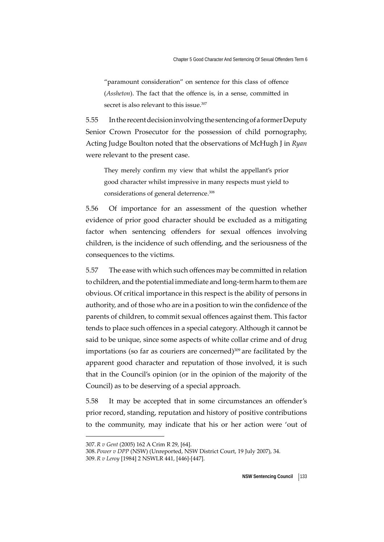"paramount consideration" on sentence for this class of offence (*Assheton*). The fact that the offence is, in a sense, committed in secret is also relevant to this issue.<sup>307</sup>

5.55 In the recent decision involving the sentencing of a former Deputy Senior Crown Prosecutor for the possession of child pornography, Acting Judge Boulton noted that the observations of McHugh J in *Ryan*  were relevant to the present case.

They merely confirm my view that whilst the appellant's prior good character whilst impressive in many respects must yield to considerations of general deterrence.<sup>308</sup>

5.56 Of importance for an assessment of the question whether evidence of prior good character should be excluded as a mitigating factor when sentencing offenders for sexual offences involving children, is the incidence of such offending, and the seriousness of the consequences to the victims.

5.57 The ease with which such offences may be committed in relation to children, and the potential immediate and long-term harm to them are obvious. Of critical importance in this respect is the ability of persons in authority, and of those who are in a position to win the confidence of the parents of children, to commit sexual offences against them. This factor tends to place such offences in a special category. Although it cannot be said to be unique, since some aspects of white collar crime and of drug importations (so far as couriers are concerned) $309$  are facilitated by the apparent good character and reputation of those involved, it is such that in the Council's opinion (or in the opinion of the majority of the Council) as to be deserving of a special approach.

5.58 It may be accepted that in some circumstances an offender's prior record, standing, reputation and history of positive contributions to the community, may indicate that his or her action were 'out of

<sup>307.</sup> *R v Gent* (2005) 162 A Crim R 29, [64].

<sup>308.</sup> *Power v DPP* (NSW) (Unreported, NSW District Court, 19 July 2007), 34. 309. *R v Leroy* [1984] 2 NSWLR 441, [446]-[447].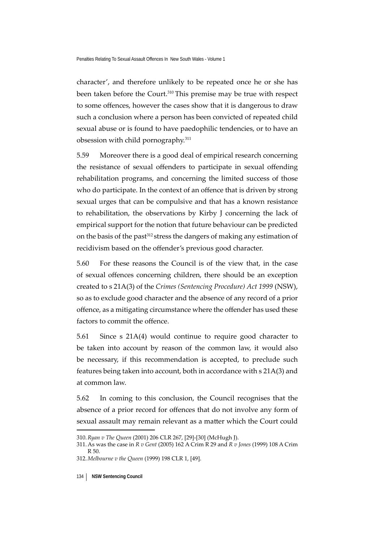character', and therefore unlikely to be repeated once he or she has been taken before the Court.<sup>310</sup> This premise may be true with respect to some offences, however the cases show that it is dangerous to draw such a conclusion where a person has been convicted of repeated child sexual abuse or is found to have paedophilic tendencies, or to have an obsession with child pornography.311

5.59 Moreover there is a good deal of empirical research concerning the resistance of sexual offenders to participate in sexual offending rehabilitation programs, and concerning the limited success of those who do participate. In the context of an offence that is driven by strong sexual urges that can be compulsive and that has a known resistance to rehabilitation, the observations by Kirby J concerning the lack of empirical support for the notion that future behaviour can be predicted on the basis of the past<sup>312</sup> stress the dangers of making any estimation of recidivism based on the offender's previous good character.

5.60 For these reasons the Council is of the view that, in the case of sexual offences concerning children, there should be an exception created to s 21A(3) of the *Crimes (Sentencing Procedure) Act 1999* (NSW), so as to exclude good character and the absence of any record of a prior offence, as a mitigating circumstance where the offender has used these factors to commit the offence.

5.61 Since s 21A(4) would continue to require good character to be taken into account by reason of the common law, it would also be necessary, if this recommendation is accepted, to preclude such features being taken into account, both in accordance with s 21A(3) and at common law.

5.62 In coming to this conclusion, the Council recognises that the absence of a prior record for offences that do not involve any form of sexual assault may remain relevant as a matter which the Court could

<sup>310.</sup> *Ryan v The Queen* (2001) 206 CLR 267, [29]-[30] (McHugh J).

<sup>311.</sup> As was the case in *R v Gent* (2005) 162 A Crim R 29 and *R v Jones* (1999) 108 A Crim R 50.

<sup>312.</sup> *Melbourne v the Queen* (1999) 198 CLR 1, [49].

<sup>134</sup> **NSW Sentencing Council**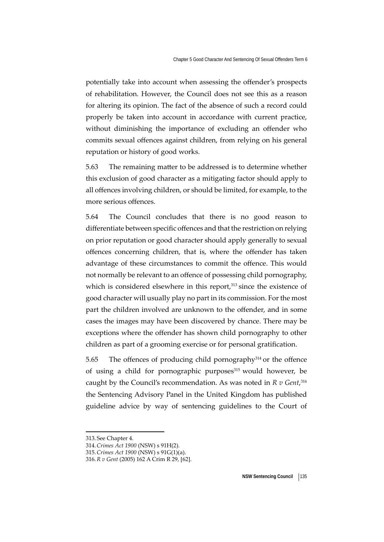potentially take into account when assessing the offender's prospects of rehabilitation. However, the Council does not see this as a reason for altering its opinion. The fact of the absence of such a record could properly be taken into account in accordance with current practice, without diminishing the importance of excluding an offender who commits sexual offences against children, from relying on his general reputation or history of good works.

5.63 The remaining matter to be addressed is to determine whether this exclusion of good character as a mitigating factor should apply to all offences involving children, or should be limited, for example, to the more serious offences.

5.64 The Council concludes that there is no good reason to differentiate between specific offences and that the restriction on relying on prior reputation or good character should apply generally to sexual offences concerning children, that is, where the offender has taken advantage of these circumstances to commit the offence. This would not normally be relevant to an offence of possessing child pornography, which is considered elsewhere in this report,<sup>313</sup> since the existence of good character will usually play no part in its commission. For the most part the children involved are unknown to the offender, and in some cases the images may have been discovered by chance. There may be exceptions where the offender has shown child pornography to other children as part of a grooming exercise or for personal gratification.

 $5.65$  The offences of producing child pornography<sup>314</sup> or the offence of using a child for pornographic purposes<sup>315</sup> would however, be caught by the Council's recommendation. As was noted in *R v Gent*, 316 the Sentencing Advisory Panel in the United Kingdom has published guideline advice by way of sentencing guidelines to the Court of

**NSW Sentencing Council** 135

<sup>313.</sup> See Chapter 4.

<sup>314.</sup> *Crimes Act 1900* (NSW) s 91H(2).

<sup>315.</sup> *Crimes Act 1900* (NSW) s 91G(1)(a).

<sup>316.</sup> *R v Gent* (2005) 162 A Crim R 29, [62].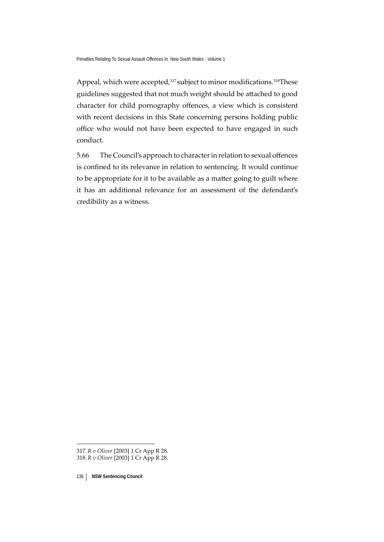Penalties Relating To Sexual Assault Offences In New South Wales - Volume 1

Appeal, which were accepted,<sup>317</sup> subject to minor modifications.<sup>318</sup>These guidelines suggested that not much weight should be attached to good character for child pornography offences, a view which is consistent with recent decisions in this State concerning persons holding public office who would not have been expected to have engaged in such conduct.

5.66 The Council's approach to character in relation to sexual offences is confined to its relevance in relation to sentencing. It would continue to be appropriate for it to be available as a matter going to guilt where it has an additional relevance for an assessment of the defendant's credibility as a witness.

<sup>317.</sup> *R v Oliver* [2003] 1 Cr App R 28. 318. *R v Oliver* [2003] 1 Cr App R 28.

<sup>136</sup> **NSW Sentencing Council**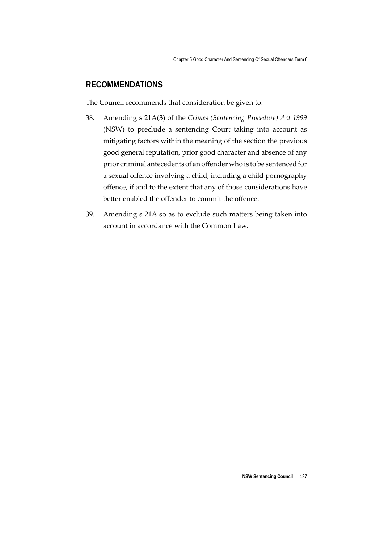# **RECOMMENDATIONS**

The Council recommends that consideration be given to:

- 38. Amending s 21A(3) of the *Crimes (Sentencing Procedure) Act 1999*  (NSW) to preclude a sentencing Court taking into account as mitigating factors within the meaning of the section the previous good general reputation, prior good character and absence of any prior criminal antecedents of an offender who is to be sentenced for a sexual offence involving a child, including a child pornography offence, if and to the extent that any of those considerations have better enabled the offender to commit the offence.
- 39. Amending s  $21A$  so as to exclude such matters being taken into account in accordance with the Common Law.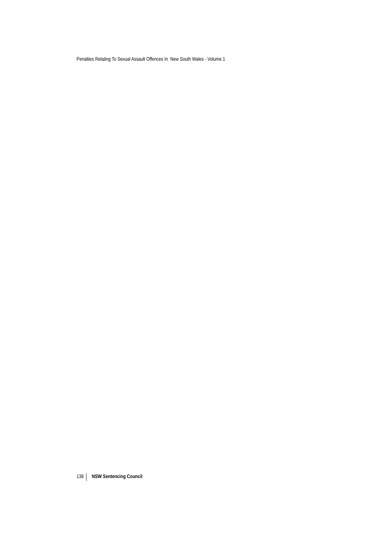Penalties Relating To Sexual Assault Offences In New South Wales - Volume 1

138 **NSW Sentencing Council**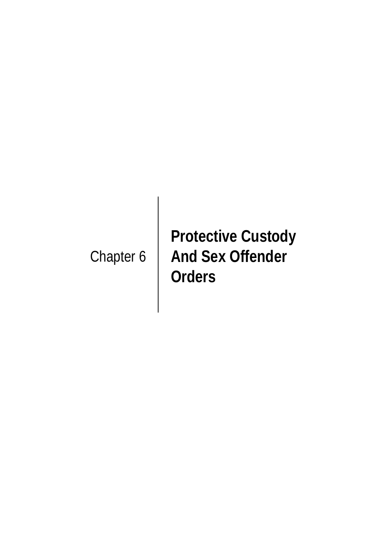Chapter  $6 \mid$ 

**Protective Custody And Sex Offender Orders**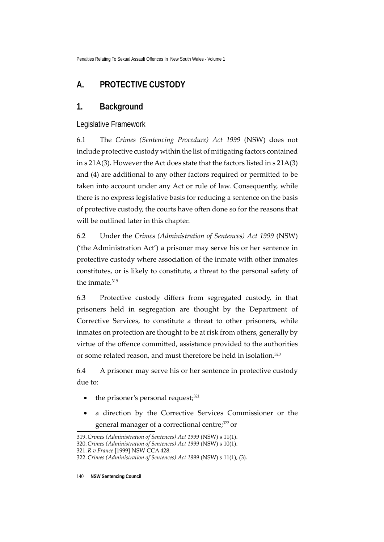Penalties Relating To Sexual Assault Offences In New South Wales - Volume 1

# **A. PROTECTIVE CUSTODY**

# **1. Background**

Legislative Framework

6.1 The *Crimes (Sentencing Procedure) Act 1999* (NSW) does not include protective custody within the list of mitigating factors contained in s 21A(3). However the Act does state that the factors listed in s 21A(3) and (4) are additional to any other factors required or permitted to be taken into account under any Act or rule of law. Consequently, while there is no express legislative basis for reducing a sentence on the basis of protective custody, the courts have often done so for the reasons that will be outlined later in this chapter.

6.2 Under the *Crimes (Administration of Sentences) Act 1999* (NSW) ('the Administration Act') a prisoner may serve his or her sentence in protective custody where association of the inmate with other inmates constitutes, or is likely to constitute, a threat to the personal safety of the inmate.<sup>319</sup>

6.3 Protective custody differs from segregated custody, in that prisoners held in segregation are thought by the Department of Corrective Services, to constitute a threat to other prisoners, while inmates on protection are thought to be at risk from others, generally by virtue of the offence committed, assistance provided to the authorities or some related reason, and must therefore be held in isolation.<sup>320</sup>

6.4 A prisoner may serve his or her sentence in protective custody due to:

- the prisoner's personal request; $321$
- a direction by the Corrective Services Commissioner or the general manager of a correctional centre;<sup>322</sup> or

140 **NSW Sentencing Council**

<sup>319.</sup> *Crimes (Administration of Sentences) Act 1999* (NSW) s 11(1).

<sup>320.</sup> *Crimes (Administration of Sentences) Act 1999* (NSW) s 10(1).

<sup>321.</sup> *R v France* [1999] NSW CCA 428.

<sup>322.</sup> *Crimes (Administration of Sentences) Act 1999* (NSW) s 11(1), (3).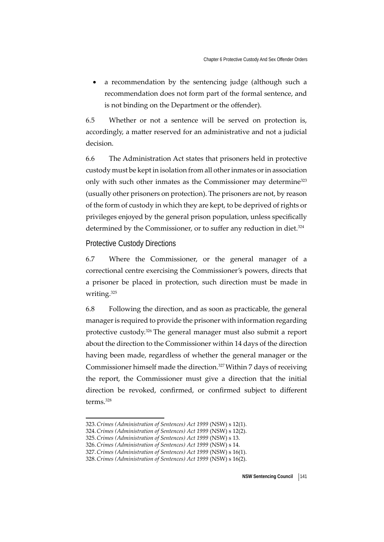• a recommendation by the sentencing judge (although such a recommendation does not form part of the formal sentence, and is not binding on the Department or the offender).

6.5 Whether or not a sentence will be served on protection is, accordingly, a matter reserved for an administrative and not a judicial decision.

6.6 The Administration Act states that prisoners held in protective custody must be kept in isolation from all other inmates or in association only with such other inmates as the Commissioner may determine<sup>323</sup> (usually other prisoners on protection). The prisoners are not, by reason of the form of custody in which they are kept, to be deprived of rights or privileges enjoyed by the general prison population, unless specifically determined by the Commissioner, or to suffer any reduction in diet.<sup>324</sup>

Protective Custody Directions

6.7 Where the Commissioner, or the general manager of a correctional centre exercising the Commissioner's powers, directs that a prisoner be placed in protection, such direction must be made in writing.325

6.8 Following the direction, and as soon as practicable, the general manager is required to provide the prisoner with information regarding protective custody.326 The general manager must also submit a report about the direction to the Commissioner within 14 days of the direction having been made, regardless of whether the general manager or the Commissioner himself made the direction.327 Within 7 days of receiving the report, the Commissioner must give a direction that the initial direction be revoked, confirmed, or confirmed subject to different terms<sup>328</sup>

<sup>323.</sup> *Crimes (Administration of Sentences) Act 1999* (NSW) s 12(1).

<sup>324.</sup> *Crimes (Administration of Sentences) Act 1999* (NSW) s 12(2).

<sup>325.</sup> *Crimes (Administration of Sentences) Act 1999* (NSW) s 13.

<sup>326.</sup> *Crimes (Administration of Sentences) Act 1999* (NSW) s 14.

<sup>327.</sup> *Crimes (Administration of Sentences) Act 1999* (NSW) s 16(1).

<sup>328.</sup> *Crimes (Administration of Sentences) Act 1999* (NSW) s 16(2).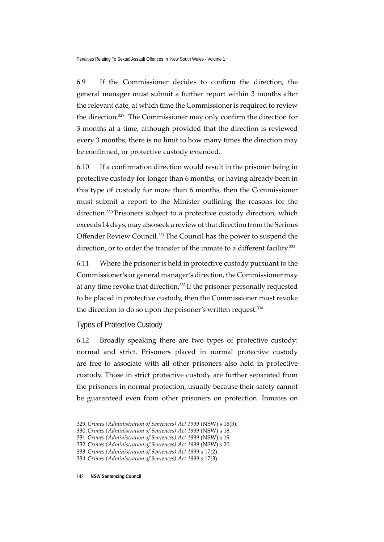6.9 If the Commissioner decides to confirm the direction, the general manager must submit a further report within 3 months after the relevant date, at which time the Commissioner is required to review the direction.<sup>329</sup> The Commissioner may only confirm the direction for 3 months at a time, although provided that the direction is reviewed every 3 months, there is no limit to how many times the direction may be confirmed, or protective custody extended.

 $6.10$  If a confirmation direction would result in the prisoner being in protective custody for longer than 6 months, or having already been in this type of custody for more than 6 months, then the Commissioner must submit a report to the Minister outlining the reasons for the direction.<sup>330</sup> Prisoners subject to a protective custody direction, which exceeds 14 days, may also seek a review of that direction from the Serious Offender Review Council.<sup>331</sup> The Council has the power to suspend the direction, or to order the transfer of the inmate to a different facility.<sup>332</sup>

6.11 Where the prisoner is held in protective custody pursuant to the Commissioner's or general manager's direction, the Commissioner may at any time revoke that direction,<sup>333</sup> If the prisoner personally requested to be placed in protective custody, then the Commissioner must revoke the direction to do so upon the prisoner's written request.  $334$ 

Types of Protective Custody

6.12 Broadly speaking there are two types of protective custody: normal and strict. Prisoners placed in normal protective custody are free to associate with all other prisoners also held in protective custody. Those in strict protective custody are further separated from the prisoners in normal protection, usually because their safety cannot be guaranteed even from other prisoners on protection. Inmates on

142 **NSW Sentencing Council**

<sup>329.</sup> *Crimes (Administration of Sentences) Act 1999* (NSW) s 16(3).

<sup>330.</sup> *Crimes (Administration of Sentences) Act 1999* (NSW) s 18.

<sup>331.</sup> *Crimes (Administration of Sentences) Act 1999* (NSW) s 19.

<sup>332.</sup> *Crimes (Administration of Sentences) Act 1999* (NSW) s 20.

<sup>333.</sup> *Crimes (Administration of Sentences) Act 1999* s 17(2).

<sup>334.</sup> *Crimes (Administration of Sentences) Act 1999* s 17(3).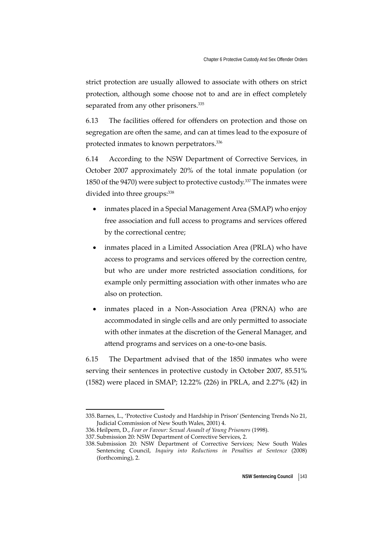strict protection are usually allowed to associate with others on strict protection, although some choose not to and are in effect completely separated from any other prisoners.<sup>335</sup>

6.13 The facilities offered for offenders on protection and those on segregation are often the same, and can at times lead to the exposure of protected inmates to known perpetrators.336

6.14 According to the NSW Department of Corrective Services, in October 2007 approximately 20% of the total inmate population (or 1850 of the 9470) were subject to protective custody.337 The inmates were divided into three groups: 338

- inmates placed in a Special Management Area (SMAP) who enjoy free association and full access to programs and services offered by the correctional centre;
- inmates placed in a Limited Association Area (PRLA) who have access to programs and services offered by the correction centre, but who are under more restricted association conditions, for example only permitting association with other inmates who are also on protection.
- inmates placed in a Non-Association Area (PRNA) who are accommodated in single cells and are only permitted to associate with other inmates at the discretion of the General Manager, and attend programs and services on a one-to-one basis.

6.15 The Department advised that of the 1850 inmates who were serving their sentences in protective custody in October 2007, 85.51% (1582) were placed in SMAP; 12.22% (226) in PRLA, and 2.27% (42) in

<sup>335.</sup> Barnes, L., 'Protective Custody and Hardship in Prison' (Sentencing Trends No 21, Judicial Commission of New South Wales, 2001) 4.

<sup>336.</sup> Heilpern, D., *Fear or Favour: Sexual Assault of Young Prisoners* (1998).

<sup>337.</sup> Submission 20: NSW Department of Corrective Services, 2.

<sup>338.</sup> Submission 20: NSW Department of Corrective Services; New South Wales Sentencing Council, *Inquiry into Reductions in Penalties at Sentence* (2008) (forthcoming), 2.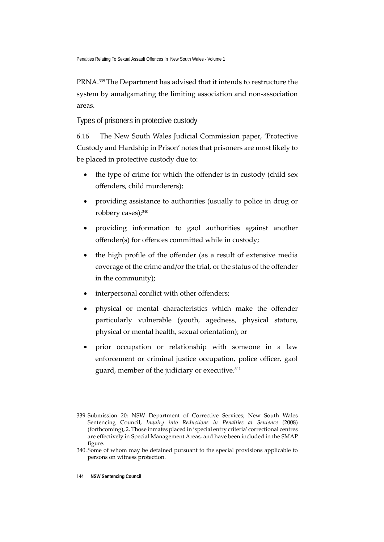PRNA.339 The Department has advised that it intends to restructure the system by amalgamating the limiting association and non-association areas.

Types of prisoners in protective custody

6.16 The New South Wales Judicial Commission paper, 'Protective Custody and Hardship in Prison' notes that prisoners are most likely to be placed in protective custody due to:

- the type of crime for which the offender is in custody (child sex offenders, child murderers);
- providing assistance to authorities (usually to police in drug or robbery cases);<sup>340</sup>
- providing information to gaol authorities against another offender(s) for offences committed while in custody;
- the high profile of the offender (as a result of extensive media coverage of the crime and/or the trial, or the status of the offender in the community);
- interpersonal conflict with other offenders;
- physical or mental characteristics which make the offender particularly vulnerable (youth, agedness, physical stature, physical or mental health, sexual orientation); or
- prior occupation or relationship with someone in a law enforcement or criminal justice occupation, police officer, gaol guard, member of the judiciary or executive.<sup>341</sup>

<sup>339.</sup> Submission 20: NSW Department of Corrective Services; New South Wales Sentencing Council, *Inquiry into Reductions in Penalties at Sentence* (2008) (forthcoming), 2. Those inmates placed in 'special entry criteria' correctional centres are effectively in Special Management Areas, and have been included in the SMAP figure.

<sup>340.</sup> Some of whom may be detained pursuant to the special provisions applicable to persons on witness protection.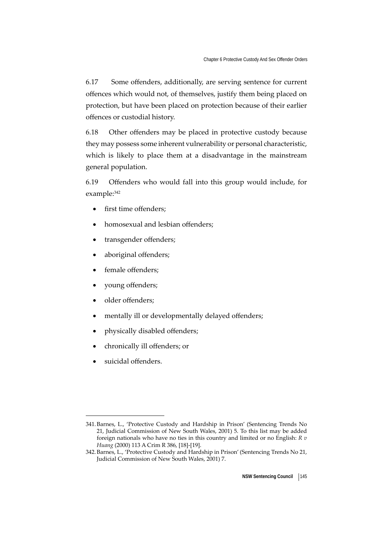6.17 Some offenders, additionally, are serving sentence for current offences which would not, of themselves, justify them being placed on protection, but have been placed on protection because of their earlier offences or custodial history.

6.18 Other offenders may be placed in protective custody because they may possess some inherent vulnerability or personal characteristic, which is likely to place them at a disadvantage in the mainstream general population.

6.19 Offenders who would fall into this group would include, for example:<sup>342</sup>

- first time offenders;
- homosexual and lesbian offenders:
- transgender offenders;
- aboriginal offenders;
- female offenders;
- voung offenders;
- older offenders;
- mentally ill or developmentally delayed offenders;
- physically disabled offenders;
- chronically ill offenders; or
- suicidal offenders.

<sup>341.</sup> Barnes, L., 'Protective Custody and Hardship in Prison' (Sentencing Trends No 21, Judicial Commission of New South Wales, 2001) 5. To this list may be added foreign nationals who have no ties in this country and limited or no English: *R v Huang* (2000) 113 A Crim R 386, [18]-[19].

<sup>342.</sup> Barnes, L., 'Protective Custody and Hardship in Prison' (Sentencing Trends No 21, Judicial Commission of New South Wales, 2001) 7.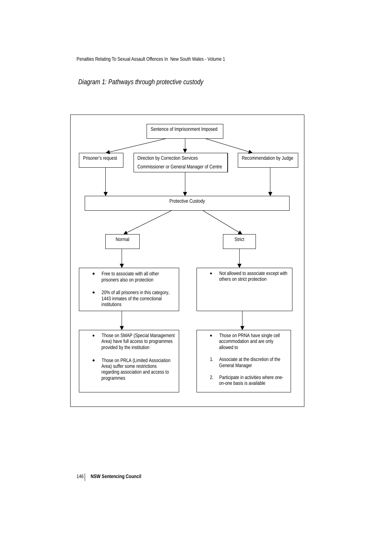Penalties Relating To Sexual Assault Offences In New South Wales - Volume 1

### *Diagram 1: Pathways through protective custody*



146 **NSW Sentencing Council**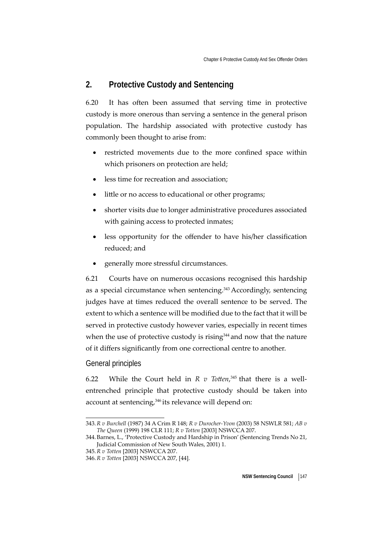## **2. Protective Custody and Sentencing**

6.20 It has often been assumed that serving time in protective custody is more onerous than serving a sentence in the general prison population. The hardship associated with protective custody has commonly been thought to arise from:

- restricted movements due to the more confined space within which prisoners on protection are held;
- less time for recreation and association;
- little or no access to educational or other programs;
- shorter visits due to longer administrative procedures associated with gaining access to protected inmates;
- less opportunity for the offender to have his/her classification reduced; and
- generally more stressful circumstances.

6.21 Courts have on numerous occasions recognised this hardship as a special circumstance when sentencing.<sup>343</sup> Accordingly, sentencing judges have at times reduced the overall sentence to be served. The extent to which a sentence will be modified due to the fact that it will be served in protective custody however varies, especially in recent times when the use of protective custody is rising $344$  and now that the nature of it differs significantly from one correctional centre to another.

#### General principles

6.22 While the Court held in *R v Totten*,<sup>345</sup> that there is a wellentrenched principle that protective custody should be taken into account at sentencing,<sup>346</sup> its relevance will depend on:

<sup>343.</sup> *R v Burchell* (1987) 34 A Crim R 148; *R v Durocher-Yvon* (2003) 58 NSWLR 581; *AB v The Queen* (1999) 198 CLR 111; *R v Totten* [2003] NSWCCA 207.

<sup>344.</sup> Barnes, L., 'Protective Custody and Hardship in Prison' (Sentencing Trends No 21, Judicial Commission of New South Wales, 2001) 1.

<sup>345.</sup> *R v Totten* [2003] NSWCCA 207.

<sup>346.</sup> *R v Totten* [2003] NSWCCA 207, [44].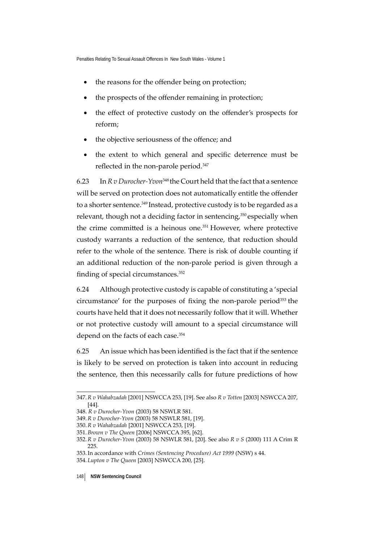- the reasons for the offender being on protection;
- the prospects of the offender remaining in protection;
- the effect of protective custody on the offender's prospects for reform;
- the objective seriousness of the offence; and
- the extent to which general and specific deterrence must be reflected in the non-parole period.<sup>347</sup>

6.23 In *R v Durocher-Yvon*348 the Court held that the fact that a sentence will be served on protection does not automatically entitle the offender to a shorter sentence.<sup>349</sup> Instead, protective custody is to be regarded as a relevant, though not a deciding factor in sentencing,<sup>350</sup> especially when the crime committed is a heinous one.<sup>351</sup> However, where protective custody warrants a reduction of the sentence, that reduction should refer to the whole of the sentence. There is risk of double counting if an additional reduction of the non-parole period is given through a finding of special circumstances.<sup>352</sup>

6.24 Although protective custody is capable of constituting a 'special circumstance' for the purposes of fixing the non-parole period $353$  the courts have held that it does not necessarily follow that it will. Whether or not protective custody will amount to a special circumstance will depend on the facts of each case.<sup>354</sup>

 $6.25$  An issue which has been identified is the fact that if the sentence is likely to be served on protection is taken into account in reducing the sentence, then this necessarily calls for future predictions of how

<sup>347.</sup> *R v Wahabzadah* [2001] NSWCCA 253, [19]. See also *R v Totten* [2003] NSWCCA 207, [44].

<sup>348.</sup> *R v Durocher-Yvon* (2003) 58 NSWLR 581.

<sup>349.</sup> *R v Durocher-Yvon* (2003) 58 NSWLR 581, [19].

<sup>350.</sup> *R v Wahabzadah* [2001] NSWCCA 253, [19].

<sup>351.</sup> *Brown v The Queen* [2006] NSWCCA 395, [62].

<sup>352.</sup> *R v Durocher-Yvon* (2003) 58 NSWLR 581, [20]. See also *R v S* (2000) 111 A Crim R 225.

<sup>353.</sup> In accordance with *Crimes (Sentencing Procedure) Act 1999* (NSW) s 44.

<sup>354.</sup> *Lupton v The Queen* [2003] NSWCCA 200, [25].

<sup>148</sup> **NSW Sentencing Council**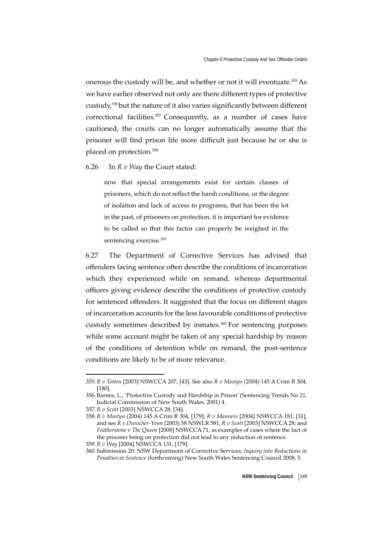onerous the custody will be, and whether or not it will eventuate.355 As we have earlier observed not only are there different types of protective custody, $356$  but the nature of it also varies significantly between different correctional facilities.357 Consequently, as a number of cases have cautioned, the courts can no longer automatically assume that the prisoner will find prison life more difficult just because he or she is placed on protection.358

#### 6.26 In *R v Way* the Court stated:

now that special arrangements exist for certain classes of prisoners, which do not reflect the harsh conditions, or the degree of isolation and lack of access to programs, that has been the lot in the past, of prisoners on protection, it is important for evidence to be called so that this factor can properly be weighed in the sentencing exercise.<sup>359</sup>

6.27 The Department of Corrective Services has advised that offenders facing sentence often describe the conditions of incarceration which they experienced while on remand, whereas departmental officers giving evidence describe the conditions of protective custody for sentenced offenders. It suggested that the focus on different stages of incarceration accounts for the less favourable conditions of protective custody sometimes described by inmates.<sup>360</sup> For sentencing purposes while some account might be taken of any special hardship by reason of the conditions of detention while on remand, the post-sentence conditions are likely to be of more relevance.

<sup>355.</sup> *R v Totten* [2003] NSWCCA 207, [43]. See also *R v Mostyn* (2004) 145 A Crim R 304, [180].

<sup>356.</sup> Barnes, L., 'Protective Custody and Hardship in Prison' (Sentencing Trends No 21, Judicial Commission of New South Wales, 2001) 4.

<sup>357.</sup> *R v Scott* [2003] NSWCCA 28, [34].

<sup>358.</sup> *R v Mostyn* (2004) 145 A Crim R 304, [179]; *R v Manners* [2004] NSWCCA 181, [31], and see *R v Durocher-Yvon* (2003) 58 NSWLR 581; *R v Scott* [2003] NSWCCA 28; and *Featherstone v The Queen* [2008] NSWCCA 71, as examples of cases where the fact of the prisoner being on protection did not lead to any reduction of sentence. 359. *R v Way* [2004] NSWCCA 131, [179].

<sup>360.</sup> Submission 20: NSW Department of Corrective Services; *Inquiry into Reductions in Penalties at Sentence* (forthcoming) New South Wales Sentencing Council 2008, 5.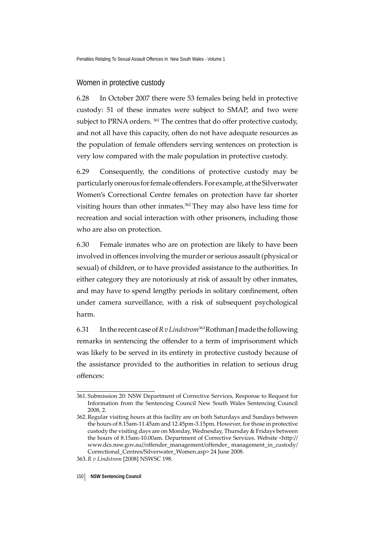#### Women in protective custody

6.28 In October 2007 there were 53 females being held in protective custody: 51 of these inmates were subject to SMAP, and two were subject to PRNA orders. <sup>361</sup> The centres that do offer protective custody, and not all have this capacity, often do not have adequate resources as the population of female offenders serving sentences on protection is very low compared with the male population in protective custody.

6.29 Consequently, the conditions of protective custody may be particularly onerous for female offenders. For example, at the Silverwater Women's Correctional Centre females on protection have far shorter visiting hours than other inmates.<sup>362</sup> They may also have less time for recreation and social interaction with other prisoners, including those who are also on protection.

6.30 Female inmates who are on protection are likely to have been involved in offences involving the murder or serious assault (physical or sexual) of children, or to have provided assistance to the authorities. In either category they are notoriously at risk of assault by other inmates, and may have to spend lengthy periods in solitary confinement, often under camera surveillance, with a risk of subsequent psychological harm.

6.31 In the recent case of *R v Lindstrom*363 Rothman J made the following remarks in sentencing the offender to a term of imprisonment which was likely to be served in its entirety in protective custody because of the assistance provided to the authorities in relation to serious drug offences:

<sup>361.</sup> Submission 20: NSW Department of Corrective Services, Response to Request for Information from the Sentencing Council New South Wales Sentencing Council 2008, 2.

<sup>362.</sup> Regular visiting hours at this facility are on both Saturdays and Sundays between the hours of 8.15am-11.45am and 12.45pm-3.15pm. However, for those in protective custody the visiting days are on Monday, Wednesday, Thursday & Fridays between the hours of 8.15am-10.00am. Department of Corrective Services. Website <http:// www.dcs.nsw.gov.au//offender\_management/offender\_ management\_in\_custody/ Correctional\_Centres/Silverwater\_Women.asp> 24 June 2008.

<sup>363.</sup> *R v Lindstrom* [2008] NSWSC 198.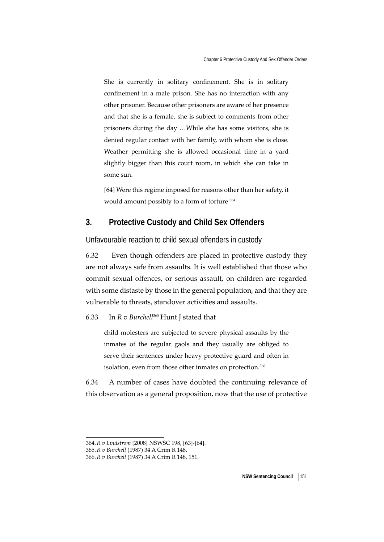She is currently in solitary confinement. She is in solitary confinement in a male prison. She has no interaction with any other prisoner. Because other prisoners are aware of her presence and that she is a female, she is subject to comments from other prisoners during the day …While she has some visitors, she is denied regular contact with her family, with whom she is close. Weather permitting she is allowed occasional time in a yard slightly bigger than this court room, in which she can take in some sun.

[64] Were this regime imposed for reasons other than her safety, it would amount possibly to a form of torture  $364$ 

## **3. Protective Custody and Child Sex Offenders**

Unfavourable reaction to child sexual offenders in custody

6.32 Even though offenders are placed in protective custody they are not always safe from assaults. It is well established that those who commit sexual offences, or serious assault, on children are regarded with some distaste by those in the general population, and that they are vulnerable to threats, standover activities and assaults.

#### 6.33 In *R v Burchell*365 Hunt J stated that

child molesters are subjected to severe physical assaults by the inmates of the regular gaols and they usually are obliged to serve their sentences under heavy protective guard and often in isolation, even from those other inmates on protection.<sup>366</sup>

6.34 A number of cases have doubted the continuing relevance of this observation as a general proposition, now that the use of protective

<sup>364.</sup> *R v Lindstrom* [2008] NSWSC 198, [63]-[64].

<sup>365.</sup> *R v Burchell* (1987) 34 A Crim R 148.

<sup>366.</sup> *R v Burchell* (1987) 34 A Crim R 148, 151.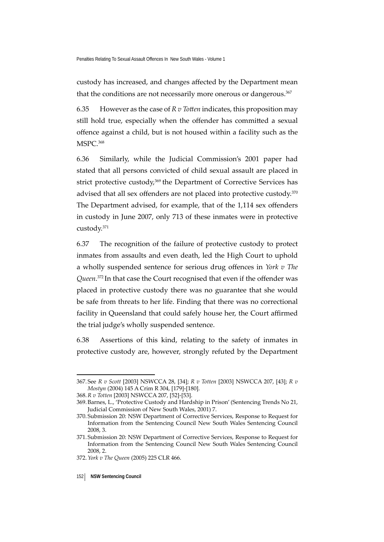custody has increased, and changes affected by the Department mean that the conditions are not necessarily more onerous or dangerous.<sup>367</sup>

6.35 However as the case of  $R \nu$  *Totten* indicates, this proposition may still hold true, especially when the offender has committed a sexual offence against a child, but is not housed within a facility such as the MSPC.<sup>368</sup>

6.36 Similarly, while the Judicial Commission's 2001 paper had stated that all persons convicted of child sexual assault are placed in strict protective custody,<sup>369</sup> the Department of Corrective Services has advised that all sex offenders are not placed into protective custody. $370$ The Department advised, for example, that of the 1,114 sex offenders in custody in June 2007, only 713 of these inmates were in protective custody.371

6.37 The recognition of the failure of protective custody to protect inmates from assaults and even death, led the High Court to uphold a wholly suspended sentence for serious drug offences in *York v The* Queen.<sup>372</sup> In that case the Court recognised that even if the offender was placed in protective custody there was no guarantee that she would be safe from threats to her life. Finding that there was no correctional facility in Queensland that could safely house her, the Court affirmed the trial judge's wholly suspended sentence.

6.38 Assertions of this kind, relating to the safety of inmates in protective custody are, however, strongly refuted by the Department

<sup>367.</sup> See *R v Scott* [2003] NSWCCA 28, [34]; *R v Totten* [2003] NSWCCA 207, [43]; *R v Mostyn* (2004) 145 A Crim R 304, [179]-[180].

<sup>368.</sup> *R v Totten* [2003] NSWCCA 207, [52]-[53].

<sup>369.</sup> Barnes, L., 'Protective Custody and Hardship in Prison' (Sentencing Trends No 21, Judicial Commission of New South Wales, 2001) 7.

<sup>370.</sup> Submission 20: NSW Department of Corrective Services, Response to Request for Information from the Sentencing Council New South Wales Sentencing Council 2008, 3.

<sup>371.</sup> Submission 20: NSW Department of Corrective Services, Response to Request for Information from the Sentencing Council New South Wales Sentencing Council 2008, 2.

<sup>372.</sup> *York v The Queen* (2005) 225 CLR 466.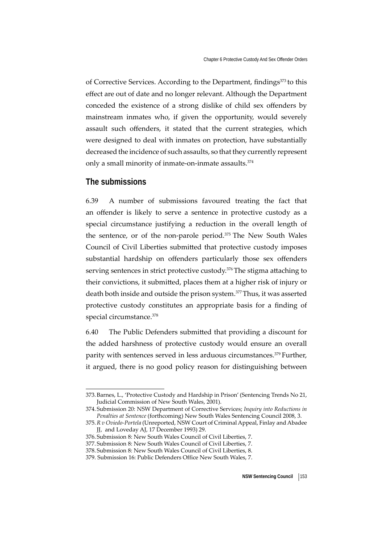of Corrective Services. According to the Department, findings<sup>373</sup> to this effect are out of date and no longer relevant. Although the Department conceded the existence of a strong dislike of child sex offenders by mainstream inmates who, if given the opportunity, would severely assault such offenders, it stated that the current strategies, which were designed to deal with inmates on protection, have substantially decreased the incidence of such assaults, so that they currently represent only a small minority of inmate-on-inmate assaults.374

### **The submissions**

6.39 A number of submissions favoured treating the fact that an offender is likely to serve a sentence in protective custody as a special circumstance justifying a reduction in the overall length of the sentence, or of the non-parole period.375 The New South Wales Council of Civil Liberties submitted that protective custody imposes substantial hardship on offenders particularly those sex offenders serving sentences in strict protective custody.<sup>376</sup> The stigma attaching to their convictions, it submitted, places them at a higher risk of injury or death both inside and outside the prison system.<sup>377</sup> Thus, it was asserted protective custody constitutes an appropriate basis for a finding of special circumstance.<sup>378</sup>

6.40 The Public Defenders submitted that providing a discount for the added harshness of protective custody would ensure an overall parity with sentences served in less arduous circumstances.<sup>379</sup> Further, it argued, there is no good policy reason for distinguishing between

<sup>373.</sup> Barnes, L., 'Protective Custody and Hardship in Prison' (Sentencing Trends No 21, Judicial Commission of New South Wales, 2001).

<sup>374.</sup> Submission 20: NSW Department of Corrective Services; *Inquiry into Reductions in Penalties at Sentence* (forthcoming) New South Wales Sentencing Council 2008, 3.

<sup>375.</sup> *R v Oviedo-Portela* (Unreported, NSW Court of Criminal Appeal, Finlay and Abadee JJ, and Loveday AJ, 17 December 1993) 29.

<sup>376.</sup> Submission 8: New South Wales Council of Civil Liberties, 7.

<sup>377.</sup> Submission 8: New South Wales Council of Civil Liberties, 7.

<sup>378.</sup> Submission 8: New South Wales Council of Civil Liberties, 8.

<sup>379.</sup> Submission 16: Public Defenders Office New South Wales, 7.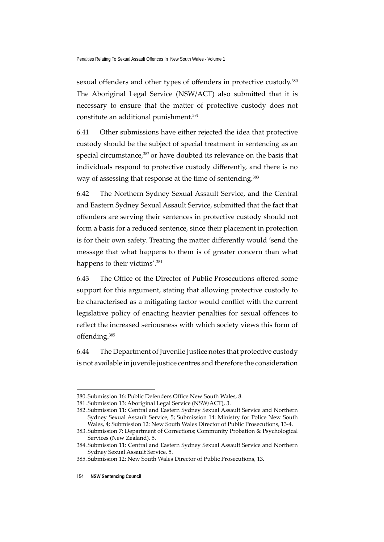sexual offenders and other types of offenders in protective custody.<sup>380</sup> The Aboriginal Legal Service (NSW/ACT) also submitted that it is necessary to ensure that the matter of protective custody does not constitute an additional punishment.<sup>381</sup>

6.41 Other submissions have either rejected the idea that protective custody should be the subject of special treatment in sentencing as an special circumstance,<sup>382</sup> or have doubted its relevance on the basis that individuals respond to protective custody differently, and there is no way of assessing that response at the time of sentencing.<sup>383</sup>

6.42 The Northern Sydney Sexual Assault Service, and the Central and Eastern Sydney Sexual Assault Service, submitted that the fact that offenders are serving their sentences in protective custody should not form a basis for a reduced sentence, since their placement in protection is for their own safety. Treating the matter differently would 'send the message that what happens to them is of greater concern than what happens to their victims'.<sup>384</sup>

6.43 The Office of the Director of Public Prosecutions offered some support for this argument, stating that allowing protective custody to be characterised as a mitigating factor would conflict with the current legislative policy of enacting heavier penalties for sexual offences to reflect the increased seriousness with which society views this form of offending.<sup>385</sup>

6.44 The Department of Juvenile Justice notes that protective custody is not available in juvenile justice centres and therefore the consideration

<sup>380.</sup> Submission 16: Public Defenders Office New South Wales, 8.

<sup>381.</sup> Submission 13: Aboriginal Legal Service (NSW/ACT), 3.

<sup>382.</sup> Submission 11: Central and Eastern Sydney Sexual Assault Service and Northern Sydney Sexual Assault Service, 5; Submission 14: Ministry for Police New South Wales, 4; Submission 12: New South Wales Director of Public Prosecutions, 13-4.

<sup>383.</sup> Submission 7: Department of Corrections; Community Probation & Psychological Services (New Zealand), 5.

<sup>384.</sup> Submission 11: Central and Eastern Sydney Sexual Assault Service and Northern Sydney Sexual Assault Service, 5.

<sup>385.</sup> Submission 12: New South Wales Director of Public Prosecutions, 13.

<sup>154</sup> **NSW Sentencing Council**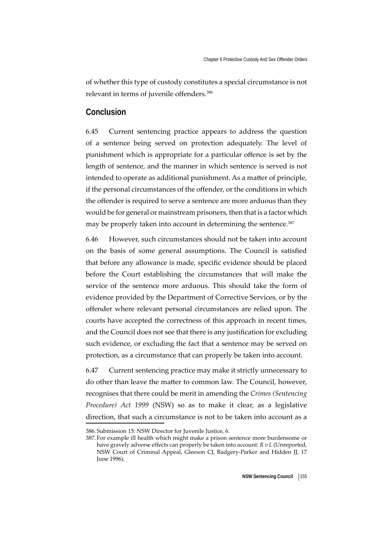of whether this type of custody constitutes a special circumstance is not relevant in terms of juvenile offenders.<sup>386</sup>

#### **Conclusion**

6.45 Current sentencing practice appears to address the question of a sentence being served on protection adequately. The level of punishment which is appropriate for a particular offence is set by the length of sentence, and the manner in which sentence is served is not intended to operate as additional punishment. As a matter of principle, if the personal circumstances of the offender, or the conditions in which the offender is required to serve a sentence are more arduous than they would be for general or mainstream prisoners, then that is a factor which may be properly taken into account in determining the sentence.<sup>387</sup>

6.46 However, such circumstances should not be taken into account on the basis of some general assumptions. The Council is satisfied that before any allowance is made, specific evidence should be placed before the Court establishing the circumstances that will make the service of the sentence more arduous. This should take the form of evidence provided by the Department of Corrective Services, or by the offender where relevant personal circumstances are relied upon. The courts have accepted the correctness of this approach in recent times, and the Council does not see that there is any justification for excluding such evidence, or excluding the fact that a sentence may be served on protection, as a circumstance that can properly be taken into account.

6.47 Current sentencing practice may make it strictly unnecessary to do other than leave the matter to common law. The Council, however, recognises that there could be merit in amending the *Crimes (Sentencing Procedure) Act 1999* (NSW) so as to make it clear, as a legislative direction, that such a circumstance is not to be taken into account as a

<sup>386.</sup> Submission 15: NSW Director for Juvenile Justice, 6.

<sup>387.</sup> For example ill health which might make a prison sentence more burdensome or have gravely adverse effects can properly be taken into account: *R v L* (Unreported, NSW Court of Criminal Appeal, Gleeson CJ, Badgery-Parker and Hidden JJ, 17 June 1996).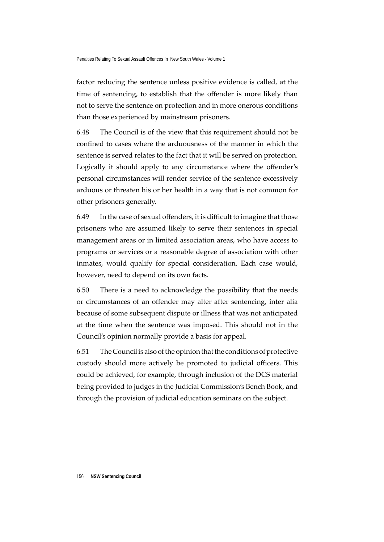factor reducing the sentence unless positive evidence is called, at the time of sentencing, to establish that the offender is more likely than not to serve the sentence on protection and in more onerous conditions than those experienced by mainstream prisoners.

6.48 The Council is of the view that this requirement should not be confined to cases where the arduousness of the manner in which the sentence is served relates to the fact that it will be served on protection. Logically it should apply to any circumstance where the offender's personal circumstances will render service of the sentence excessively arduous or threaten his or her health in a way that is not common for other prisoners generally.

6.49 In the case of sexual off enders, it is difficult to imagine that those prisoners who are assumed likely to serve their sentences in special management areas or in limited association areas, who have access to programs or services or a reasonable degree of association with other inmates, would qualify for special consideration. Each case would, however, need to depend on its own facts.

6.50 There is a need to acknowledge the possibility that the needs or circumstances of an offender may alter after sentencing, inter alia because of some subsequent dispute or illness that was not anticipated at the time when the sentence was imposed. This should not in the Council's opinion normally provide a basis for appeal.

6.51 The Council is also of the opinion that the conditions of protective custody should more actively be promoted to judicial officers. This could be achieved, for example, through inclusion of the DCS material being provided to judges in the Judicial Commission's Bench Book, and through the provision of judicial education seminars on the subject.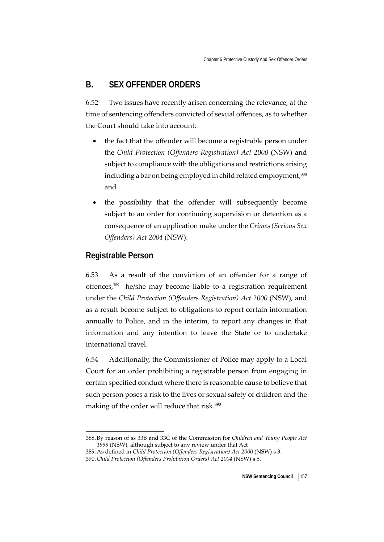## **B. SEX OFFENDER ORDERS**

6.52 Two issues have recently arisen concerning the relevance, at the time of sentencing offenders convicted of sexual offences, as to whether the Court should take into account:

- the fact that the offender will become a registrable person under the *Child Protection (Offenders Registration)* Act 2000 (NSW) and subject to compliance with the obligations and restrictions arising including a bar on being employed in child related employment;<sup>388</sup> and
- the possibility that the offender will subsequently become subject to an order for continuing supervision or detention as a consequence of an application make under the *Crimes (Serious Sex Off enders) Act 2004* (NSW).

### **Registrable Person**

6.53 As a result of the conviction of an offender for a range of offences,<sup>389</sup> he/she may become liable to a registration requirement under the *Child Protection* (Offenders Registration) Act 2000 (NSW), and as a result become subject to obligations to report certain information annually to Police, and in the interim, to report any changes in that information and any intention to leave the State or to undertake international travel.

6.54 Additionally, the Commissioner of Police may apply to a Local Court for an order prohibiting a registrable person from engaging in certain specified conduct where there is reasonable cause to believe that such person poses a risk to the lives or sexual safety of children and the making of the order will reduce that risk.<sup>390</sup>

<sup>388.</sup> By reason of ss 33B and 33C of the Commission for *Children and Young People Act 1998* (NSW), although subject to any review under that Act

<sup>389.</sup> As defined in *Child Protection (Offenders Registration) Act 2000* (NSW) s 3.

<sup>390.</sup> *Child Protection (Offenders Prohibition Orders) Act 2004* (NSW) s 5.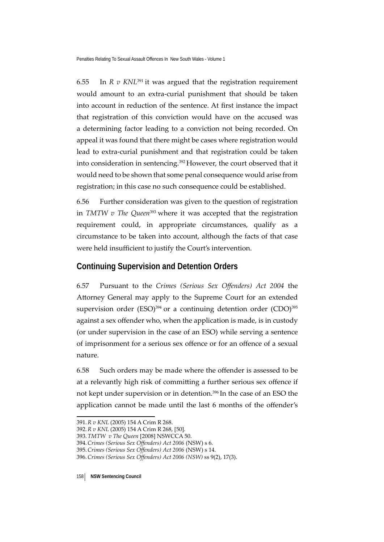6.55 In  $R \, v$  KNL<sup>391</sup> it was argued that the registration requirement would amount to an extra-curial punishment that should be taken into account in reduction of the sentence. At first instance the impact that registration of this conviction would have on the accused was a determining factor leading to a conviction not being recorded. On appeal it was found that there might be cases where registration would lead to extra-curial punishment and that registration could be taken into consideration in sentencing.392 However, the court observed that it would need to be shown that some penal consequence would arise from registration; in this case no such consequence could be established.

6.56 Further consideration was given to the question of registration in *TMTW v The Queen*<sup>393</sup> where it was accepted that the registration requirement could, in appropriate circumstances, qualify as a circumstance to be taken into account, although the facts of that case were held insufficient to justify the Court's intervention.

#### **Continuing Supervision and Detention Orders**

6.57 Pursuant to the Crimes (Serious Sex Offenders) Act 2004 the Attorney General may apply to the Supreme Court for an extended supervision order (ESO) $394$  or a continuing detention order (CDO) $395$ against a sex offender who, when the application is made, is in custody (or under supervision in the case of an ESO) while serving a sentence of imprisonment for a serious sex offence or for an offence of a sexual nature.

6.58 Such orders may be made where the offender is assessed to be at a relevantly high risk of committing a further serious sex offence if not kept under supervision or in detention.396 In the case of an ESO the application cannot be made until the last 6 months of the offender's

158 **NSW Sentencing Council**

<sup>391.</sup> *R v KNL* (2005) 154 A Crim R 268.

<sup>392.</sup> *R v KNL* (2005) 154 A Crim R 268, [50].

<sup>393.</sup> *TMTW v The Queen* [2008] NSWCCA 50.

<sup>394.</sup> *Crimes (Serious Sex Offenders) Act 2006* (NSW) s 6.

<sup>395.</sup> *Crimes (Serious Sex Offenders) Act 2006* (NSW) s 14.

<sup>396.</sup> *Crimes (Serious Sex Offenders) Act 2006 (NSW)* ss 9(2), 17(3).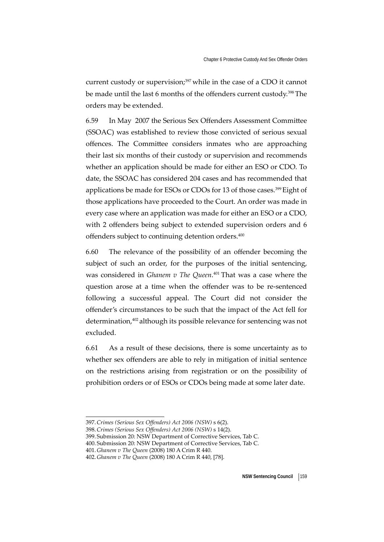current custody or supervision;<sup>397</sup> while in the case of a CDO it cannot be made until the last 6 months of the offenders current custody.<sup>398</sup> The orders may be extended.

6.59 In May 2007 the Serious Sex Offenders Assessment Committee (SSOAC) was established to review those convicted of serious sexual offences. The Committee considers inmates who are approaching their last six months of their custody or supervision and recommends whether an application should be made for either an ESO or CDO. To date, the SSOAC has considered 204 cases and has recommended that applications be made for ESOs or CDOs for 13 of those cases.<sup>399</sup> Eight of those applications have proceeded to the Court. An order was made in every case where an application was made for either an ESO or a CDO, with 2 offenders being subject to extended supervision orders and 6 offenders subject to continuing detention orders.<sup>400</sup>

 $6.60$  The relevance of the possibility of an offender becoming the subject of such an order, for the purposes of the initial sentencing, was considered in *Ghanem v The Queen*. 401 That was a case where the question arose at a time when the offender was to be re-sentenced following a successful appeal. The Court did not consider the offender's circumstances to be such that the impact of the Act fell for determination,402 although its possible relevance for sentencing was not excluded.

6.61 As a result of these decisions, there is some uncertainty as to whether sex offenders are able to rely in mitigation of initial sentence on the restrictions arising from registration or on the possibility of prohibition orders or of ESOs or CDOs being made at some later date.

<sup>397.</sup> *Crimes (Serious Sex Offenders) Act 2006 (NSW)* s 6(2).

<sup>398.</sup> *Crimes (Serious Sex Offenders) Act 2006 (NSW)* s 14(2).

<sup>399.</sup> Submission 20: NSW Department of Corrective Services, Tab C.

<sup>400.</sup> Submission 20: NSW Department of Corrective Services, Tab C.

<sup>401.</sup> *Ghanem v The Queen* (2008) 180 A Crim R 440.

<sup>402.</sup> *Ghanem v The Queen* (2008) 180 A Crim R 440, [78].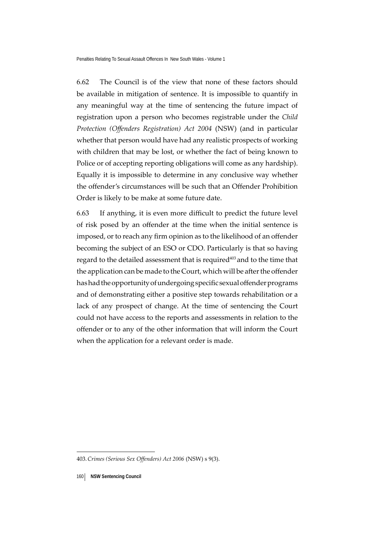6.62 The Council is of the view that none of these factors should be available in mitigation of sentence. It is impossible to quantify in any meaningful way at the time of sentencing the future impact of registration upon a person who becomes registrable under the *Child Protection (Offenders Registration) Act 2004 (NSW) (and in particular* whether that person would have had any realistic prospects of working with children that may be lost, or whether the fact of being known to Police or of accepting reporting obligations will come as any hardship). Equally it is impossible to determine in any conclusive way whether the offender's circumstances will be such that an Offender Prohibition Order is likely to be make at some future date.

6.63 If anything, it is even more difficult to predict the future level of risk posed by an offender at the time when the initial sentence is imposed, or to reach any firm opinion as to the likelihood of an offender becoming the subject of an ESO or CDO. Particularly is that so having regard to the detailed assessment that is required<sup>403</sup> and to the time that the application can be made to the Court, which will be after the offender has had the opportunity of undergoing specific sexual offender programs and of demonstrating either a positive step towards rehabilitation or a lack of any prospect of change. At the time of sentencing the Court could not have access to the reports and assessments in relation to the offender or to any of the other information that will inform the Court when the application for a relevant order is made.

<sup>403.</sup> *Crimes (Serious Sex Offenders) Act 2006* (NSW) s 9(3).

<sup>160</sup> **NSW Sentencing Council**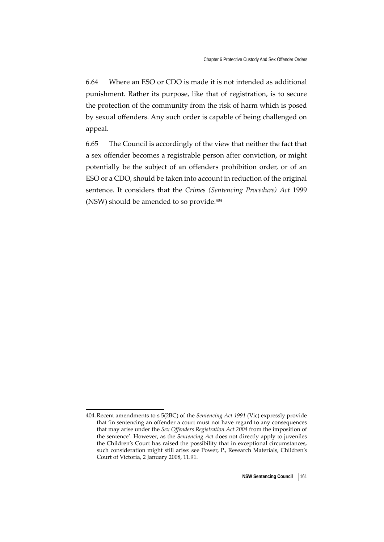6.64 Where an ESO or CDO is made it is not intended as additional punishment. Rather its purpose, like that of registration, is to secure the protection of the community from the risk of harm which is posed by sexual offenders. Any such order is capable of being challenged on appeal.

6.65 The Council is accordingly of the view that neither the fact that a sex offender becomes a registrable person after conviction, or might potentially be the subject of an offenders prohibition order, or of an ESO or a CDO, should be taken into account in reduction of the original sentence. It considers that the *Crimes (Sentencing Procedure) Act* 1999 (NSW) should be amended to so provide.404

<sup>404.</sup> Recent amendments to s 5(2BC) of the *Sentencing Act 1991* (Vic) expressly provide that 'in sentencing an offender a court must not have regard to any consequences that may arise under the *Sex Offenders Registration Act 2004* from the imposition of the sentence'. However, as the *Sentencing Act* does not directly apply to juveniles the Children's Court has raised the possibility that in exceptional circumstances, such consideration might still arise: see Power, P., Research Materials, Children's Court of Victoria, 2 January 2008, 11.91.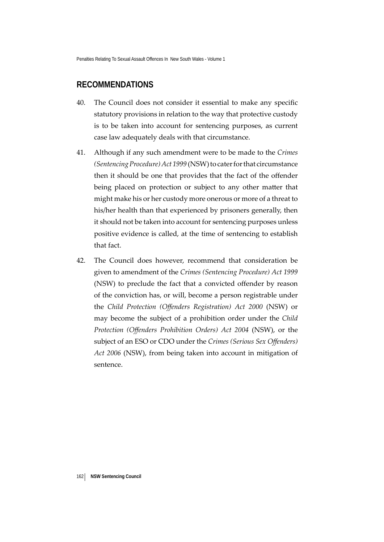## **RECOMMENDATIONS**

- 40. The Council does not consider it essential to make any specific statutory provisions in relation to the way that protective custody is to be taken into account for sentencing purposes, as current case law adequately deals with that circumstance.
- 41. Although if any such amendment were to be made to the *Crimes (Sentencing Procedure) Act 1999* (NSW) to cater for that circumstance then it should be one that provides that the fact of the offender being placed on protection or subject to any other matter that might make his or her custody more onerous or more of a threat to his/her health than that experienced by prisoners generally, then it should not be taken into account for sentencing purposes unless positive evidence is called, at the time of sentencing to establish that fact.
- 42. The Council does however, recommend that consideration be given to amendment of the *Crimes (Sentencing Procedure) Act 1999*  (NSW) to preclude the fact that a convicted offender by reason of the conviction has, or will, become a person registrable under the *Child Protection (Offenders Registration) Act 2000 (NSW) or* may become the subject of a prohibition order under the *Child Protection (Offenders Prohibition Orders) Act 2004 (NSW), or the* subject of an ESO or CDO under the *Crimes* (*Serious Sex Offenders*) *Act 2006* (NSW), from being taken into account in mitigation of sentence.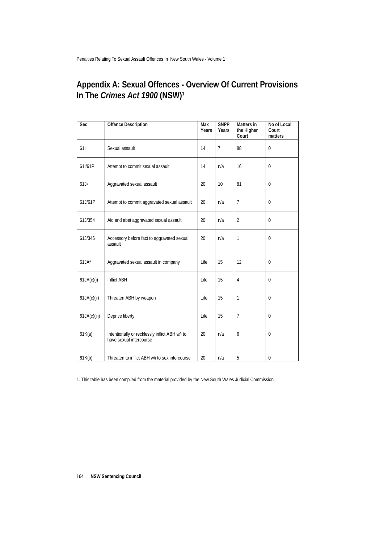# **Appendix A: Sexual Offences - Overview Of Current Provisions In The** *Crimes Act 1900* **(NSW)1**

| Sec              | <b>Offence Description</b>                                                | Max<br>Years | <b>SNPP</b><br>Years | Matters in<br>the Higher<br>Court | No of Local<br>Court<br>matters |
|------------------|---------------------------------------------------------------------------|--------------|----------------------|-----------------------------------|---------------------------------|
| 611              | Sexual assault                                                            | 14           | $\overline{7}$       | 88                                | 0                               |
| 61I/61P          | Attempt to commit sexual assault                                          | 14           | n/a                  | 16                                | 0                               |
| 61J <sup>a</sup> | Aggravated sexual assault                                                 | 20           | 10                   | 81                                | 0                               |
| 61J/61P          | Attempt to commit aggravated sexual assault                               | 20           | n/a                  | $\overline{7}$                    | 0                               |
| 61J/354          | Aid and abet aggravated sexual assault                                    | 20           | n/a                  | $\overline{2}$                    | 0                               |
| 61J/346          | Accessory before fact to aggravated sexual<br>assault                     | 20           | n/a                  | $\mathbf{1}$                      | 0                               |
| 61JAa            | Aggravated sexual assault in company                                      | Life         | 15                   | 12                                | $\Omega$                        |
| 61JA(c)(i)       | <b>Inflict ABH</b>                                                        | Life         | 15                   | 4                                 | 0                               |
| 61JA(c)(ii)      | Threaten ABH by weapon                                                    | Life         | 15                   | $\mathbf{1}$                      | $\overline{0}$                  |
| 61JA(c)(iii)     | Deprive liberty                                                           | Life         | 15                   | $\overline{7}$                    | 0                               |
| 61K(a)           | Intentionally or recklessly inflict ABH w/i to<br>have sexual intercourse | 20           | n/a                  | 6                                 | 0                               |
| 61K(b)           | Threaten to inflict ABH w/i to sex intercourse                            | 20           | n/a                  | 5                                 | 0                               |

1. This table has been compiled from the material provided by the New South Wales Judicial Commission.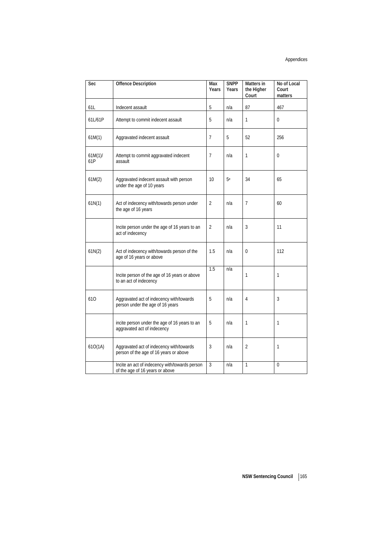| Sec               | <b>Offence Description</b>                                                         | Max<br>Years   | <b>SNPP</b><br>Years | Matters in<br>the Higher<br>Court | No of Local<br>Court<br>matters |
|-------------------|------------------------------------------------------------------------------------|----------------|----------------------|-----------------------------------|---------------------------------|
| 61L               | Indecent assault                                                                   | 5              | n/a                  | 87                                | 467                             |
| 61L/61P           | Attempt to commit indecent assault                                                 | 5              | n/a                  | 1                                 | 0                               |
| 61M(1)            | Aggravated indecent assault                                                        | $\overline{7}$ | 5                    | 52                                | 256                             |
| $61M(1)$ /<br>61P | Attempt to commit aggravated indecent<br>assault                                   | 7              | n/a                  | $\mathbf{1}$                      | 0                               |
| 61M(2)            | Aggravated indecent assault with person<br>under the age of 10 years               | 10             | 5 <sup>e</sup>       | 34                                | 65                              |
| 61N(1)            | Act of indecency with/towards person under<br>the age of 16 years                  | 2              | n/a                  | $\overline{7}$                    | 60                              |
|                   | Incite person under the age of 16 years to an<br>act of indecency                  | 2              | n/a                  | 3                                 | 11                              |
| 61N(2)            | Act of indecency with/towards person of the<br>age of 16 years or above            | 1.5            | n/a                  | 0                                 | 112                             |
|                   | Incite person of the age of 16 years or above<br>to an act of indecency            | 1.5            | n/a                  | $\mathbf{1}$                      | 1                               |
| 610               | Aggravated act of indecency with/towards<br>person under the age of 16 years       | 5              | n/a                  | 4                                 | 3                               |
|                   | incite person under the age of 16 years to an<br>aggravated act of indecency       | 5              | n/a                  | $\mathbf{1}$                      | 1                               |
| 610(1A)           | Aggravated act of indecency with/towards<br>person of the age of 16 years or above | 3              | n/a                  | $\overline{2}$                    | 1                               |
|                   | Incite an act of indecency with/towards person<br>of the age of 16 years or above  | 3              | n/a                  | 1                                 | $\mathbf 0$                     |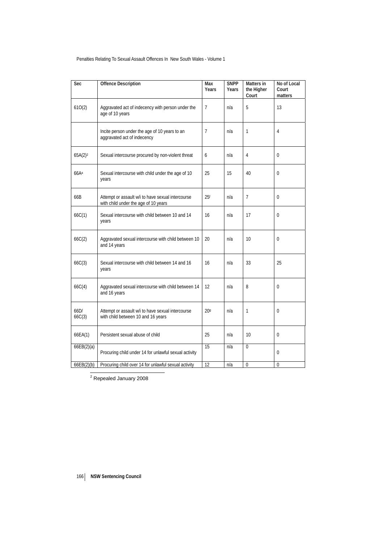#### Penalties Relating To Sexual Assault Offences In New South Wales - Volume 1

| Sec              | <b>Offence Description</b>                                                                | Max<br>Years    | <b>SNPP</b><br>Years | Matters in<br>the Higher<br>Court | No of Local<br>Court<br>matters |
|------------------|-------------------------------------------------------------------------------------------|-----------------|----------------------|-----------------------------------|---------------------------------|
| 610(2)           | Aggravated act of indecency with person under the<br>age of 10 years                      | 7               | n/a                  | 5                                 | 13                              |
|                  | Incite person under the age of 10 years to an<br>aggravated act of indecency              | 7               | n/a                  | 1                                 | 4                               |
| $65A(2)^2$       | Sexual intercourse procured by non-violent threat                                         | 6               | n/a                  | 4                                 | 0                               |
| 66A <sup>a</sup> | Sexual intercourse with child under the age of 10<br>years                                | 25              | 15                   | 40                                | $\theta$                        |
| 66B              | Attempt or assault w/i to have sexual intercourse<br>with child under the age of 10 years | 25 <sup>f</sup> | n/a                  | $\overline{7}$                    | $\Omega$                        |
| 66C(1)           | Sexual intercourse with child between 10 and 14<br>years                                  | 16              | n/a                  | 17                                | $\theta$                        |
| 66C(2)           | Aggravated sexual intercourse with child between 10<br>and 14 years                       | 20              | n/a                  | 10                                | $\theta$                        |
| 66C(3)           | Sexual intercourse with child between 14 and 16<br>years                                  | 16              | n/a                  | 33                                | 25                              |
| 66C(4)           | Aggravated sexual intercourse with child between 14<br>and 16 years                       | 12              | n/a                  | 8                                 | $\theta$                        |
| 66D/<br>66C(3)   | Attempt or assault w/i to have sexual intercourse<br>with child between 10 and 16 years   | 20 <sup>g</sup> | n/a                  | $\mathbf{1}$                      | $\Omega$                        |
| 66EA(1)          | Persistent sexual abuse of child                                                          | 25              | n/a                  | 10                                | $\Omega$                        |
| 66EB(2)(a)       | Procuring child under 14 for unlawful sexual activity                                     | 15              | n/a                  | $\theta$                          | $\Omega$                        |
| 66EB(2)(b)       | Procuring child over 14 for unlawful sexual activity                                      | 12              | n/a                  | $\theta$                          | $\theta$                        |

2 Repealed January 2008

166 **NSW Sentencing Council**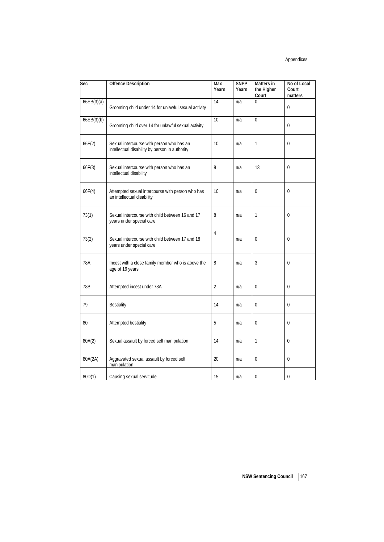| Sec        | <b>Offence Description</b>                                                                  | Max<br>Years   | <b>SNPP</b><br>Years | Matters in<br>the Higher<br>Court | No of Local<br>Court<br>matters |
|------------|---------------------------------------------------------------------------------------------|----------------|----------------------|-----------------------------------|---------------------------------|
| 66EB(3)(a) | Grooming child under 14 for unlawful sexual activity                                        | 14             | n/a                  | $\overline{0}$                    | $\overline{0}$                  |
| 66EB(3)(b) | Grooming child over 14 for unlawful sexual activity                                         | 10             | n/a                  | $\mathbf 0$                       | $\overline{0}$                  |
| 66F(2)     | Sexual intercourse with person who has an<br>intellectual disability by person in authority | 10             | n/a                  | $\mathbf{1}$                      | $\mathbf 0$                     |
| 66F(3)     | Sexual intercourse with person who has an<br>intellectual disability                        | 8              | n/a                  | 13                                | $\overline{0}$                  |
| 66F(4)     | Attempted sexual intercourse with person who has<br>an intellectual disability              | 10             | n/a                  | $\mathbf 0$                       | 0                               |
| 73(1)      | Sexual intercourse with child between 16 and 17<br>years under special care                 | 8              | n/a                  | $\mathbf{1}$                      | 0                               |
| 73(2)      | Sexual intercourse with child between 17 and 18<br>years under special care                 | 4              | n/a                  | $\mathbf 0$                       | 0                               |
| 78A        | Incest with a close family member who is above the<br>age of 16 years                       | 8              | n/a                  | 3                                 | 0                               |
| 78B        | Attempted incest under 78A                                                                  | $\overline{2}$ | n/a                  | $\mathbf 0$                       | $\overline{0}$                  |
| 79         | <b>Bestiality</b>                                                                           | 14             | n/a                  | $\mathbf 0$                       | $\overline{0}$                  |
| 80         | Attempted bestiality                                                                        | 5              | n/a                  | $\mathbf 0$                       | 0                               |
| 80A(2)     | Sexual assault by forced self manipulation                                                  | 14             | n/a                  | 1                                 | 0                               |
| 80A(2A)    | Aggravated sexual assault by forced self<br>manipulation                                    | 20             | n/a                  | $\overline{0}$                    | 0                               |
| 80D(1)     | Causing sexual servitude                                                                    | 15             | n/a                  | 0                                 | 0                               |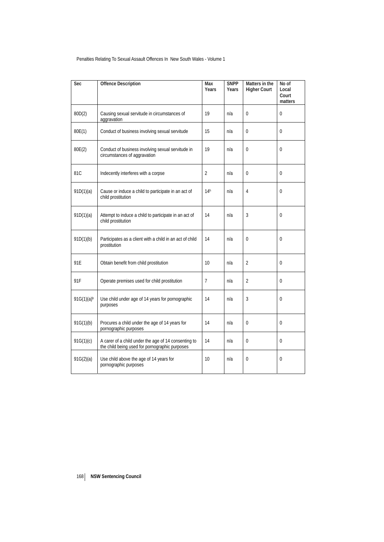#### Penalties Relating To Sexual Assault Offences In New South Wales - Volume 1

| Sec                    | <b>Offence Description</b>                                                                             | Max<br>Years    | <b>SNPP</b><br>Years | Matters in the<br><b>Higher Court</b> | No of<br>Local<br>Court<br>matters |
|------------------------|--------------------------------------------------------------------------------------------------------|-----------------|----------------------|---------------------------------------|------------------------------------|
| 80D(2)                 | Causing sexual servitude in circumstances of<br>aggravation                                            | 19              | n/a                  | 0                                     | 0                                  |
| 80E(1)                 | Conduct of business involving sexual servitude                                                         | 15              | n/a                  | 0                                     | 0                                  |
| 80E(2)                 | Conduct of business involving sexual servitude in<br>circumstances of aggravation                      | 19              | n/a                  | 0                                     | 0                                  |
| 81C                    | Indecently interferes with a corpse                                                                    | $\overline{2}$  | n/a                  | 0                                     | $\Omega$                           |
| 91D(1)(a)              | Cause or induce a child to participate in an act of<br>child prostitution                              | 14 <sup>h</sup> | n/a                  | 4                                     | $\Omega$                           |
| 91D(1)(a)              | Attempt to induce a child to participate in an act of<br>child prostitution                            | 14              | n/a                  | 3                                     | $\Omega$                           |
| 91D(1)(b)              | Participates as a client with a child in an act of child<br>prostitution                               | 14              | n/a                  | 0                                     | $\Omega$                           |
| 91E                    | Obtain benefit from child prostitution                                                                 | 10              | n/a                  | 2                                     | $\Omega$                           |
| 91F                    | Operate premises used for child prostitution                                                           | $\overline{7}$  | n/a                  | $\overline{2}$                        | $\Omega$                           |
| 91G(1)(a) <sup>b</sup> | Use child under age of 14 years for pornographic<br>purposes                                           | 14              | n/a                  | 3                                     | 0                                  |
| 91G(1)(b)              | Procures a child under the age of 14 years for<br>pornographic purposes                                | 14              | n/a                  | 0                                     | 0                                  |
| 91G(1)(c)              | A carer of a child under the age of 14 consenting to<br>the child being used for pornographic purposes | 14              | n/a                  | 0                                     | $\Omega$                           |
| 91G(2)(a)              | Use child above the age of 14 years for<br>pornographic purposes                                       | 10              | n/a                  | 0                                     | $\Omega$                           |

168 **NSW Sentencing Council**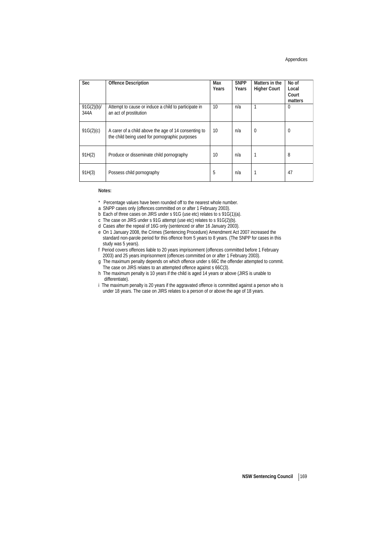| Sec                   | <b>Offence Description</b>                                                                             | Max<br>Years | <b>SNPP</b><br>Years | Matters in the<br><b>Higher Court</b> | No of<br>Local<br>Court<br>matters |
|-----------------------|--------------------------------------------------------------------------------------------------------|--------------|----------------------|---------------------------------------|------------------------------------|
| $91G(2)(b)$ /<br>344A | Attempt to cause or induce a child to participate in<br>an act of prostitution                         | 10           | n/a                  |                                       | $\Omega$                           |
| 91G(2)(c)             | A carer of a child above the age of 14 consenting to<br>the child being used for pornographic purposes | 10           | n/a                  | $\mathbf 0$                           | $\Omega$                           |
| 91H(2)                | Produce or disseminate child pornography                                                               | 10           | n/a                  |                                       | 8                                  |
| 91H(3)                | Possess child pornography                                                                              | 5            | n/a                  |                                       | 47                                 |

#### **Notes:**

\* Percentage values have been rounded off to the nearest whole number.

a SNPP cases only (offences committed on or after 1 February 2003).

- b Each of three cases on JIRS under s 91G (use etc) relates to s 91G(1)(a).
- c The case on JIRS under s 91G attempt (use etc) relates to s 91G(2)(b).
- d Cases after the repeal of 16G only (sentenced or after 16 January 2003).
- e On 1 January 2008, the Crimes (Sentencing Procedure) Amendment Act 2007 increased the standard non-parole period for this offence from 5 years to 8 years. (The SNPP for cases in this study was 5 years).
- f Period covers offences liable to 20 years imprisonment (offences committed before 1 February 2003) and 25 years imprisonment (offences committed on or after 1 February 2003).
- g The maximum penalty depends on which offence under s 66C the offender attempted to commit. The case on JIRS relates to an attempted offence against s 66C(3).
- h The maximum penalty is 10 years if the child is aged 14 years or above (JIRS is unable to differentiate).
- i The maximum penalty is 20 years if the aggravated offence is committed against a person who is under 18 years. The case on JIRS relates to a person of or above the age of 18 years.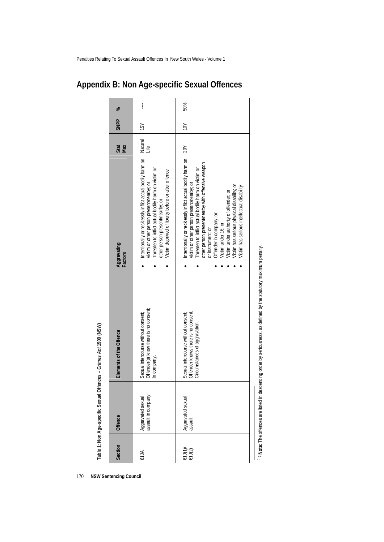| వ్                      | I                                                                                                                                                                                                                                                     | 50%                                                                                                                                                                                                                                                                                                                                                                                                                             |
|-------------------------|-------------------------------------------------------------------------------------------------------------------------------------------------------------------------------------------------------------------------------------------------------|---------------------------------------------------------------------------------------------------------------------------------------------------------------------------------------------------------------------------------------------------------------------------------------------------------------------------------------------------------------------------------------------------------------------------------|
| <b>SNPP</b>             | 15Y                                                                                                                                                                                                                                                   | 10 <sub>N</sub>                                                                                                                                                                                                                                                                                                                                                                                                                 |
| Max<br>Stat             | Natural<br>Life                                                                                                                                                                                                                                       | 20Y                                                                                                                                                                                                                                                                                                                                                                                                                             |
| Aggravating<br>Factors  | Intentionally or recklessly inflict actual bodily harm on<br>Threaten to inflict actual bodily harm on victim or<br>Victim deprived of liberty before or after offence<br>victim or other person present/nearby; or<br>ther person present/nearby; or | Intentionally or recklessly inflict actual bodily harm on<br>other person present/nearby with offensive weapon<br>Threaten to inflict actual bodily harm on victim or<br>victim or other person present/nearby; or<br>Victim has serious physical disability; or<br>Victim has serious intellectual disability<br>Victim under authority of offender; or<br>Offender in company; or<br>Victim under 16; or<br>or instrument; or |
| Elements of the Offence | Offender(s) know there is no consent;<br>Sexual intercourse without consent;<br>In company.                                                                                                                                                           | Offender knows there is no consent;<br>Sexual intercourse without consent;<br>Circumstances of aggravation.                                                                                                                                                                                                                                                                                                                     |
| <b>Offence</b>          | Aggravated sexual<br>assault in company                                                                                                                                                                                                               | Aggravated sexual<br>assault                                                                                                                                                                                                                                                                                                                                                                                                    |
| Section                 | 61JA                                                                                                                                                                                                                                                  | 61J(1)<br>61J(2)                                                                                                                                                                                                                                                                                                                                                                                                                |

# **Appendix B: Non Age-specifi c Sexual Offences**

<sup>1</sup> 1 Note: The offences are listed in descending order by seriousness, as defined by the statutory maximum penalty. 1 **Note**: The offences are listed in descending order by seriousness, as defined by the statutory maximum penalty.

170 | NSW Sentencing Council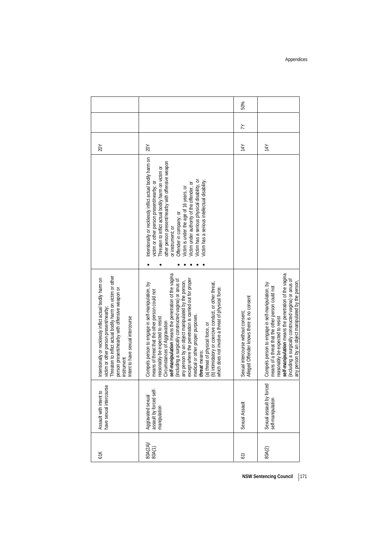| have sexual intercourse<br>Assault with intent to            | Threaten to inflict actual bodily harm on victim or other<br>Intentionally or recklessly inflict actual bodily harm on<br>person present/nearby with offensive weapon or<br>victim or other person present/nearby;<br>Intent to have sexual intercourse<br>instrument                                                                                                                                                                                                                                                                                                                                                 |                                                                                                                                                                                                                                                                                                                                                                                                                                                              | 20Y |        |     |
|--------------------------------------------------------------|-----------------------------------------------------------------------------------------------------------------------------------------------------------------------------------------------------------------------------------------------------------------------------------------------------------------------------------------------------------------------------------------------------------------------------------------------------------------------------------------------------------------------------------------------------------------------------------------------------------------------|--------------------------------------------------------------------------------------------------------------------------------------------------------------------------------------------------------------------------------------------------------------------------------------------------------------------------------------------------------------------------------------------------------------------------------------------------------------|-----|--------|-----|
| assault by forced self-<br>Aggravated sexual<br>manipulation | self-manipulation means the penetration of the vagina<br>except where the penetration is carried out for proper<br>(including a surgically constructed vagina) or anus of<br>any person by an object manipulated by the person,<br>(b) intimidatory or coercive conduct, or other threat,<br>Compels person to engage in self-manipulation, by<br>which does not involve a threat of physical force.<br>means of threat that the other person could not<br>medical or other proper purposes.<br>reasonably be expected to resist<br>Circumstances of Aggravation<br>(a) threat of physical force, or<br>threat means: | Intentionally or recklessly inflict actual bodily harm on<br>other person present/nearby with offensive weapon<br>Threaten to inflict actual bodily harm on victim or<br>Victim has a serious physical disability, or<br>Victim has a serious intellectual disability.<br>victim or other person present/nearby; or<br>Jictim under authority of the offender, or<br>Victim is under the age of 16 years, or<br>Offender in company; or<br>or instrument; or | 20Y |        |     |
| Sexual Assault                                               | Alleged Offender knows there is no consent<br>Sexual intercourse without consent;                                                                                                                                                                                                                                                                                                                                                                                                                                                                                                                                     |                                                                                                                                                                                                                                                                                                                                                                                                                                                              | 14Y | $\geq$ | 50% |
| Sexual assault by forced<br>self-manipulation                | self-manipulation means the penetration of the vagina<br>(including a surgically constructed vagina) or anus of<br>any person by an object manipulated by the person,<br>Compels person to engage in self-manipulation, by<br>means of a threat that the other person could not<br>reasonably be expected to resist                                                                                                                                                                                                                                                                                                   |                                                                                                                                                                                                                                                                                                                                                                                                                                                              | 14Y |        |     |

**NSW Sentencing Council** 171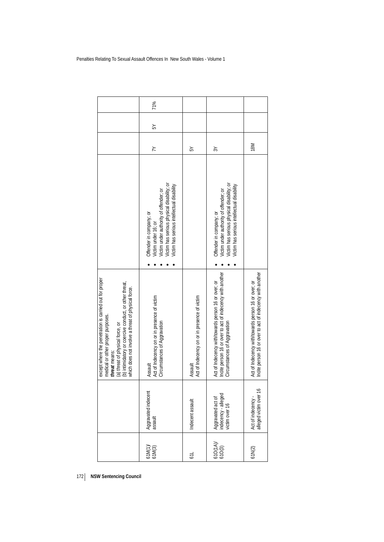|                                                                                                                                                                                                                                                                  | 71%                                                                                                                                                                                  |                                                         |                                                                                                                                                               |                                                                                                                  |
|------------------------------------------------------------------------------------------------------------------------------------------------------------------------------------------------------------------------------------------------------------------|--------------------------------------------------------------------------------------------------------------------------------------------------------------------------------------|---------------------------------------------------------|---------------------------------------------------------------------------------------------------------------------------------------------------------------|------------------------------------------------------------------------------------------------------------------|
|                                                                                                                                                                                                                                                                  | $\aleph$                                                                                                                                                                             |                                                         |                                                                                                                                                               |                                                                                                                  |
|                                                                                                                                                                                                                                                                  | $\times$                                                                                                                                                                             | $\approx$                                               | ≿                                                                                                                                                             | 18M                                                                                                              |
|                                                                                                                                                                                                                                                                  | Victim has serious physical disability; or<br>Victim has serious intellectual disability<br>Victim under authority of offender; or<br>Offender in company; or<br>Victim under 16; or |                                                         | Victim has serious physical disability; or<br>Victim has serious intellectual disability<br>Victim under authority of offender; or<br>Offender in company; or |                                                                                                                  |
| except where the penetration is carried out for proper<br>(b) intimidatory or coercive conduct, or other threat,<br>which does not involve a threat of physical force.<br>medical or other proper purposes.<br>(a) threat of physical force, or<br>threat means: | Act of Indecency on or in presence of victim<br>Circumstances of Aggravation<br>Assault                                                                                              | Act of Indecency on or in presence of victim<br>Assault | Incite person 16 or over to act of indecency with another<br>Act of Indecency with/towards person 16 or over; or<br>Circumstances of Aggravation              | Incite person 16 or over to act of indecency with another<br>Act of Indecency with/towards person 16 or over; or |
|                                                                                                                                                                                                                                                                  | Aggravated indecent<br>assault                                                                                                                                                       | Indecent assault                                        | Aggravated act of<br>indecency - alleged<br>ictim over 16                                                                                                     | alleged victim over 16<br>Act of indecency -                                                                     |
|                                                                                                                                                                                                                                                                  | 61M(1)/<br>61M(3)                                                                                                                                                                    | $\overline{11}$                                         | $610(1A)/$<br>$610(3)$                                                                                                                                        | 61N(2)                                                                                                           |

Penalties Relating To Sexual Assault Offences In New South Wales - Volume 1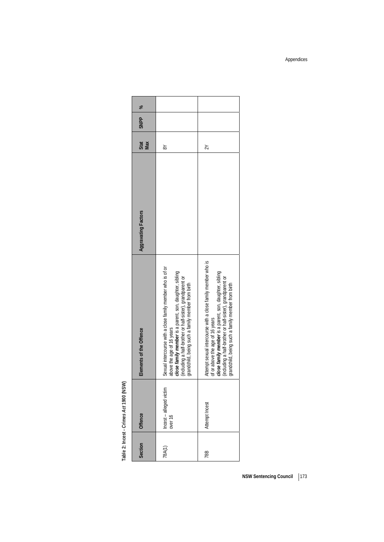Table 2: Incest - Crimes Act 1900 (NSW) **Table 2: Incest -** *Crimes Act* **1900 (NSW)** 

| Section | Offence                            | Elements of the Offence                                                                                                                                                                                                                                                      | Aggravating Factors | Stat<br>Max | <b>SNPP</b> | ೫ |
|---------|------------------------------------|------------------------------------------------------------------------------------------------------------------------------------------------------------------------------------------------------------------------------------------------------------------------------|---------------------|-------------|-------------|---|
| 78A(1)  | incest – alleged victim<br>over 16 | Sexual intercourse with a close family member who is of or<br>close family member is a parent, son, daughter, sibling<br>(including a half-brother or half-sister), grandparent or<br>grandchild, being such a family member from birth<br>above the age of 16 years         |                     | ⋩           |             |   |
| 78B     | Attempt Incest                     | Attempt sexual intercourse with a close family member who is<br>close family member is a parent, son, daughter, sibling<br>(including a half-brother or half-sister), grandparent or<br>grandchild, being such a family member from birth<br>of or above the age of 16 years |                     | $\approx$   |             |   |

**NSW Sentencing Council** 173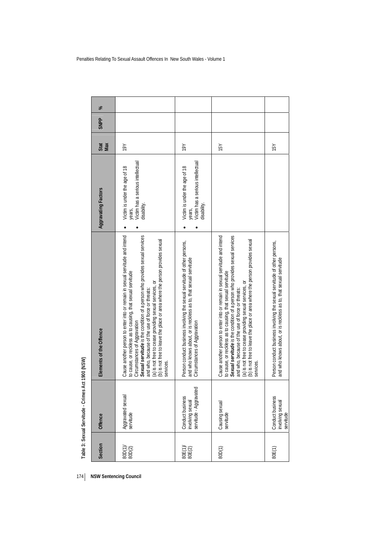| ಸಿ<br><b>SNPP</b>       |                                                                                                                                                                                                                                                                                                                                                                                                                                                                  |                                                                                                                                                                              |                                                                                                                                                                                                                                                                                                                                                                                                                                   |                                                                                                                                              |
|-------------------------|------------------------------------------------------------------------------------------------------------------------------------------------------------------------------------------------------------------------------------------------------------------------------------------------------------------------------------------------------------------------------------------------------------------------------------------------------------------|------------------------------------------------------------------------------------------------------------------------------------------------------------------------------|-----------------------------------------------------------------------------------------------------------------------------------------------------------------------------------------------------------------------------------------------------------------------------------------------------------------------------------------------------------------------------------------------------------------------------------|----------------------------------------------------------------------------------------------------------------------------------------------|
| Stat<br>Max             | 19Y                                                                                                                                                                                                                                                                                                                                                                                                                                                              | 19Y                                                                                                                                                                          | 15Y                                                                                                                                                                                                                                                                                                                                                                                                                               | 15Y                                                                                                                                          |
| Aggravating Factors     | Victim has a serious intellectual<br>Victim is under the age of 18<br>disability.<br>years,                                                                                                                                                                                                                                                                                                                                                                      | Victim has a serious intellectual<br>Victim is under the age of 18<br>disability.<br>years,                                                                                  |                                                                                                                                                                                                                                                                                                                                                                                                                                   |                                                                                                                                              |
| Elements of the Offence | Cause another person to enter into or remain in sexual servitude and intend<br>Sexual servitude is the condition of a person who provides sexual services<br>(b) is not free to leave the place or area where the person provides sexual<br>to cause, or reckless as to causing, that sexual servitude<br>(a) is not free to cease providing sexual services, or<br>and who, because of the use of force or threats:<br>Circumstances of Aggravation<br>services | Person conduct business involving the sexual servitude of other persons,<br>and who knows about, or is reckless as to, that sexual servitude<br>Circumstances of Aggravation | Cause another person to enter into or remain in sexual servitude and intend<br>Sexual servitude is the condition of a person who provides sexual services<br>(b) is not free to leave the place or area where the person provides sexual<br>to cause, or reckless as to causing, that sexual servitude<br>(a) is not free to cease providing sexual services, or<br>and who, because of the use of force or threats:<br>services. | Person conduct business involving the sexual servitude of other persons,<br>and who knows about, or is reckless as to, that sexual servitude |
| <b>Offence</b>          | Aggravated sexual<br>servitude                                                                                                                                                                                                                                                                                                                                                                                                                                   | involving sexual<br>servitude - Aggravated<br>Conduct business                                                                                                               | Causing sexual<br>servitude                                                                                                                                                                                                                                                                                                                                                                                                       | Conduct business<br>involving sexual<br>servitude                                                                                            |
| Section                 | $80D(1)/$<br>$80D(2)$                                                                                                                                                                                                                                                                                                                                                                                                                                            | 80E(1)/<br>80E(2)                                                                                                                                                            | 80D(1)                                                                                                                                                                                                                                                                                                                                                                                                                            | 80E(1)                                                                                                                                       |

174 | NSW Sentencing Council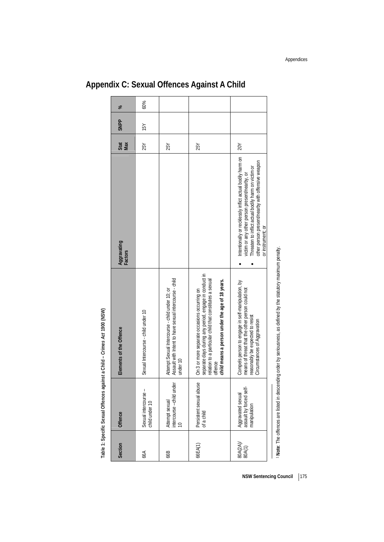|                    |                                                              | Table 1: Specific Sexual Offences against a Child - Crimes Act 1900 (NSW)                                                                                                                                                       |                                                                                                                                                                                                                                             |             |             |     |
|--------------------|--------------------------------------------------------------|---------------------------------------------------------------------------------------------------------------------------------------------------------------------------------------------------------------------------------|---------------------------------------------------------------------------------------------------------------------------------------------------------------------------------------------------------------------------------------------|-------------|-------------|-----|
| Section            | <b>Offence</b>                                               | Elements of the Offence                                                                                                                                                                                                         | Aggravating<br><b>Factors</b>                                                                                                                                                                                                               | Max<br>Stat | <b>SNPP</b> | ಸಿ  |
| 66A                | Sexual intercourse -<br>child under 10                       | Sexual Intercourse - child under 10                                                                                                                                                                                             |                                                                                                                                                                                                                                             | 25Y         | 15Y         | 60% |
| 66B                | intercourse-child under<br>Attempt sexual<br>$\approx$       | Assault with Intent to have sexual intercourse - child<br>Attempt Sexual Intercourse - child under 10; or<br>under 10                                                                                                           |                                                                                                                                                                                                                                             | 25Y         |             |     |
| 66EA(1)            | Persistent sexual abuse<br>of a child                        | separate days during any period, engage in conduct in<br>relation to a particular child that constitutes a sexual<br>child means a person under the age of 18 years.<br>On 3 or more separate occasions occurring on<br>offence |                                                                                                                                                                                                                                             | 25Y         |             |     |
| 80A(2A)/<br>80A(1) | Aggravated sexual<br>assault by forced self-<br>manipulation | Compels person to engage in self-manipulation, by<br>means of threat that the other person could not<br>reasonably be expected to resist<br>Circumstances of Aggravation                                                        | Intentionally or recklessly inflict actual bodily harm on<br>other person present/nearby with offensive weapon<br>Threaten to inflict actual bodily harm on victim or<br>victim or any other person present/nearby, or<br>or instrument; or | 20Y         |             |     |

**Appendix C: Sexual Offences Against A Child**

1 Note: The offences are listed in descending order by seriousness, as defined by the statutory maximum penalty. **Note**: The offences are listed in descending order by seriousness, as defined by the statutory maximum penalty.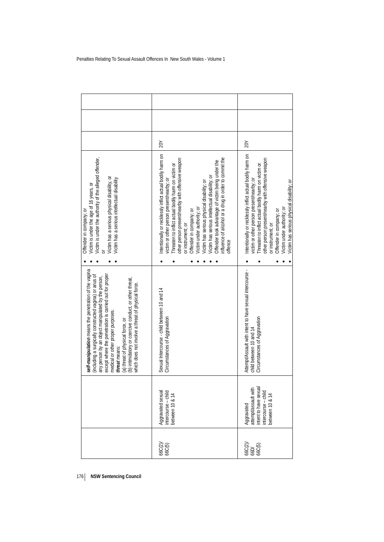|                                                                                                                                                                                                                                                                                                                                                                                                                                           | 20Y                                                                                                                                                                                                                                                                                                                                                                                                                                                                                                                       | 20Y                                                                                                                                                                                                                                                                                                                                            |
|-------------------------------------------------------------------------------------------------------------------------------------------------------------------------------------------------------------------------------------------------------------------------------------------------------------------------------------------------------------------------------------------------------------------------------------------|---------------------------------------------------------------------------------------------------------------------------------------------------------------------------------------------------------------------------------------------------------------------------------------------------------------------------------------------------------------------------------------------------------------------------------------------------------------------------------------------------------------------------|------------------------------------------------------------------------------------------------------------------------------------------------------------------------------------------------------------------------------------------------------------------------------------------------------------------------------------------------|
| Victim is under the authority of the alleged offender,<br>Victim has a serious physical disability, or<br>Victim has a serious intellectual disability<br>Victim is under the age of 16 years, or<br>Offender in company; or                                                                                                                                                                                                              | Intentionally or recklessly inflict actual bodily harm on<br>influence of alcohol or a drug in order to commit the<br>other person present/nearby with offensive weapon<br>Offender took advantage of victim being under the<br>Threaten to inflict actual bodily harm on victim or<br>Victim has serious intellectual disability, or<br>victim or other person present/nearby; or<br>Victim has serious physical disability; or<br>Victim under authority; or<br>Offender in company; or<br>or instrument; or<br>offence | Intentionally or recklessly inflict actual bodily harm on<br>other person present/nearby with offensive weapon<br>Threaten to inflict actual bodily harm on victim or<br>victim or other person present/nearby; or<br>Victim has serious physical disability; or<br>Victim under authority; or<br>Offender in company; or<br>or instrument; or |
|                                                                                                                                                                                                                                                                                                                                                                                                                                           |                                                                                                                                                                                                                                                                                                                                                                                                                                                                                                                           |                                                                                                                                                                                                                                                                                                                                                |
| self-manipulation means the penetration of the vagina<br>except where the penetration is carried out for proper<br>(including a surgically constructed vagina) or anus of<br>any person by an object manipulated by the person,<br>(b) intimidatory or coercive conduct, or other threat,<br>which does not involve a threat of physical force.<br>medical or other proper purposes.<br>(a) threat of physical force, or<br>threat means: | Sexual Intercourse - child between 10 and 14<br>Circumstances of Aggravation                                                                                                                                                                                                                                                                                                                                                                                                                                              | Attempt/Assault with intent to have sexual intercourse -<br>Circumstances of Aggravation<br>child between 10 and 14                                                                                                                                                                                                                            |
|                                                                                                                                                                                                                                                                                                                                                                                                                                           | Aggravated sexual<br>intercourse – child<br>between 10 & 14                                                                                                                                                                                                                                                                                                                                                                                                                                                               | attempt/assault with<br>intent to have sexual<br>ntercourse - child<br>petween 10 & 14<br>Aggravated                                                                                                                                                                                                                                           |
|                                                                                                                                                                                                                                                                                                                                                                                                                                           | 66C(2)/<br>66C(5)                                                                                                                                                                                                                                                                                                                                                                                                                                                                                                         | 66C(2)/<br>66D/<br>66C(5)                                                                                                                                                                                                                                                                                                                      |

176 | NSW Sentencing Council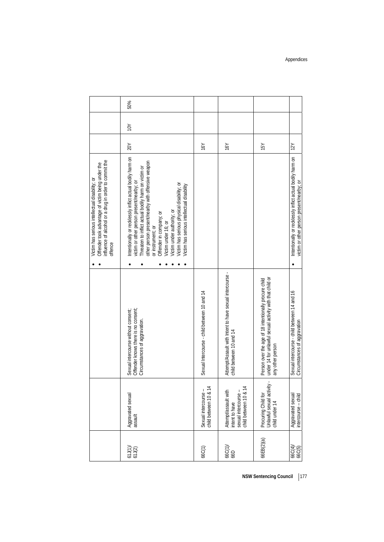|                                                                                                                                                                         | 50%                                                                                                                                                                                                                                                                                                                                                                                                                 |                                               |                                                                                       |                                                                                                                                       |                                                                                                        |
|-------------------------------------------------------------------------------------------------------------------------------------------------------------------------|---------------------------------------------------------------------------------------------------------------------------------------------------------------------------------------------------------------------------------------------------------------------------------------------------------------------------------------------------------------------------------------------------------------------|-----------------------------------------------|---------------------------------------------------------------------------------------|---------------------------------------------------------------------------------------------------------------------------------------|--------------------------------------------------------------------------------------------------------|
|                                                                                                                                                                         |                                                                                                                                                                                                                                                                                                                                                                                                                     |                                               |                                                                                       |                                                                                                                                       |                                                                                                        |
|                                                                                                                                                                         | 10 <sub>N</sub>                                                                                                                                                                                                                                                                                                                                                                                                     |                                               |                                                                                       |                                                                                                                                       |                                                                                                        |
|                                                                                                                                                                         | 20Y                                                                                                                                                                                                                                                                                                                                                                                                                 | 16Y                                           | 16Y                                                                                   | 15Y                                                                                                                                   | 12Y                                                                                                    |
| influence of alcohol or a drug in order to commit the<br>Offender took advantage of victim being under the<br>Victim has serious intellectual disability; or<br>offence | Intentionally or recklessly inflict actual bodily harm on<br>other person present/nearby with offensive weapon<br>Threaten to inflict actual bodily harm on victim or<br>victim or other person present/nearby; or<br>Victim has serious physical disability; or<br>Victim has serious intellectual disability<br>lictim under authority; or<br>Offender in company; or<br>Victim under 16; or<br>or instrument; or |                                               |                                                                                       |                                                                                                                                       | Intentionally or recklessly inflict actual bodily harm on<br>victim or other person present/nearby; or |
|                                                                                                                                                                         |                                                                                                                                                                                                                                                                                                                                                                                                                     |                                               |                                                                                       |                                                                                                                                       |                                                                                                        |
|                                                                                                                                                                         | Offender knows there is no consent;<br>Sexual intercourse without consent;<br>Circumstances of aggravation.                                                                                                                                                                                                                                                                                                         | Sexual Intercourse - child between 10 and 14  | Attempt/Assault with Intent to have sexual intercourse -<br>child between 10 and 14   | under 14 for unlawful sexual activity with that child or<br>Person over the age of 18 intentionally procure child<br>any other person | Sexual intercourse - child between 14 and 16<br>Circumstances of aggravation                           |
|                                                                                                                                                                         | Aggravated sexual<br>assault                                                                                                                                                                                                                                                                                                                                                                                        | child between 10 & 14<br>Sexual intercourse - | child between 10 & 14<br>Attempt/assault with<br>sexual intercourse<br>intent to have | Unlawful sexual activity<br>Procuring Child for<br>child under 14                                                                     | Aggravated sexual<br>intercourse - child                                                               |
|                                                                                                                                                                         | 61J(1))<br>61J(2)                                                                                                                                                                                                                                                                                                                                                                                                   | 66C(1)                                        | 66C(1)/<br>66D                                                                        | 66EB(2)(a)                                                                                                                            | 66C(4)/<br>66C(5)                                                                                      |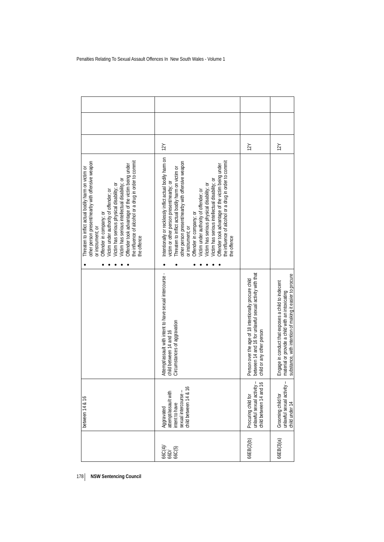|                                                                                                                                                                                                                                                                                                                                                                                                                                 | 12Y                                                                                                                                                                                                                                                                                                                                                                                                                                                                                                                                       | 12Y                                                                                                                                            | 12Y                                                                                                                                                                |
|---------------------------------------------------------------------------------------------------------------------------------------------------------------------------------------------------------------------------------------------------------------------------------------------------------------------------------------------------------------------------------------------------------------------------------|-------------------------------------------------------------------------------------------------------------------------------------------------------------------------------------------------------------------------------------------------------------------------------------------------------------------------------------------------------------------------------------------------------------------------------------------------------------------------------------------------------------------------------------------|------------------------------------------------------------------------------------------------------------------------------------------------|--------------------------------------------------------------------------------------------------------------------------------------------------------------------|
| the influence of alcohol or a drug in order to commit<br>other person present/nearby with offensive weapon<br>Offender took advantage of the victim being under<br>Threaten to inflict actual bodily harm on victim or<br>Victim has serious intellectual disability; or<br>Victim has serious physical disability; or<br>Victim under authority of offender; or<br>Offender in company; or<br>or instrument; or<br>the offence | Intentionally or recklessly inflict actual bodily harm on<br>the influence of alcohol or a drug in order to commit<br>other person present/nearby with offensive weapon<br>Offender took advantage of the victim being under<br>Threaten to inflict actual bodily harm on victim or<br>Victim has serious intellectual disability; or<br>victim or other person present/nearby; or<br>Victim has serious physical disability; or<br>Victim under authority of offender; or<br>Offender in company; or<br>or instrument; or<br>the offence |                                                                                                                                                |                                                                                                                                                                    |
|                                                                                                                                                                                                                                                                                                                                                                                                                                 |                                                                                                                                                                                                                                                                                                                                                                                                                                                                                                                                           |                                                                                                                                                |                                                                                                                                                                    |
|                                                                                                                                                                                                                                                                                                                                                                                                                                 | Attempt/assault with intent to have sexual intercourse -<br>Circumstances of aggravation<br>child between 14 and 16                                                                                                                                                                                                                                                                                                                                                                                                                       | between 14 and 16 for unlawful sexual activity with that<br>Person over the age of 18 intentionally procure child<br>child or any other person | substance, with intention of making it easier to procure<br>Engage in conduct that exposes a child to indecent<br>material or provide a child with an intoxicating |
| between 14 & 16                                                                                                                                                                                                                                                                                                                                                                                                                 | child between 14 & 16<br>attempt/assault with<br>sexual intercourse<br>intent to have<br>Aggravated                                                                                                                                                                                                                                                                                                                                                                                                                                       | I<br>$\circ$<br>unlawful sexual activity<br>child between 14 and<br>Procuring child for                                                        | unlawful sexual activity<br>Grooming child for<br>child under 14                                                                                                   |
|                                                                                                                                                                                                                                                                                                                                                                                                                                 | 66C(4)/<br>66D/<br>66C(5)                                                                                                                                                                                                                                                                                                                                                                                                                                                                                                                 | 66EB(2)(b)                                                                                                                                     | 66EB(3)(a)                                                                                                                                                         |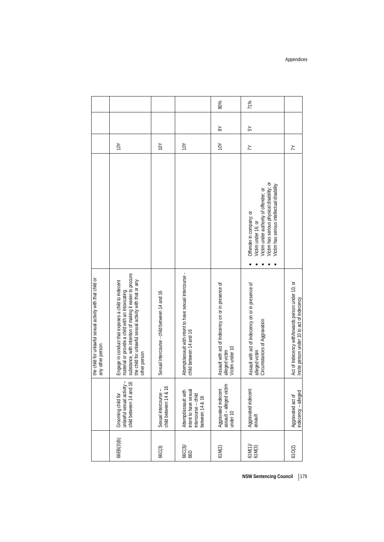|                                                                               |                                                                                                                                                                                                                                               |                                               |                                                                                         | 80%                                                                                     | 71%                                                                                                                                                                                  |                                                                                                 |
|-------------------------------------------------------------------------------|-----------------------------------------------------------------------------------------------------------------------------------------------------------------------------------------------------------------------------------------------|-----------------------------------------------|-----------------------------------------------------------------------------------------|-----------------------------------------------------------------------------------------|--------------------------------------------------------------------------------------------------------------------------------------------------------------------------------------|-------------------------------------------------------------------------------------------------|
|                                                                               |                                                                                                                                                                                                                                               |                                               |                                                                                         | $\approx$                                                                               | ΣY                                                                                                                                                                                   |                                                                                                 |
|                                                                               | 10 <sub>Y</sub>                                                                                                                                                                                                                               | 10 <sub>Y</sub>                               | 10 <sub>Y</sub>                                                                         | 10 <sub>Y</sub>                                                                         | $\geq$                                                                                                                                                                               | $\times$                                                                                        |
|                                                                               |                                                                                                                                                                                                                                               |                                               |                                                                                         |                                                                                         | Victim has serious physical disability; or<br>Victim has serious intellectual disability<br>Victim under authority of offender; or<br>Offender in company; or<br>Victim under 16; or |                                                                                                 |
| the child for unlawful sexual activity with that child or<br>any other person | substance, with intention of making it easier to procure<br>the child for unlawful sexual activity with that or any<br>Engage in conduct that exposes a child to indecent<br>material or provide a child with an intoxicating<br>other person | Sexual Intercourse - child between 14 and 16  | Attempt/assault with intent to have sexual intercourse-<br>child between 14 and 16      | Assault with act of Indecency on or in presence of<br>Victim under 10<br>alleged victim | Assault with act of indecency on or in presence of<br>Circumstances of Aggravation<br>alleged victim                                                                                 | Act of Indecency with/towards person under 10; or<br>Incite person under 10 to act of indecency |
|                                                                               | Grooming child for                                                                                                                                                                                                                            | child between 14 & 16<br>Sexual intercourse - | intent to have sexual<br>Attempt/assault with<br>intercourse - child<br>between 14 & 16 | ⊆<br>assault - alleged victir<br>Aggravated indecent<br>under 10                        | Aggravated indecent<br>assault                                                                                                                                                       | indecency - alleged<br>Aggravated act of                                                        |
|                                                                               | 66EB(3)(b)                                                                                                                                                                                                                                    | 66C(3)                                        | 66C(3)/<br>66D                                                                          | 61M(2)                                                                                  | 61M(1)<br>61M(3)                                                                                                                                                                     | 610(2)                                                                                          |

**NSW Sentencing Council** 179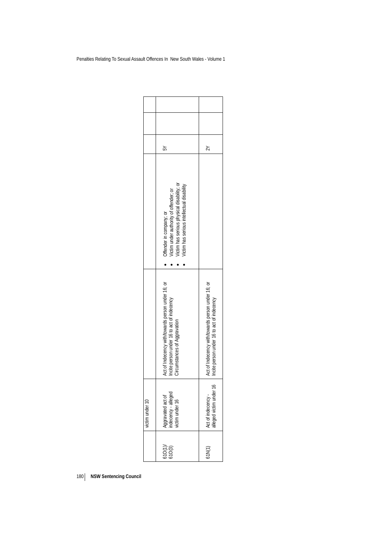|                 | ≿                                                                                                                                                             | ≿                                                                                               |
|-----------------|---------------------------------------------------------------------------------------------------------------------------------------------------------------|-------------------------------------------------------------------------------------------------|
|                 | Victim has serious physical disability; or<br>Victim has serious intellectual disability<br>Victim under authority of offender; or<br>Offender in company; or |                                                                                                 |
|                 | Act of Indecency with/towards person under 16; or<br>ncite person under 16 to act of indecency<br>Circumstances of Aggravation                                | Act of Indecency with/towards person under 16; or<br>Incite person under 16 to act of indecency |
| victim under 10 | Aggravated act of<br>indecency - alleged<br>victim under 16                                                                                                   | Act of indecency -<br>alleged victim under 16                                                   |
|                 | 510(1)<br>510(3)                                                                                                                                              | 1N(1)                                                                                           |

180 **NSW Sentencing Council**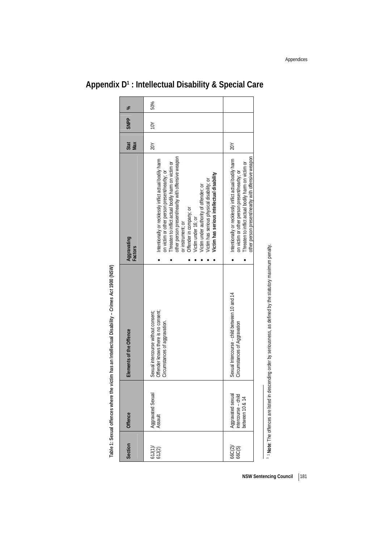Table 1: Sexual offences where the victim has an Intellectual Disability - Crimes Act 1900 (NSW)  **Table 1: Sexual offences where the victim has an Intellectual Disability –** *Crimes Act* **1900 (NSW)** 

| Elements of the Offence                                                                                     |
|-------------------------------------------------------------------------------------------------------------|
| Offender knows there is no consent;<br>Sexual intercourse without consent;<br>Circumstances of aggravation. |
| Sexual Intercourse - child between 10 and 14<br>Circumstances of Aggravation                                |

**Appendix D1 : Intellectual Disability & Special Care**

<sup>1</sup> I Note: The offences are listed in descending order by seriousness, as defined by the statutory maximum penalty. 1 **Note**: The offences are listed in descending order by seriousness, as defined by the statutory maximum penalty.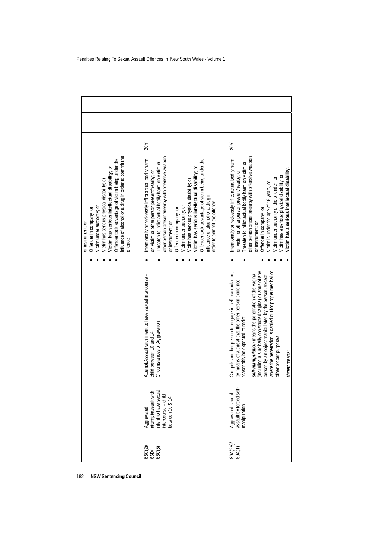|                                                                                                                                                                                                                                                                                                     | 20 <sup>2</sup>                                                                                                                                                                                                                                                                                                                                                                                                                                                                                                           | 20Y                                                                                                                                                                                                                                                                                                                                                                                                                                                          |
|-----------------------------------------------------------------------------------------------------------------------------------------------------------------------------------------------------------------------------------------------------------------------------------------------------|---------------------------------------------------------------------------------------------------------------------------------------------------------------------------------------------------------------------------------------------------------------------------------------------------------------------------------------------------------------------------------------------------------------------------------------------------------------------------------------------------------------------------|--------------------------------------------------------------------------------------------------------------------------------------------------------------------------------------------------------------------------------------------------------------------------------------------------------------------------------------------------------------------------------------------------------------------------------------------------------------|
| influence of alcohol or a drug in order to commit the<br>Offender took advantage of victim being under the<br>Victim has serious intellectual disability; or<br>Victim has serious physical disability; or<br>Victim under authority; or<br>Offender in company; or<br>or instrument; or<br>offence | other person present/nearby with offensive weapon<br>Offender took advantage of victim being under the<br>Intentionally or recklessly inflict actual bodily harm<br>Threaten to inflict actual bodily harm on victim or<br>Victim has serious intellectual disability; or<br>on victim or other person present/nearby; or<br>Victim has serious physical disability; or<br>influence of alcohol or a drug in<br>order to commit the offence<br>Victim under authority; or<br>Offender in company; or<br>or instrument; or | other person present/nearby with offensive weapon<br>Intentionally or recklessly inflict actual bodily harm<br>Threaten to inflict actual bodily harm on victim or<br>Victim has a serious intellectual disability.<br>on victim or other person present/nearby; or<br>Victim has a serious physical disability, or<br>Victim under authority of the offender, or<br>Victim is under the age of 16 years, or<br>Offender in company; or<br>or instrument; or |
|                                                                                                                                                                                                                                                                                                     |                                                                                                                                                                                                                                                                                                                                                                                                                                                                                                                           |                                                                                                                                                                                                                                                                                                                                                                                                                                                              |
|                                                                                                                                                                                                                                                                                                     | Attempt/Assault with intent to have sexual intercourse -<br>Circumstances of Aggravation<br>child between 10 and 14                                                                                                                                                                                                                                                                                                                                                                                                       | (including a surgically constructed vagina) or anus of any<br>where the penetration is carried out for proper medical or<br>Compels another person to engage in self-manipulation,<br>self-manipulation means the penetration of the vagina<br>person by an object manipulated by the person, except<br>by means of a threat that the other person could not<br>easonably be expected to resist<br>other proper purposes<br>threat means:                    |
|                                                                                                                                                                                                                                                                                                     |                                                                                                                                                                                                                                                                                                                                                                                                                                                                                                                           |                                                                                                                                                                                                                                                                                                                                                                                                                                                              |
|                                                                                                                                                                                                                                                                                                     | ntent to have sexual<br>attempt/assault with<br>ntercourse - child<br>petween 10 & 14<br>Aggravated                                                                                                                                                                                                                                                                                                                                                                                                                       | Aggravated sexual<br>assault by forced self-<br>nanipulation                                                                                                                                                                                                                                                                                                                                                                                                 |

182 | NSW Sentencing Council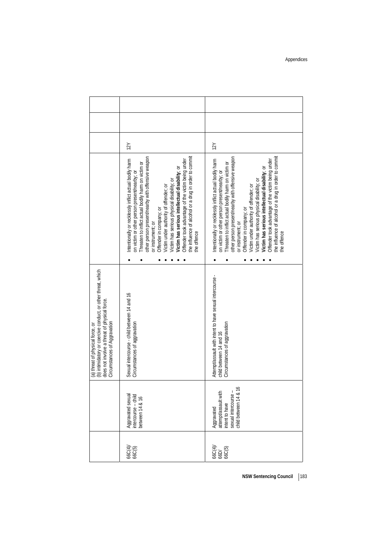|                                                                                                                                                                                  | 12Y                                                                                                                                                                                                                                                                                                                                                                                                                                                                                                                                       | 12Y                                                                                                                                                                                                                                                                                                                                                                                                                                                                                                                                       |
|----------------------------------------------------------------------------------------------------------------------------------------------------------------------------------|-------------------------------------------------------------------------------------------------------------------------------------------------------------------------------------------------------------------------------------------------------------------------------------------------------------------------------------------------------------------------------------------------------------------------------------------------------------------------------------------------------------------------------------------|-------------------------------------------------------------------------------------------------------------------------------------------------------------------------------------------------------------------------------------------------------------------------------------------------------------------------------------------------------------------------------------------------------------------------------------------------------------------------------------------------------------------------------------------|
|                                                                                                                                                                                  | other person present/nearby with offensive weapon<br>the influence of alcohol or a drug in order to commit<br>Intentionally or recklessly inflict actual bodily harm<br>Offender took advantage of the victim being under<br>Threaten to inflict actual bodily harm on victim or<br>Victim has serious intellectual disability; or<br>on victim or other person present/nearby; or<br>Victim has serious physical disability; or<br>Victim under authority of offender; or<br>Offender in company; or<br>or instrument; or<br>the offence | the influence of alcohol or a drug in order to commit<br>other person present/nearby with offensive weapon<br>Intentionally or recklessly inflict actual bodily harm<br>Offender took advantage of the victim being under<br>Threaten to inflict actual bodily harm on victim or<br>Victim has serious intellectual disability; or<br>on victim or other person present/nearby; or<br>Victim has serious physical disability; or<br>Victim under authority of offender; or<br>Offender in company; or<br>or instrument; or<br>the offence |
| (b) intimidatory or coercive conduct, or other threat, which<br>does not involve a threat of physical force.<br>Circumstances of Aggravation<br>(a) threat of physical force, or | Sexual intercourse - child between 14 and 16<br>Circumstances of aggravation                                                                                                                                                                                                                                                                                                                                                                                                                                                              | Attempt/assault with intent to have sexual intercourse -<br>Circumstances of aggravation<br>child between 14 and 16                                                                                                                                                                                                                                                                                                                                                                                                                       |
|                                                                                                                                                                                  | Aggravated sexual<br>intercourse - child<br>between 14 & 16                                                                                                                                                                                                                                                                                                                                                                                                                                                                               | child between 14 & 16<br>sexual intercourse -<br>attempt/assault with<br>ntent to have<br>Aggravated                                                                                                                                                                                                                                                                                                                                                                                                                                      |
|                                                                                                                                                                                  | 66C(4)/<br>66C(5)                                                                                                                                                                                                                                                                                                                                                                                                                                                                                                                         | $66C(4)/$<br>$66D/$<br>$66C(5)$                                                                                                                                                                                                                                                                                                                                                                                                                                                                                                           |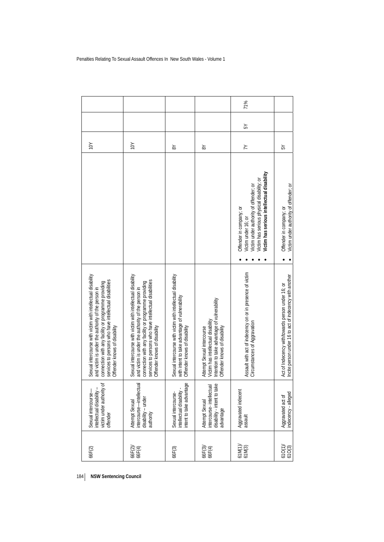|                                                                                                                                                                                                                                                                    |                                                                                                                                                                                                                                                                    |                                                                                                                                               |                                                                                                                                                  | 71%                                                                                                                                                                                  |                                                                                                              |
|--------------------------------------------------------------------------------------------------------------------------------------------------------------------------------------------------------------------------------------------------------------------|--------------------------------------------------------------------------------------------------------------------------------------------------------------------------------------------------------------------------------------------------------------------|-----------------------------------------------------------------------------------------------------------------------------------------------|--------------------------------------------------------------------------------------------------------------------------------------------------|--------------------------------------------------------------------------------------------------------------------------------------------------------------------------------------|--------------------------------------------------------------------------------------------------------------|
|                                                                                                                                                                                                                                                                    |                                                                                                                                                                                                                                                                    |                                                                                                                                               |                                                                                                                                                  | ΣY                                                                                                                                                                                   |                                                                                                              |
| 10Y                                                                                                                                                                                                                                                                | 10 <sub>Y</sub>                                                                                                                                                                                                                                                    | $\approx$                                                                                                                                     | $\approx$                                                                                                                                        | $\geq$                                                                                                                                                                               | $\geq$                                                                                                       |
|                                                                                                                                                                                                                                                                    |                                                                                                                                                                                                                                                                    |                                                                                                                                               |                                                                                                                                                  | Victim has serious intellectual disability<br>Victim has serious physical disability; or<br>Victim under authority of offender; or<br>Offender in company; or<br>Victim under 16; or | Victim under authority of offender; or<br>Offender in company; or                                            |
|                                                                                                                                                                                                                                                                    |                                                                                                                                                                                                                                                                    |                                                                                                                                               |                                                                                                                                                  |                                                                                                                                                                                      |                                                                                                              |
| Sexual intercourse with victim with intellectual disability<br>services to persons who have intellectual disabilities<br>connection with any facility or programme providing<br>and victim is under the authority of the person in<br>Offender knows of disability | Sexual intercourse with victim with intellectual disability<br>services to persons who have intellectual disabilities<br>connection with any facility or programme providing<br>and victim is under the authority of the person in<br>Offender knows of disability | Sexual intercourse with victim with intellectual disability<br>with intent to take advantage of vulnerability<br>Offender knows of disability | Intention to take advantage of vulnerability<br>Victim has intellectual disability<br>Attempt Sexual intercourse<br>Offender knows of disability | Assault with act of indecency on or in presence of victim<br>Circumstances of Aggravation                                                                                            | Incite person under 16 to act of indecency with another<br>Act of Indecency with/towards person under 16; or |
| victim under authority of<br>intellectual disability<br>Sexual intercourse-<br>offender                                                                                                                                                                            | intercourse-intellectual<br>disability - under<br>Attempt Sexual<br>authority                                                                                                                                                                                      | intent to take advantage<br>intellectual disability<br>Sexual intercourse-                                                                    | disability - intent to take<br>intercourse-intellectual<br>Attempt Sexual<br>advantage                                                           | Aggravated indecent<br>assault                                                                                                                                                       | indecency - alleged<br>Aggravated act of                                                                     |
| 66F(2)                                                                                                                                                                                                                                                             | 66F(2)/<br>66F(4)                                                                                                                                                                                                                                                  | 66F(3)                                                                                                                                        | 66F(3)/<br>66F(4)                                                                                                                                | $61M(1)/$<br>$61M(3)$                                                                                                                                                                | $610(1)/$<br>$610(3)$                                                                                        |

Penalties Relating To Sexual Assault Offences In New South Wales - Volume 1

184 | NSW Sentencing Council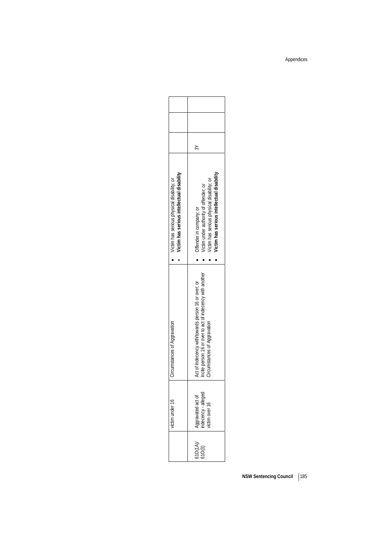|                                                                                          | ≳                                                                                                                                                             |
|------------------------------------------------------------------------------------------|---------------------------------------------------------------------------------------------------------------------------------------------------------------|
| Victim has serious intellectual disability<br>Victim has serious physical disability; or | Victim has serious intellectual disability<br>Victim has serious physical disability; or<br>Jictim under authority of offender; or<br>Offender in company; or |
|                                                                                          |                                                                                                                                                               |
| Circumstances of Aggravation                                                             | ncite person 16 or over to act of indecency with another<br>Act of Indecency with/towards person 16 or over; or<br>Circumstances of Aggravation               |
| ctim under 1                                                                             | Aggravated act of<br>indecency - alleged<br><i>i</i> ictim over 16                                                                                            |
|                                                                                          | 10(1A)<br>10(3)                                                                                                                                               |

**NSW Sentencing Council** 185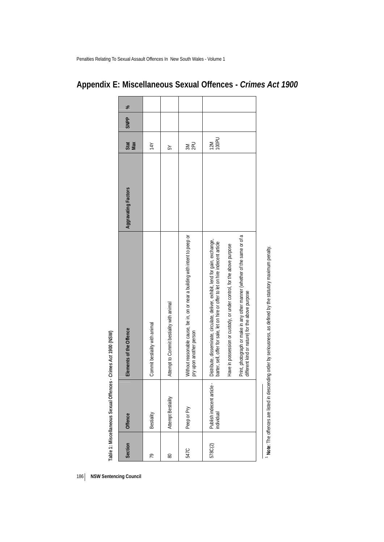| 186                           |         |                                                                |                                                                                                                                                                                                         |                     |                     |             |   |
|-------------------------------|---------|----------------------------------------------------------------|---------------------------------------------------------------------------------------------------------------------------------------------------------------------------------------------------------|---------------------|---------------------|-------------|---|
|                               |         | Table 1: Miscellaneous Sexual Offences - Crimes Act 1900 (NSW) |                                                                                                                                                                                                         |                     |                     |             |   |
| <b>NSW Sentencing Council</b> | Section | <b>Offence</b>                                                 | Elements of the Offence                                                                                                                                                                                 | Aggravating Factors | Stat<br>Max         | <b>SNPP</b> | ೫ |
|                               | 79      | Bestiality                                                     | Commit bestiality with animal                                                                                                                                                                           |                     | 14Y                 |             |   |
|                               | 80      | Attempt Bestiality                                             | Attempt to Commit bestiality with animal                                                                                                                                                                |                     | 5Y                  |             |   |
|                               | 547C    | Peep or Pry                                                    | Without reasonable cause, be in, on or near a building with intent to peep or<br>pry upon another person                                                                                                |                     | 2PU<br>3M           |             |   |
|                               | 578C(2) | Publish indecent article -<br>individual                       | Distribute, disseminate, circulate, deliver, exhibit, lend for gain, exchange,<br>barter, sell, offer for sale, let on hire or offer to let on hire indecent article                                    |                     | $\frac{12M}{100PU}$ |             |   |
|                               |         |                                                                | Print, photograph or make in any other manner (whether of the same or of a<br>Have in possession or custody, or under control, for the above purpose<br>different kind or nature) for the above purpose |                     |                     |             |   |
|                               |         |                                                                |                                                                                                                                                                                                         |                     |                     |             |   |

Note: The offences are listed in descending order by seriousness, as defined by the statutory maximum penalty. **Note**: The offences are listed in descending order by seriousness, as defined by the statutory maximum penalty.

# **Appendix E: Miscellaneous Sexual Offences -** *Crimes Act 1900*

Penalties Relating To Sexual Assault Offences In New South Wales - Volume 1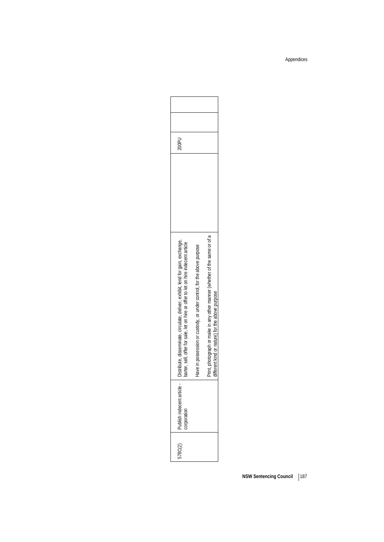| 78C(2) | ublish indecent articl<br>rporation | Distribute, disseminate, circulate, deliver, exhibit, lend for gain, exchange,<br>barter, sell, offer for sale, let on hire or offer to let on hire indecent article | <b>Nd00z</b> |  |
|--------|-------------------------------------|----------------------------------------------------------------------------------------------------------------------------------------------------------------------|--------------|--|
|        |                                     | Have in possession or custody, or under control, for the above purpose                                                                                               |              |  |
|        |                                     | Print, photograph or make in any other manner (whether of the same or of a<br>different kind or nature) for the above purpose                                        |              |  |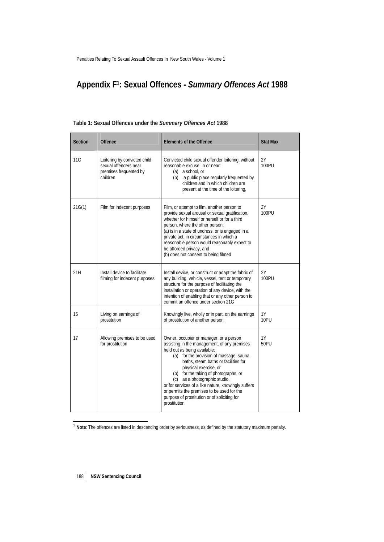## **Appendix F1 : Sexual Offences -** *Summary Offences Act* **1988**

| <b>Section</b> | <b>Offence</b>                                                                              | <b>Elements of the Offence</b>                                                                                                                                                                                                                                                                                                                                                                                                                                                      | <b>Stat Max</b> |
|----------------|---------------------------------------------------------------------------------------------|-------------------------------------------------------------------------------------------------------------------------------------------------------------------------------------------------------------------------------------------------------------------------------------------------------------------------------------------------------------------------------------------------------------------------------------------------------------------------------------|-----------------|
| 11G            | Loitering by convicted child<br>sexual offenders near<br>premises frequented by<br>children | Convicted child sexual offender loitering, without<br>reasonable excuse, in or near:<br>(a) a school, or<br>a public place regularly frequented by<br>(b)<br>children and in which children are<br>present at the time of the loitering,                                                                                                                                                                                                                                            | 2Y<br>100PU     |
| 21G(1)         | Film for indecent purposes                                                                  | Film, or attempt to film, another person to<br>provide sexual arousal or sexual gratification,<br>whether for himself or herself or for a third<br>person, where the other person:<br>(a) is in a state of undress, or is engaged in a<br>private act, in circumstances in which a<br>reasonable person would reasonably expect to<br>be afforded privacy, and<br>(b) does not consent to being filmed                                                                              | 2Y<br>100PU     |
| 21H            | Install device to facilitate<br>filming for indecent purposes                               | Install device, or construct or adapt the fabric of<br>any building, vehicle, vessel, tent or temporary<br>structure for the purpose of facilitating the<br>installation or operation of any device, with the<br>intention of enabling that or any other person to<br>commit an offence under section 21G                                                                                                                                                                           | 2Y<br>100PU     |
| 15             | Living on earnings of<br>prostitution                                                       | Knowingly live, wholly or in part, on the earnings<br>of prostitution of another person                                                                                                                                                                                                                                                                                                                                                                                             | 1Y<br>10PU      |
| 17             | Allowing premises to be used<br>for prostitution                                            | Owner, occupier or manager, or a person<br>assisting in the management, of any premises<br>held out as being available:<br>(a) for the provision of massage, sauna<br>baths, steam baths or facilities for<br>physical exercise, or<br>(b) for the taking of photographs, or<br>(c) as a photographic studio,<br>or for services of a like nature, knowingly suffers<br>or permits the premises to be used for the<br>purpose of prostitution or of soliciting for<br>prostitution. | 1Y<br>50PU      |

#### **Table 1: Sexual Offences under the** *Summary Offences Act* **1988**

<sup>1</sup> **Note**: The offences are listed in descending order by seriousness, as defined by the statutory maximum penalty.

 $\overline{a}$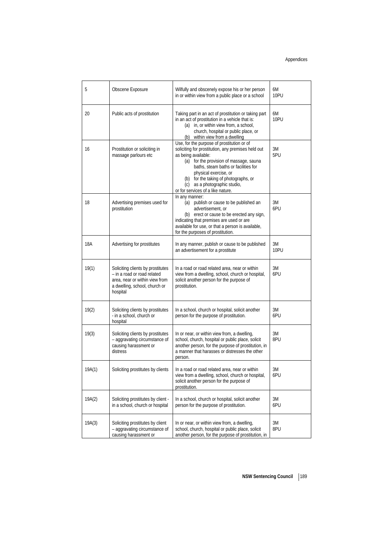| 5      | Obscene Exposure                                                                                                                                | Wilfully and obscenely expose his or her person<br>in or within view from a public place or a school                                                                                                                                                                                                                                               | 6M<br>10PU |
|--------|-------------------------------------------------------------------------------------------------------------------------------------------------|----------------------------------------------------------------------------------------------------------------------------------------------------------------------------------------------------------------------------------------------------------------------------------------------------------------------------------------------------|------------|
| 20     | Public acts of prostitution                                                                                                                     | Taking part in an act of prostitution or taking part<br>in an act of prostitution in a vehicle that is:<br>(a) in, or within view from, a school,<br>church, hospital or public place, or<br>within view from a dwelling<br>(b)                                                                                                                    | 6M<br>10PU |
| 16     | Prostitution or soliciting in<br>massage parlours etc                                                                                           | Use, for the purpose of prostitution or of<br>soliciting for prostitution, any premises held out<br>as being available:<br>(a) for the provision of massage, sauna<br>baths, steam baths or facilities for<br>physical exercise, or<br>(b) for the taking of photographs, or<br>(c) as a photographic studio,<br>or for services of a like nature. | 3M<br>5PU  |
| 18     | Advertising premises used for<br>prostitution                                                                                                   | In any manner:<br>(a) publish or cause to be published an<br>advertisement, or<br>(b) erect or cause to be erected any sign,<br>indicating that premises are used or are<br>available for use, or that a person is available,<br>for the purposes of prostitution.                                                                                 | 3M<br>6PU  |
| 18A    | Advertising for prostitutes                                                                                                                     | In any manner, publish or cause to be published<br>an advertisement for a prostitute                                                                                                                                                                                                                                                               | 3M<br>10PU |
| 19(1)  | Soliciting clients by prostitutes<br>- in a road or road related<br>area, near or within view from<br>a dwelling, school, church or<br>hospital | In a road or road related area, near or within<br>view from a dwelling, school, church or hospital,<br>solicit another person for the purpose of<br>prostitution.                                                                                                                                                                                  | 3M<br>6PU  |
| 19(2)  | Soliciting clients by prostitutes<br>- in a school, church or<br>hospital                                                                       | In a school, church or hospital, solicit another<br>person for the purpose of prostitution.                                                                                                                                                                                                                                                        | 3M<br>6PU  |
| 19(3)  | Soliciting clients by prostitutes<br>- aggravating circumstance of<br>causing harassment or<br>distress                                         | In or near, or within view from, a dwelling,<br>school, church, hospital or public place, solicit<br>another person, for the purpose of prostitution, in<br>a manner that harasses or distresses the other<br>person.                                                                                                                              | 3M<br>8PU  |
| 19A(1) | Soliciting prostitutes by clients                                                                                                               | In a road or road related area, near or within<br>view from a dwelling, school, church or hospital,<br>solicit another person for the purpose of<br>prostitution.                                                                                                                                                                                  | 3M<br>6PU  |
| 19A(2) | Soliciting prostitutes by client -<br>in a school, church or hospital                                                                           | In a school, church or hospital, solicit another<br>person for the purpose of prostitution.                                                                                                                                                                                                                                                        | 3M<br>6PU  |
| 19A(3) | Soliciting prostitutes by client<br>- aggravating circumstance of<br>causing harassment or                                                      | In or near, or within view from, a dwelling,<br>school, church, hospital or public place, solicit<br>another person, for the purpose of prostitution, in                                                                                                                                                                                           | 3M<br>8PU  |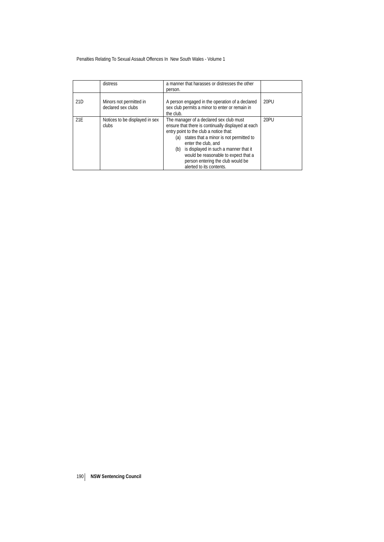#### Penalties Relating To Sexual Assault Offences In New South Wales - Volume 1

|                 | distress                                      | a manner that harasses or distresses the other                                                                                                                                                                                                                                                                                                                         |      |  |
|-----------------|-----------------------------------------------|------------------------------------------------------------------------------------------------------------------------------------------------------------------------------------------------------------------------------------------------------------------------------------------------------------------------------------------------------------------------|------|--|
|                 |                                               | person.                                                                                                                                                                                                                                                                                                                                                                |      |  |
| 21 <sub>D</sub> | Minors not permitted in<br>declared sex clubs | A person engaged in the operation of a declared<br>sex club permits a minor to enter or remain in<br>the club.                                                                                                                                                                                                                                                         | 20PU |  |
| 21F             | Notices to be displayed in sex<br>clubs.      | The manager of a declared sex club must<br>ensure that there is continually displayed at each<br>entry point to the club a notice that:<br>states that a minor is not permitted to<br>(a)<br>enter the club, and<br>(b) is displayed in such a manner that it<br>would be reasonable to expect that a<br>person entering the club would be<br>alerted to its contents. | 20PU |  |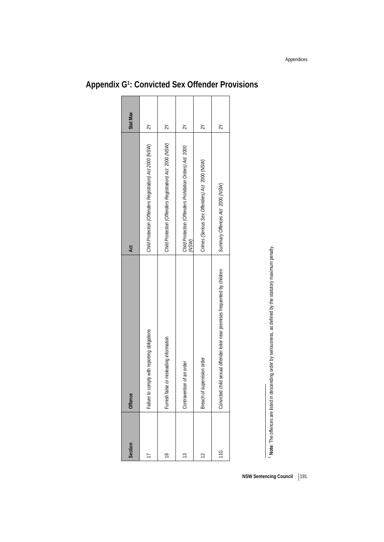Stat Max **Section Chience** Act **Act Act Act Act Act Act**  $\gtrsim$  $\gtrsim$  $\gtrsim$  $\gtrsim$  $\gtrsim$ 17 Failure to comply with reporting obligations *Child Protection (Offenders Registration) Act 2000* (NSW) 2Y 18 Furnish false or misleading information *Child Protection (Offenders Registration) Act* 2000 *(NSW)* 2Y 12 Breach of supervision order *Crimes (Serious Sex Offenders) Act* 2000 *(NSW)* 2Y 11G Convicted child sexual offender loiter near premises frequented by children *Summary Offences Act* 2000 *(NSW)* 2Y Child Protection (Offenders Registration) Act 2000 (NSW) Child Protection (Offenders Registration) Act 2000 (NSW) Child Protection (Offenders Prohibition Orders) Act 2000<br>(NSW) 13 Contravention of an order *Child Protection (Offenders Prohibition Orders) Act* 2000 Crimes (Serious Sex Offenders) Act 2000 (NSW) Summary Offences Act 2000 (NSW) Act Convicted child sexual offender loiter near premises frequented by children Failure to comply with reporting obligations Furnish false or misleading information Breach of supervision order Contravention of an order Offence Section  $\frac{0}{10}$  $\overline{13}$  $\overline{\phantom{0}}$  $\frac{\infty}{2}$  $\overline{2}$ 

**Appendix G1 : Convicted Sex Offender Provisions**

# **Note**: The offences are listed in descending order by seriousness, as defined by the statutory maximum penalty.

# **NSW Sentencing Council** 191

 $\overline{\phantom{0}}$ 

Appendices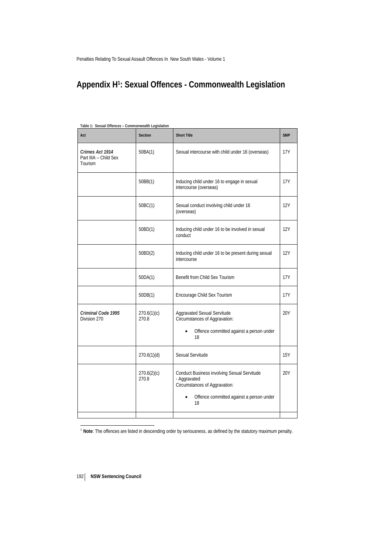# **Appendix H1 : Sexual Offences - Commonwealth Legislation**

| Table 1: Sexual Offences - Commonwealth Legislation |                      |                                                                                                                                                |            |
|-----------------------------------------------------|----------------------|------------------------------------------------------------------------------------------------------------------------------------------------|------------|
| Act                                                 | <b>Section</b>       | <b>Short Title</b>                                                                                                                             | <b>SMP</b> |
| Crimes Act 1914<br>Part IIIA - Child Sex<br>Tourism | 50BA(1)              | Sexual intercourse with child under 16 (overseas)                                                                                              | <b>17Y</b> |
|                                                     | 50BB(1)              | Inducing child under 16 to engage in sexual<br>intercourse (overseas)                                                                          | <b>17Y</b> |
|                                                     | 50BC(1)              | Sexual conduct involving child under 16<br>(overseas)                                                                                          | 12Y        |
|                                                     | 50BD(1)              | Inducing child under 16 to be involved in sexual<br>conduct                                                                                    | 12Y        |
|                                                     | 50BD(2)              | Inducing child under 16 to be present during sexual<br>intercourse                                                                             | 12Y        |
|                                                     | 50DA(1)              | Benefit from Child Sex Tourism                                                                                                                 | 17Y        |
|                                                     | 50DB(1)              | Encourage Child Sex Tourism                                                                                                                    | 17Y        |
| Criminal Code 1995<br>Division 270                  | 270.6(1)(c)<br>270.8 | Aggravated Sexual Servitude<br>Circumstances of Aggravation:<br>Offence committed against a person under<br>18                                 | 20Y        |
|                                                     | 270.6(1)(d)          | Sexual Servitude                                                                                                                               | 15Y        |
|                                                     | 270.6(2)(c)<br>270.8 | Conduct Business involving Sexual Servitude<br>- Aggravated<br>Circumstances of Aggravation:<br>Offence committed against a person under<br>18 | 20Y        |
|                                                     |                      |                                                                                                                                                |            |

<sup>1</sup> Note: The offences are listed in descending order by seriousness, as defined by the statutory maximum penalty.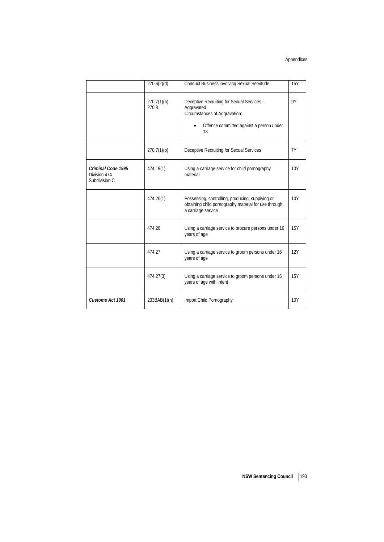## Appendices

|                                                     | 270.6(2)(d)          | Conduct Business involving Sexual Servitude                                                                                                 | 15Y |
|-----------------------------------------------------|----------------------|---------------------------------------------------------------------------------------------------------------------------------------------|-----|
|                                                     | 270.7(1)(a)<br>270.8 | Deceptive Recruiting for Sexual Services -<br>Aggravated<br>Circumstances of Aggravation:<br>Offence committed against a person under<br>18 | 9Y  |
|                                                     | 270.7(1)(b)          | Deceptive Recruiting for Sexual Services                                                                                                    | 7Y  |
| Criminal Code 1995<br>Division 474<br>Subdivision C | 474.19(1)            | Using a carriage service for child pornography<br>material                                                                                  | 10Y |
|                                                     | 474.20(1)            | Possessing, controlling, producing, supplying or<br>obtaining child pornography material for use through<br>a carriage service              | 10Y |
|                                                     | 474.26               | Using a carriage service to procure persons under 16<br>years of age                                                                        | 15Y |
|                                                     | 474.27               | Using a carriage service to groom persons under 16<br>years of age                                                                          | 12Y |
|                                                     | 474.27(3)            | Using a carriage service to groom persons under 16<br>years of age with intent                                                              | 15Y |
| Customs Act 1901                                    | 233BAB(1)(h)         | Import Child Pornography                                                                                                                    | 10Y |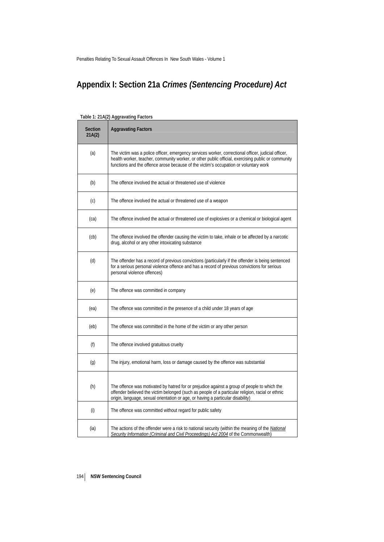# **Appendix I: Section 21a** *Crimes (Sentencing Procedure) Act*

| <b>Section</b><br>21A(2) | <b>Aggravating Factors</b>                                                                                                                                                                                                                                                                        |
|--------------------------|---------------------------------------------------------------------------------------------------------------------------------------------------------------------------------------------------------------------------------------------------------------------------------------------------|
| (a)                      | The victim was a police officer, emergency services worker, correctional officer, judicial officer,<br>health worker, teacher, community worker, or other public official, exercising public or community<br>functions and the offence arose because of the victim's occupation or voluntary work |
| (b)                      | The offence involved the actual or threatened use of violence                                                                                                                                                                                                                                     |
| (c)                      | The offence involved the actual or threatened use of a weapon                                                                                                                                                                                                                                     |
| (ca)                     | The offence involved the actual or threatened use of explosives or a chemical or biological agent                                                                                                                                                                                                 |
| (cb)                     | The offence involved the offender causing the victim to take, inhale or be affected by a narcotic<br>drug, alcohol or any other intoxicating substance                                                                                                                                            |
| (d)                      | The offender has a record of previous convictions (particularly if the offender is being sentenced<br>for a serious personal violence offence and has a record of previous convictions for serious<br>personal violence offences)                                                                 |
| (e)                      | The offence was committed in company                                                                                                                                                                                                                                                              |
| (ea)                     | The offence was committed in the presence of a child under 18 years of age                                                                                                                                                                                                                        |
| (eb)                     | The offence was committed in the home of the victim or any other person                                                                                                                                                                                                                           |
| (f)                      | The offence involved gratuitous cruelty                                                                                                                                                                                                                                                           |
| (g)                      | The injury, emotional harm, loss or damage caused by the offence was substantial                                                                                                                                                                                                                  |
| (h)                      | The offence was motivated by hatred for or prejudice against a group of people to which the<br>offender believed the victim belonged (such as people of a particular religion, racial or ethnic<br>origin, language, sexual orientation or age, or having a particular disability)                |
| (i)                      | The offence was committed without regard for public safety                                                                                                                                                                                                                                        |
| (ia)                     | The actions of the offender were a risk to national security (within the meaning of the National<br>Security Information (Criminal and Civil Proceedings) Act 2004 of the Commonwealth)                                                                                                           |

## **Table 1: 21A(2) Aggravating Factors**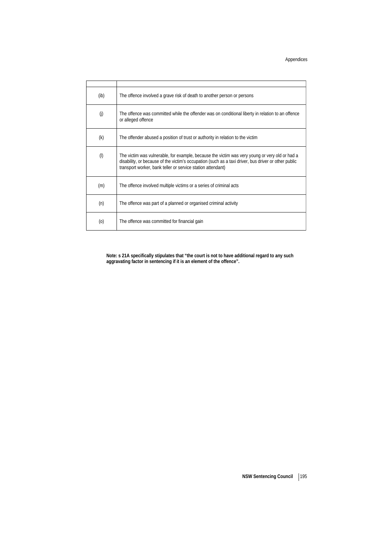### Appendices

| (i <sub>b</sub> ) | The offence involved a grave risk of death to another person or persons                                                                                                                                                                                               |
|-------------------|-----------------------------------------------------------------------------------------------------------------------------------------------------------------------------------------------------------------------------------------------------------------------|
| (i)               | The offence was committed while the offender was on conditional liberty in relation to an offence<br>or alleged offence                                                                                                                                               |
| (k)               | The offender abused a position of trust or authority in relation to the victim                                                                                                                                                                                        |
| (1)               | The victim was vulnerable, for example, because the victim was very young or very old or had a<br>disability, or because of the victim's occupation (such as a taxi driver, bus driver or other public<br>transport worker, bank teller or service station attendant) |
| (m)               | The offence involved multiple victims or a series of criminal acts                                                                                                                                                                                                    |
| (n)               | The offence was part of a planned or organised criminal activity                                                                                                                                                                                                      |
| (0)               | The offence was committed for financial gain                                                                                                                                                                                                                          |

**Note: s 21A specifically stipulates that "the court is not to have additional regard to any such aggravating factor in sentencing if it is an element of the offence".**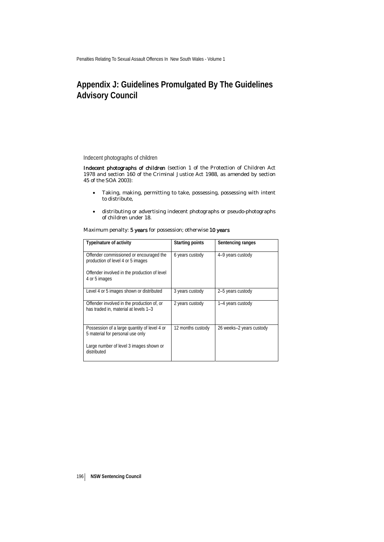# **Appendix J: Guidelines Promulgated By The Guidelines Advisory Council**

Indecent photographs of children

Indecent photographs of children (section 1 of the Protection of Children Act 1978 and section 160 of the Criminal Justice Act 1988, as amended by section 45 of the SOA 2003):

- Taking, making, permitting to take, possessing, possessing with intent to distribute,
- distributing or advertising indecent photographs or pseudo-photographs of children under 18.

| Type/nature of activity                                                             | Starting points   | Sentencing ranges        |
|-------------------------------------------------------------------------------------|-------------------|--------------------------|
| Offender commissioned or encouraged the<br>production of level 4 or 5 images        | 6 years custody   | 4-9 years custody        |
| Offender involved in the production of level<br>4 or 5 images                       |                   |                          |
| Level 4 or 5 images shown or distributed                                            | 3 years custody   | 2-5 years custody        |
| Offender involved in the production of, or<br>has traded in, material at levels 1-3 | 2 years custody   | 1-4 years custody        |
| Possession of a large quantity of level 4 or<br>5 material for personal use only    | 12 months custody | 26 weeks-2 years custody |
| Large number of level 3 images shown or<br>distributed                              |                   |                          |

Maximum penalty: 5 years for possession; otherwise 10 years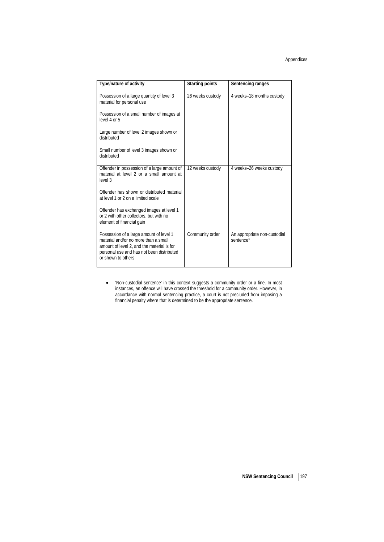| Type/nature of activity                                                                                                                                                                          | <b>Starting points</b> | Sentencing ranges                         |
|--------------------------------------------------------------------------------------------------------------------------------------------------------------------------------------------------|------------------------|-------------------------------------------|
| Possession of a large quantity of level 3<br>material for personal use                                                                                                                           | 26 weeks custody       | 4 weeks-18 months custody                 |
| Possession of a small number of images at<br>level 4 or 5                                                                                                                                        |                        |                                           |
| Large number of level 2 images shown or<br>distributed                                                                                                                                           |                        |                                           |
| Small number of level 3 images shown or<br>distributed                                                                                                                                           |                        |                                           |
| Offender in possession of a large amount of<br>material at level 2 or a small amount at<br>level 3                                                                                               | 12 weeks custody       | 4 weeks-26 weeks custody                  |
| Offender has shown or distributed material<br>at level 1 or 2 on a limited scale                                                                                                                 |                        |                                           |
| Offender has exchanged images at level 1<br>or 2 with other collectors, but with no<br>element of financial gain                                                                                 |                        |                                           |
| Possession of a large amount of level 1<br>material and/or no more than a small<br>amount of level 2, and the material is for<br>personal use and has not been distributed<br>or shown to others | Community order        | An appropriate non-custodial<br>sentence* |

• 'Non-custodial sentence' in this context suggests a community order or a fine. In most instances, an offence will have crossed the threshold for a community order. However, in accordance with normal sentencing practice, a court is not precluded from imposing a financial penalty where that is determined to be the appropriate sentence.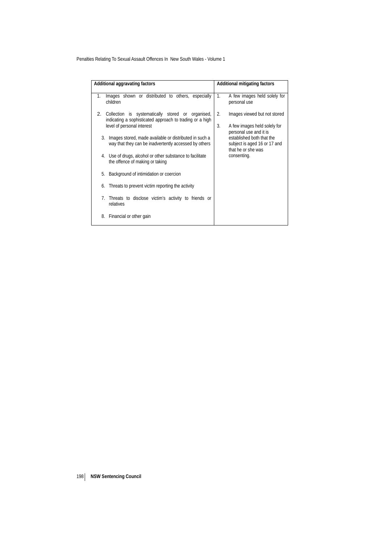| Additional aggravating factors                                                                                                                                                                                                                                                                                                                                             | <b>Additional mitigating factors</b>                                                                                                                                                                 |
|----------------------------------------------------------------------------------------------------------------------------------------------------------------------------------------------------------------------------------------------------------------------------------------------------------------------------------------------------------------------------|------------------------------------------------------------------------------------------------------------------------------------------------------------------------------------------------------|
| Images shown or distributed to others, especially<br>1.<br>children                                                                                                                                                                                                                                                                                                        | 1.<br>A few images held solely for<br>personal use                                                                                                                                                   |
| Collection is systematically stored or organised,<br>2.<br>indicating a sophisticated approach to trading or a high<br>level of personal interest<br>Images stored, made available or distributed in such a<br>3.<br>way that they can be inadvertently accessed by others<br>4. Use of drugs, alcohol or other substance to facilitate<br>the offence of making or taking | Images viewed but not stored<br>2.<br>3.<br>A few images held solely for<br>personal use and it is<br>established both that the<br>subject is aged 16 or 17 and<br>that he or she was<br>consenting. |
| Background of intimidation or coercion<br>5.                                                                                                                                                                                                                                                                                                                               |                                                                                                                                                                                                      |
| 6. Threats to prevent victim reporting the activity                                                                                                                                                                                                                                                                                                                        |                                                                                                                                                                                                      |
| 7. Threats to disclose victim's activity to friends or<br>relatives                                                                                                                                                                                                                                                                                                        |                                                                                                                                                                                                      |
| Financial or other gain<br>8.                                                                                                                                                                                                                                                                                                                                              |                                                                                                                                                                                                      |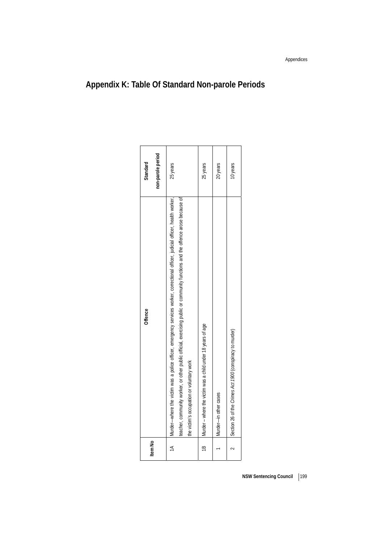| Item No       | Offence                                                                                                                         | Standard          |
|---------------|---------------------------------------------------------------------------------------------------------------------------------|-------------------|
|               |                                                                                                                                 | non-parole period |
| $\approx$     | Murder-where the victim was a police officer, emergency services worker, correctional officer, judicial officer, health worker, | 25 years          |
|               | teacher, community worker, or other public official, exercising public or community functions and the offence arose because of  |                   |
|               | the victim's occupation or voluntary work                                                                                       |                   |
| $\frac{1}{1}$ | Murder - where the victim was a child under 18 years of age                                                                     | 25 years          |
|               | Murder-in other cases                                                                                                           | 20 years          |
|               | Section 26 of the Crimes Act 1900 (conspiracy to murder)                                                                        | 10 years          |
|               |                                                                                                                                 |                   |

# **Appendix K: Table Of Standard Non-parole Periods**

Appendices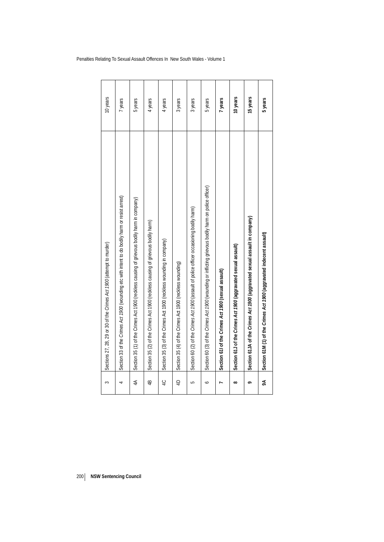| 10 years                                                             | 7 years                                                                                         | 5 years                                                                                     | 4 years                                                                          | 4 years                                                              | 3 years                                                   | 3 years                                                                                   | 5 years                                                                                               | 7 years                                             | 10 years                                                       | 15 years                                                                   | 5 years                                                              |
|----------------------------------------------------------------------|-------------------------------------------------------------------------------------------------|---------------------------------------------------------------------------------------------|----------------------------------------------------------------------------------|----------------------------------------------------------------------|-----------------------------------------------------------|-------------------------------------------------------------------------------------------|-------------------------------------------------------------------------------------------------------|-----------------------------------------------------|----------------------------------------------------------------|----------------------------------------------------------------------------|----------------------------------------------------------------------|
| Sections 27, 28, 29 or 30 of the Crimes Act 1900 (attempt to murder) | Section 33 of the Crimes Act 1900 (wounding etc with intent to do bodily harm or resist arrest) | Section 35 (1) of the Crimes Act 1900 (reckless causing of grievous bodily harm in company) | Section 35 (2) of the Crimes Act 1900 (reckless causing of grievous bodily harm) | Section 35 (3) of the Crimes Act 1900 (reckless wounding in company) | Section 35 (4) of the Crimes Act 1900 (reckless wounding) | Section 60 (2) of the Crimes Act 1900 (assault of police officer occasioning bodily harm) | Section 60 (3) of the Crimes Act 1900 (wounding or inflicting grievous bodily harm on police officer) | Section 611 of the Crimes Act 1900 (sexual assault) | Section 61J of the Crimes Act 1900 (aggravated sexual assault) | Section 61JA of the Crimes Act 1900 (aggravated sexual assault in company) | Section 61M (1) of the Crimes Act 1900 (aggravated indecent assault) |
| $\sim$                                                               |                                                                                                 | $4\overline{4}$                                                                             | 4B                                                                               | $\overline{C}$                                                       | $\overline{4}$                                            | 5                                                                                         | ∘                                                                                                     |                                                     | $\infty$                                                       |                                                                            | Æ                                                                    |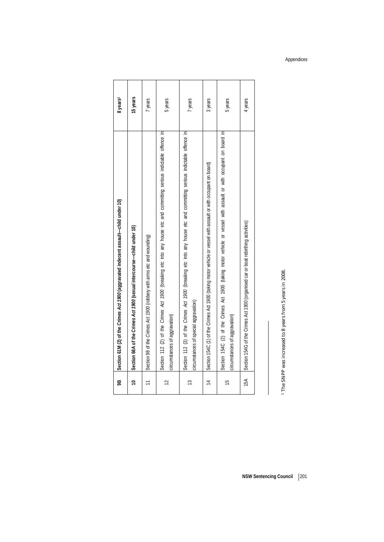| Section 154C (1) of the Crimes Act 1900 (taking motor vehicle or vessel with assault or with occupant on board)<br>Section 66A of the Crimes Act 1900 (sexual intercourse-child under 10)<br>Section 98 of the Crimes Act 1900 (robbery with arms etc and wounding)<br>circumstances of special aggravation)<br>circumstances of aggravation)<br>circumstances of aggravation)<br>$\approx$<br>$\overline{\overline{1}}$<br>$\frac{4}{1}$<br>$\overline{12}$<br>$\frac{5}{2}$<br>జ | Section 61M (2) of the Crimes Act 1900 (aggravated indecent assault-child under 10)                                  | 8 years <sup>1</sup> |
|------------------------------------------------------------------------------------------------------------------------------------------------------------------------------------------------------------------------------------------------------------------------------------------------------------------------------------------------------------------------------------------------------------------------------------------------------------------------------------|----------------------------------------------------------------------------------------------------------------------|----------------------|
|                                                                                                                                                                                                                                                                                                                                                                                                                                                                                    |                                                                                                                      | 15 years             |
|                                                                                                                                                                                                                                                                                                                                                                                                                                                                                    |                                                                                                                      | 7 years              |
|                                                                                                                                                                                                                                                                                                                                                                                                                                                                                    | Section 112 (2) of the Crimes Act 1900 (breaking etc into any house etc and committing serious indictable offence in | 5 years              |
|                                                                                                                                                                                                                                                                                                                                                                                                                                                                                    | Section 112 (3) of the Crimes Act 1900 (breaking etc into any house etc and committing serious indictable offence in | 7 years              |
|                                                                                                                                                                                                                                                                                                                                                                                                                                                                                    |                                                                                                                      | 3 years              |
|                                                                                                                                                                                                                                                                                                                                                                                                                                                                                    | Section 154C (2) of the Crimes Act 1900 (taking motor vehicle or vessel with assault or with occupant on board in    | 5 years              |
| Section 154G of the Crimes Act 1900 (organised car or boat rebirthing activities)<br>15A                                                                                                                                                                                                                                                                                                                                                                                           |                                                                                                                      | 4 years              |

 $^1$  The SNPP was increased to 8 years from 5 years in 2008. 1 The SNPP was increased to 8 years from 5 years in 2008.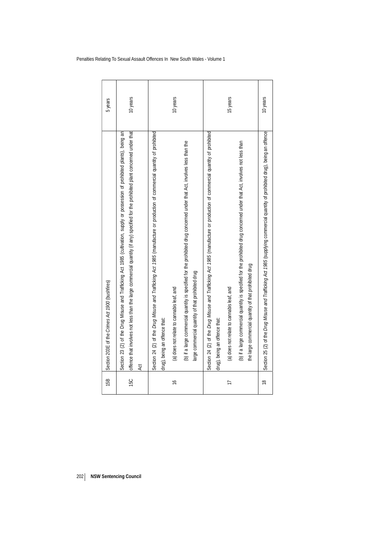| 58            | Section 203E of the Crimes Act 1900 (bushfires)                                                                                                                                                                                                                          | 5 years  |
|---------------|--------------------------------------------------------------------------------------------------------------------------------------------------------------------------------------------------------------------------------------------------------------------------|----------|
| <b>15C</b>    | Section 23 (2) of the Drug Misuse and Trafficking Act 1985 (cultivation, supply or possession of prohibited plants), being an<br>offence that involves not less than the large commercial quantity (if any) specified for the prohibited plant concerned under that<br>ă | 10 years |
|               | Section 24 (2) of the Drug Misuse and Trafficking Act 1985 (manufacture or production of commercial quantity of prohibited<br>drug), being an offence that:                                                                                                              |          |
| $\frac{6}{1}$ | (a) does not relate to cannabis leaf, and                                                                                                                                                                                                                                | 10 years |
|               | (b) if a large commercial quantity is specified for the prohibited drug concerned under that Act, involves less than the<br>large commercial quantity of that prohibited drug                                                                                            |          |
|               | Section 24 (2) of the Drug Misuse and Trafficking Act 1985 (manufacture or production of commercial quantity of prohibited<br>drug), being an offence that:                                                                                                              |          |
| π             | (a) does not relate to cannabis leaf, and                                                                                                                                                                                                                                | 15 years |
|               | (b) if a large commercial quantity is specified for the prohibited drug concerned under that Act, involves not less than<br>the large commercial quantity of that prohibited drug                                                                                        |          |
| ≌             | Section 25 (2) of the Drug Misuse and Trafficking Act 1985 (supplying commercial quantity of prohibited drug), being an offence                                                                                                                                          | 10 years |
|               |                                                                                                                                                                                                                                                                          |          |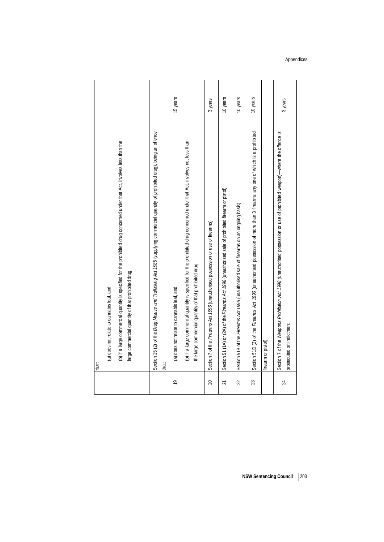|                 | (b) if a large commercial quantity is specified for the prohibited drug concerned under that Act, involves less than the<br>large commercial quantity of that prohibited drug<br>(a) does not relate to cannabis leaf, and<br>that: |          |
|-----------------|-------------------------------------------------------------------------------------------------------------------------------------------------------------------------------------------------------------------------------------|----------|
|                 | Section 25 (2) of the Drug Misuse and Trafficking Act 1985 (supplying commercial quantity of prohibited drug), being an offence<br>that:                                                                                            |          |
| $\frac{1}{2}$   | (a) does not relate to cannabis leaf, and                                                                                                                                                                                           | 15 years |
|                 | (b) if a large commercial quantity is specified for the prohibited drug concerned under that Act, involves not less than<br>the large commercial quantity of that prohibited drug                                                   |          |
| 20              | Section 7 of the Firearms Act 1996 (unauthorised possession or use of firearms)                                                                                                                                                     | 3 years  |
| $\overline{21}$ | Section 51 (1A) or (2A) of the Firearms Act 1996 (unauthorised sale of prohibited firearm or pistol)                                                                                                                                | 10 years |
| 22              | Section 51B of the Firearms Act 1996 (unauthorised sale of firearms on an ongoing basis)                                                                                                                                            | 10 years |
| 23              | Section 51D (2) of the Firearms Act 1996 (unauthorised possession of more than 3 firearms any one of which is a prohibited                                                                                                          | 10 years |
|                 | firearm or pistol)                                                                                                                                                                                                                  |          |
| 24              | Section 7 of the Weapons Prohibition Act 1998 (unauthorised possession or use of prohibited weapon)-where the offence is<br>prosecuted on indictment                                                                                | 3 years  |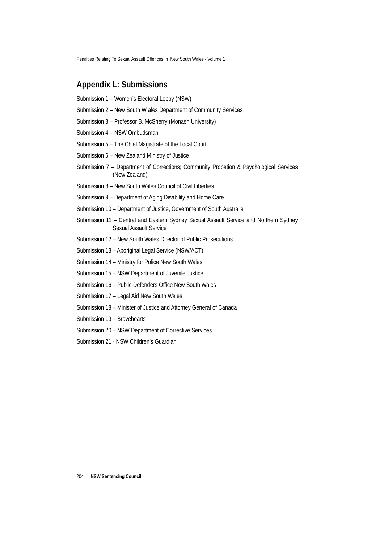# **Appendix L: Submissions**

- Submission 1 Women's Electoral Lobby (NSW)
- Submission 2 New South W ales Department of Community Services
- Submission 3 Professor B. McSherry (Monash University)
- Submission 4 NSW Ombudsman
- Submission 5 The Chief Magistrate of the Local Court
- Submission 6 New Zealand Ministry of Justice
- Submission 7 Department of Corrections; Community Probation & Psychological Services (New Zealand)
- Submission 8 New South Wales Council of Civil Liberties
- Submission 9 Department of Aging Disability and Home Care
- Submission 10 Department of Justice, Government of South Australia
- Submission 11 Central and Eastern Sydney Sexual Assault Service and Northern Sydney Sexual Assault Service
- Submission 12 New South Wales Director of Public Prosecutions
- Submission 13 Aboriginal Legal Service (NSW/ACT)
- Submission 14 Ministry for Police New South Wales
- Submission 15 NSW Department of Juvenile Justice
- Submission 16 Public Defenders Office New South Wales
- Submission 17 Legal Aid New South Wales
- Submission 18 Minister of Justice and Attorney General of Canada
- Submission 19 Bravehearts
- Submission 20 NSW Department of Corrective Services
- Submission 21 NSW Children's Guardian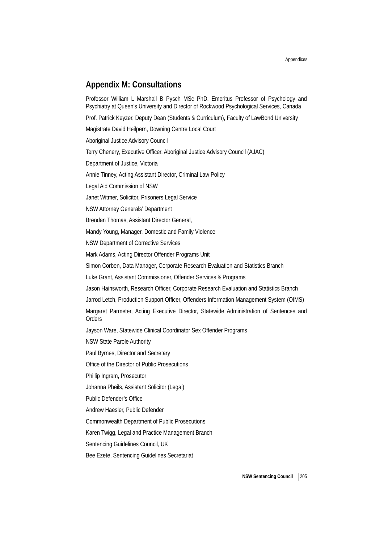Appendices

# **Appendix M: Consultations**

Professor William L Marshall B Pysch MSc PhD, Emeritus Professor of Psychology and Psychiatry at Queen's University and Director of Rockwood Psychological Services, Canada Prof. Patrick Keyzer, Deputy Dean (Students & Curriculum), Faculty of LawBond University Magistrate David Heilpern, Downing Centre Local Court Aboriginal Justice Advisory Council Terry Chenery, Executive Officer, Aboriginal Justice Advisory Council (AJAC) Department of Justice, Victoria Annie Tinney, Acting Assistant Director, Criminal Law Policy Legal Aid Commission of NSW Janet Witmer, Solicitor, Prisoners Legal Service NSW Attorney Generals' Department Brendan Thomas, Assistant Director General, Mandy Young, Manager, Domestic and Family Violence NSW Department of Corrective Services Mark Adams, Acting Director Offender Programs Unit Simon Corben, Data Manager, Corporate Research Evaluation and Statistics Branch Luke Grant, Assistant Commissioner, Offender Services & Programs Jason Hainsworth, Research Officer, Corporate Research Evaluation and Statistics Branch Jarrod Letch, Production Support Officer, Offenders Information Management System (OIMS) Margaret Parmeter, Acting Executive Director, Statewide Administration of Sentences and **Orders** Jayson Ware, Statewide Clinical Coordinator Sex Offender Programs NSW State Parole Authority Paul Byrnes, Director and Secretary Office of the Director of Public Prosecutions Phillip Ingram, Prosecutor Johanna Pheils, Assistant Solicitor (Legal) Public Defender's Office Andrew Haesler, Public Defender Commonwealth Department of Public Prosecutions Karen Twigg, Legal and Practice Management Branch Sentencing Guidelines Council, UK Bee Ezete, Sentencing Guidelines Secretariat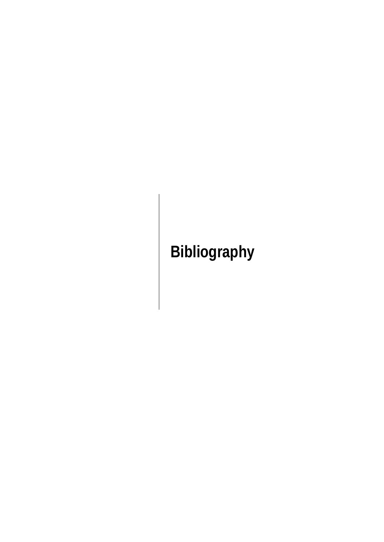# **Bibliography**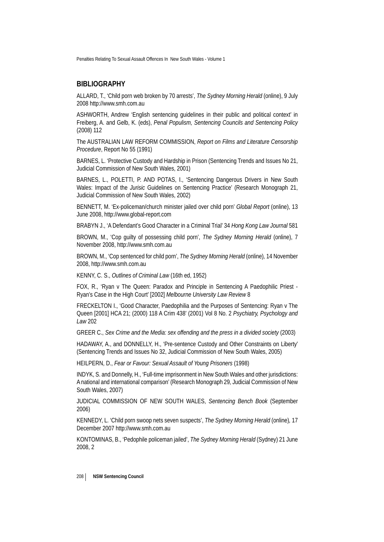# **BIBLIOGRAPHY**

ALLARD, T., 'Child porn web broken by 70 arrests', *The Sydney Morning Herald* (online), 9 July 2008 http://www.smh.com.au

ASHWORTH, Andrew 'English sentencing guidelines in their public and political context' in Freiberg, A. and Gelb, K. (eds), *Penal Populism, Sentencing Councils and Sentencing Policy* (2008) 112

The AUSTRALIAN LAW REFORM COMMISSION, *Report on Films and Literature Censorship Procedure*, Report No 55 (1991)

BARNES, L. 'Protective Custody and Hardship in Prison (Sentencing Trends and Issues No 21, Judicial Commission of New South Wales, 2001)

BARNES, L., POLETTI, P. AND POTAS, I., 'Sentencing Dangerous Drivers in New South Wales: Impact of the *Jurisic* Guidelines on Sentencing Practice' (Research Monograph 21, Judicial Commission of New South Wales, 2002)

BENNETT, M. 'Ex-policeman/church minister jailed over child porn' *Global Report* (online), 13 June 2008, http://www.global-report.com

BRABYN J., 'A Defendant's Good Character in a Criminal Trial' 34 *Hong Kong Law Journal* 581

BROWN, M., 'Cop guilty of possessing child porn', *The Sydney Morning Herald* (online), 7 November 2008, http://www.smh.com.au

BROWN, M., 'Cop sentenced for child porn', *The Sydney Morning Herald* (online)*,* 14 November 2008, http://www.smh.com.au

KENNY, C. S., *Outlines of Criminal Law* (16th ed, 1952)

FOX, R., 'Ryan v The Queen: Paradox and Principle in Sentencing A Paedophilic Priest - Ryan's Case in the High Court' [2002] *Melbourne University Law Review* 8

FRECKELTON I., 'Good Character, Paedophilia and the Purposes of Sentencing: Ryan v The Queen [2001] HCA 21; (2000) 118 A Crim 438' (2001) Vol 8 No. 2 *Psychiatry, Psychology and Law* 202

GREER C., *Sex Crime and the Media: sex offending and the press in a divided society* (2003)

HADAWAY, A., and DONNELLY, H., 'Pre-sentence Custody and Other Constraints on Liberty' (Sentencing Trends and Issues No 32, Judicial Commission of New South Wales, 2005)

HEILPERN, D., *Fear or Favour: Sexual Assault of Young Prisoners* (1998)

INDYK, S. and Donnelly, H., 'Full-time imprisonment in New South Wales and other jurisdictions: A national and international comparison' (Research Monograph 29*,* Judicial Commission of New South Wales, 2007)

JUDICIAL COMMISSION OF NEW SOUTH WALES, *Sentencing Bench Book* (September 2006)

KENNEDY, L. 'Child porn swoop nets seven suspects', *The Sydney Morning Herald* (online)*,* 17 December 2007 http://www.smh.com.au

KONTOMINAS, B., 'Pedophile policeman jailed', *The Sydney Morning Herald* (Sydney) 21 June 2008, 2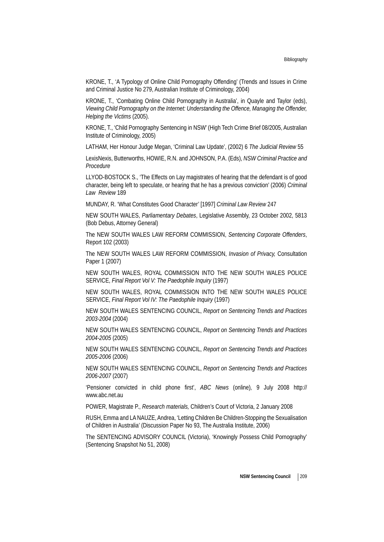KRONE, T., 'A Typology of Online Child Pornography Offending' (Trends and Issues in Crime and Criminal Justice No 279, Australian Institute of Criminology, 2004)

KRONE, T., 'Combating Online Child Pornography in Australia', in Quayle and Taylor (eds), *Viewing Child Pornography on the Internet: Understanding the Offence, Managing the Offender, Helping the Victims* (2005).

KRONE, T., 'Child Pornography Sentencing in NSW' (High Tech Crime Brief 08/2005, Australian Institute of Criminology, 2005)

LATHAM, Her Honour Judge Megan, 'Criminal Law Update', (2002) 6 *The Judicial Review* 55

LexisNexis, Butterworths, HOWIE, R.N. and JOHNSON, P.A. (Eds), *NSW Criminal Practice and Procedure*

LLYOD-BOSTOCK S., 'The Effects on Lay magistrates of hearing that the defendant is of good character, being left to speculate, or hearing that he has a previous conviction' (2006) *Criminal Law Review* 189

MUNDAY, R. 'What Constitutes Good Character' [1997] *Criminal Law Review* 247

NEW SOUTH WALES, *Parliamentary Debates*, Legislative Assembly, 23 October 2002, 5813 (Bob Debus, Attorney General)

The NEW SOUTH WALES LAW REFORM COMMISSION, *Sentencing Corporate Offenders*, Report 102 (2003)

The NEW SOUTH WALES LAW REFORM COMMISSION, *Invasion of Privacy,* Consultation Paper 1 (2007)

NEW SOUTH WALES, ROYAL COMMISSION INTO THE NEW SOUTH WALES POLICE SERVICE, *Final Report Vol V: The Paedophile Inquiry* (1997)

NEW SOUTH WALES, ROYAL COMMISSION INTO THE NEW SOUTH WALES POLICE SERVICE, *Final Report Vol IV: The Paedophile Inquiry* (1997)

NEW SOUTH WALES SENTENCING COUNCIL, *Report on Sentencing Trends and Practices 2003-2004* (2004)

NEW SOUTH WALES SENTENCING COUNCIL, *Report on Sentencing Trends and Practices 2004-2005* (2005)

NEW SOUTH WALES SENTENCING COUNCIL, *Report on Sentencing Trends and Practices 2005-2006* (2006)

NEW SOUTH WALES SENTENCING COUNCIL, *Report on Sentencing Trends and Practices 2006-2007* (2007)

'Pensioner convicted in child phone first', ABC News (online), 9 July 2008 http:// www.abc.net.au

POWER, Magistrate P., *Research materials,* Children's Court of Victoria, 2 January 2008

RUSH, Emma and LA NAUZE, Andrea, 'Letting Children Be Children-Stopping the Sexualisation of Children in Australia' (Discussion Paper No 93, The Australia Institute, 2006)

The SENTENCING ADVISORY COUNCIL (Victoria), 'Knowingly Possess Child Pornography' (Sentencing Snapshot No 51, 2008)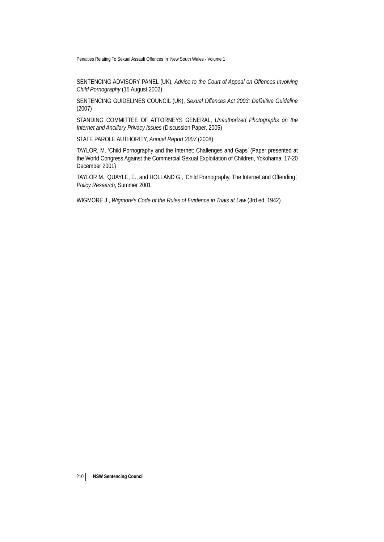SENTENCING ADVISORY PANEL (UK), *Advice to the Court of Appeal on Offences Involving Child Pornography* (15 August 2002)

SENTENCING GUIDELINES COUNCIL (UK), Sexual Offences Act 2003: Definitive Guideline (2007)

STANDING COMMITTEE OF ATTORNEYS GENERAL, *Unauthorized Photographs on the Internet and Ancillary Privacy Issues* (Discussion Paper, 2005)

STATE PAROLE AUTHORITY, *Annual Report 2007* (2008)

TAYLOR, M. 'Child Pornography and the Internet: Challenges and Gaps' (Paper presented at the World Congress Against the Commercial Sexual Exploitation of Children, Yokohama, 17-20 December 2001)

TAYLOR M., QUAYLE, E., and HOLLAND G., 'Child Pornography, The Internet and Offending*', Policy Research*, Summer 2001

WIGMORE J., *Wigmore's Code of the Rules of Evidence in Trials at Law* (3rd ed, 1942)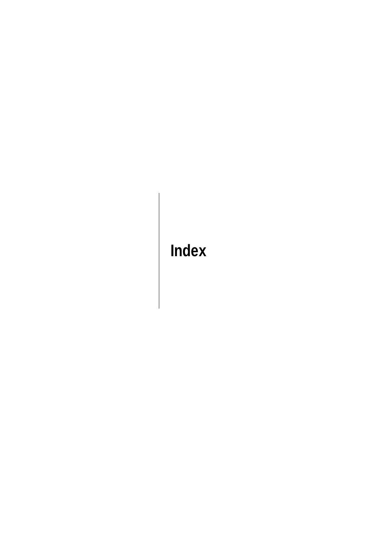**Index**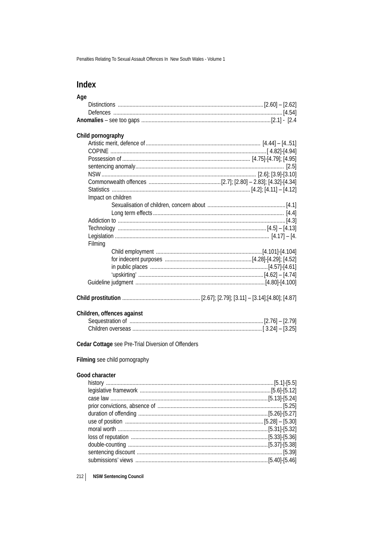# Index

| Age                                                                                                                                                                                                                            |  |
|--------------------------------------------------------------------------------------------------------------------------------------------------------------------------------------------------------------------------------|--|
|                                                                                                                                                                                                                                |  |
|                                                                                                                                                                                                                                |  |
|                                                                                                                                                                                                                                |  |
| Child pornography                                                                                                                                                                                                              |  |
|                                                                                                                                                                                                                                |  |
| [4.94]-[4.94] [4.82] [4.94] [[4.94] [4.94] [4.94] [[4.94] [[4.94] [[4.94] [[4.94] [[4.94] [[4.94] [[4.94] [[4.94] [[4.94] [[4.94] [[4.94] [[4.94] [[4.94] [[4.94] [[4.94] [[4.94] [[4.94] [[4.94] [[4.94] [[4.94] [[4.94] [[4. |  |
|                                                                                                                                                                                                                                |  |
|                                                                                                                                                                                                                                |  |
|                                                                                                                                                                                                                                |  |
|                                                                                                                                                                                                                                |  |
|                                                                                                                                                                                                                                |  |
| Impact on children                                                                                                                                                                                                             |  |
|                                                                                                                                                                                                                                |  |
|                                                                                                                                                                                                                                |  |
|                                                                                                                                                                                                                                |  |
|                                                                                                                                                                                                                                |  |
|                                                                                                                                                                                                                                |  |
| Filming                                                                                                                                                                                                                        |  |
|                                                                                                                                                                                                                                |  |
|                                                                                                                                                                                                                                |  |
|                                                                                                                                                                                                                                |  |
|                                                                                                                                                                                                                                |  |
|                                                                                                                                                                                                                                |  |
|                                                                                                                                                                                                                                |  |
| Children, offences against                                                                                                                                                                                                     |  |
|                                                                                                                                                                                                                                |  |
|                                                                                                                                                                                                                                |  |
| Cedar Cottage see Pre-Trial Diversion of Offenders                                                                                                                                                                             |  |

# Filming see child pornography

# Good character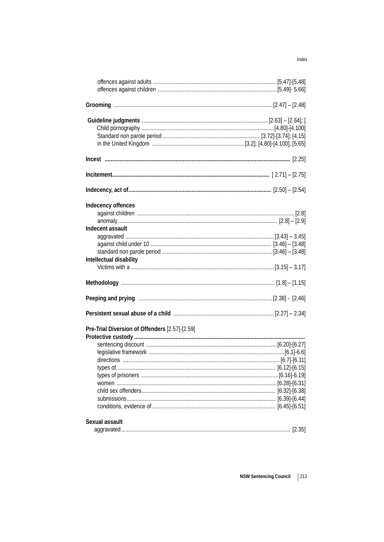| Indecency offences<br>Indecent assault<br>Intellectual disability<br>Peeping and prying manufactured and provide manufactured and principle manufactured and provide manufactured and provide and provide and provide and provide and provide and provide and provide and provide and provide and p |  |
|-----------------------------------------------------------------------------------------------------------------------------------------------------------------------------------------------------------------------------------------------------------------------------------------------------|--|
|                                                                                                                                                                                                                                                                                                     |  |
| Pre-Trial Diversion of Offenders [2.57]-[2.59]                                                                                                                                                                                                                                                      |  |
|                                                                                                                                                                                                                                                                                                     |  |

Sexual assault

NSW Sentencing Council | 213

Index